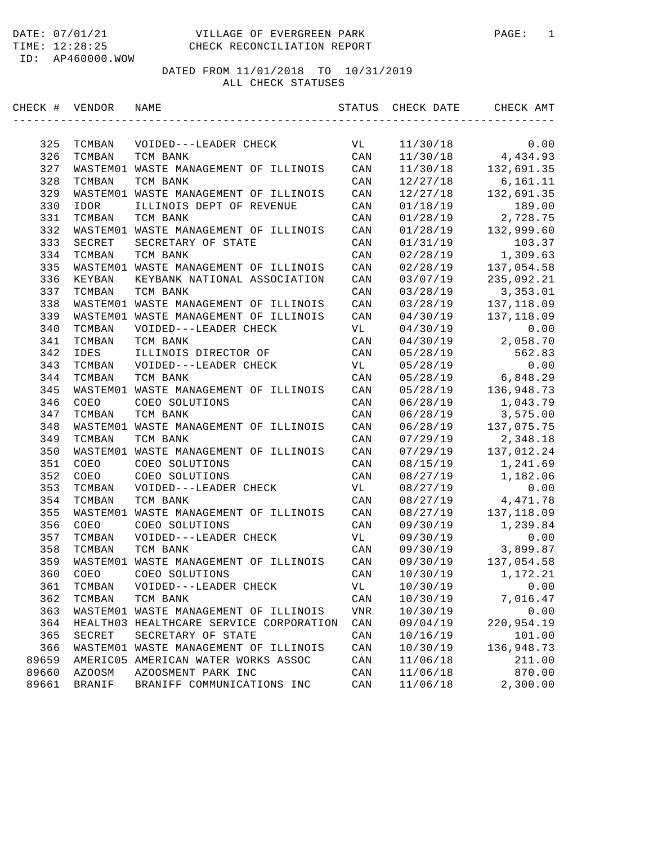# DATE: 07/01/21 VILLAGE OF EVERGREEN PARK PAGE: 1 CHECK RECONCILIATION REPORT

ID: AP460000.WOW

| CHECK # | VENDOR        | NAME                                    | STATUS        | CHECK DATE | CHECK AMT   |
|---------|---------------|-----------------------------------------|---------------|------------|-------------|
|         |               |                                         |               |            |             |
| 325     | TCMBAN        | VOIDED---LEADER CHECK                   | VL            | 11/30/18   | 0.00        |
| 326     | TCMBAN        | TCM BANK                                | CAN           | 11/30/18   | 4,434.93    |
| 327     |               | WASTEM01 WASTE MANAGEMENT OF ILLINOIS   | CAN           | 11/30/18   | 132,691.35  |
| 328     | TCMBAN        | TCM BANK                                | CAN           | 12/27/18   | 6,161.11    |
| 329     |               | WASTEM01 WASTE MANAGEMENT OF ILLINOIS   | CAN           | 12/27/18   | 132,691.35  |
| 330     | IDOR          | ILLINOIS DEPT OF REVENUE                | CAN           | 01/18/19   | 189.00      |
| 331     | TCMBAN        | TCM BANK                                | CAN           | 01/28/19   | 2,728.75    |
| 332     |               | WASTEM01 WASTE MANAGEMENT OF ILLINOIS   | CAN           | 01/28/19   | 132,999.60  |
| 333     | SECRET        | SECRETARY OF STATE                      | CAN           | 01/31/19   | 103.37      |
| 334     | TCMBAN        | TCM BANK                                | CAN           | 02/28/19   | 1,309.63    |
| 335     |               | WASTEM01 WASTE MANAGEMENT OF ILLINOIS   | CAN           | 02/28/19   | 137,054.58  |
| 336     | KEYBAN        | KEYBANK NATIONAL ASSOCIATION            | CAN           | 03/07/19   | 235,092.21  |
| 337     | TCMBAN        | TCM BANK                                | CAN           | 03/28/19   | 3,353.01    |
| 338     |               | WASTEM01 WASTE MANAGEMENT OF ILLINOIS   | CAN           | 03/28/19   | 137,118.09  |
| 339     |               | WASTEM01 WASTE MANAGEMENT OF ILLINOIS   | CAN           | 04/30/19   | 137,118.09  |
| 340     | <b>TCMBAN</b> | VOIDED---LEADER CHECK                   | VL            | 04/30/19   | 0.00        |
| 341     | TCMBAN        | TCM BANK                                | CAN           | 04/30/19   | 2,058.70    |
| 342     | <b>IDES</b>   | ILLINOIS DIRECTOR OF                    | CAN           | 05/28/19   | 562.83      |
| 343     | TCMBAN        | VOIDED---LEADER CHECK                   | VL            | 05/28/19   | 0.00        |
| 344     | TCMBAN        | TCM BANK                                | CAN           | 05/28/19   | 6,848.29    |
| 345     |               | WASTEM01 WASTE MANAGEMENT OF ILLINOIS   | CAN           | 05/28/19   | 136,948.73  |
| 346     | COEO          | COEO SOLUTIONS                          | CAN           | 06/28/19   | 1,043.79    |
| 347     | TCMBAN        | TCM BANK                                | CAN           | 06/28/19   | 3,575.00    |
| 348     |               | WASTEM01 WASTE MANAGEMENT OF ILLINOIS   | CAN           | 06/28/19   | 137,075.75  |
| 349     | TCMBAN        | TCM BANK                                | CAN           | 07/29/19   | 2,348.18    |
| 350     |               | WASTEM01 WASTE MANAGEMENT OF ILLINOIS   | CAN           | 07/29/19   | 137,012.24  |
| 351     | COEO          | COEO SOLUTIONS                          | CAN           | 08/15/19   | 1,241.69    |
| 352     | COEO          | COEO SOLUTIONS                          | CAN           | 08/27/19   | 1,182.06    |
| 353     | TCMBAN        | VOIDED---LEADER CHECK                   | VL            | 08/27/19   | 0.00        |
| 354     | TCMBAN        | TCM BANK                                | CAN           | 08/27/19   | 4, 471.78   |
| 355     |               | WASTEM01 WASTE MANAGEMENT OF ILLINOIS   | CAN           | 08/27/19   | 137, 118.09 |
| 356     | COEO          | COEO SOLUTIONS                          | CAN           | 09/30/19   | 1,239.84    |
| 357     | TCMBAN        | VOIDED---LEADER CHECK                   | VL            | 09/30/19   | 0.00        |
| 358     | TCMBAN        | TCM BANK                                | CAN           | 09/30/19   | 3,899.87    |
| 359     |               | WASTEM01 WASTE MANAGEMENT OF ILLINOIS   | CAN           | 09/30/19   | 137,054.58  |
| 360     | COEO          | COEO SOLUTIONS                          | CAN           | 10/30/19   | 1,172.21    |
| 361     | TCMBAN        | VOIDED---LEADER CHECK                   | VL            | 10/30/19   | 0.00        |
| 362     | TCMBAN        | TCM BANK                                | CAN           | 10/30/19   | 7,016.47    |
| 363     | WASTEM01      | WASTE MANAGEMENT OF ILLINOIS            | $_{\rm{VNR}}$ | 10/30/19   | 0.00        |
| 364     |               | HEALTH03 HEALTHCARE SERVICE CORPORATION | CAN           | 09/04/19   | 220,954.19  |
| 365     | SECRET        | SECRETARY OF STATE                      |               | 10/16/19   | 101.00      |
| 366     |               | WASTEM01 WASTE MANAGEMENT OF ILLINOIS   | CAN<br>CAN    | 10/30/19   | 136,948.73  |
|         |               |                                         |               |            |             |
| 89659   | AMERIC05      | AMERICAN WATER WORKS ASSOC              | CAN           | 11/06/18   | 211.00      |
| 89660   | <b>AZOOSM</b> | AZOOSMENT PARK INC                      | CAN           | 11/06/18   | 870.00      |
| 89661   | BRANIF        | BRANIFF COMMUNICATIONS INC              | CAN           | 11/06/18   | 2,300.00    |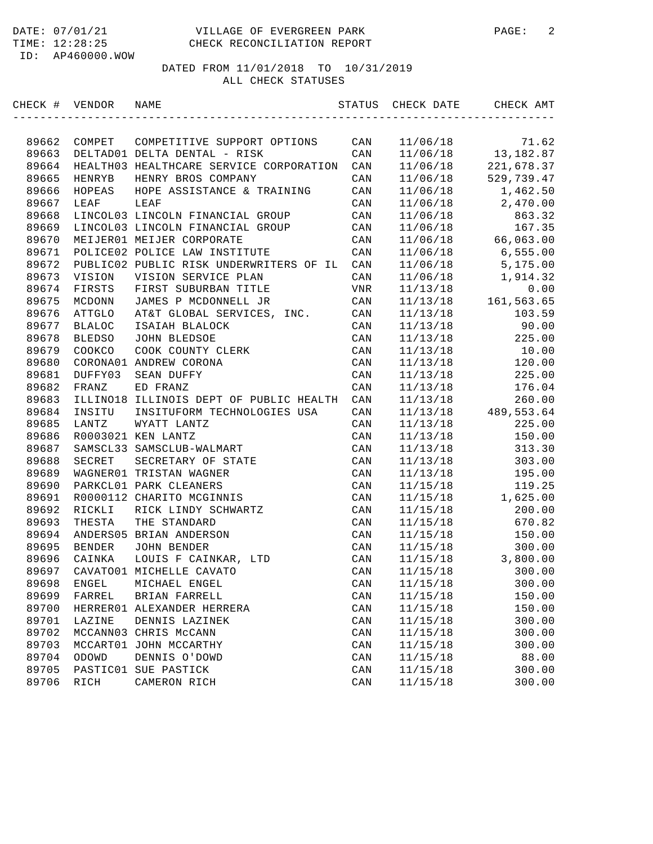| CHECK # VENDOR |               | NAME                                    | STATUS         | CHECK DATE | CHECK AMT  |
|----------------|---------------|-----------------------------------------|----------------|------------|------------|
|                |               |                                         |                |            |            |
| 89662          | COMPET        | COMPETITIVE SUPPORT OPTIONS             | CAN            | 11/06/18   | 71.62      |
| 89663          |               | DELTAD01 DELTA DENTAL - RISK            | CAN            | 11/06/18   | 13,182.87  |
| 89664          |               | HEALTH03 HEALTHCARE SERVICE CORPORATION | CAN            | 11/06/18   | 221,678.37 |
| 89665          | HENRYB        | HENRY BROS COMPANY                      | CAN            | 11/06/18   | 529,739.47 |
| 89666          | HOPEAS        | HOPE ASSISTANCE & TRAINING              | CAN            | 11/06/18   | 1,462.50   |
| 89667          | LEAF          | LEAF                                    | CAN            | 11/06/18   | 2,470.00   |
| 89668          |               | LINCOL03 LINCOLN FINANCIAL GROUP        | CAN            | 11/06/18   | 863.32     |
| 89669          |               | LINCOL03 LINCOLN FINANCIAL GROUP        | CAN            | 11/06/18   | 167.35     |
| 89670          |               | MEIJER01 MEIJER CORPORATE               | CAN            | 11/06/18   | 66,063.00  |
| 89671          |               | POLICE02 POLICE LAW INSTITUTE           | CAN            | 11/06/18   | 6,555.00   |
| 89672          |               | PUBLIC02 PUBLIC RISK UNDERWRITERS OF IL | CAN            | 11/06/18   | 5,175.00   |
| 89673          | VISION        | VISION SERVICE PLAN                     | CAN            | 11/06/18   | 1,914.32   |
| 89674          | FIRSTS        | FIRST SUBURBAN TITLE                    | VNR            | 11/13/18   | 0.00       |
| 89675          | MCDONN        | JAMES P MCDONNELL JR                    | CAN            | 11/13/18   | 161,563.65 |
| 89676          | ATTGLO        | AT&T GLOBAL SERVICES, INC.              | CAN            | 11/13/18   | 103.59     |
| 89677          | <b>BLALOC</b> | ISAIAH BLALOCK                          | CAN            | 11/13/18   | 90.00      |
| 89678          | <b>BLEDSO</b> | JOHN BLEDSOE                            | CAN            | 11/13/18   | 225.00     |
| 89679          | COOKCO        | COOK COUNTY CLERK                       | CAN            | 11/13/18   | 10.00      |
| 89680          |               | CORONA01 ANDREW CORONA                  | CAN            | 11/13/18   | 120.00     |
| 89681          | DUFFY03       | SEAN DUFFY                              | CAN            | 11/13/18   | 225.00     |
| 89682          | FRANZ         | ED FRANZ                                | CAN            | 11/13/18   | 176.04     |
| 89683          |               | ILLINO18 ILLINOIS DEPT OF PUBLIC HEALTH | CAN            | 11/13/18   | 260.00     |
| 89684          | INSITU        | INSITUFORM TECHNOLOGIES USA             | CAN            | 11/13/18   | 489,553.64 |
| 89685          | LANTZ         | WYATT LANTZ                             | CAN            | 11/13/18   | 225.00     |
| 89686          |               | R0003021 KEN LANTZ                      | CAN            | 11/13/18   | 150.00     |
| 89687          |               | SAMSCL33 SAMSCLUB-WALMART               | CAN            | 11/13/18   | 313.30     |
| 89688          | SECRET        | SECRETARY OF STATE                      | CAN            | 11/13/18   | 303.00     |
| 89689          |               | WAGNER01 TRISTAN WAGNER                 | CAN            | 11/13/18   | 195.00     |
| 89690          |               | PARKCL01 PARK CLEANERS                  | CAN            | 11/15/18   | 119.25     |
| 89691          |               | R0000112 CHARITO MCGINNIS               | CAN            | 11/15/18   | 1,625.00   |
| 89692          | RICKLI        | RICK LINDY SCHWARTZ                     | CAN            | 11/15/18   | 200.00     |
| 89693          | THESTA        | THE STANDARD                            | CAN            | 11/15/18   | 670.82     |
| 89694          |               | ANDERS05 BRIAN ANDERSON                 | CAN            | 11/15/18   | 150.00     |
| 89695          | BENDER        | JOHN BENDER                             | CAN            | 11/15/18   | 300.00     |
| 89696          | CAINKA        | LOUIS F CAINKAR, LTD                    | CAN            | 11/15/18   | 3,800.00   |
| 89697          |               | CAVATO01 MICHELLE CAVATO                | CAN            | 11/15/18   | 300.00     |
| 89698          | ENGEL         | MICHAEL ENGEL                           | CAN            | 11/15/18   | 300.00     |
| 89699          | FARREL        | BRIAN FARRELL                           | CAN            | 11/15/18   | 150.00     |
| 89700          | HERRER01      | ALEXANDER HERRERA                       | $\mathtt{CAN}$ | 11/15/18   | 150.00     |
| 89701          | LAZINE        | DENNIS LAZINEK                          | CAN            | 11/15/18   | 300.00     |
| 89702          |               | MCCANN03 CHRIS McCANN                   | CAN            | 11/15/18   | 300.00     |
| 89703          |               | MCCART01 JOHN MCCARTHY                  | CAN            | 11/15/18   | 300.00     |
| 89704          | ODOWD         | DENNIS O'DOWD                           | CAN            | 11/15/18   | 88.00      |
| 89705          |               | PASTIC01 SUE PASTICK                    | CAN            | 11/15/18   | 300.00     |
| 89706          | RICH          | CAMERON RICH                            | CAN            | 11/15/18   | 300.00     |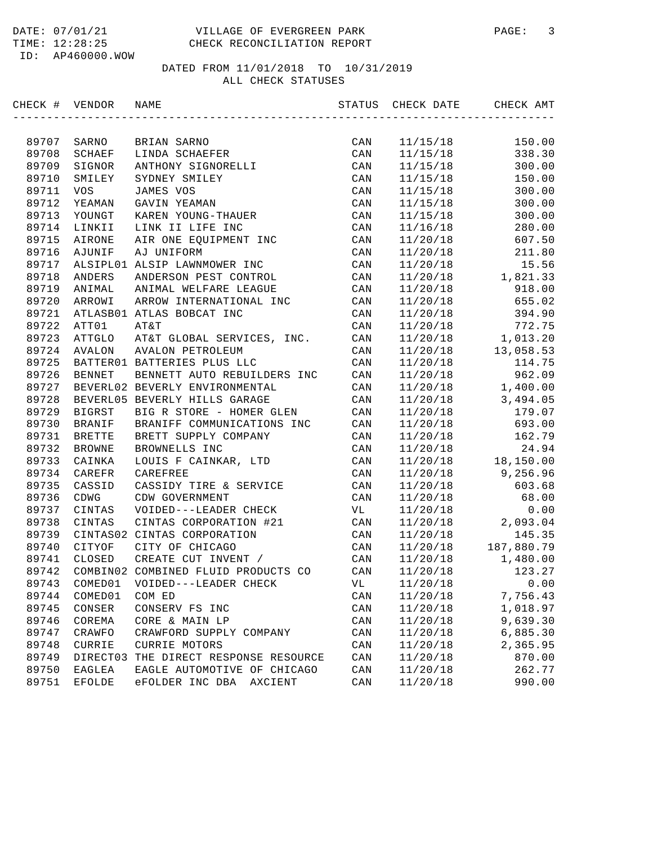| CHECK # VENDOR |                                  | NAME                                | STATUS | CHECK DATE | CHECK AMT  |
|----------------|----------------------------------|-------------------------------------|--------|------------|------------|
|                |                                  |                                     |        |            |            |
| 89707          | SARNO                            | BRIAN SARNO                         | CAN    | 11/15/18   | 150.00     |
| 89708          | $\operatorname{\mathtt{SCHAEF}}$ | LINDA SCHAEFER                      | CAN    | 11/15/18   | 338.30     |
| 89709          | SIGNOR                           | ANTHONY SIGNORELLI                  | CAN    | 11/15/18   | 300.00     |
| 89710          | SMILEY                           | SYDNEY SMILEY                       | CAN    | 11/15/18   | 150.00     |
| 89711          | <b>VOS</b>                       | JAMES VOS                           | CAN    | 11/15/18   | 300.00     |
| 89712          | YEAMAN                           | GAVIN YEAMAN                        | CAN    | 11/15/18   | 300.00     |
| 89713          | YOUNGT                           | KAREN YOUNG-THAUER                  | CAN    | 11/15/18   | 300.00     |
| 89714          | LINKII                           | LINK II LIFE INC                    | CAN    | 11/16/18   | 280.00     |
| 89715          | AIRONE                           | AIR ONE EQUIPMENT INC               | CAN    | 11/20/18   | 607.50     |
| 89716          | AJUNIF                           | AJ UNIFORM                          | CAN    | 11/20/18   | 211.80     |
| 89717          |                                  | ALSIPL01 ALSIP LAWNMOWER INC        | CAN    | 11/20/18   | 15.56      |
| 89718          | ANDERS                           | ANDERSON PEST CONTROL               | CAN    | 11/20/18   | 1,821.33   |
| 89719          | ANIMAL                           | ANIMAL WELFARE LEAGUE               | CAN    | 11/20/18   | 918.00     |
| 89720          | ARROWI                           | ARROW INTERNATIONAL INC             | CAN    | 11/20/18   | 655.02     |
| 89721          |                                  | ATLASB01 ATLAS BOBCAT INC           | CAN    | 11/20/18   | 394.90     |
| 89722          | ATT01                            | AT&T                                | CAN    | 11/20/18   | 772.75     |
| 89723          | ATTGLO                           | AT&T GLOBAL SERVICES, INC.          | CAN    | 11/20/18   | 1,013.20   |
| 89724          | <b>AVALON</b>                    | <b>AVALON PETROLEUM</b>             | CAN    | 11/20/18   | 13,058.53  |
| 89725          |                                  | BATTER01 BATTERIES PLUS LLC         | CAN    | 11/20/18   | 114.75     |
| 89726          | <b>BENNET</b>                    | BENNETT AUTO REBUILDERS INC         | CAN    | 11/20/18   | 962.09     |
| 89727          |                                  | BEVERL02 BEVERLY ENVIRONMENTAL      | CAN    | 11/20/18   | 1,400.00   |
| 89728          |                                  | BEVERL05 BEVERLY HILLS GARAGE       | CAN    | 11/20/18   | 3,494.05   |
| 89729          | BIGRST                           | BIG R STORE - HOMER GLEN            | CAN    | 11/20/18   | 179.07     |
| 89730          | BRANIF                           | BRANIFF COMMUNICATIONS INC          | CAN    | 11/20/18   | 693.00     |
| 89731          | <b>BRETTE</b>                    | BRETT SUPPLY COMPANY                | CAN    | 11/20/18   | 162.79     |
| 89732          | <b>BROWNE</b>                    | BROWNELLS INC                       | CAN    | 11/20/18   | 24.94      |
| 89733          | CAINKA                           | LOUIS F CAINKAR, LTD                | CAN    | 11/20/18   | 18,150.00  |
| 89734          | CAREFR                           | CAREFREE                            | CAN    | 11/20/18   | 9,256.96   |
| 89735          | CASSID                           | CASSIDY TIRE & SERVICE              | CAN    | 11/20/18   | 603.68     |
| 89736          | CDWG                             | CDW GOVERNMENT                      | CAN    | 11/20/18   | 68.00      |
| 89737          | CINTAS                           | VOIDED---LEADER CHECK               | VL     | 11/20/18   | 0.00       |
| 89738          | CINTAS                           | CINTAS CORPORATION #21              | CAN    | 11/20/18   | 2,093.04   |
| 89739          | CINTAS02                         | CINTAS CORPORATION                  | CAN    | 11/20/18   | 145.35     |
| 89740          | CITYOF                           | CITY OF CHICAGO                     | CAN    | 11/20/18   | 187,880.79 |
| 89741          | CLOSED                           | CREATE CUT INVENT /                 | CAN    | 11/20/18   | 1,480.00   |
| 89742          |                                  | COMBIN02 COMBINED FLUID PRODUCTS CO | CAN    | 11/20/18   | 123.27     |
| 89743          | COMED01                          | VOIDED---LEADER CHECK               | VL     | 11/20/18   | 0.00       |
| 89744          | COMED01                          | COM ED                              | CAN    | 11/20/18   | 7,756.43   |
| 89745          | CONSER                           | CONSERV FS INC                      | CAN    | 11/20/18   | 1,018.97   |
| 89746          | COREMA                           | CORE & MAIN LP                      | CAN    | 11/20/18   | 9,639.30   |
| 89747          | CRAWFO                           | CRAWFORD SUPPLY COMPANY             | CAN    | 11/20/18   | 6,885.30   |
| 89748          | CURRIE                           | CURRIE MOTORS                       | CAN    | 11/20/18   | 2,365.95   |
| 89749          | DIRECT03                         | THE DIRECT RESPONSE RESOURCE        | CAN    | 11/20/18   | 870.00     |
| 89750          | EAGLEA                           | EAGLE AUTOMOTIVE OF CHICAGO         | CAN    | 11/20/18   | 262.77     |
| 89751          | <b>EFOLDE</b>                    | eFOLDER INC DBA<br>AXCIENT          | CAN    | 11/20/18   | 990.00     |
|                |                                  |                                     |        |            |            |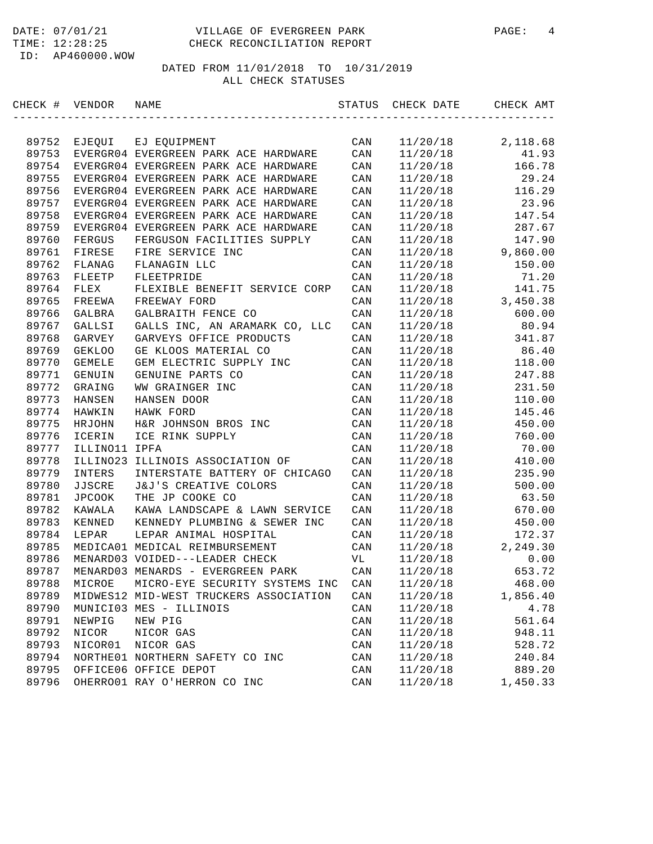#### DATE: 07/01/21 VILLAGE OF EVERGREEN PARK PAGE: 4 TIME: 12:28:25 CHECK RECONCILIATION REPORT

ID: AP460000.WOW

| CHECK # | VENDOR        | NAME                                   | STATUS         | CHECK DATE | CHECK AMT |
|---------|---------------|----------------------------------------|----------------|------------|-----------|
|         |               |                                        |                |            |           |
| 89752   | EJEQUI        | EJ EQUIPMENT                           | CAN            | 11/20/18   | 2,118.68  |
| 89753   |               | EVERGR04 EVERGREEN PARK ACE HARDWARE   | CAN            | 11/20/18   | 41.93     |
| 89754   |               | EVERGR04 EVERGREEN PARK ACE HARDWARE   | CAN            | 11/20/18   | 166.78    |
| 89755   |               | EVERGR04 EVERGREEN PARK ACE HARDWARE   | CAN            | 11/20/18   | 29.24     |
| 89756   |               | EVERGR04 EVERGREEN PARK ACE HARDWARE   | CAN            | 11/20/18   | 116.29    |
| 89757   |               | EVERGR04 EVERGREEN PARK ACE HARDWARE   | CAN            | 11/20/18   | 23.96     |
| 89758   |               | EVERGR04 EVERGREEN PARK ACE HARDWARE   | CAN            | 11/20/18   | 147.54    |
| 89759   |               | EVERGR04 EVERGREEN PARK ACE HARDWARE   | CAN            | 11/20/18   | 287.67    |
| 89760   | FERGUS        | FERGUSON FACILITIES SUPPLY             | CAN            | 11/20/18   | 147.90    |
| 89761   | FIRESE        | FIRE SERVICE INC                       | CAN            | 11/20/18   | 9,860.00  |
| 89762   | FLANAG        | FLANAGIN LLC                           | CAN            | 11/20/18   | 150.00    |
| 89763   | FLEETP        | FLEETPRIDE                             | CAN            | 11/20/18   | 71.20     |
| 89764   | FLEX          | FLEXIBLE BENEFIT SERVICE CORP          | CAN            | 11/20/18   | 141.75    |
| 89765   | FREEWA        | FREEWAY FORD                           | CAN            | 11/20/18   | 3,450.38  |
| 89766   | GALBRA        | GALBRAITH FENCE CO                     | CAN            | 11/20/18   | 600.00    |
| 89767   | GALLSI        | GALLS INC, AN ARAMARK CO, LLC          | CAN            | 11/20/18   | 80.94     |
| 89768   | GARVEY        | GARVEYS OFFICE PRODUCTS                | CAN            | 11/20/18   | 341.87    |
| 89769   | <b>GEKLOO</b> | GE KLOOS MATERIAL CO                   | CAN            | 11/20/18   | 86.40     |
| 89770   | GEMELE        | GEM ELECTRIC SUPPLY INC                | CAN            | 11/20/18   | 118.00    |
| 89771   | GENUIN        | GENUINE PARTS CO                       | CAN            | 11/20/18   | 247.88    |
| 89772   | GRAING        | WW GRAINGER INC                        | CAN            | 11/20/18   | 231.50    |
| 89773   | HANSEN        | HANSEN DOOR                            | CAN            | 11/20/18   | 110.00    |
| 89774   | HAWKIN        | HAWK FORD                              | CAN            | 11/20/18   | 145.46    |
| 89775   | HRJOHN        | H&R JOHNSON BROS INC                   | CAN            | 11/20/18   | 450.00    |
| 89776   | ICERIN        | ICE RINK SUPPLY                        | CAN            | 11/20/18   | 760.00    |
| 89777   | ILLINO11 IPFA |                                        | CAN            | 11/20/18   | 70.00     |
| 89778   | ILLINO23      | ILLINOIS ASSOCIATION OF                | CAN            | 11/20/18   | 410.00    |
| 89779   | INTERS        | INTERSTATE BATTERY OF CHICAGO          | CAN            | 11/20/18   | 235.90    |
| 89780   | JJSCRE        | J&J'S CREATIVE COLORS                  | CAN            | 11/20/18   | 500.00    |
| 89781   | <b>JPCOOK</b> | THE JP COOKE CO                        | CAN            | 11/20/18   | 63.50     |
| 89782   | KAWALA        | KAWA LANDSCAPE & LAWN SERVICE          | CAN            | 11/20/18   | 670.00    |
| 89783   | KENNED        | KENNEDY PLUMBING & SEWER INC           | CAN            | 11/20/18   | 450.00    |
| 89784   | LEPAR         | LEPAR ANIMAL HOSPITAL                  | CAN            | 11/20/18   | 172.37    |
| 89785   |               | MEDICA01 MEDICAL REIMBURSEMENT         | CAN            | 11/20/18   | 2,249.30  |
| 89786   |               | MENARD03 VOIDED---LEADER CHECK         | VL             | 11/20/18   | 0.00      |
| 89787   |               | MENARD03 MENARDS - EVERGREEN PARK      | CAN            | 11/20/18   | 653.72    |
| 89788   | MICROE        | MICRO-EYE SECURITY SYSTEMS INC         | CAN            | 11/20/18   | 468.00    |
| 89789   |               | MIDWES12 MID-WEST TRUCKERS ASSOCIATION | CAN            | 11/20/18   | 1,856.40  |
| 89790   |               | MUNICI03 MES - ILLINOIS                | $\mathtt{CAN}$ | 11/20/18   | 4.78      |
| 89791   | NEWPIG        | NEW PIG                                | $\mathtt{CAN}$ | 11/20/18   | 561.64    |
| 89792   | NICOR         | NICOR GAS                              | $\mathtt{CAN}$ | 11/20/18   | 948.11    |
| 89793   | NICOR01       | NICOR GAS                              | $\mathtt{CAN}$ | 11/20/18   | 528.72    |
| 89794   |               | NORTHE01 NORTHERN SAFETY CO INC        | CAN            | 11/20/18   | 240.84    |
| 89795   |               | OFFICE06 OFFICE DEPOT                  | $\mathtt{CAN}$ | 11/20/18   | 889.20    |
| 89796   |               | OHERRO01 RAY O'HERRON CO INC           | CAN            | 11/20/18   | 1,450.33  |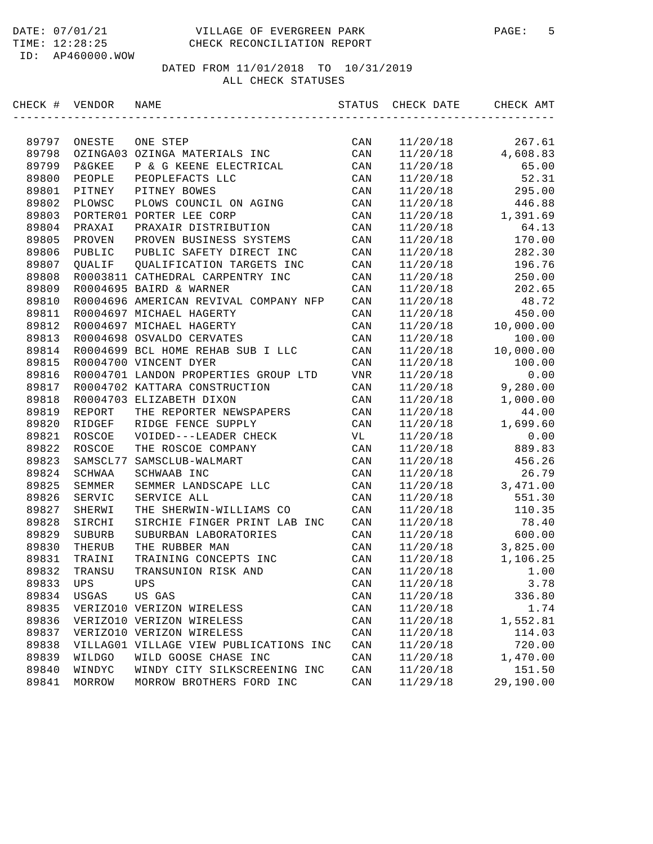#### DATE: 07/01/21 VILLAGE OF EVERGREEN PARK PAGE: 5 TIME: 12:28:25 CHECK RECONCILIATION REPORT

ID: AP460000.WOW

| CHECK # | VENDOR            | NAME                                   | STATUS         | CHECK DATE | CHECK AMT |
|---------|-------------------|----------------------------------------|----------------|------------|-----------|
|         |                   |                                        |                |            |           |
| 89797   | ONESTE            | ONE STEP                               | $\mathtt{CAN}$ | 11/20/18   | 267.61    |
| 89798   | OZINGA03          | OZINGA MATERIALS INC                   | CAN            | 11/20/18   | 4,608.83  |
| 89799   | <b>P&amp;GKEE</b> | P & G KEENE ELECTRICAL                 | CAN            | 11/20/18   | 65.00     |
| 89800   | PEOPLE            | PEOPLEFACTS LLC                        | CAN            | 11/20/18   | 52.31     |
| 89801   | PITNEY            | PITNEY BOWES                           | CAN            | 11/20/18   | 295.00    |
| 89802   | PLOWSC            | PLOWS COUNCIL ON AGING                 | CAN            | 11/20/18   | 446.88    |
| 89803   |                   | PORTER01 PORTER LEE CORP               | CAN            | 11/20/18   | 1,391.69  |
| 89804   | PRAXAI            | PRAXAIR DISTRIBUTION                   | CAN            | 11/20/18   | 64.13     |
| 89805   | PROVEN            | PROVEN BUSINESS SYSTEMS                | CAN            | 11/20/18   | 170.00    |
| 89806   | PUBLIC            | PUBLIC SAFETY DIRECT INC               | CAN            | 11/20/18   | 282.30    |
| 89807   | OUALIF            | QUALIFICATION TARGETS INC              | CAN            | 11/20/18   | 196.76    |
| 89808   |                   | R0003811 CATHEDRAL CARPENTRY INC       | CAN            | 11/20/18   | 250.00    |
| 89809   |                   | R0004695 BAIRD & WARNER                | CAN            | 11/20/18   | 202.65    |
| 89810   |                   | R0004696 AMERICAN REVIVAL COMPANY NFP  | CAN            | 11/20/18   | 48.72     |
| 89811   |                   | R0004697 MICHAEL HAGERTY               | CAN            | 11/20/18   | 450.00    |
| 89812   |                   | R0004697 MICHAEL HAGERTY               | CAN            | 11/20/18   | 10,000.00 |
| 89813   |                   | R0004698 OSVALDO CERVATES              | CAN            | 11/20/18   | 100.00    |
| 89814   |                   | R0004699 BCL HOME REHAB SUB I LLC      | CAN            | 11/20/18   | 10,000.00 |
| 89815   |                   | R0004700 VINCENT DYER                  | CAN            | 11/20/18   | 100.00    |
| 89816   |                   | R0004701 LANDON PROPERTIES GROUP LTD   | VNR            | 11/20/18   | 0.00      |
| 89817   |                   | R0004702 KATTARA CONSTRUCTION          | CAN            | 11/20/18   | 9,280.00  |
| 89818   |                   | R0004703 ELIZABETH DIXON               | CAN            | 11/20/18   | 1,000.00  |
| 89819   | REPORT            | THE REPORTER NEWSPAPERS                | CAN            | 11/20/18   | 44.00     |
| 89820   | RIDGEF            | RIDGE FENCE SUPPLY                     | CAN            | 11/20/18   | 1,699.60  |
| 89821   | ROSCOE            | VOIDED---LEADER CHECK                  | VL             | 11/20/18   | 0.00      |
| 89822   | ROSCOE            | THE ROSCOE COMPANY                     | CAN            | 11/20/18   | 889.83    |
| 89823   | SAMSCL77          | SAMSCLUB-WALMART                       | CAN            | 11/20/18   | 456.26    |
| 89824   | SCHWAA            | SCHWAAB INC                            | CAN            | 11/20/18   | 26.79     |
| 89825   | SEMMER            | SEMMER LANDSCAPE LLC                   | CAN            | 11/20/18   | 3,471.00  |
| 89826   | SERVIC            | SERVICE ALL                            | CAN            | 11/20/18   | 551.30    |
| 89827   | SHERWI            | THE SHERWIN-WILLIAMS CO                | CAN            | 11/20/18   | 110.35    |
| 89828   | SIRCHI            | SIRCHIE FINGER PRINT LAB INC           | CAN            | 11/20/18   | 78.40     |
| 89829   | SUBURB            | SUBURBAN LABORATORIES                  | CAN            | 11/20/18   | 600.00    |
| 89830   | THERUB            | THE RUBBER MAN                         | CAN            | 11/20/18   | 3,825.00  |
| 89831   | TRAINI            | TRAINING CONCEPTS INC                  | CAN            | 11/20/18   | 1,106.25  |
| 89832   | TRANSU            | TRANSUNION RISK AND                    | CAN            | 11/20/18   | 1.00      |
| 89833   | UPS               | UPS                                    | CAN            | 11/20/18   | 3.78      |
| 89834   | USGAS             | US GAS                                 | CAN            | 11/20/18   | 336.80    |
| 89835   |                   | VERIZO10 VERIZON WIRELESS              | $\mathtt{CAN}$ | 11/20/18   | 1.74      |
| 89836   |                   | VERIZO10 VERIZON WIRELESS              | CAN            | 11/20/18   | 1,552.81  |
| 89837   |                   | VERIZO10 VERIZON WIRELESS              | CAN            | 11/20/18   | 114.03    |
| 89838   |                   | VILLAG01 VILLAGE VIEW PUBLICATIONS INC | CAN            | 11/20/18   | 720.00    |
| 89839   | WILDGO            | WILD GOOSE CHASE INC                   | CAN            | 11/20/18   | 1,470.00  |
| 89840   | WINDYC            | WINDY CITY SILKSCREENING INC           | CAN            | 11/20/18   | 151.50    |
| 89841   | MORROW            | MORROW BROTHERS FORD INC               | CAN            | 11/29/18   | 29,190.00 |
|         |                   |                                        |                |            |           |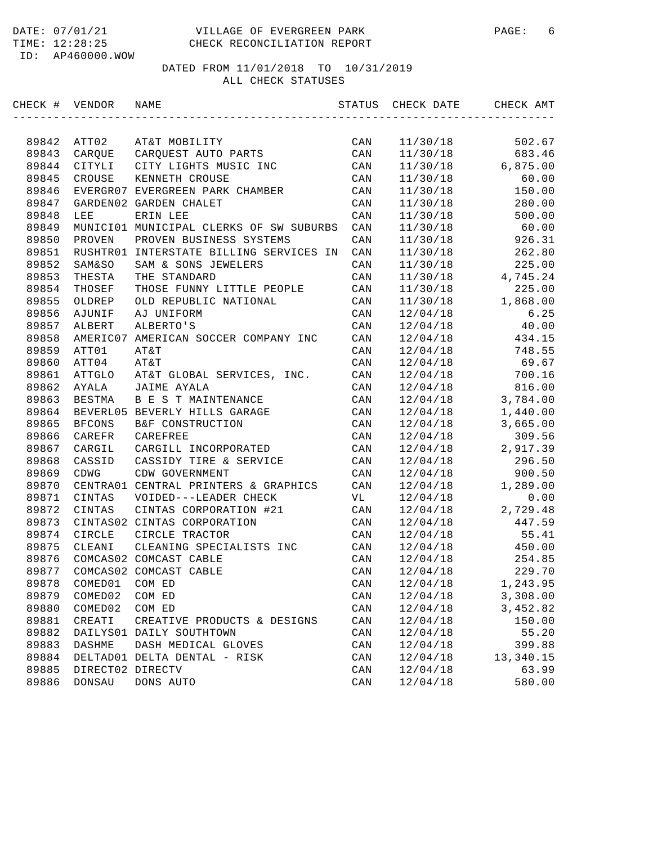| CHECK # VENDOR |                   | NAME                                    | STATUS         | CHECK DATE | CHECK AMT |
|----------------|-------------------|-----------------------------------------|----------------|------------|-----------|
|                |                   |                                         |                |            |           |
| 89842          | ATT02             | AT&T MOBILITY                           | CAN            | 11/30/18   | 502.67    |
| 89843          | CARQUE            | CARQUEST AUTO PARTS                     | CAN            | 11/30/18   | 683.46    |
| 89844          | CITYLI            | CITY LIGHTS MUSIC INC                   | CAN            | 11/30/18   | 6,875.00  |
| 89845          | CROUSE            | KENNETH CROUSE                          | CAN            | 11/30/18   | 60.00     |
| 89846          |                   | EVERGR07 EVERGREEN PARK CHAMBER         | CAN            | 11/30/18   | 150.00    |
| 89847          |                   | GARDEN02 GARDEN CHALET                  | CAN            | 11/30/18   | 280.00    |
| 89848          | LEE               | ERIN LEE                                | CAN            | 11/30/18   | 500.00    |
| 89849          |                   | MUNICI01 MUNICIPAL CLERKS OF SW SUBURBS | CAN            | 11/30/18   | 60.00     |
| 89850          | PROVEN            | PROVEN BUSINESS SYSTEMS                 | CAN            | 11/30/18   | 926.31    |
| 89851          |                   | RUSHTR01 INTERSTATE BILLING SERVICES IN | CAN            | 11/30/18   | 262.80    |
| 89852          | <b>SAM&amp;SO</b> | SAM & SONS JEWELERS                     | CAN            | 11/30/18   | 225.00    |
| 89853          | THESTA            | THE STANDARD                            | CAN            | 11/30/18   | 4,745.24  |
| 89854          | THOSEF            | THOSE FUNNY LITTLE PEOPLE               | CAN            | 11/30/18   | 225.00    |
| 89855          | OLDREP            | OLD REPUBLIC NATIONAL                   | CAN            | 11/30/18   | 1,868.00  |
| 89856          | AJUNIF            | AJ UNIFORM                              | CAN            | 12/04/18   | 6.25      |
| 89857          | ALBERT            | ALBERTO'S                               | CAN            | 12/04/18   | 40.00     |
| 89858          |                   | AMERIC07 AMERICAN SOCCER COMPANY INC    | CAN            | 12/04/18   | 434.15    |
| 89859          | ATT01             | AT&T                                    | CAN            | 12/04/18   | 748.55    |
| 89860          | ATT04             | AT&T                                    | CAN            | 12/04/18   | 69.67     |
| 89861          | ATTGLO            | AT&T GLOBAL SERVICES, INC.              | CAN            | 12/04/18   | 700.16    |
| 89862          | AYALA             | JAIME AYALA                             | CAN            | 12/04/18   | 816.00    |
| 89863          | BESTMA            | B E S T MAINTENANCE                     | CAN            | 12/04/18   | 3,784.00  |
| 89864          |                   | BEVERL05 BEVERLY HILLS GARAGE           | CAN            | 12/04/18   | 1,440.00  |
| 89865          | <b>BFCONS</b>     | B&F CONSTRUCTION                        | CAN            | 12/04/18   | 3,665.00  |
| 89866          | CAREFR            | CAREFREE                                | CAN            | 12/04/18   | 309.56    |
| 89867          | CARGIL            | CARGILL INCORPORATED                    | CAN            | 12/04/18   | 2,917.39  |
| 89868          | CASSID            | CASSIDY TIRE & SERVICE                  | CAN            | 12/04/18   | 296.50    |
| 89869          | CDWG              | CDW GOVERNMENT                          | CAN            | 12/04/18   | 900.50    |
| 89870          | CENTRA01          | CENTRAL PRINTERS & GRAPHICS             | CAN            | 12/04/18   | 1,289.00  |
| 89871          | CINTAS            | VOIDED---LEADER CHECK                   | VL             | 12/04/18   | 0.00      |
| 89872          | CINTAS            | CINTAS CORPORATION #21                  | CAN            | 12/04/18   | 2,729.48  |
| 89873          |                   | CINTAS02 CINTAS CORPORATION             | CAN            | 12/04/18   | 447.59    |
| 89874          | CIRCLE            | CIRCLE TRACTOR                          | CAN            | 12/04/18   | 55.41     |
| 89875          | CLEANI            | CLEANING SPECIALISTS INC                | CAN            | 12/04/18   | 450.00    |
| 89876          |                   | COMCAS02 COMCAST CABLE                  | CAN            | 12/04/18   | 254.85    |
| 89877          |                   | COMCAS02 COMCAST CABLE                  | CAN            | 12/04/18   | 229.70    |
| 89878          | COMED01           | COM ED                                  | CAN            | 12/04/18   | 1,243.95  |
| 89879          | COMED02           | COM ED                                  | CAN            | 12/04/18   | 3,308.00  |
| 89880          | COMED02           | COM ED                                  | $\mathtt{CAN}$ | 12/04/18   | 3,452.82  |
| 89881          | CREATI            | CREATIVE PRODUCTS & DESIGNS             | CAN            | 12/04/18   | 150.00    |
| 89882          | DAILYS01          | DAILY SOUTHTOWN                         | CAN            | 12/04/18   | 55.20     |
| 89883          | DASHME            | DASH MEDICAL GLOVES                     | CAN            | 12/04/18   | 399.88    |
| 89884          |                   | DELTAD01 DELTA DENTAL - RISK            | CAN            | 12/04/18   | 13,340.15 |
| 89885          | DIRECT02 DIRECTV  |                                         | $\mathtt{CAN}$ | 12/04/18   | 63.99     |
| 89886          | DONSAU            | DONS AUTO                               | CAN            | 12/04/18   | 580.00    |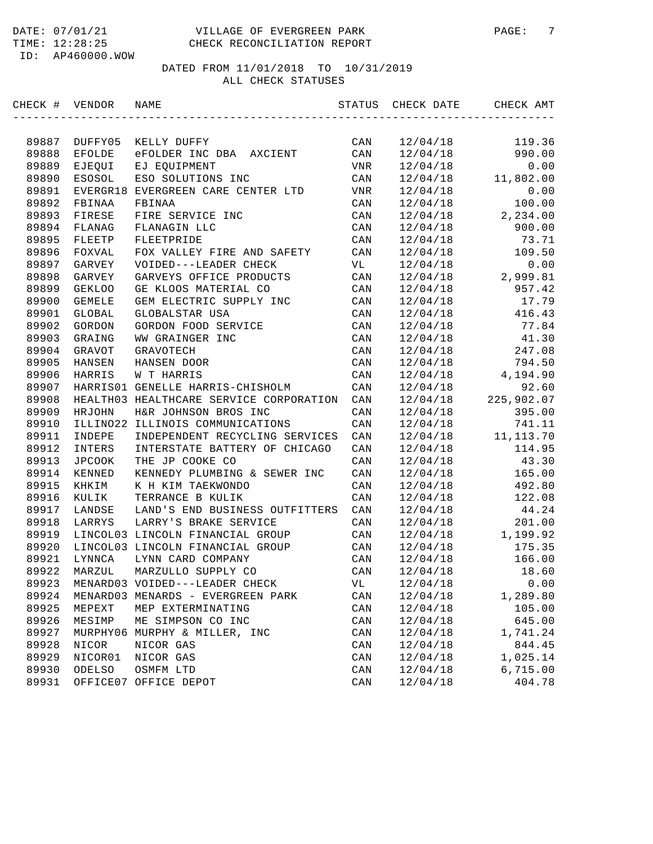#### DATE: 07/01/21 VILLAGE OF EVERGREEN PARK PAGE: 7 TIME: 12:28:25 CHECK RECONCILIATION REPORT

ID: AP460000.WOW

| CHECK # | VENDOR        | NAME                                    | STATUS         | CHECK DATE | CHECK AMT                       |
|---------|---------------|-----------------------------------------|----------------|------------|---------------------------------|
|         |               |                                         |                |            |                                 |
| 89887   | DUFFY05       | KELLY DUFFY                             | CAN            | 12/04/18   | 119.36                          |
| 89888   | EFOLDE        | eFOLDER INC DBA<br>AXCIENT              | CAN            | 12/04/18   | 990.00                          |
| 89889   | EJEQUI        | EJ EQUIPMENT                            | VNR            | 12/04/18   | 0.00                            |
| 89890   | ESOSOL        | ESO SOLUTIONS INC                       | CAN            | 12/04/18   | 11,802.00                       |
| 89891   | EVERGR18      | EVERGREEN CARE CENTER LTD               | VNR            | 12/04/18   | 0.00                            |
| 89892   | FBINAA        | FBINAA                                  | CAN            | 12/04/18   | 100.00                          |
| 89893   | FIRESE        | FIRE SERVICE INC                        | CAN            | 12/04/18   | 2,234.00                        |
| 89894   | FLANAG        | FLANAGIN LLC                            | CAN            | 12/04/18   | 900.00                          |
| 89895   | FLEETP        | FLEETPRIDE                              | CAN            | 12/04/18   | 73.71                           |
| 89896   | FOXVAL        | FOX VALLEY FIRE AND SAFETY              | CAN            | 12/04/18   | 109.50                          |
| 89897   | GARVEY        | VOIDED---LEADER CHECK                   | VL             | 12/04/18   | 0.00                            |
| 89898   | GARVEY        | GARVEYS OFFICE PRODUCTS                 | CAN            | 12/04/18   | 2,999.81                        |
| 89899   | <b>GEKLOO</b> | GE KLOOS MATERIAL CO                    | CAN            | 12/04/18   | 957.42                          |
| 89900   | <b>GEMELE</b> | GEM ELECTRIC SUPPLY INC                 | CAN            | 12/04/18   | 17.79                           |
| 89901   | GLOBAL        | GLOBALSTAR USA                          | CAN            | 12/04/18   | 416.43                          |
| 89902   | GORDON        | GORDON FOOD SERVICE                     | CAN            | 12/04/18   | 77.84                           |
| 89903   | GRAING        | WW GRAINGER INC                         | CAN            | 12/04/18   | 41.30                           |
| 89904   | GRAVOT        | <b>GRAVOTECH</b>                        | CAN            | 12/04/18   | 247.08                          |
| 89905   | HANSEN        | HANSEN DOOR                             | CAN            | 12/04/18   | 794.50                          |
| 89906   | HARRIS        | W T HARRIS                              | CAN            | 12/04/18   | 4,194.90                        |
| 89907   |               | HARRIS01 GENELLE HARRIS-CHISHOLM        | CAN            | 12/04/18   | 92.60                           |
| 89908   |               | HEALTH03 HEALTHCARE SERVICE CORPORATION | CAN            | 12/04/18   | 225,902.07                      |
| 89909   | HRJOHN        | H&R JOHNSON BROS INC                    | CAN            | 12/04/18   | 395.00                          |
| 89910   |               | ILLINO22 ILLINOIS COMMUNICATIONS        | CAN            | 12/04/18   | 741.11                          |
| 89911   | INDEPE        | INDEPENDENT RECYCLING SERVICES          | CAN            | 12/04/18   | 11, 113.70                      |
| 89912   | INTERS        | INTERSTATE BATTERY OF CHICAGO           | CAN            | 12/04/18   | 114.95                          |
| 89913   | JPCOOK        | THE JP COOKE CO                         | CAN            | 12/04/18   | 43.30                           |
| 89914   | KENNED        | KENNEDY PLUMBING & SEWER INC            | CAN            | 12/04/18   | 165.00                          |
| 89915   | KHKIM         | K H KIM TAEKWONDO                       | CAN            | 12/04/18   | 492.80                          |
| 89916   | KULIK         | TERRANCE B KULIK                        | CAN            | 12/04/18   | 122.08                          |
| 89917   | LANDSE        | LAND'S END BUSINESS OUTFITTERS          | CAN            | 12/04/18   | 44.24                           |
| 89918   | LARRYS        | LARRY'S BRAKE SERVICE                   | CAN            | 12/04/18   | 201.00                          |
| 89919   |               | LINCOL03 LINCOLN FINANCIAL GROUP        | CAN            | 12/04/18   | 1,199.92                        |
| 89920   |               | LINCOL03 LINCOLN FINANCIAL GROUP        | CAN            | 12/04/18   | 175.35                          |
| 89921   | LYNNCA        | LYNN CARD COMPANY                       | CAN            | 12/04/18   | 166.00                          |
| 89922   | MARZUL        | MARZULLO SUPPLY CO                      | CAN            | 12/04/18   | 18.60                           |
| 89923   |               | MENARD03 VOIDED---LEADER CHECK          | VL             | 12/04/18   | ${\bf 0}$ . ${\bf 0}$ ${\bf 0}$ |
| 89924   |               | MENARD03 MENARDS - EVERGREEN PARK       | CAN            | 12/04/18   | 1,289.80                        |
| 89925   | MEPEXT        | MEP EXTERMINATING                       | CAN            | 12/04/18   | 105.00                          |
| 89926   | MESIMP        | ME SIMPSON CO INC                       | CAN            | 12/04/18   | 645.00                          |
| 89927   | MURPHY06      | MURPHY & MILLER, INC                    | CAN            | 12/04/18   | 1,741.24                        |
| 89928   | NICOR         | NICOR GAS                               | CAN            | 12/04/18   | 844.45                          |
| 89929   | NICOR01       | NICOR GAS                               | CAN            | 12/04/18   | 1,025.14                        |
| 89930   | ODELSO        | OSMFM LTD                               | $\mathtt{CAN}$ | 12/04/18   | 6,715.00                        |
| 89931   |               | OFFICE07 OFFICE DEPOT                   | CAN            | 12/04/18   | 404.78                          |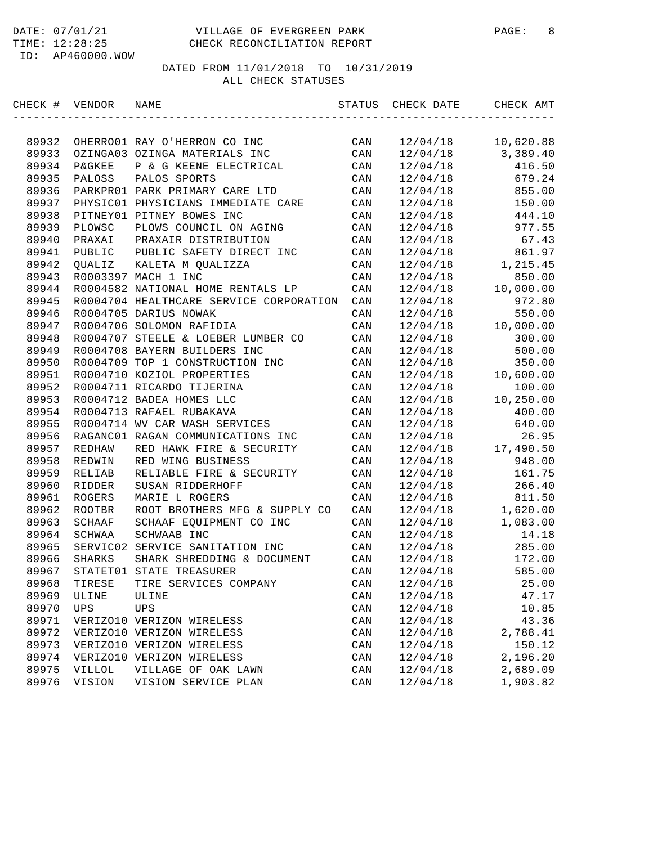| CHECK # | VENDOR            | NAME                                    | STATUS | CHECK DATE | CHECK AMT |
|---------|-------------------|-----------------------------------------|--------|------------|-----------|
|         |                   |                                         |        |            |           |
| 89932   |                   | OHERRO01 RAY O'HERRON CO INC            | CAN    | 12/04/18   | 10,620.88 |
| 89933   |                   | OZINGA03 OZINGA MATERIALS INC           | CAN    | 12/04/18   | 3,389.40  |
| 89934   | <b>P&amp;GKEE</b> | P & G KEENE ELECTRICAL                  | CAN    | 12/04/18   | 416.50    |
| 89935   | PALOSS            | PALOS SPORTS                            | CAN    | 12/04/18   | 679.24    |
| 89936   |                   | PARKPRO1 PARK PRIMARY CARE LTD          | CAN    | 12/04/18   | 855.00    |
| 89937   |                   | PHYSIC01 PHYSICIANS IMMEDIATE CARE      | CAN    | 12/04/18   | 150.00    |
| 89938   |                   | PITNEY01 PITNEY BOWES INC               | CAN    | 12/04/18   | 444.10    |
| 89939   | PLOWSC            | PLOWS COUNCIL ON AGING                  | CAN    | 12/04/18   | 977.55    |
| 89940   | PRAXAI            | PRAXAIR DISTRIBUTION                    | CAN    | 12/04/18   | 67.43     |
| 89941   | PUBLIC            | PUBLIC SAFETY DIRECT INC                | CAN    | 12/04/18   | 861.97    |
| 89942   | <b>OUALIZ</b>     | KALETA M QUALIZZA                       | CAN    | 12/04/18   | 1,215.45  |
| 89943   |                   | R0003397 MACH 1 INC                     | CAN    | 12/04/18   | 850.00    |
| 89944   |                   | R0004582 NATIONAL HOME RENTALS LP       | CAN    | 12/04/18   | 10,000.00 |
| 89945   |                   | R0004704 HEALTHCARE SERVICE CORPORATION | CAN    | 12/04/18   | 972.80    |
| 89946   |                   | R0004705 DARIUS NOWAK                   | CAN    | 12/04/18   | 550.00    |
| 89947   |                   | R0004706 SOLOMON RAFIDIA                | CAN    | 12/04/18   | 10,000.00 |
| 89948   |                   | R0004707 STEELE & LOEBER LUMBER CO      | CAN    | 12/04/18   | 300.00    |
| 89949   |                   | R0004708 BAYERN BUILDERS INC            | CAN    | 12/04/18   | 500.00    |
| 89950   |                   | R0004709 TOP 1 CONSTRUCTION INC         | CAN    | 12/04/18   | 350.00    |
| 89951   |                   | R0004710 KOZIOL PROPERTIES              | CAN    | 12/04/18   | 10,600.00 |
| 89952   |                   | R0004711 RICARDO TIJERINA               | CAN    | 12/04/18   | 100.00    |
| 89953   |                   | R0004712 BADEA HOMES LLC                | CAN    | 12/04/18   | 10,250.00 |
| 89954   |                   | R0004713 RAFAEL RUBAKAVA                | CAN    | 12/04/18   | 400.00    |
| 89955   |                   | R0004714 WV CAR WASH SERVICES           | CAN    | 12/04/18   | 640.00    |
| 89956   |                   | RAGANC01 RAGAN COMMUNICATIONS INC       | CAN    | 12/04/18   | 26.95     |
| 89957   | REDHAW            | RED HAWK FIRE & SECURITY                | CAN    | 12/04/18   | 17,490.50 |
| 89958   | REDWIN            | RED WING BUSINESS                       | CAN    | 12/04/18   | 948.00    |
| 89959   | RELIAB            | RELIABLE FIRE & SECURITY                | CAN    | 12/04/18   | 161.75    |
| 89960   | RIDDER            | SUSAN RIDDERHOFF                        | CAN    | 12/04/18   | 266.40    |
| 89961   | ROGERS            | MARIE L ROGERS                          | CAN    | 12/04/18   | 811.50    |
| 89962   | ROOTBR            | ROOT BROTHERS MFG & SUPPLY CO           | CAN    | 12/04/18   | 1,620.00  |
| 89963   | SCHAAF            | SCHAAF EQUIPMENT CO INC                 | CAN    | 12/04/18   | 1,083.00  |
| 89964   | SCHWAA            | SCHWAAB INC                             | CAN    | 12/04/18   | 14.18     |
| 89965   |                   | SERVIC02 SERVICE SANITATION INC         | CAN    | 12/04/18   | 285.00    |
| 89966   | SHARKS            | SHARK SHREDDING & DOCUMENT              | CAN    | 12/04/18   | 172.00    |
| 89967   |                   | STATET01 STATE TREASURER                | CAN    | 12/04/18   | 585.00    |
| 89968   | TIRESE            | TIRE SERVICES COMPANY                   | CAN    | 12/04/18   | 25.00     |
| 89969   | ULINE             | ULINE                                   | CAN    | 12/04/18   | 47.17     |
| 89970   | UPS               | <b>UPS</b>                              | CAN    | 12/04/18   | 10.85     |
| 89971   |                   | VERIZO10 VERIZON WIRELESS               | CAN    | 12/04/18   | 43.36     |
| 89972   |                   | VERIZO10 VERIZON WIRELESS               | CAN    | 12/04/18   | 2,788.41  |
| 89973   |                   | VERIZO10 VERIZON WIRELESS               | CAN    | 12/04/18   | 150.12    |
| 89974   |                   | VERIZO10 VERIZON WIRELESS               | CAN    | 12/04/18   | 2,196.20  |
| 89975   | <b>AILLOL</b>     | VILLAGE OF OAK LAWN                     | CAN    | 12/04/18   | 2,689.09  |
| 89976   | VISION            | VISION SERVICE PLAN                     | CAN    | 12/04/18   | 1,903.82  |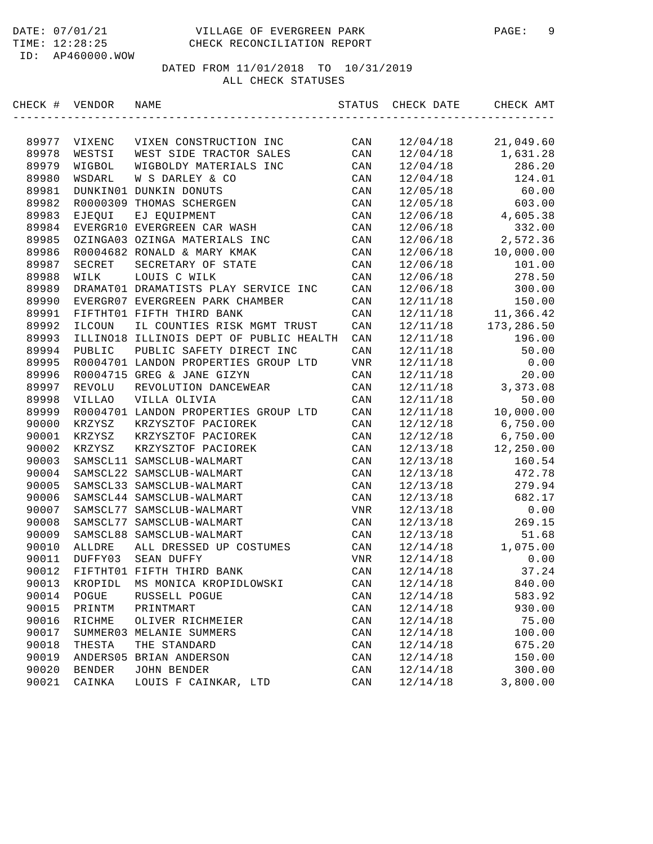| CHECK # VENDOR |               | NAME                                    | STATUS | CHECK DATE | CHECK AMT  |
|----------------|---------------|-----------------------------------------|--------|------------|------------|
|                |               |                                         |        |            |            |
| 89977          | VIXENC        | VIXEN CONSTRUCTION INC                  | CAN    | 12/04/18   | 21,049.60  |
| 89978          | WESTSI        | WEST SIDE TRACTOR SALES                 | CAN    | 12/04/18   | 1,631.28   |
| 89979          | WIGBOL        | WIGBOLDY MATERIALS INC                  | CAN    | 12/04/18   | 286.20     |
| 89980          | WSDARL        | W S DARLEY & CO                         | CAN    | 12/04/18   | 124.01     |
| 89981          |               | DUNKIN01 DUNKIN DONUTS                  | CAN    | 12/05/18   | 60.00      |
| 89982          | R0000309      | THOMAS SCHERGEN                         | CAN    | 12/05/18   | 603.00     |
| 89983          | EJEQUI        | EJ EQUIPMENT                            | CAN    | 12/06/18   | 4,605.38   |
| 89984          |               | EVERGR10 EVERGREEN CAR WASH             | CAN    | 12/06/18   | 332.00     |
| 89985          |               | OZINGA03 OZINGA MATERIALS INC           | CAN    | 12/06/18   | 2,572.36   |
| 89986          |               | R0004682 RONALD & MARY KMAK             | CAN    | 12/06/18   | 10,000.00  |
| 89987          | SECRET        | SECRETARY OF STATE                      | CAN    | 12/06/18   | 101.00     |
| 89988          | WILK          | LOUIS C WILK                            | CAN    | 12/06/18   | 278.50     |
| 89989          |               | DRAMAT01 DRAMATISTS PLAY SERVICE INC    | CAN    | 12/06/18   | 300.00     |
| 89990          |               | EVERGR07 EVERGREEN PARK CHAMBER         | CAN    | 12/11/18   | 150.00     |
| 89991          |               | FIFTHT01 FIFTH THIRD BANK               | CAN    | 12/11/18   | 11,366.42  |
| 89992          | ILCOUN        | IL COUNTIES RISK MGMT TRUST             | CAN    | 12/11/18   | 173,286.50 |
| 89993          |               | ILLINO18 ILLINOIS DEPT OF PUBLIC HEALTH | CAN    | 12/11/18   | 196.00     |
| 89994          | PUBLIC        | PUBLIC SAFETY DIRECT INC                | CAN    | 12/11/18   | 50.00      |
| 89995          |               | R0004701 LANDON PROPERTIES GROUP LTD    | VNR    | 12/11/18   | 0.00       |
| 89996          |               | R0004715 GREG & JANE GIZYN              | CAN    | 12/11/18   | 20.00      |
| 89997          | REVOLU        | REVOLUTION DANCEWEAR                    | CAN    | 12/11/18   | 3,373.08   |
| 89998          | VILLAO        | VILLA OLIVIA                            | CAN    | 12/11/18   | 50.00      |
| 89999          |               | R0004701 LANDON PROPERTIES GROUP LTD    | CAN    | 12/11/18   | 10,000.00  |
| 90000          | KRZYSZ        | KRZYSZTOF PACIOREK                      | CAN    | 12/12/18   | 6,750.00   |
| 90001          | KRZYSZ        | KRZYSZTOF PACIOREK                      | CAN    | 12/12/18   | 6,750.00   |
| 90002          | KRZYSZ        | KRZYSZTOF PACIOREK                      | CAN    | 12/13/18   | 12,250.00  |
| 90003          |               | SAMSCL11 SAMSCLUB-WALMART               | CAN    | 12/13/18   | 160.54     |
| 90004          |               | SAMSCL22 SAMSCLUB-WALMART               | CAN    | 12/13/18   | 472.78     |
| 90005          |               | SAMSCL33 SAMSCLUB-WALMART               | CAN    | 12/13/18   | 279.94     |
| 90006          |               | SAMSCL44 SAMSCLUB-WALMART               | CAN    | 12/13/18   | 682.17     |
| 90007          |               | SAMSCL77 SAMSCLUB-WALMART               | VNR    | 12/13/18   | 0.00       |
| 90008          |               | SAMSCL77 SAMSCLUB-WALMART               | CAN    | 12/13/18   | 269.15     |
| 90009          |               | SAMSCL88 SAMSCLUB-WALMART               | CAN    | 12/13/18   | 51.68      |
| 90010          | ALLDRE        | ALL DRESSED UP COSTUMES                 | CAN    | 12/14/18   | 1,075.00   |
| 90011          | DUFFY03       | SEAN DUFFY                              | VNR    | 12/14/18   | 0.00       |
| 90012          |               | FIFTHT01 FIFTH THIRD BANK               | CAN    | 12/14/18   | 37.24      |
| 90013          | KROPIDL       | MS MONICA KROPIDLOWSKI                  | CAN    | 12/14/18   | 840.00     |
| 90014          | POGUE         | RUSSELL POGUE                           | CAN    | 12/14/18   | 583.92     |
| 90015          | PRINTM        | PRINTMART                               | CAN    | 12/14/18   | 930.00     |
| 90016          | RICHME        | OLIVER RICHMEIER                        | CAN    | 12/14/18   | 75.00      |
| 90017          |               | SUMMER03 MELANIE SUMMERS                | CAN    | 12/14/18   | 100.00     |
| 90018          | THESTA        | THE STANDARD                            | CAN    | 12/14/18   | 675.20     |
| 90019          | ANDERS05      | BRIAN ANDERSON                          | CAN    | 12/14/18   | 150.00     |
| 90020          | <b>BENDER</b> | <b>JOHN BENDER</b>                      | CAN    | 12/14/18   | 300.00     |
| 90021          | CAINKA        | LOUIS F CAINKAR, LTD                    | CAN    | 12/14/18   | 3,800.00   |
|                |               |                                         |        |            |            |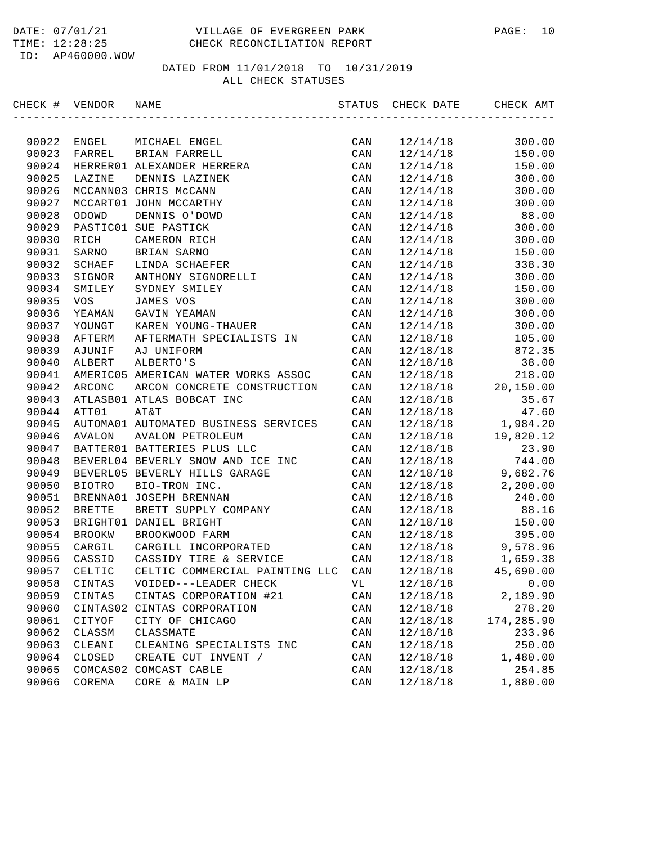| CHECK # VENDOR |               | NAME                                 | STATUS | CHECK DATE | CHECK AMT  |
|----------------|---------------|--------------------------------------|--------|------------|------------|
|                |               |                                      |        |            |            |
| 90022          | ENGEL         | MICHAEL ENGEL                        | CAN    | 12/14/18   | 300.00     |
| 90023          | FARREL        | BRIAN FARRELL                        | CAN    | 12/14/18   | 150.00     |
| 90024          |               | HERRER01 ALEXANDER HERRERA           | CAN    | 12/14/18   | 150.00     |
| 90025          | LAZINE        | DENNIS LAZINEK                       | CAN    | 12/14/18   | 300.00     |
| 90026          |               | MCCANN03 CHRIS McCANN                | CAN    | 12/14/18   | 300.00     |
| 90027          |               | MCCART01 JOHN MCCARTHY               | CAN    | 12/14/18   | 300.00     |
| 90028          | ODOWD         | DENNIS O'DOWD                        | CAN    | 12/14/18   | 88.00      |
| 90029          |               | PASTIC01 SUE PASTICK                 | CAN    | 12/14/18   | 300.00     |
| 90030          | RICH          | CAMERON RICH                         | CAN    | 12/14/18   | 300.00     |
| 90031          | SARNO         | BRIAN SARNO                          | CAN    | 12/14/18   | 150.00     |
| 90032          | SCHAEF        | LINDA SCHAEFER                       | CAN    | 12/14/18   | 338.30     |
| 90033          | SIGNOR        | ANTHONY SIGNORELLI                   | CAN    | 12/14/18   | 300.00     |
| 90034          | SMILEY        | SYDNEY SMILEY                        | CAN    | 12/14/18   | 150.00     |
| 90035          | <b>VOS</b>    | JAMES VOS                            | CAN    | 12/14/18   | 300.00     |
| 90036          | YEAMAN        | GAVIN YEAMAN                         | CAN    | 12/14/18   | 300.00     |
| 90037          | YOUNGT        | KAREN YOUNG-THAUER                   | CAN    | 12/14/18   | 300.00     |
| 90038          | AFTERM        | AFTERMATH SPECIALISTS IN             | CAN    | 12/18/18   | 105.00     |
| 90039          | AJUNIF        | AJ UNIFORM                           | CAN    | 12/18/18   | 872.35     |
| 90040          | ALBERT        | ALBERTO'S                            | CAN    | 12/18/18   | 38.00      |
| 90041          |               | AMERIC05 AMERICAN WATER WORKS ASSOC  | CAN    | 12/18/18   | 218.00     |
| 90042          | ARCONC        | ARCON CONCRETE CONSTRUCTION          | CAN    | 12/18/18   | 20,150.00  |
| 90043          |               | ATLASB01 ATLAS BOBCAT INC            | CAN    | 12/18/18   | 35.67      |
| 90044          | ATT01         | AT&T                                 | CAN    | 12/18/18   | 47.60      |
| 90045          |               | AUTOMA01 AUTOMATED BUSINESS SERVICES | CAN    | 12/18/18   | 1,984.20   |
| 90046          | AVALON        | <b>AVALON PETROLEUM</b>              | CAN    | 12/18/18   | 19,820.12  |
| 90047          |               | BATTER01 BATTERIES PLUS LLC          | CAN    | 12/18/18   | 23.90      |
| 90048          |               | BEVERL04 BEVERLY SNOW AND ICE INC    | CAN    | 12/18/18   | 744.00     |
| 90049          |               | BEVERL05 BEVERLY HILLS GARAGE        | CAN    | 12/18/18   | 9,682.76   |
| 90050          | <b>BIOTRO</b> | BIO-TRON INC.                        | CAN    | 12/18/18   | 2,200.00   |
| 90051          |               | BRENNA01 JOSEPH BRENNAN              | CAN    | 12/18/18   | 240.00     |
| 90052          | <b>BRETTE</b> | BRETT SUPPLY COMPANY                 | CAN    | 12/18/18   | 88.16      |
| 90053          |               | BRIGHT01 DANIEL BRIGHT               | CAN    | 12/18/18   | 150.00     |
| 90054          | <b>BROOKW</b> | BROOKWOOD FARM                       | CAN    | 12/18/18   | 395.00     |
| 90055          | CARGIL        | CARGILL INCORPORATED                 | CAN    | 12/18/18   | 9,578.96   |
| 90056          | CASSID        | CASSIDY TIRE & SERVICE               | CAN    | 12/18/18   | 1,659.38   |
| 90057          | CELTIC        | CELTIC COMMERCIAL PAINTING LLC       | CAN    | 12/18/18   | 45,690.00  |
| 90058          | CINTAS        | VOIDED---LEADER CHECK                | VL     | 12/18/18   | 0.00       |
| 90059          | CINTAS        | CINTAS CORPORATION #21               | CAN    | 12/18/18   | 2,189.90   |
| 90060          | CINTAS02      | CINTAS CORPORATION                   | CAN    | 12/18/18   | 278.20     |
| 90061          | CITYOF        | CITY OF CHICAGO                      | CAN    | 12/18/18   | 174,285.90 |
| 90062          | CLASSM        | CLASSMATE                            | CAN    | 12/18/18   | 233.96     |
| 90063          | CLEANI        | CLEANING SPECIALISTS INC             | CAN    | 12/18/18   | 250.00     |
| 90064          | CLOSED        | CREATE CUT INVENT /                  | CAN    | 12/18/18   | 1,480.00   |
| 90065          |               | COMCAS02 COMCAST CABLE               | CAN    | 12/18/18   | 254.85     |
| 90066          | COREMA        | CORE & MAIN LP                       | CAN    | 12/18/18   | 1,880.00   |
|                |               |                                      |        |            |            |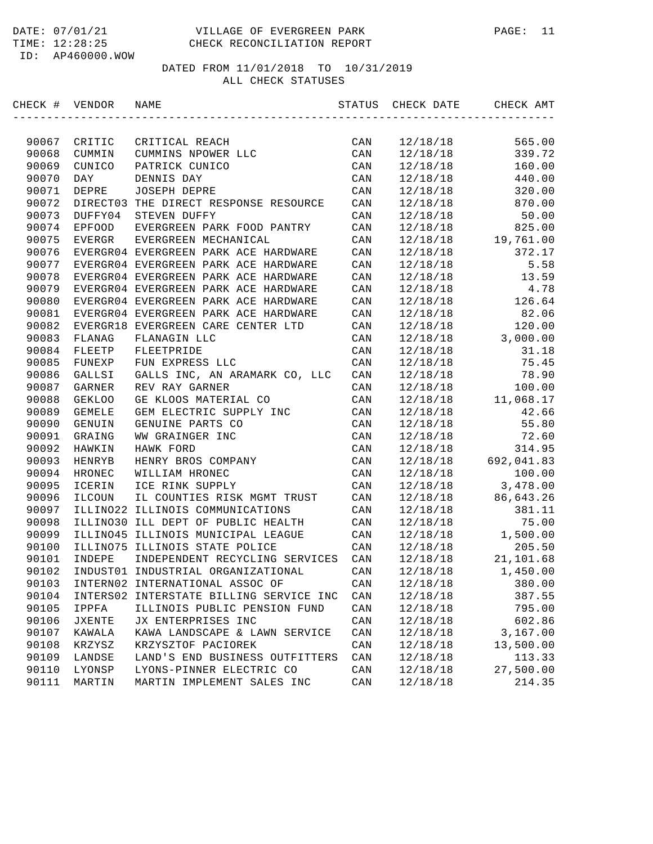| CHECK # VENDOR |               | NAME                                    | STATUS         | CHECK DATE | CHECK AMT  |
|----------------|---------------|-----------------------------------------|----------------|------------|------------|
|                |               |                                         |                |            |            |
| 90067          | CRITIC        | CRITICAL REACH                          | CAN            | 12/18/18   | 565.00     |
| 90068          | CUMMIN        | CUMMINS NPOWER LLC                      | CAN            | 12/18/18   | 339.72     |
| 90069          | CUNICO        | PATRICK CUNICO                          | CAN            | 12/18/18   | 160.00     |
| 90070          | DAY           | DENNIS DAY                              | CAN            | 12/18/18   | 440.00     |
| 90071          | DEPRE         | JOSEPH DEPRE                            | CAN            | 12/18/18   | 320.00     |
| 90072          | DIRECT03      | THE DIRECT RESPONSE RESOURCE            | CAN            | 12/18/18   | 870.00     |
| 90073          | DUFFY04       | STEVEN DUFFY                            | CAN            | 12/18/18   | 50.00      |
| 90074          | <b>EPFOOD</b> | EVERGREEN PARK FOOD PANTRY              | CAN            | 12/18/18   | 825.00     |
| 90075          | EVERGR        | EVERGREEN MECHANICAL                    | CAN            | 12/18/18   | 19,761.00  |
| 90076          |               | EVERGR04 EVERGREEN PARK ACE HARDWARE    | CAN            | 12/18/18   | 372.17     |
| 90077          |               | EVERGR04 EVERGREEN PARK ACE HARDWARE    | CAN            | 12/18/18   | 5.58       |
| 90078          |               | EVERGR04 EVERGREEN PARK ACE HARDWARE    | CAN            | 12/18/18   | 13.59      |
| 90079          |               | EVERGR04 EVERGREEN PARK ACE HARDWARE    | CAN            | 12/18/18   | 4.78       |
| 90080          |               | EVERGR04 EVERGREEN PARK ACE HARDWARE    | CAN            | 12/18/18   | 126.64     |
| 90081          |               | EVERGR04 EVERGREEN PARK ACE HARDWARE    | CAN            | 12/18/18   | 82.06      |
| 90082          |               | EVERGR18 EVERGREEN CARE CENTER LTD      | CAN            | 12/18/18   | 120.00     |
| 90083          | FLANAG        | FLANAGIN LLC                            | CAN            | 12/18/18   | 3,000.00   |
| 90084          | FLEETP        | FLEETPRIDE                              | CAN            | 12/18/18   | 31.18      |
| 90085          | FUNEXP        | FUN EXPRESS LLC                         | CAN            | 12/18/18   | 75.45      |
| 90086          | GALLSI        | GALLS INC, AN ARAMARK CO, LLC           | $\mathtt{CAN}$ | 12/18/18   | 78.90      |
| 90087          | GARNER        | REV RAY GARNER                          | CAN            | 12/18/18   | 100.00     |
| 90088          | <b>GEKLOO</b> | GE KLOOS MATERIAL CO                    | CAN            | 12/18/18   | 11,068.17  |
| 90089          | <b>GEMELE</b> | GEM ELECTRIC SUPPLY INC                 | CAN            | 12/18/18   | 42.66      |
| 90090          | GENUIN        | GENUINE PARTS CO                        | CAN            | 12/18/18   | 55.80      |
| 90091          | GRAING        | WW GRAINGER INC                         | CAN            | 12/18/18   | 72.60      |
| 90092          | HAWKIN        | HAWK FORD                               | CAN            | 12/18/18   | 314.95     |
| 90093          | HENRYB        | HENRY BROS COMPANY                      | CAN            | 12/18/18   | 692,041.83 |
| 90094          | HRONEC        | WILLIAM HRONEC                          | CAN            | 12/18/18   | 100.00     |
| 90095          | ICERIN        | ICE RINK SUPPLY                         | CAN            | 12/18/18   | 3,478.00   |
| 90096          | ILCOUN        | IL COUNTIES RISK MGMT TRUST             | CAN            | 12/18/18   | 86,643.26  |
| 90097          |               | ILLINO22 ILLINOIS COMMUNICATIONS        | CAN            | 12/18/18   | 381.11     |
| 90098          |               | ILLINO30 ILL DEPT OF PUBLIC HEALTH      | CAN            | 12/18/18   | 75.00      |
| 90099          |               | ILLINO45 ILLINOIS MUNICIPAL LEAGUE      | CAN            | 12/18/18   | 1,500.00   |
| 90100          |               | ILLINO75 ILLINOIS STATE POLICE          | CAN            | 12/18/18   | 205.50     |
| 90101          | INDEPE        | INDEPENDENT RECYCLING SERVICES          | CAN            | 12/18/18   | 21,101.68  |
| 90102          |               | INDUST01 INDUSTRIAL ORGANIZATIONAL      | CAN            | 12/18/18   | 1,450.00   |
| 90103          |               | INTERN02 INTERNATIONAL ASSOC OF         | CAN            | 12/18/18   | 380.00     |
| 90104          |               | INTERS02 INTERSTATE BILLING SERVICE INC | CAN            | 12/18/18   | 387.55     |
| 90105          | IPPFA         | ILLINOIS PUBLIC PENSION FUND            | CAN            | 12/18/18   | 795.00     |
| 90106          | <b>JXENTE</b> | JX ENTERPRISES INC                      | $\mathtt{CAN}$ | 12/18/18   | 602.86     |
| 90107          | KAWALA        | KAWA LANDSCAPE & LAWN SERVICE           | CAN            | 12/18/18   | 3,167.00   |
| 90108          | KRZYSZ        | KRZYSZTOF PACIOREK                      | CAN            | 12/18/18   | 13,500.00  |
| 90109          | LANDSE        | LAND'S END BUSINESS OUTFITTERS          | CAN            | 12/18/18   | 113.33     |
| 90110          | LYONSP        | LYONS-PINNER ELECTRIC CO                | CAN            | 12/18/18   | 27,500.00  |
| 90111          | MARTIN        | MARTIN IMPLEMENT SALES INC              | $\mathtt{CAN}$ | 12/18/18   | 214.35     |
|                |               |                                         |                |            |            |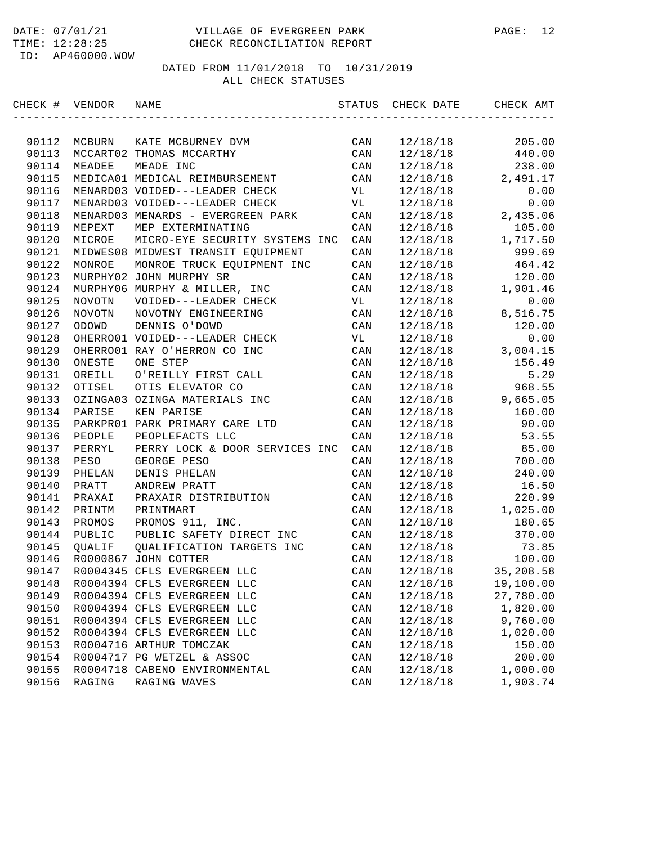| CHECK # VENDOR |               | NAME                               | STATUS         | CHECK DATE | CHECK AMT |
|----------------|---------------|------------------------------------|----------------|------------|-----------|
|                |               |                                    |                |            |           |
| 90112          | MCBURN        | KATE MCBURNEY DVM                  | CAN            | 12/18/18   | 205.00    |
| 90113          |               | MCCART02 THOMAS MCCARTHY           | CAN            | 12/18/18   | 440.00    |
| 90114          | MEADEE        | MEADE INC                          | CAN            | 12/18/18   | 238.00    |
| 90115          |               | MEDICA01 MEDICAL REIMBURSEMENT     | CAN            | 12/18/18   | 2,491.17  |
| 90116          |               | MENARD03 VOIDED---LEADER CHECK     | VL             | 12/18/18   | 0.00      |
| 90117          |               | MENARD03 VOIDED---LEADER CHECK     | VL             | 12/18/18   | 0.00      |
| 90118          |               | MENARD03 MENARDS - EVERGREEN PARK  | CAN            | 12/18/18   | 2,435.06  |
| 90119          | MEPEXT        | MEP EXTERMINATING                  | CAN            | 12/18/18   | 105.00    |
| 90120          | MICROE        | MICRO-EYE SECURITY SYSTEMS INC     | CAN            | 12/18/18   | 1,717.50  |
| 90121          |               | MIDWES08 MIDWEST TRANSIT EQUIPMENT | CAN            | 12/18/18   | 999.69    |
| 90122          | MONROE        | MONROE TRUCK EQUIPMENT INC         | CAN            | 12/18/18   | 464.42    |
| 90123          |               | MURPHY02 JOHN MURPHY SR            | CAN            | 12/18/18   | 120.00    |
| 90124          |               | MURPHY06 MURPHY & MILLER, INC      | CAN            | 12/18/18   | 1,901.46  |
| 90125          | NOVOTN        | VOIDED---LEADER CHECK              | VL             | 12/18/18   | 0.00      |
| 90126          | <b>NOVOTN</b> | NOVOTNY ENGINEERING                | CAN            | 12/18/18   | 8,516.75  |
| 90127          | ODOWD         | DENNIS O'DOWD                      | CAN            | 12/18/18   | 120.00    |
| 90128          |               | OHERRO01 VOIDED---LEADER CHECK     | VL             | 12/18/18   | 0.00      |
| 90129          |               | OHERRO01 RAY O'HERRON CO INC       | CAN            | 12/18/18   | 3,004.15  |
| 90130          | ONESTE        | ONE STEP                           | CAN            | 12/18/18   | 156.49    |
| 90131          | OREILL        | O'REILLY FIRST CALL                | CAN            | 12/18/18   | 5.29      |
| 90132          | OTISEL        | OTIS ELEVATOR CO                   | CAN            | 12/18/18   | 968.55    |
| 90133          |               | OZINGA03 OZINGA MATERIALS INC      | CAN            | 12/18/18   | 9,665.05  |
| 90134          | PARISE        | KEN PARISE                         | CAN            | 12/18/18   | 160.00    |
| 90135          |               | PARKPRO1 PARK PRIMARY CARE LTD     | CAN            | 12/18/18   | 90.00     |
| 90136          | PEOPLE        | PEOPLEFACTS LLC                    | CAN            | 12/18/18   | 53.55     |
| 90137          | PERRYL        | PERRY LOCK & DOOR SERVICES INC     | CAN            | 12/18/18   | 85.00     |
| 90138          | PESO          | GEORGE PESO                        | CAN            | 12/18/18   | 700.00    |
| 90139          | PHELAN        | DENIS PHELAN                       | CAN            | 12/18/18   | 240.00    |
| 90140          | PRATT         | ANDREW PRATT                       | CAN            | 12/18/18   | 16.50     |
| 90141          | PRAXAI        | PRAXAIR DISTRIBUTION               | CAN            | 12/18/18   | 220.99    |
| 90142          | PRINTM        | PRINTMART                          | CAN            | 12/18/18   | 1,025.00  |
| 90143          | PROMOS        | PROMOS 911, INC.                   | CAN            | 12/18/18   | 180.65    |
| 90144          | PUBLIC        | PUBLIC SAFETY DIRECT INC           | CAN            | 12/18/18   | 370.00    |
| 90145          | QUALIF        | QUALIFICATION TARGETS INC          | CAN            | 12/18/18   | 73.85     |
| 90146          |               | R0000867 JOHN COTTER               | CAN            | 12/18/18   | 100.00    |
| 90147          |               | R0004345 CFLS EVERGREEN LLC        | CAN            | 12/18/18   | 35,208.58 |
| 90148          |               | R0004394 CFLS EVERGREEN LLC        | CAN            | 12/18/18   | 19,100.00 |
| 90149          |               | R0004394 CFLS EVERGREEN LLC        | CAN            | 12/18/18   | 27,780.00 |
| 90150          |               | R0004394 CFLS EVERGREEN LLC        | $\mathtt{CAN}$ | 12/18/18   | 1,820.00  |
| 90151          |               | R0004394 CFLS EVERGREEN LLC        | CAN            | 12/18/18   | 9,760.00  |
| 90152          |               | R0004394 CFLS EVERGREEN LLC        | CAN            | 12/18/18   | 1,020.00  |
| 90153          |               | R0004716 ARTHUR TOMCZAK            | CAN            | 12/18/18   | 150.00    |
| 90154          |               | R0004717 PG WETZEL & ASSOC         | CAN            | 12/18/18   | 200.00    |
| 90155          |               | R0004718 CABENO ENVIRONMENTAL      | CAN            | 12/18/18   | 1,000.00  |
| 90156          | RAGING        | RAGING WAVES                       | CAN            | 12/18/18   | 1,903.74  |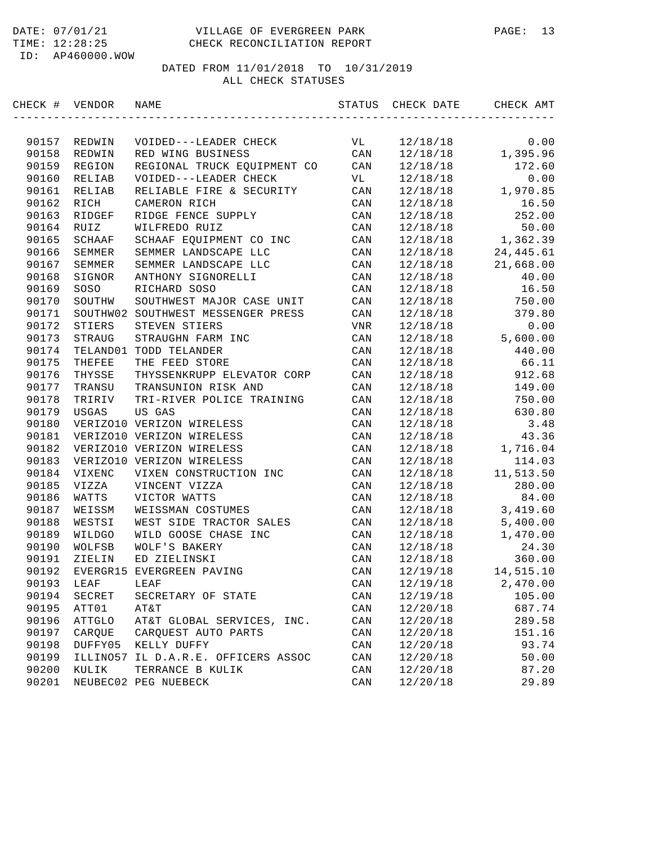| CHECK # | VENDOR      | NAME                        | STATUS         | CHECK DATE | CHECK AMT  |
|---------|-------------|-----------------------------|----------------|------------|------------|
|         |             |                             |                |            |            |
| 90157   | REDWIN      | VOIDED---LEADER CHECK       | VL             | 12/18/18   | 0.00       |
| 90158   | REDWIN      | RED WING BUSINESS           | CAN            | 12/18/18   | 1,395.96   |
| 90159   | REGION      | REGIONAL TRUCK EQUIPMENT CO | CAN            | 12/18/18   | 172.60     |
| 90160   | RELIAB      | VOIDED---LEADER CHECK       | VL             | 12/18/18   | 0.00       |
| 90161   | RELIAB      | RELIABLE FIRE & SECURITY    | CAN            | 12/18/18   | 1,970.85   |
| 90162   | RICH        | CAMERON RICH                | CAN            | 12/18/18   | 16.50      |
| 90163   | RIDGEF      | RIDGE FENCE SUPPLY          | CAN            | 12/18/18   | 252.00     |
| 90164   | <b>RUIZ</b> | WILFREDO RUIZ               | CAN            | 12/18/18   | 50.00      |
| 90165   | SCHAAF      | SCHAAF EQUIPMENT CO INC     | CAN            | 12/18/18   | 1,362.39   |
| 90166   | SEMMER      | SEMMER LANDSCAPE LLC        | CAN            | 12/18/18   | 24, 445.61 |
| 90167   | SEMMER      | SEMMER LANDSCAPE LLC        | CAN            | 12/18/18   | 21,668.00  |
| 90168   | SIGNOR      | ANTHONY SIGNORELLI          | CAN            | 12/18/18   | 40.00      |
| 90169   | SOSO        | RICHARD SOSO                | CAN            | 12/18/18   | 16.50      |
| 90170   | SOUTHW      | SOUTHWEST MAJOR CASE UNIT   | CAN            | 12/18/18   | 750.00     |
| 90171   | SOUTHW02    | SOUTHWEST MESSENGER PRESS   | CAN            | 12/18/18   | 379.80     |
| 90172   | STIERS      | STEVEN STIERS               | VNR            | 12/18/18   | 0.00       |
| 90173   | STRAUG      | STRAUGHN FARM INC           | CAN            | 12/18/18   | 5,600.00   |
| 90174   |             | TELAND01 TODD TELANDER      | CAN            | 12/18/18   | 440.00     |
| 90175   | THEFEE      | THE FEED STORE              | CAN            | 12/18/18   | 66.11      |
| 90176   | THYSSE      | THYSSENKRUPP ELEVATOR CORP  | CAN            | 12/18/18   | 912.68     |
| 90177   | TRANSU      | TRANSUNION RISK AND         | CAN            | 12/18/18   | 149.00     |
| 90178   | TRIRIV      | TRI-RIVER POLICE TRAINING   | CAN            | 12/18/18   | 750.00     |
| 90179   | USGAS       | US GAS                      | CAN            | 12/18/18   | 630.80     |
| 90180   |             | VERIZO10 VERIZON WIRELESS   | CAN            | 12/18/18   | 3.48       |
| 90181   |             | VERIZO10 VERIZON WIRELESS   | CAN            | 12/18/18   | 43.36      |
| 90182   |             | VERIZO10 VERIZON WIRELESS   | CAN            | 12/18/18   | 1,716.04   |
| 90183   |             | VERIZO10 VERIZON WIRELESS   | CAN            | 12/18/18   | 114.03     |
| 90184   | VIXENC      | VIXEN CONSTRUCTION INC      | CAN            | 12/18/18   | 11,513.50  |
| 90185   | VIZZA       | VINCENT VIZZA               | CAN            | 12/18/18   | 280.00     |
| 90186   | WATTS       | VICTOR WATTS                | CAN            | 12/18/18   | 84.00      |
| 90187   | WEISSM      | WEISSMAN COSTUMES           | CAN            | 12/18/18   | 3,419.60   |
| 90188   | WESTSI      | WEST SIDE TRACTOR SALES     | CAN            | 12/18/18   | 5,400.00   |
| 90189   | WILDGO      | WILD GOOSE CHASE INC        | CAN            | 12/18/18   | 1,470.00   |
| 90190   | WOLFSB      | WOLF'S BAKERY               | CAN            | 12/18/18   | 24.30      |
| 90191   | ZIELIN      | ED ZIELINSKI                | CAN            | 12/18/18   | 360.00     |
| 90192   |             | EVERGR15 EVERGREEN PAVING   | CAN            | 12/19/18   | 14,515.10  |
| 90193   | LEAF        | LEAF                        | CAN            | 12/19/18   | 2,470.00   |
| 90194   | SECRET      | SECRETARY OF STATE          | CAN            | 12/19/18   | 105.00     |
| 90195   | ATT01       | AT&T                        | CAN            | 12/20/18   | 687.74     |
| 90196   | ATTGLO      | AT&T GLOBAL SERVICES, INC.  | CAN            | 12/20/18   | 289.58     |
| 90197   | CARQUE      | CAROUEST AUTO PARTS         | CAN            | 12/20/18   | 151.16     |
| 90198   | DUFFY05     | KELLY DUFFY                 | CAN            | 12/20/18   | 93.74      |
| 90199   | ILLINO57    | IL D.A.R.E. OFFICERS ASSOC  | CAN            | 12/20/18   | 50.00      |
| 90200   | KULIK       | TERRANCE B KULIK            | CAN            | 12/20/18   | 87.20      |
| 90201   |             | NEUBEC02 PEG NUEBECK        | $\mathtt{CAN}$ | 12/20/18   | 29.89      |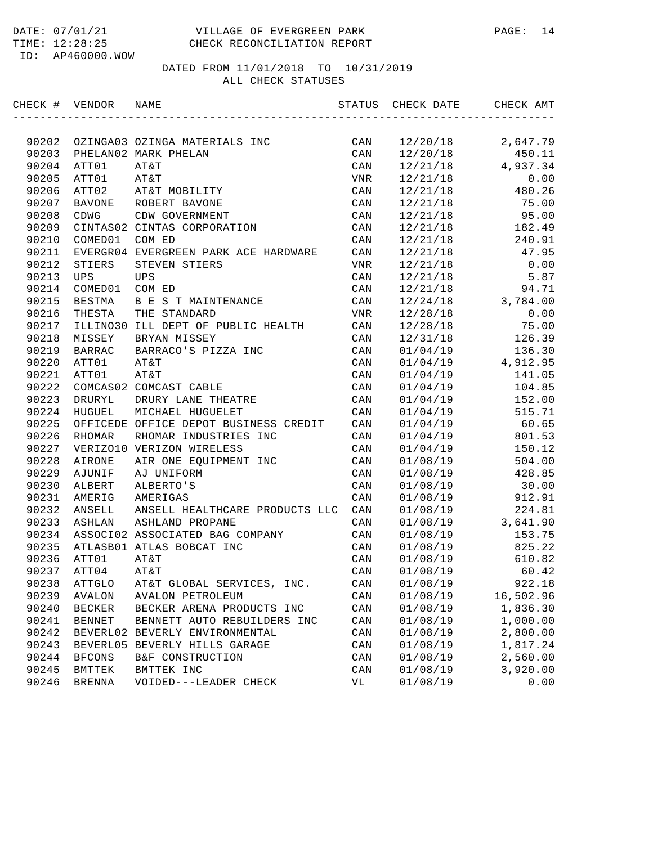#### DATE: 07/01/21 VILLAGE OF EVERGREEN PARK PAGE: 14 TIME: 12:28:25 CHECK RECONCILIATION REPORT

ID: AP460000.WOW

| CHECK # VENDOR |               | NAME                                  | STATUS | CHECK DATE | CHECK AMT |
|----------------|---------------|---------------------------------------|--------|------------|-----------|
|                |               |                                       |        |            |           |
| 90202          |               | OZINGA03 OZINGA MATERIALS INC         | CAN    | 12/20/18   | 2,647.79  |
| 90203          |               | PHELAN02 MARK PHELAN                  | CAN    | 12/20/18   | 450.11    |
| 90204          | ATT01         | AT&T                                  | CAN    | 12/21/18   | 4,937.34  |
| 90205          | ATT01         | AT&T                                  | VNR    | 12/21/18   | 0.00      |
| 90206          | ATT02         | AT&T MOBILITY                         | CAN    | 12/21/18   | 480.26    |
| 90207          | <b>BAVONE</b> | ROBERT BAVONE                         | CAN    | 12/21/18   | 75.00     |
| 90208          | CDWG          | CDW GOVERNMENT                        | CAN    | 12/21/18   | 95.00     |
| 90209          |               | CINTAS02 CINTAS CORPORATION           | CAN    | 12/21/18   | 182.49    |
| 90210          | COMED01       | COM ED                                | CAN    | 12/21/18   | 240.91    |
| 90211          |               | EVERGR04 EVERGREEN PARK ACE HARDWARE  | CAN    | 12/21/18   | 47.95     |
| 90212          | STIERS        | STEVEN STIERS                         | VNR    | 12/21/18   | 0.00      |
| 90213          | UPS           | UPS                                   | CAN    | 12/21/18   | 5.87      |
| 90214          | COMED01       | COM ED                                | CAN    | 12/21/18   | 94.71     |
| 90215          | BESTMA        | B E S T MAINTENANCE                   | CAN    | 12/24/18   | 3,784.00  |
| 90216          | THESTA        | THE STANDARD                          | VNR    | 12/28/18   | 0.00      |
| 90217          |               | ILLINO30 ILL DEPT OF PUBLIC HEALTH    | CAN    | 12/28/18   | 75.00     |
| 90218          | MISSEY        | BRYAN MISSEY                          | CAN    | 12/31/18   | 126.39    |
| 90219          | <b>BARRAC</b> | BARRACO'S PIZZA INC                   | CAN    | 01/04/19   | 136.30    |
| 90220          | ATT01         | AT&T                                  | CAN    | 01/04/19   | 4,912.95  |
| 90221          | ATT01         | AT&T                                  | CAN    | 01/04/19   | 141.05    |
| 90222          |               | COMCAS02 COMCAST CABLE                | CAN    | 01/04/19   | 104.85    |
| 90223          | DRURYL        | DRURY LANE THEATRE                    | CAN    | 01/04/19   | 152.00    |
| 90224          | HUGUEL        | MICHAEL HUGUELET                      | CAN    | 01/04/19   | 515.71    |
| 90225          |               | OFFICEDE OFFICE DEPOT BUSINESS CREDIT | CAN    | 01/04/19   | 60.65     |
| 90226          | RHOMAR        | RHOMAR INDUSTRIES INC                 | CAN    | 01/04/19   | 801.53    |
| 90227          |               | VERIZO10 VERIZON WIRELESS             | CAN    | 01/04/19   | 150.12    |
| 90228          | AIRONE        | AIR ONE EQUIPMENT INC                 | CAN    | 01/08/19   | 504.00    |
| 90229          | AJUNIF        | AJ UNIFORM                            | CAN    | 01/08/19   | 428.85    |
| 90230          | ALBERT        | ALBERTO'S                             | CAN    | 01/08/19   | 30.00     |
| 90231          | AMERIG        | AMERIGAS                              | CAN    | 01/08/19   | 912.91    |
| 90232          | ANSELL        | ANSELL HEALTHCARE PRODUCTS LLC        | CAN    | 01/08/19   | 224.81    |
| 90233          | ASHLAN        | ASHLAND PROPANE                       | CAN    | 01/08/19   | 3,641.90  |
| 90234          |               | ASSOCI02 ASSOCIATED BAG COMPANY       | CAN    | 01/08/19   | 153.75    |
| 90235          |               | ATLASB01 ATLAS BOBCAT INC             | CAN    | 01/08/19   | 825.22    |
| 90236          | ATT01         | AT&T                                  | CAN    | 01/08/19   | 610.82    |
| 90237          | ATT04         | AT&T                                  | CAN    | 01/08/19   | 60.42     |
| 90238          | ATTGLO        | AT&T GLOBAL SERVICES, INC.            | CAN    | 01/08/19   | 922.18    |
| 90239          | AVALON        | <b>AVALON PETROLEUM</b>               | CAN    | 01/08/19   | 16,502.96 |
| 90240          | BECKER        | BECKER ARENA PRODUCTS INC             | CAN    | 01/08/19   | 1,836.30  |
| 90241          | <b>BENNET</b> | BENNETT AUTO REBUILDERS INC           | CAN    | 01/08/19   | 1,000.00  |
| 90242          |               | BEVERL02 BEVERLY ENVIRONMENTAL        | CAN    | 01/08/19   | 2,800.00  |
| 90243          |               | BEVERL05 BEVERLY HILLS GARAGE         | CAN    | 01/08/19   | 1,817.24  |
| 90244          | <b>BFCONS</b> | B&F CONSTRUCTION                      | CAN    | 01/08/19   | 2,560.00  |
| 90245          | BMTTEK        | BMTTEK INC                            | CAN    | 01/08/19   | 3,920.00  |
| 90246          | <b>BRENNA</b> | VOIDED---LEADER CHECK                 | VL     | 01/08/19   | 0.00      |
|                |               |                                       |        |            |           |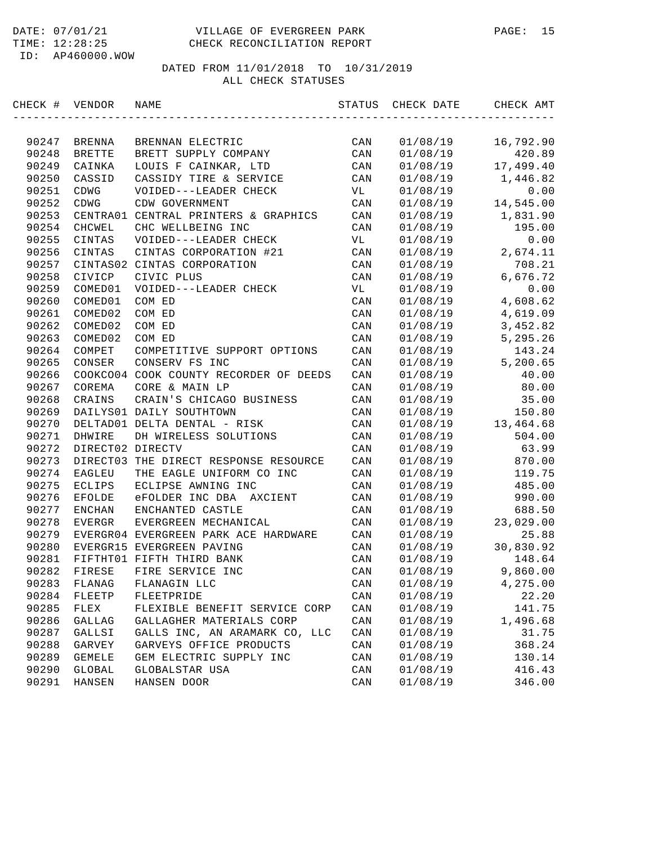### DATED FROM 11/01/2018 TO 10/31/2019 ALL CHECK STATUSES

| CHECK # VENDOR |                  | NAME                                   | STATUS         | CHECK DATE | CHECK AMT |
|----------------|------------------|----------------------------------------|----------------|------------|-----------|
|                |                  |                                        |                |            |           |
| 90247          | BRENNA           | BRENNAN ELECTRIC                       | CAN            | 01/08/19   | 16,792.90 |
| 90248          | <b>BRETTE</b>    | BRETT SUPPLY COMPANY                   | CAN            | 01/08/19   | 420.89    |
| 90249          | CAINKA           | LOUIS F CAINKAR, LTD                   | CAN            | 01/08/19   | 17,499.40 |
| 90250          | CASSID           | CASSIDY TIRE & SERVICE                 | CAN            | 01/08/19   | 1,446.82  |
| 90251          | CDWG             | VOIDED---LEADER CHECK                  | VL             | 01/08/19   | 0.00      |
| 90252          | CDWG             | CDW GOVERNMENT                         | CAN            | 01/08/19   | 14,545.00 |
| 90253          |                  | CENTRA01 CENTRAL PRINTERS & GRAPHICS   | CAN            | 01/08/19   | 1,831.90  |
| 90254          | CHCWEL           | CHC WELLBEING INC                      | CAN            | 01/08/19   | 195.00    |
| 90255          | CINTAS           | VOIDED---LEADER CHECK                  | VL             | 01/08/19   | 0.00      |
| 90256          | CINTAS           | CINTAS CORPORATION #21                 | CAN            | 01/08/19   | 2,674.11  |
| 90257          |                  | CINTAS02 CINTAS CORPORATION            | CAN            | 01/08/19   | 708.21    |
| 90258          | CIVICP           | CIVIC PLUS                             | CAN            | 01/08/19   | 6,676.72  |
| 90259          | COMED01          | VOIDED---LEADER CHECK                  | VL             | 01/08/19   | 0.00      |
| 90260          | COMED01          | COM ED                                 | CAN            | 01/08/19   | 4,608.62  |
| 90261          | COMED02          | COM ED                                 | CAN            | 01/08/19   | 4,619.09  |
| 90262          | COMED02          | COM ED                                 | CAN            | 01/08/19   | 3, 452.82 |
| 90263          | COMED02          | COM ED                                 | CAN            | 01/08/19   | 5,295.26  |
| 90264          | COMPET           | COMPETITIVE SUPPORT OPTIONS            | CAN            | 01/08/19   | 143.24    |
| 90265          | CONSER           | CONSERV FS INC                         | CAN            | 01/08/19   | 5,200.65  |
| 90266          |                  | COOKCO04 COOK COUNTY RECORDER OF DEEDS | $\mathtt{CAN}$ | 01/08/19   | 40.00     |
| 90267          | COREMA           | CORE & MAIN LP                         | CAN            | 01/08/19   | 80.00     |
| 90268          | CRAINS           | CRAIN'S CHICAGO BUSINESS               | CAN            | 01/08/19   | 35.00     |
| 90269          |                  | DAILYS01 DAILY SOUTHTOWN               | CAN            | 01/08/19   | 150.80    |
| 90270          |                  | DELTAD01 DELTA DENTAL - RISK           | CAN            | 01/08/19   | 13,464.68 |
| 90271          | DHWIRE           | DH WIRELESS SOLUTIONS                  | CAN            | 01/08/19   | 504.00    |
| 90272          | DIRECT02 DIRECTV |                                        | CAN            | 01/08/19   | 63.99     |
| 90273          | DIRECT03         | THE DIRECT RESPONSE RESOURCE           | CAN            | 01/08/19   | 870.00    |
| 90274          | EAGLEU           | THE EAGLE UNIFORM CO INC               | CAN            | 01/08/19   | 119.75    |
| 90275          | ECLIPS           | ECLIPSE AWNING INC                     | CAN            | 01/08/19   | 485.00    |
| 90276          | <b>EFOLDE</b>    | eFOLDER INC DBA AXCIENT                | CAN            | 01/08/19   | 990.00    |
| 90277          | ENCHAN           | ENCHANTED CASTLE                       | CAN            | 01/08/19   | 688.50    |
| 90278          | EVERGR           | EVERGREEN MECHANICAL                   | CAN            | 01/08/19   | 23,029.00 |
| 90279          |                  | EVERGR04 EVERGREEN PARK ACE HARDWARE   | CAN            | 01/08/19   | 25.88     |
| 90280          |                  | EVERGR15 EVERGREEN PAVING              | CAN            | 01/08/19   | 30,830.92 |
| 90281          |                  | FIFTHT01 FIFTH THIRD BANK              | CAN            | 01/08/19   | 148.64    |
| 90282          | FIRESE           | FIRE SERVICE INC                       | CAN            | 01/08/19   | 9,860.00  |
| 90283          | FLANAG           | FLANAGIN LLC                           | CAN            | 01/08/19   | 4,275.00  |
| 90284          | FLEETP           | FLEETPRIDE                             | CAN            | 01/08/19   | 22.20     |
| 90285          | FLEX             | FLEXIBLE BENEFIT SERVICE CORP          | CAN            | 01/08/19   | 141.75    |
| 90286          | GALLAG           | GALLAGHER MATERIALS CORP               | CAN            | 01/08/19   | 1,496.68  |
| 90287          | GALLSI           | GALLS INC, AN ARAMARK CO, LLC          | CAN            | 01/08/19   | 31.75     |
| 90288          | GARVEY           | GARVEYS OFFICE PRODUCTS                | CAN            | 01/08/19   | 368.24    |
| 90289          | <b>GEMELE</b>    | GEM ELECTRIC SUPPLY INC                | CAN            | 01/08/19   | 130.14    |
| 90290          | GLOBAL           | GLOBALSTAR USA                         | CAN            | 01/08/19   | 416.43    |
| 90291          | HANSEN           | HANSEN DOOR                            | $\mathtt{CAN}$ | 01/08/19   | 346.00    |
|                |                  |                                        |                |            |           |

DATE: 07/01/21 VILLAGE OF EVERGREEN PARK PAGE: 15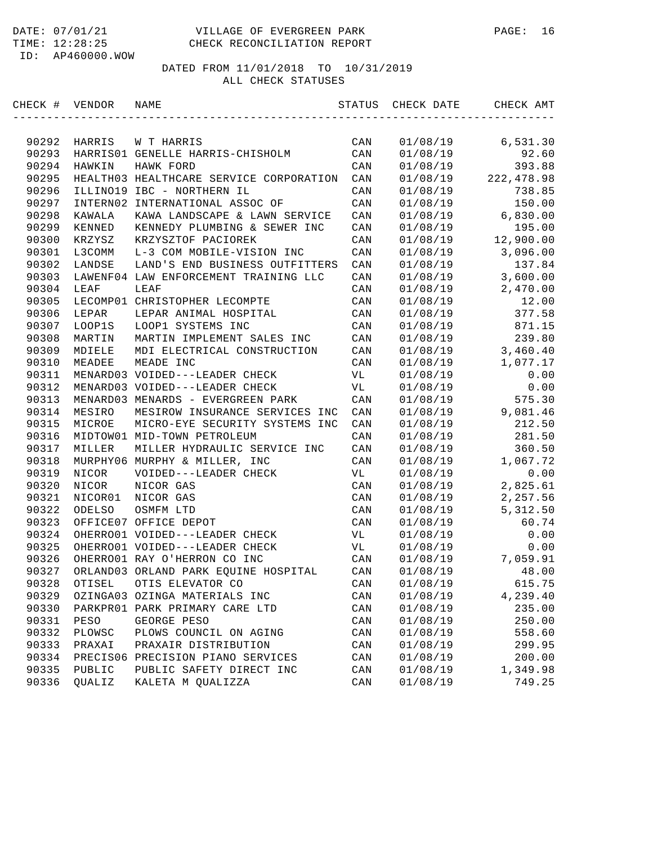#### DATE: 07/01/21 VILLAGE OF EVERGREEN PARK PAGE: 16 TIME: 12:28:25 CHECK RECONCILIATION REPORT

ID: AP460000.WOW

| CHECK # | VENDOR   | NAME                                    | STATUS         | CHECK DATE | CHECK AMT  |
|---------|----------|-----------------------------------------|----------------|------------|------------|
|         |          |                                         |                |            |            |
| 90292   | HARRIS   | W T HARRIS                              | CAN            | 01/08/19   | 6,531.30   |
| 90293   |          | HARRIS01 GENELLE HARRIS-CHISHOLM        | CAN            | 01/08/19   | 92.60      |
| 90294   | HAWKIN   | HAWK FORD                               | CAN            | 01/08/19   | 393.88     |
| 90295   |          | HEALTH03 HEALTHCARE SERVICE CORPORATION | CAN            | 01/08/19   | 222,478.98 |
| 90296   |          | ILLINO19 IBC - NORTHERN IL              | CAN            | 01/08/19   | 738.85     |
| 90297   | INTERN02 | INTERNATIONAL ASSOC OF                  | CAN            | 01/08/19   | 150.00     |
| 90298   | KAWALA   | KAWA LANDSCAPE & LAWN SERVICE           | CAN            | 01/08/19   | 6,830.00   |
| 90299   | KENNED   | KENNEDY PLUMBING & SEWER INC            | CAN            | 01/08/19   | 195.00     |
| 90300   | KRZYSZ   | KRZYSZTOF PACIOREK                      | CAN            | 01/08/19   | 12,900.00  |
| 90301   | L3COMM   | L-3 COM MOBILE-VISION INC               | CAN            | 01/08/19   | 3,096.00   |
| 90302   | LANDSE   | LAND'S END BUSINESS OUTFITTERS          | CAN            | 01/08/19   | 137.84     |
| 90303   |          | LAWENF04 LAW ENFORCEMENT TRAINING LLC   | CAN            | 01/08/19   | 3,600.00   |
| 90304   | LEAF     | LEAF                                    | CAN            | 01/08/19   | 2,470.00   |
| 90305   |          | LECOMP01 CHRISTOPHER LECOMPTE           | CAN            | 01/08/19   | 12.00      |
| 90306   | LEPAR    | LEPAR ANIMAL HOSPITAL                   | CAN            | 01/08/19   | 377.58     |
| 90307   | LOOP1S   | LOOP1 SYSTEMS INC                       | CAN            | 01/08/19   | 871.15     |
| 90308   | MARTIN   | MARTIN IMPLEMENT SALES INC              | CAN            | 01/08/19   | 239.80     |
| 90309   | MDIELE   | MDI ELECTRICAL CONSTRUCTION             | CAN            | 01/08/19   | 3,460.40   |
| 90310   | MEADEE   | MEADE INC                               | CAN            | 01/08/19   | 1,077.17   |
| 90311   |          | MENARD03 VOIDED---LEADER CHECK          | VL             | 01/08/19   | 0.00       |
| 90312   |          | MENARD03 VOIDED---LEADER CHECK          | VL             | 01/08/19   | 0.00       |
| 90313   |          | MENARD03 MENARDS - EVERGREEN PARK       | CAN            | 01/08/19   | 575.30     |
| 90314   | MESIRO   | MESIROW INSURANCE SERVICES INC          | CAN            | 01/08/19   | 9,081.46   |
| 90315   | MICROE   | MICRO-EYE SECURITY SYSTEMS INC          | CAN            | 01/08/19   | 212.50     |
| 90316   |          | MIDTOW01 MID-TOWN PETROLEUM             | CAN            | 01/08/19   | 281.50     |
| 90317   | MILLER   | MILLER HYDRAULIC SERVICE INC            | CAN            | 01/08/19   | 360.50     |
| 90318   |          | MURPHY06 MURPHY & MILLER, INC           | CAN            | 01/08/19   | 1,067.72   |
| 90319   | NICOR    | VOIDED---LEADER CHECK                   | VL             | 01/08/19   | 0.00       |
| 90320   | NICOR    | NICOR GAS                               | CAN            | 01/08/19   | 2,825.61   |
| 90321   | NICOR01  | NICOR GAS                               | CAN            | 01/08/19   | 2,257.56   |
| 90322   | ODELSO   | OSMFM LTD                               | CAN            | 01/08/19   | 5,312.50   |
| 90323   |          | OFFICE07 OFFICE DEPOT                   | CAN            | 01/08/19   | 60.74      |
| 90324   |          | OHERRO01 VOIDED---LEADER CHECK          | VL             | 01/08/19   | 0.00       |
| 90325   |          | OHERRO01 VOIDED---LEADER CHECK          | VL             | 01/08/19   | 0.00       |
| 90326   |          | OHERRO01 RAY O'HERRON CO INC            | CAN            | 01/08/19   | 7,059.91   |
| 90327   |          | ORLAND03 ORLAND PARK EQUINE HOSPITAL    | CAN            | 01/08/19   | 48.00      |
| 90328   | OTISEL   | OTIS ELEVATOR CO                        | CAN            | 01/08/19   | 615.75     |
| 90329   |          | OZINGA03 OZINGA MATERIALS INC           | CAN            | 01/08/19   | 4,239.40   |
| 90330   |          | PARKPRO1 PARK PRIMARY CARE LTD          | $\mathtt{CAN}$ | 01/08/19   | 235.00     |
| 90331   | PESO     | GEORGE PESO                             | CAN            | 01/08/19   | 250.00     |
| 90332   | PLOWSC   | PLOWS COUNCIL ON AGING                  | CAN            | 01/08/19   | 558.60     |
| 90333   | PRAXAI   | PRAXAIR DISTRIBUTION                    | $\mathtt{CAN}$ | 01/08/19   | 299.95     |
| 90334   | PRECIS06 | PRECISION PIANO SERVICES                | CAN            | 01/08/19   | 200.00     |
| 90335   | PUBLIC   | PUBLIC SAFETY DIRECT INC                | CAN            | 01/08/19   | 1,349.98   |
| 90336   | QUALIZ   | KALETA M QUALIZZA                       | $\mathtt{CAN}$ | 01/08/19   | 749.25     |
|         |          |                                         |                |            |            |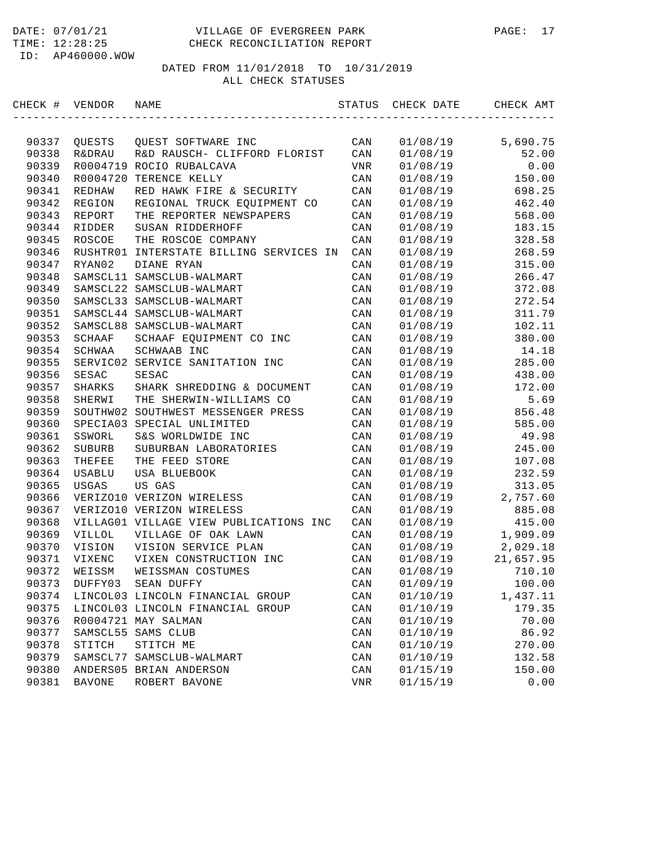#### DATE: 07/01/21 VILLAGE OF EVERGREEN PARK PAGE: 17 TIME: 12:28:25 CHECK RECONCILIATION REPORT

ID: AP460000.WOW

| CHECK # VENDOR |                   | NAME                                   | STATUS         | CHECK DATE | CHECK AMT |
|----------------|-------------------|----------------------------------------|----------------|------------|-----------|
|                |                   |                                        |                |            |           |
| 90337          | QUESTS            | QUEST SOFTWARE INC                     | CAN            | 01/08/19   | 5,690.75  |
| 90338          | <b>R&amp;DRAU</b> | R&D RAUSCH- CLIFFORD FLORIST           | CAN            | 01/08/19   | 52.00     |
| 90339          |                   | R0004719 ROCIO RUBALCAVA               | <b>VNR</b>     | 01/08/19   | 0.00      |
| 90340          | R0004720          | TERENCE KELLY                          | CAN            | 01/08/19   | 150.00    |
| 90341          | REDHAW            | RED HAWK FIRE & SECURITY               | CAN            | 01/08/19   | 698.25    |
| 90342          | REGION            | REGIONAL TRUCK EQUIPMENT CO            | CAN            | 01/08/19   | 462.40    |
| 90343          | REPORT            | THE REPORTER NEWSPAPERS                | CAN            | 01/08/19   | 568.00    |
| 90344          | RIDDER            | SUSAN RIDDERHOFF                       | CAN            | 01/08/19   | 183.15    |
| 90345          | ROSCOE            | THE ROSCOE COMPANY                     | CAN            | 01/08/19   | 328.58    |
| 90346          | RUSHTR01          | INTERSTATE BILLING SERVICES IN         | CAN            | 01/08/19   | 268.59    |
| 90347          | RYAN02            | DIANE RYAN                             | CAN            | 01/08/19   | 315.00    |
| 90348          |                   | SAMSCL11 SAMSCLUB-WALMART              | CAN            | 01/08/19   | 266.47    |
| 90349          |                   | SAMSCL22 SAMSCLUB-WALMART              | CAN            | 01/08/19   | 372.08    |
| 90350          |                   | SAMSCL33 SAMSCLUB-WALMART              | CAN            | 01/08/19   | 272.54    |
| 90351          |                   | SAMSCL44 SAMSCLUB-WALMART              | CAN            | 01/08/19   | 311.79    |
| 90352          |                   | SAMSCL88 SAMSCLUB-WALMART              | CAN            | 01/08/19   | 102.11    |
| 90353          | <b>SCHAAF</b>     | SCHAAF EQUIPMENT CO INC                | CAN            | 01/08/19   | 380.00    |
| 90354          | SCHWAA            | SCHWAAB INC                            | CAN            | 01/08/19   | 14.18     |
| 90355          | SERVIC02          | SERVICE SANITATION INC                 | CAN            | 01/08/19   | 285.00    |
| 90356          | SESAC             | <b>SESAC</b>                           | CAN            | 01/08/19   | 438.00    |
| 90357          | SHARKS            | SHARK SHREDDING & DOCUMENT             | CAN            | 01/08/19   | 172.00    |
| 90358          | SHERWI            | THE SHERWIN-WILLIAMS CO                | CAN            | 01/08/19   | 5.69      |
| 90359          |                   | SOUTHW02 SOUTHWEST MESSENGER PRESS     | CAN            | 01/08/19   | 856.48    |
| 90360          |                   | SPECIA03 SPECIAL UNLIMITED             | CAN            | 01/08/19   | 585.00    |
| 90361          | SSWORL            | S&S WORLDWIDE INC                      | CAN            | 01/08/19   | 49.98     |
| 90362          | SUBURB            | SUBURBAN LABORATORIES                  | CAN            | 01/08/19   | 245.00    |
| 90363          | THEFEE            | THE FEED STORE                         | CAN            | 01/08/19   | 107.08    |
| 90364          | USABLU            | USA BLUEBOOK                           | CAN            | 01/08/19   | 232.59    |
| 90365          | USGAS             | US GAS                                 | CAN            | 01/08/19   | 313.05    |
| 90366          |                   | VERIZO10 VERIZON WIRELESS              | CAN            | 01/08/19   | 2,757.60  |
| 90367          |                   | VERIZO10 VERIZON WIRELESS              | CAN            | 01/08/19   | 885.08    |
| 90368          |                   | VILLAG01 VILLAGE VIEW PUBLICATIONS INC | CAN            | 01/08/19   | 415.00    |
| 90369          | <b>VILLOL</b>     | VILLAGE OF OAK LAWN                    | CAN            | 01/08/19   | 1,909.09  |
| 90370          | VISION            | VISION SERVICE PLAN                    | CAN            | 01/08/19   | 2,029.18  |
| 90371          | VIXENC            | VIXEN CONSTRUCTION INC                 | CAN            | 01/08/19   | 21,657.95 |
| 90372          | WEISSM            | WEISSMAN COSTUMES                      | CAN            | 01/08/19   | 710.10    |
| 90373          | DUFFY03           | SEAN DUFFY                             | CAN            | 01/09/19   | 100.00    |
| 90374          |                   | LINCOL03 LINCOLN FINANCIAL GROUP       | CAN            | 01/10/19   | 1,437.11  |
| 90375          |                   | LINCOL03 LINCOLN FINANCIAL GROUP       | CAN            | 01/10/19   | 179.35    |
| 90376          |                   | R0004721 MAY SALMAN                    | CAN            | 01/10/19   | 70.00     |
| 90377          | SAMSCL55          | SAMS CLUB                              | CAN            | 01/10/19   | 86.92     |
| 90378          | STITCH            | STITCH ME                              | $\mathtt{CAN}$ | 01/10/19   | 270.00    |
| 90379          | SAMSCL77          | SAMSCLUB-WALMART                       | $\mathtt{CAN}$ | 01/10/19   | 132.58    |
| 90380          |                   | ANDERS05 BRIAN ANDERSON                | $\mathtt{CAN}$ | 01/15/19   | 150.00    |
| 90381          | <b>BAVONE</b>     | ROBERT BAVONE                          | <b>VNR</b>     | 01/15/19   | 0.00      |
|                |                   |                                        |                |            |           |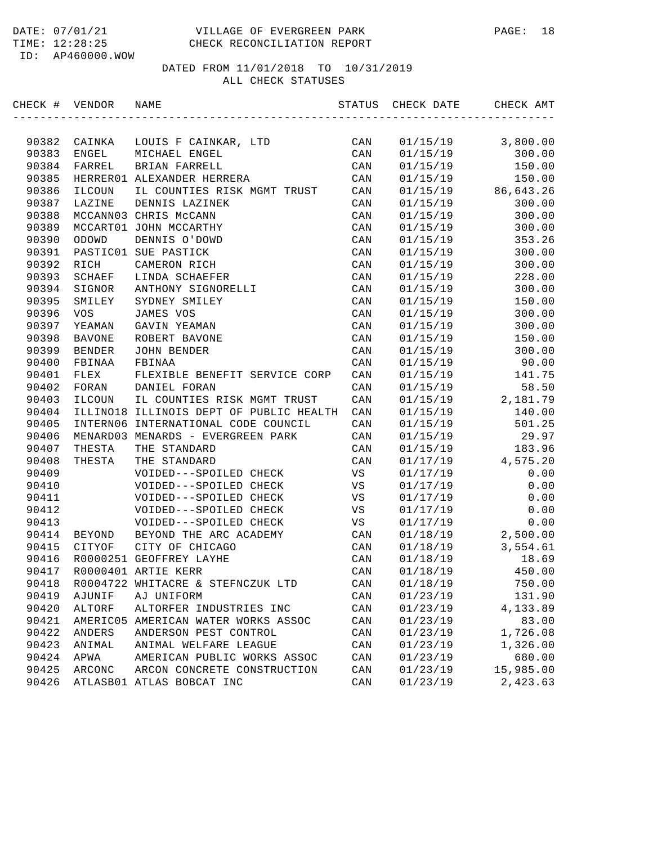| CHECK # VENDOR |               | NAME                                    | STATUS         | CHECK DATE | CHECK AMT |
|----------------|---------------|-----------------------------------------|----------------|------------|-----------|
|                |               |                                         |                |            |           |
| 90382          | CAINKA        | LOUIS F CAINKAR, LTD                    | CAN            | 01/15/19   | 3,800.00  |
| 90383          | ENGEL         | MICHAEL ENGEL                           | CAN            | 01/15/19   | 300.00    |
| 90384          | FARREL        | BRIAN FARRELL                           | CAN            | 01/15/19   | 150.00    |
| 90385          |               | HERRER01 ALEXANDER HERRERA              | CAN            | 01/15/19   | 150.00    |
| 90386          | ILCOUN        | IL COUNTIES RISK MGMT TRUST             | CAN            | 01/15/19   | 86,643.26 |
| 90387          | LAZINE        | DENNIS LAZINEK                          | CAN            | 01/15/19   | 300.00    |
| 90388          |               | MCCANN03 CHRIS McCANN                   | CAN            | 01/15/19   | 300.00    |
| 90389          |               | MCCART01 JOHN MCCARTHY                  | CAN            | 01/15/19   | 300.00    |
| 90390          | ODOWD         | DENNIS O'DOWD                           | CAN            | 01/15/19   | 353.26    |
| 90391          |               | PASTIC01 SUE PASTICK                    | CAN            | 01/15/19   | 300.00    |
| 90392          | RICH          | CAMERON RICH                            | CAN            | 01/15/19   | 300.00    |
| 90393          | SCHAEF        | LINDA SCHAEFER                          | CAN            | 01/15/19   | 228.00    |
| 90394          | SIGNOR        | ANTHONY SIGNORELLI                      | CAN            | 01/15/19   | 300.00    |
| 90395          | SMILEY        | SYDNEY SMILEY                           | CAN            | 01/15/19   | 150.00    |
| 90396          | <b>VOS</b>    | <b>JAMES VOS</b>                        | CAN            | 01/15/19   | 300.00    |
| 90397          | YEAMAN        | GAVIN YEAMAN                            | CAN            | 01/15/19   | 300.00    |
| 90398          | <b>BAVONE</b> | ROBERT BAVONE                           | CAN            | 01/15/19   | 150.00    |
| 90399          | BENDER        | <b>JOHN BENDER</b>                      | CAN            | 01/15/19   | 300.00    |
| 90400          | FBINAA        | FBINAA                                  | CAN            | 01/15/19   | 90.00     |
| 90401          | FLEX          | FLEXIBLE BENEFIT SERVICE CORP           | CAN            | 01/15/19   | 141.75    |
| 90402          | FORAN         | DANIEL FORAN                            | CAN            | 01/15/19   | 58.50     |
| 90403          | ILCOUN        | IL COUNTIES RISK MGMT TRUST             | CAN            | 01/15/19   | 2,181.79  |
| 90404          |               | ILLINO18 ILLINOIS DEPT OF PUBLIC HEALTH | CAN            | 01/15/19   | 140.00    |
| 90405          |               | INTERN06 INTERNATIONAL CODE COUNCIL     | CAN            | 01/15/19   | 501.25    |
| 90406          |               | MENARD03 MENARDS - EVERGREEN PARK       | CAN            | 01/15/19   | 29.97     |
| 90407          | THESTA        | THE STANDARD                            | CAN            | 01/15/19   | 183.96    |
| 90408          | THESTA        | THE STANDARD                            | CAN            | 01/17/19   | 4,575.20  |
| 90409          |               | VOIDED---SPOILED CHECK                  | VS             | 01/17/19   | 0.00      |
| 90410          |               | VOIDED---SPOILED CHECK                  | VS             | 01/17/19   | 0.00      |
| 90411          |               | VOIDED---SPOILED CHECK                  | VS             | 01/17/19   | 0.00      |
| 90412          |               | VOIDED---SPOILED CHECK                  | VS             | 01/17/19   | 0.00      |
| 90413          |               | VOIDED---SPOILED CHECK                  | VS             | 01/17/19   | 0.00      |
| 90414          | BEYOND        | BEYOND THE ARC ACADEMY                  | CAN            | 01/18/19   | 2,500.00  |
| 90415          | CITYOF        | CITY OF CHICAGO                         | CAN            | 01/18/19   | 3,554.61  |
| 90416          |               | R0000251 GEOFFREY LAYHE                 | CAN            | 01/18/19   | 18.69     |
| 90417          |               | R0000401 ARTIE KERR                     | CAN            | 01/18/19   | 450.00    |
| 90418          |               | R0004722 WHITACRE & STEFNCZUK LTD       | CAN            | 01/18/19   | 750.00    |
| 90419          | AJUNIF        | AJ UNIFORM                              | CAN            | 01/23/19   | 131.90    |
| 90420          | ALTORF        | ALTORFER INDUSTRIES INC                 | CAN            | 01/23/19   | 4,133.89  |
| 90421          |               | AMERIC05 AMERICAN WATER WORKS ASSOC     | CAN            | 01/23/19   | 83.00     |
| 90422          | ANDERS        | ANDERSON PEST CONTROL                   | CAN            | 01/23/19   | 1,726.08  |
| 90423          | ANIMAL        | ANIMAL WELFARE LEAGUE                   | CAN            | 01/23/19   | 1,326.00  |
| 90424          | APWA          | AMERICAN PUBLIC WORKS ASSOC             | CAN            | 01/23/19   | 680.00    |
| 90425          | ARCONC        | ARCON CONCRETE CONSTRUCTION             | CAN            | 01/23/19   | 15,985.00 |
| 90426          |               | ATLASB01 ATLAS BOBCAT INC               | $\mathtt{CAN}$ | 01/23/19   | 2,423.63  |
|                |               |                                         |                |            |           |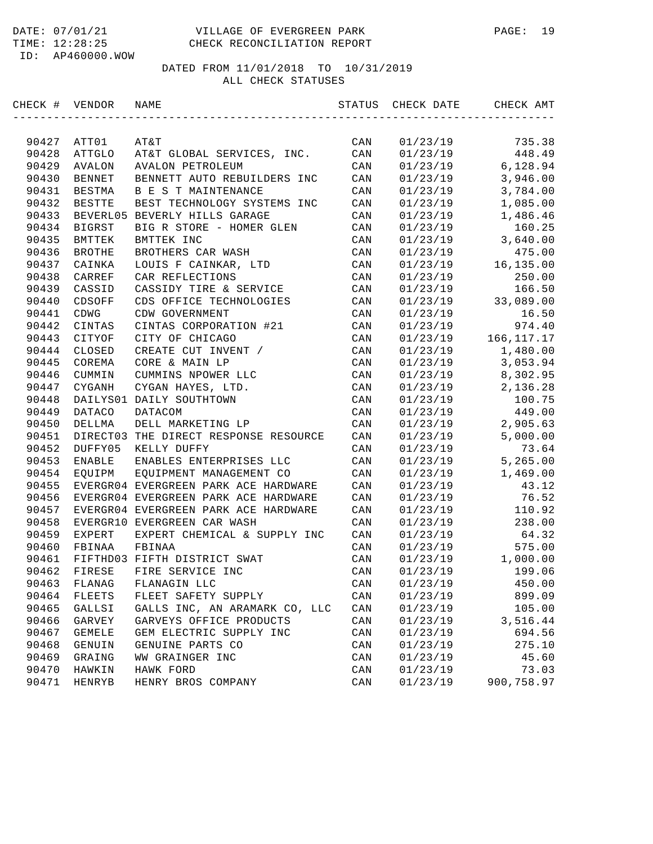#### DATE: 07/01/21 VILLAGE OF EVERGREEN PARK PAGE: 19 TIME: 12:28:25 CHECK RECONCILIATION REPORT

ID: AP460000.WOW

| CHECK # VENDOR |               | NAME                                  | STATUS | CHECK DATE | CHECK AMT    |
|----------------|---------------|---------------------------------------|--------|------------|--------------|
|                |               |                                       |        |            |              |
| 90427          | ATT01         | AT&T                                  | CAN    | 01/23/19   | 735.38       |
| 90428          | ATTGLO        | AT&T GLOBAL SERVICES, INC.            | CAN    | 01/23/19   | 448.49       |
| 90429          | <b>AVALON</b> | <b>AVALON PETROLEUM</b>               | CAN    | 01/23/19   | 6,128.94     |
| 90430          | <b>BENNET</b> | BENNETT AUTO REBUILDERS INC           | CAN    | 01/23/19   | 3,946.00     |
| 90431          | <b>BESTMA</b> | B E S T MAINTENANCE                   | CAN    | 01/23/19   | 3,784.00     |
| 90432          | <b>BESTTE</b> | BEST TECHNOLOGY SYSTEMS INC           | CAN    | 01/23/19   | 1,085.00     |
| 90433          |               | BEVERL05 BEVERLY HILLS GARAGE         | CAN    | 01/23/19   | 1,486.46     |
| 90434          | <b>BIGRST</b> | BIG R STORE - HOMER GLEN              | CAN    | 01/23/19   | 160.25       |
| 90435          | BMTTEK        | BMTTEK INC                            | CAN    | 01/23/19   | 3,640.00     |
| 90436          | <b>BROTHE</b> | BROTHERS CAR WASH                     | CAN    | 01/23/19   | 475.00       |
| 90437          | CAINKA        | LOUIS F CAINKAR, LTD                  | CAN    | 01/23/19   | 16,135.00    |
| 90438          | CARREF        | CAR REFLECTIONS                       | CAN    | 01/23/19   | 250.00       |
| 90439          | CASSID        | CASSIDY TIRE & SERVICE                | CAN    | 01/23/19   | 166.50       |
| 90440          | CDSOFF        | CDS OFFICE TECHNOLOGIES               | CAN    | 01/23/19   | 33,089.00    |
| 90441          | CDWG          | CDW GOVERNMENT                        | CAN    | 01/23/19   | 16.50        |
| 90442          | CINTAS        | CINTAS CORPORATION #21                | CAN    | 01/23/19   | 974.40       |
| 90443          | CITYOF        | CITY OF CHICAGO                       | CAN    | 01/23/19   | 166, 117. 17 |
| 90444          | CLOSED        | CREATE CUT INVENT /                   | CAN    | 01/23/19   | 1,480.00     |
| 90445          | COREMA        | CORE & MAIN LP                        | CAN    | 01/23/19   | 3,053.94     |
| 90446          | CUMMIN        | CUMMINS NPOWER LLC                    | CAN    | 01/23/19   | 8,302.95     |
| 90447          | <b>CYGANH</b> | CYGAN HAYES, LTD.                     | CAN    | 01/23/19   | 2,136.28     |
| 90448          |               | DAILYS01 DAILY SOUTHTOWN              | CAN    | 01/23/19   | 100.75       |
| 90449          | DATACO        | <b>DATACOM</b>                        | CAN    | 01/23/19   | 449.00       |
| 90450          | DELLMA        | DELL MARKETING LP                     | CAN    | 01/23/19   | 2,905.63     |
| 90451          |               | DIRECT03 THE DIRECT RESPONSE RESOURCE | CAN    | 01/23/19   | 5,000.00     |
| 90452          | DUFFY05       | KELLY DUFFY                           | CAN    | 01/23/19   | 73.64        |
| 90453          | ENABLE        | ENABLES ENTERPRISES LLC               | CAN    | 01/23/19   | 5,265.00     |
| 90454          | EQUIPM        | EQUIPMENT MANAGEMENT CO               | CAN    | 01/23/19   | 1,469.00     |
| 90455          |               | EVERGR04 EVERGREEN PARK ACE HARDWARE  | CAN    | 01/23/19   | 43.12        |
| 90456          |               | EVERGR04 EVERGREEN PARK ACE HARDWARE  | CAN    | 01/23/19   | 76.52        |
| 90457          |               | EVERGR04 EVERGREEN PARK ACE HARDWARE  | CAN    | 01/23/19   | 110.92       |
| 90458          |               | EVERGR10 EVERGREEN CAR WASH           | CAN    | 01/23/19   | 238.00       |
| 90459          | EXPERT        | EXPERT CHEMICAL & SUPPLY INC          | CAN    | 01/23/19   | 64.32        |
| 90460          | FBINAA        | FBINAA                                | CAN    | 01/23/19   | 575.00       |
| 90461          |               | FIFTHD03 FIFTH DISTRICT SWAT          | CAN    | 01/23/19   | 1,000.00     |
| 90462          | FIRESE        | FIRE SERVICE INC                      | CAN    | 01/23/19   | 199.06       |
| 90463          | FLANAG        | FLANAGIN LLC                          | CAN    | 01/23/19   | 450.00       |
| 90464          | FLEETS        | FLEET SAFETY SUPPLY                   | CAN    | 01/23/19   | 899.09       |
| 90465          |               | GALLS INC, AN ARAMARK CO, LLC         |        | 01/23/19   | 105.00       |
|                | GALLSI        |                                       | CAN    | 01/23/19   |              |
| 90466          | GARVEY        | GARVEYS OFFICE PRODUCTS               | CAN    |            | 3,516.44     |
| 90467          | GEMELE        | GEM ELECTRIC SUPPLY INC               | CAN    | 01/23/19   | 694.56       |
| 90468          | GENUIN        | GENUINE PARTS CO                      | CAN    | 01/23/19   | 275.10       |
| 90469          | GRAING        | WW GRAINGER INC                       | CAN    | 01/23/19   | 45.60        |
| 90470          | HAWKIN        | HAWK FORD                             | CAN    | 01/23/19   | 73.03        |
| 90471          | HENRYB        | HENRY BROS COMPANY                    | CAN    | 01/23/19   | 900,758.97   |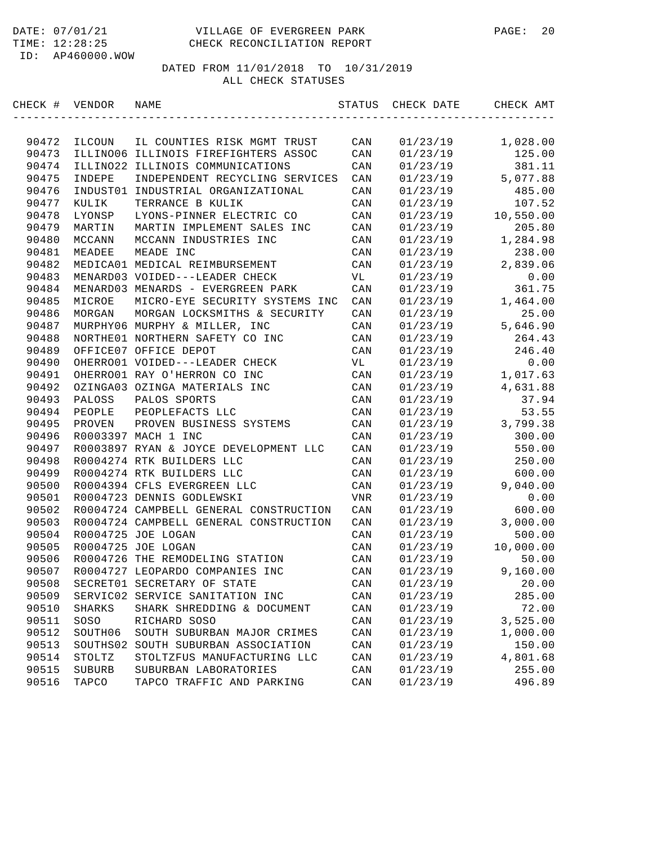| CHECK # | VENDOR   | NAME                                   | STATUS     | CHECK DATE | CHECK AMT |
|---------|----------|----------------------------------------|------------|------------|-----------|
|         |          |                                        |            |            |           |
| 90472   | ILCOUN   | IL COUNTIES RISK MGMT TRUST            | CAN        | 01/23/19   | 1,028.00  |
| 90473   |          | ILLINO06 ILLINOIS FIREFIGHTERS ASSOC   | CAN        | 01/23/19   | 125.00    |
| 90474   | ILLINO22 | ILLINOIS COMMUNICATIONS                | CAN        | 01/23/19   | 381.11    |
| 90475   | INDEPE   | INDEPENDENT RECYCLING SERVICES         | CAN        | 01/23/19   | 5,077.88  |
| 90476   | INDUST01 | INDUSTRIAL ORGANIZATIONAL              | CAN        | 01/23/19   | 485.00    |
| 90477   | KULIK    | TERRANCE B KULIK                       | CAN        | 01/23/19   | 107.52    |
| 90478   | LYONSP   | LYONS-PINNER ELECTRIC CO               | CAN        | 01/23/19   | 10,550.00 |
| 90479   | MARTIN   | MARTIN IMPLEMENT SALES INC             | CAN        | 01/23/19   | 205.80    |
| 90480   | MCCANN   | MCCANN INDUSTRIES INC                  | CAN        | 01/23/19   | 1,284.98  |
| 90481   | MEADEE   | MEADE INC                              | CAN        | 01/23/19   | 238.00    |
| 90482   |          | MEDICA01 MEDICAL REIMBURSEMENT         | CAN        | 01/23/19   | 2,839.06  |
| 90483   |          | MENARD03 VOIDED---LEADER CHECK         | VL         | 01/23/19   | 0.00      |
| 90484   |          | MENARD03 MENARDS - EVERGREEN PARK      | CAN        | 01/23/19   | 361.75    |
| 90485   | MICROE   | MICRO-EYE SECURITY SYSTEMS INC         | CAN        | 01/23/19   | 1,464.00  |
| 90486   | MORGAN   | MORGAN LOCKSMITHS & SECURITY           | CAN        | 01/23/19   | 25.00     |
| 90487   |          | MURPHY06 MURPHY & MILLER, INC          | CAN        | 01/23/19   | 5,646.90  |
| 90488   |          | NORTHE01 NORTHERN SAFETY CO INC        | CAN        | 01/23/19   | 264.43    |
| 90489   |          | OFFICE07 OFFICE DEPOT                  | CAN        | 01/23/19   | 246.40    |
| 90490   |          | OHERRO01 VOIDED---LEADER CHECK         | VL         | 01/23/19   | 0.00      |
| 90491   |          | OHERRO01 RAY O'HERRON CO INC           | CAN        | 01/23/19   | 1,017.63  |
| 90492   |          | OZINGA03 OZINGA MATERIALS INC          | CAN        | 01/23/19   | 4,631.88  |
| 90493   | PALOSS   | PALOS SPORTS                           | CAN        | 01/23/19   | 37.94     |
| 90494   | PEOPLE   | PEOPLEFACTS LLC                        | CAN        | 01/23/19   | 53.55     |
| 90495   | PROVEN   | PROVEN BUSINESS SYSTEMS                | CAN        | 01/23/19   | 3,799.38  |
| 90496   |          | R0003397 MACH 1 INC                    | CAN        | 01/23/19   | 300.00    |
| 90497   |          | R0003897 RYAN & JOYCE DEVELOPMENT LLC  | CAN        | 01/23/19   | 550.00    |
| 90498   |          | R0004274 RTK BUILDERS LLC              | CAN        | 01/23/19   | 250.00    |
| 90499   |          | R0004274 RTK BUILDERS LLC              | CAN        | 01/23/19   | 600.00    |
| 90500   |          | R0004394 CFLS EVERGREEN LLC            | CAN        | 01/23/19   | 9,040.00  |
| 90501   |          | R0004723 DENNIS GODLEWSKI              | <b>VNR</b> | 01/23/19   | 0.00      |
| 90502   |          | R0004724 CAMPBELL GENERAL CONSTRUCTION | CAN        | 01/23/19   | 600.00    |
| 90503   |          | R0004724 CAMPBELL GENERAL CONSTRUCTION | CAN        | 01/23/19   | 3,000.00  |
| 90504   |          | R0004725 JOE LOGAN                     | CAN        | 01/23/19   | 500.00    |
| 90505   |          | R0004725 JOE LOGAN                     | CAN        | 01/23/19   | 10,000.00 |
| 90506   |          | R0004726 THE REMODELING STATION        | CAN        | 01/23/19   | 50.00     |
| 90507   |          | R0004727 LEOPARDO COMPANIES INC        | CAN        | 01/23/19   | 9,160.00  |
| 90508   |          | SECRET01 SECRETARY OF STATE            | CAN        | 01/23/19   | 20.00     |
| 90509   |          | SERVIC02 SERVICE SANITATION INC        | CAN        | 01/23/19   | 285.00    |
| 90510   | SHARKS   | SHARK SHREDDING & DOCUMENT             | CAN        | 01/23/19   | 72.00     |
| 90511   | SOSO     | RICHARD SOSO                           | CAN        | 01/23/19   | 3,525.00  |
| 90512   | SOUTH06  | SOUTH SUBURBAN MAJOR CRIMES            | CAN        | 01/23/19   | 1,000.00  |
| 90513   | SOUTHS02 | SOUTH SUBURBAN ASSOCIATION             | CAN        | 01/23/19   | 150.00    |
| 90514   | STOLTZ   | STOLTZFUS MANUFACTURING LLC            | CAN        | 01/23/19   | 4,801.68  |
| 90515   | SUBURB   | SUBURBAN LABORATORIES                  | CAN        | 01/23/19   | 255.00    |
| 90516   | TAPCO    | TAPCO TRAFFIC AND PARKING              | CAN        | 01/23/19   | 496.89    |
|         |          |                                        |            |            |           |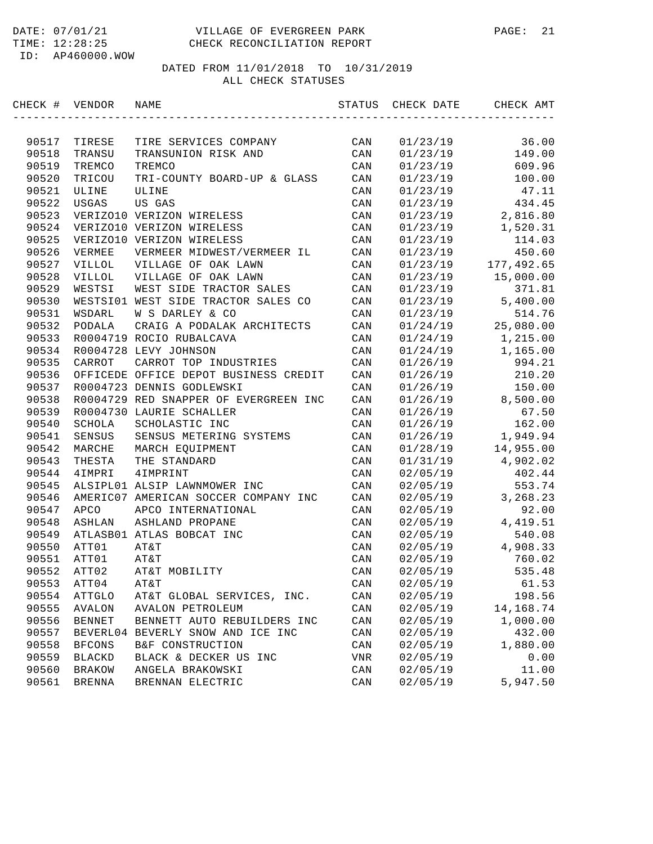#### DATE: 07/01/21 VILLAGE OF EVERGREEN PARK PAGE: 21 TIME: 12:28:25 CHECK RECONCILIATION REPORT

ID: AP460000.WOW

| CHECK # VENDOR |               | NAME                                  | STATUS         | CHECK DATE | CHECK AMT  |
|----------------|---------------|---------------------------------------|----------------|------------|------------|
|                |               |                                       |                |            |            |
| 90517          | TIRESE        | TIRE SERVICES COMPANY                 | CAN            | 01/23/19   | 36.00      |
| 90518          | TRANSU        | TRANSUNION RISK AND                   | CAN            | 01/23/19   | 149.00     |
| 90519          | TREMCO        | TREMCO                                | CAN            | 01/23/19   | 609.96     |
| 90520          | TRICOU        | TRI-COUNTY BOARD-UP & GLASS           | CAN            | 01/23/19   | 100.00     |
| 90521          | ULINE         | ULINE                                 | CAN            | 01/23/19   | 47.11      |
| 90522          | USGAS         | US GAS                                | CAN            | 01/23/19   | 434.45     |
| 90523          |               | VERIZO10 VERIZON WIRELESS             | CAN            | 01/23/19   | 2,816.80   |
| 90524          |               | VERIZO10 VERIZON WIRELESS             | CAN            | 01/23/19   | 1,520.31   |
| 90525          |               | VERIZO10 VERIZON WIRELESS             | CAN            | 01/23/19   | 114.03     |
| 90526          | VERMEE        | VERMEER MIDWEST/VERMEER IL            | CAN            | 01/23/19   | 450.60     |
| 90527          | VILLOL        | VILLAGE OF OAK LAWN                   | CAN            | 01/23/19   | 177,492.65 |
| 90528          | VILLOL        | VILLAGE OF OAK LAWN                   | CAN            | 01/23/19   | 15,000.00  |
| 90529          | WESTSI        | WEST SIDE TRACTOR SALES               | CAN            | 01/23/19   | 371.81     |
| 90530          |               | WESTSI01 WEST SIDE TRACTOR SALES CO   | CAN            | 01/23/19   | 5,400.00   |
| 90531          | WSDARL        | W S DARLEY & CO                       | CAN            | 01/23/19   | 514.76     |
| 90532          | PODALA        | CRAIG A PODALAK ARCHITECTS            | CAN            | 01/24/19   | 25,080.00  |
| 90533          |               | R0004719 ROCIO RUBALCAVA              | CAN            | 01/24/19   | 1,215.00   |
| 90534          |               | R0004728 LEVY JOHNSON                 | CAN            | 01/24/19   | 1,165.00   |
| 90535          | CARROT        | CARROT TOP INDUSTRIES                 | CAN            | 01/26/19   | 994.21     |
| 90536          |               | OFFICEDE OFFICE DEPOT BUSINESS CREDIT | CAN            | 01/26/19   | 210.20     |
| 90537          |               | R0004723 DENNIS GODLEWSKI             | CAN            | 01/26/19   | 150.00     |
| 90538          |               | R0004729 RED SNAPPER OF EVERGREEN INC | CAN            | 01/26/19   | 8,500.00   |
| 90539          |               | R0004730 LAURIE SCHALLER              | CAN            | 01/26/19   | 67.50      |
| 90540          | SCHOLA        | SCHOLASTIC INC                        | CAN            | 01/26/19   | 162.00     |
| 90541          | SENSUS        | SENSUS METERING SYSTEMS               | CAN            | 01/26/19   | 1,949.94   |
| 90542          | MARCHE        | MARCH EQUIPMENT                       | CAN            | 01/28/19   | 14,955.00  |
| 90543          | THESTA        | THE STANDARD                          | CAN            | 01/31/19   | 4,902.02   |
| 90544          | 4IMPRI        | 4IMPRINT                              | CAN            | 02/05/19   | 402.44     |
| 90545          |               | ALSIPL01 ALSIP LAWNMOWER INC          | CAN            | 02/05/19   | 553.74     |
| 90546          |               | AMERIC07 AMERICAN SOCCER COMPANY INC  | CAN            | 02/05/19   | 3,268.23   |
| 90547          | <b>APCO</b>   | APCO INTERNATIONAL                    | CAN            | 02/05/19   | 92.00      |
| 90548          | ASHLAN        | ASHLAND PROPANE                       | CAN            | 02/05/19   | 4, 419.51  |
| 90549          |               | ATLASB01 ATLAS BOBCAT INC             | CAN            | 02/05/19   | 540.08     |
| 90550          | ATT01         | AT&T                                  | CAN            | 02/05/19   | 4,908.33   |
| 90551          | ATT01         | AT&T                                  | CAN            | 02/05/19   | 760.02     |
| 90552          | ATT02         | AT&T MOBILITY                         | CAN            | 02/05/19   | 535.48     |
| 90553          | ATT04         | AT&T                                  | CAN            | 02/05/19   | 61.53      |
| 90554          | ATTGLO        | AT&T GLOBAL SERVICES, INC.            | CAN            | 02/05/19   | 198.56     |
| 90555          | AVALON        | <b>AVALON PETROLEUM</b>               | CAN            | 02/05/19   | 14,168.74  |
| 90556          | <b>BENNET</b> | BENNETT AUTO REBUILDERS INC           | CAN            | 02/05/19   | 1,000.00   |
| 90557          |               | BEVERL04 BEVERLY SNOW AND ICE INC     | CAN            | 02/05/19   | 432.00     |
| 90558          | <b>BFCONS</b> | B&F CONSTRUCTION                      | CAN            | 02/05/19   | 1,880.00   |
| 90559          | <b>BLACKD</b> | BLACK & DECKER US INC                 | VNR            | 02/05/19   | 0.00       |
| 90560          | <b>BRAKOW</b> | ANGELA BRAKOWSKI                      | CAN            | 02/05/19   | 11.00      |
| 90561          | <b>BRENNA</b> | BRENNAN ELECTRIC                      | $\mathtt{CAN}$ | 02/05/19   | 5,947.50   |
|                |               |                                       |                |            |            |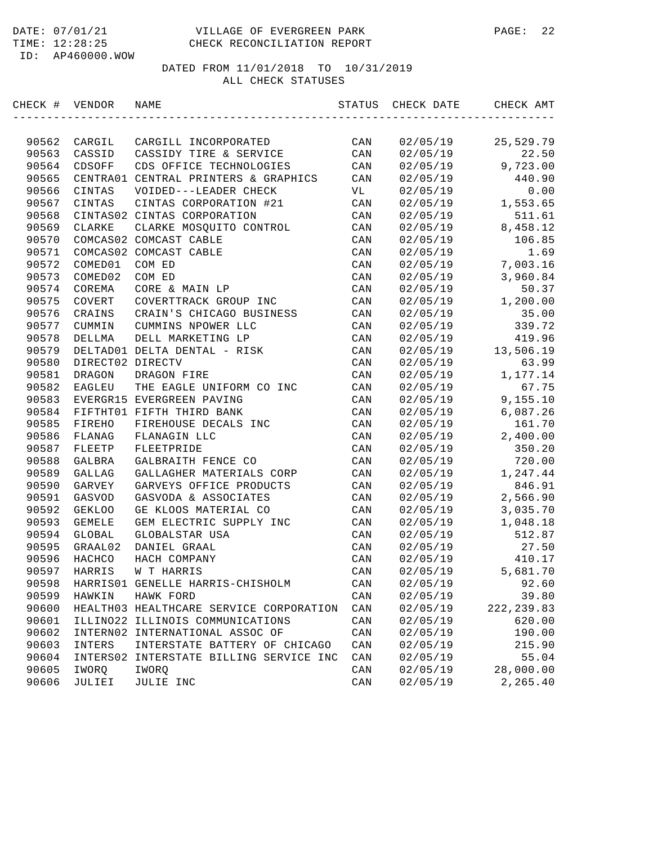| CHECK # VENDOR |                  | NAME                                    | STATUS         | CHECK DATE | CHECK AMT   |
|----------------|------------------|-----------------------------------------|----------------|------------|-------------|
|                |                  |                                         |                |            |             |
| 90562          | CARGIL           | CARGILL INCORPORATED                    | CAN            | 02/05/19   | 25,529.79   |
| 90563          | CASSID           | CASSIDY TIRE & SERVICE                  | CAN            | 02/05/19   | 22.50       |
| 90564          | CDSOFF           | CDS OFFICE TECHNOLOGIES                 | CAN            | 02/05/19   | 9,723.00    |
| 90565          | CENTRA01         | CENTRAL PRINTERS & GRAPHICS             | CAN            | 02/05/19   | 440.90      |
| 90566          | CINTAS           | VOIDED---LEADER CHECK                   | VL             | 02/05/19   | 0.00        |
| 90567          | CINTAS           | CINTAS CORPORATION #21                  | CAN            | 02/05/19   | 1,553.65    |
| 90568          |                  | CINTAS02 CINTAS CORPORATION             | CAN            | 02/05/19   | 511.61      |
| 90569          | <b>CLARKE</b>    | CLARKE MOSQUITO CONTROL                 | CAN            | 02/05/19   | 8,458.12    |
| 90570          |                  | COMCAS02 COMCAST CABLE                  | CAN            | 02/05/19   | 106.85      |
| 90571          |                  | COMCAS02 COMCAST CABLE                  | CAN            | 02/05/19   | 1.69        |
| 90572          | COMED01          | COM ED                                  | CAN            | 02/05/19   | 7,003.16    |
| 90573          | COMED02          | COM ED                                  | CAN            | 02/05/19   | 3,960.84    |
| 90574          | COREMA           | CORE & MAIN LP                          | CAN            | 02/05/19   | 50.37       |
| 90575          | COVERT           | COVERTTRACK GROUP INC                   | CAN            | 02/05/19   | 1,200.00    |
| 90576          | CRAINS           | CRAIN'S CHICAGO BUSINESS                | CAN            | 02/05/19   | 35.00       |
| 90577          | CUMMIN           | CUMMINS NPOWER LLC                      | CAN            | 02/05/19   | 339.72      |
| 90578          | DELLMA           | DELL MARKETING LP                       | CAN            | 02/05/19   | 419.96      |
| 90579          |                  | DELTAD01 DELTA DENTAL - RISK            | CAN            | 02/05/19   | 13,506.19   |
| 90580          | DIRECT02 DIRECTV |                                         | CAN            | 02/05/19   | 63.99       |
| 90581          | DRAGON           | DRAGON FIRE                             | CAN            | 02/05/19   | 1,177.14    |
| 90582          | EAGLEU           | THE EAGLE UNIFORM CO INC                | CAN            | 02/05/19   | 67.75       |
| 90583          |                  | EVERGR15 EVERGREEN PAVING               | CAN            | 02/05/19   | 9,155.10    |
| 90584          |                  | FIFTHT01 FIFTH THIRD BANK               | CAN            | 02/05/19   | 6,087.26    |
| 90585          | FIREHO           | FIREHOUSE DECALS INC                    | CAN            | 02/05/19   | 161.70      |
| 90586          | FLANAG           | FLANAGIN LLC                            | CAN            | 02/05/19   | 2,400.00    |
| 90587          | FLEETP           | FLEETPRIDE                              | CAN            | 02/05/19   | 350.20      |
| 90588          | GALBRA           | GALBRAITH FENCE CO                      | CAN            | 02/05/19   | 720.00      |
| 90589          | GALLAG           | GALLAGHER MATERIALS CORP                | CAN            | 02/05/19   | 1,247.44    |
| 90590          | GARVEY           | GARVEYS OFFICE PRODUCTS                 | CAN            | 02/05/19   | 846.91      |
| 90591          | GASVOD           | GASVODA & ASSOCIATES                    | CAN            | 02/05/19   | 2,566.90    |
| 90592          | <b>GEKLOO</b>    | GE KLOOS MATERIAL CO                    | CAN            | 02/05/19   | 3,035.70    |
| 90593          | <b>GEMELE</b>    | GEM ELECTRIC SUPPLY INC                 | CAN            | 02/05/19   | 1,048.18    |
| 90594          | GLOBAL           | GLOBALSTAR USA                          | CAN            | 02/05/19   | 512.87      |
| 90595          | GRAAL02          | DANIEL GRAAL                            | CAN            | 02/05/19   | 27.50       |
| 90596          | HACHCO           | HACH COMPANY                            | CAN            | 02/05/19   | 410.17      |
| 90597          | HARRIS           | W T HARRIS                              | CAN            | 02/05/19   | 5,681.70    |
| 90598          |                  | HARRISO1 GENELLE HARRIS-CHISHOLM        | CAN            | 02/05/19   | 92.60       |
| 90599          | HAWKIN           | HAWK FORD                               | CAN            | 02/05/19   | 39.80       |
| 90600          |                  | HEALTH03 HEALTHCARE SERVICE CORPORATION | CAN            | 02/05/19   | 222, 239.83 |
| 90601          |                  | ILLINO22 ILLINOIS COMMUNICATIONS        | CAN            | 02/05/19   | 620.00      |
| 90602          |                  | INTERN02 INTERNATIONAL ASSOC OF         | $\mathtt{CAN}$ | 02/05/19   | 190.00      |
| 90603          | INTERS           | INTERSTATE BATTERY OF CHICAGO           | CAN            | 02/05/19   | 215.90      |
| 90604          | INTERS02         | INTERSTATE BILLING SERVICE INC          | CAN            | 02/05/19   | 55.04       |
| 90605          | IWORQ            | IWORQ                                   | CAN            | 02/05/19   | 28,000.00   |
| 90606          | JULIEI           | JULIE INC                               | $\mathtt{CAN}$ | 02/05/19   | 2,265.40    |
|                |                  |                                         |                |            |             |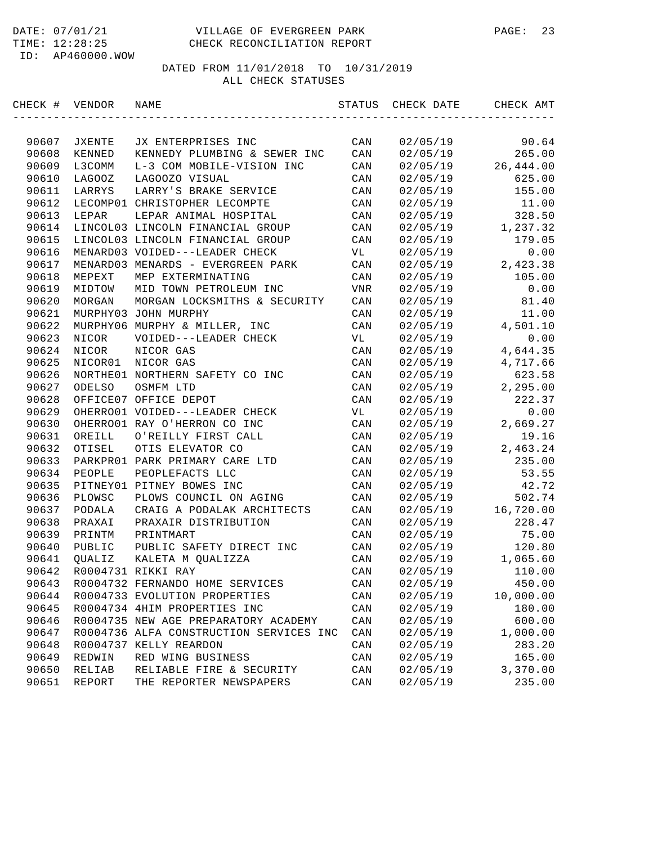#### DATE: 07/01/21 VILLAGE OF EVERGREEN PARK PAGE: 23 TIME: 12:28:25 CHECK RECONCILIATION REPORT

ID: AP460000.WOW

| CHECK # | VENDOR        | NAME                                    | STATUS         | CHECK DATE | CHECK AMT |
|---------|---------------|-----------------------------------------|----------------|------------|-----------|
|         |               |                                         |                |            |           |
| 90607   | JXENTE        | JX ENTERPRISES INC                      | CAN            | 02/05/19   | 90.64     |
| 90608   | KENNED        | KENNEDY PLUMBING & SEWER INC            | CAN            | 02/05/19   | 265.00    |
| 90609   | L3COMM        | L-3 COM MOBILE-VISION INC               | CAN            | 02/05/19   | 26,444.00 |
| 90610   | LAGOOZ        | LAGOOZO VISUAL                          | CAN            | 02/05/19   | 625.00    |
| 90611   | LARRYS        | LARRY'S BRAKE SERVICE                   | CAN            | 02/05/19   | 155.00    |
| 90612   |               | LECOMP01 CHRISTOPHER LECOMPTE           | CAN            | 02/05/19   | 11.00     |
| 90613   | LEPAR         | LEPAR ANIMAL HOSPITAL                   | CAN            | 02/05/19   | 328.50    |
| 90614   |               | LINCOL03 LINCOLN FINANCIAL GROUP        | CAN            | 02/05/19   | 1,237.32  |
| 90615   |               | LINCOL03 LINCOLN FINANCIAL GROUP        | CAN            | 02/05/19   | 179.05    |
| 90616   |               | MENARD03 VOIDED---LEADER CHECK          | VL             | 02/05/19   | 0.00      |
| 90617   |               | MENARD03 MENARDS - EVERGREEN PARK       | CAN            | 02/05/19   | 2,423.38  |
| 90618   | MEPEXT        | MEP EXTERMINATING                       | CAN            | 02/05/19   | 105.00    |
| 90619   | MIDTOW        | MID TOWN PETROLEUM INC                  | VNR            | 02/05/19   | 0.00      |
| 90620   | MORGAN        | MORGAN LOCKSMITHS & SECURITY            | CAN            | 02/05/19   | 81.40     |
| 90621   |               | MURPHY03 JOHN MURPHY                    | CAN            | 02/05/19   | 11.00     |
| 90622   |               | MURPHY06 MURPHY & MILLER, INC           | CAN            | 02/05/19   | 4,501.10  |
| 90623   | NICOR         | VOIDED---LEADER CHECK                   | VL             | 02/05/19   | 0.00      |
| 90624   | NICOR         | NICOR GAS                               | CAN            | 02/05/19   | 4,644.35  |
| 90625   | NICOR01       | NICOR GAS                               | CAN            | 02/05/19   | 4,717.66  |
| 90626   |               | NORTHE01 NORTHERN SAFETY CO INC         | CAN            | 02/05/19   | 623.58    |
| 90627   | <b>ODELSO</b> | OSMFM LTD                               | CAN            | 02/05/19   | 2,295.00  |
| 90628   |               | OFFICE07 OFFICE DEPOT                   | CAN            | 02/05/19   | 222.37    |
| 90629   |               | OHERRO01 VOIDED---LEADER CHECK          | VL             | 02/05/19   | 0.00      |
| 90630   |               | OHERRO01 RAY O'HERRON CO INC            | CAN            | 02/05/19   | 2,669.27  |
| 90631   | OREILL        | O'REILLY FIRST CALL                     | CAN            | 02/05/19   | 19.16     |
| 90632   | OTISEL        | OTIS ELEVATOR CO                        | CAN            | 02/05/19   | 2,463.24  |
| 90633   |               | PARKPRO1 PARK PRIMARY CARE LTD          | CAN            | 02/05/19   | 235.00    |
| 90634   | PEOPLE        | PEOPLEFACTS LLC                         | CAN            | 02/05/19   | 53.55     |
| 90635   |               | PITNEY01 PITNEY BOWES INC               | CAN            | 02/05/19   | 42.72     |
| 90636   | PLOWSC        | PLOWS COUNCIL ON AGING                  | CAN            | 02/05/19   | 502.74    |
| 90637   | PODALA        | CRAIG A PODALAK ARCHITECTS              | CAN            | 02/05/19   | 16,720.00 |
| 90638   | PRAXAI        | PRAXAIR DISTRIBUTION                    | CAN            | 02/05/19   | 228.47    |
| 90639   | PRINTM        | PRINTMART                               | CAN            | 02/05/19   | 75.00     |
| 90640   | PUBLIC        | PUBLIC SAFETY DIRECT INC                | CAN            | 02/05/19   | 120.80    |
| 90641   | QUALIZ        | KALETA M QUALIZZA                       | CAN            | 02/05/19   | 1,065.60  |
| 90642   |               | R0004731 RIKKI RAY                      | CAN            | 02/05/19   | 110.00    |
| 90643   |               | R0004732 FERNANDO HOME SERVICES         | CAN            | 02/05/19   | 450.00    |
| 90644   |               | R0004733 EVOLUTION PROPERTIES           | CAN            | 02/05/19   | 10,000.00 |
| 90645   |               | R0004734 4HIM PROPERTIES INC            | CAN            | 02/05/19   | 180.00    |
| 90646   |               | R0004735 NEW AGE PREPARATORY ACADEMY    | CAN            | 02/05/19   | 600.00    |
| 90647   |               | R0004736 ALFA CONSTRUCTION SERVICES INC | $\mathtt{CAN}$ | 02/05/19   | 1,000.00  |
| 90648   |               | R0004737 KELLY REARDON                  | CAN            | 02/05/19   | 283.20    |
| 90649   | REDWIN        | RED WING BUSINESS                       | CAN            | 02/05/19   | 165.00    |
| 90650   | RELIAB        | RELIABLE FIRE & SECURITY                | CAN            | 02/05/19   | 3,370.00  |
| 90651   | REPORT        | THE REPORTER NEWSPAPERS                 | CAN            | 02/05/19   | 235.00    |
|         |               |                                         |                |            |           |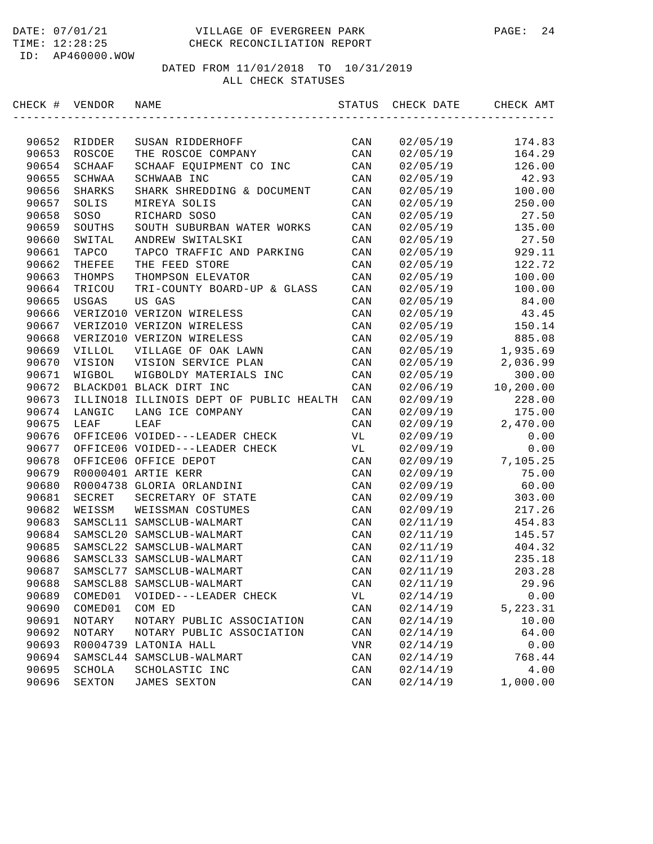| CHECK # VENDOR |          | NAME                                    | STATUS         | CHECK DATE | CHECK AMT |
|----------------|----------|-----------------------------------------|----------------|------------|-----------|
|                |          |                                         |                |            |           |
| 90652          | RIDDER   | SUSAN RIDDERHOFF                        | CAN            | 02/05/19   | 174.83    |
| 90653          | ROSCOE   | THE ROSCOE COMPANY                      | CAN            | 02/05/19   | 164.29    |
| 90654          | SCHAAF   | SCHAAF EQUIPMENT CO INC                 | CAN            | 02/05/19   | 126.00    |
| 90655          | SCHWAA   | SCHWAAB INC                             | CAN            | 02/05/19   | 42.93     |
| 90656          | SHARKS   | SHARK SHREDDING & DOCUMENT              | CAN            | 02/05/19   | 100.00    |
| 90657          | SOLIS    | MIREYA SOLIS                            | CAN            | 02/05/19   | 250.00    |
| 90658          | SOSO     | RICHARD SOSO                            | CAN            | 02/05/19   | 27.50     |
| 90659          | SOUTHS   | SOUTH SUBURBAN WATER WORKS              | CAN            | 02/05/19   | 135.00    |
| 90660          | SWITAL   | ANDREW SWITALSKI                        | CAN            | 02/05/19   | 27.50     |
| 90661          | TAPCO    | TAPCO TRAFFIC AND PARKING               | CAN            | 02/05/19   | 929.11    |
| 90662          | THEFEE   | THE FEED STORE                          | CAN            | 02/05/19   | 122.72    |
| 90663          | THOMPS   | THOMPSON ELEVATOR                       | CAN            | 02/05/19   | 100.00    |
| 90664          | TRICOU   | TRI-COUNTY BOARD-UP & GLASS             | CAN            | 02/05/19   | 100.00    |
| 90665          | USGAS    | US GAS                                  | CAN            | 02/05/19   | 84.00     |
| 90666          |          | VERIZO10 VERIZON WIRELESS               | CAN            | 02/05/19   | 43.45     |
| 90667          |          | VERIZO10 VERIZON WIRELESS               | CAN            | 02/05/19   | 150.14    |
| 90668          |          | VERIZO10 VERIZON WIRELESS               | CAN            | 02/05/19   | 885.08    |
| 90669          | VILLOL   | VILLAGE OF OAK LAWN                     | CAN            | 02/05/19   | 1,935.69  |
| 90670          | VISION   | VISION SERVICE PLAN                     | CAN            | 02/05/19   | 2,036.99  |
| 90671          | WIGBOL   | WIGBOLDY MATERIALS INC                  | CAN            | 02/05/19   | 300.00    |
| 90672          |          | BLACKD01 BLACK DIRT INC                 | CAN            | 02/06/19   | 10,200.00 |
| 90673          |          | ILLINO18 ILLINOIS DEPT OF PUBLIC HEALTH | CAN            | 02/09/19   | 228.00    |
| 90674          | LANGIC   | LANG ICE COMPANY                        | CAN            | 02/09/19   | 175.00    |
| 90675          | LEAF     | LEAF                                    | CAN            | 02/09/19   | 2,470.00  |
| 90676          |          | OFFICE06 VOIDED---LEADER CHECK          | VL             | 02/09/19   | 0.00      |
| 90677          |          | OFFICE06 VOIDED---LEADER CHECK          | VL             | 02/09/19   | 0.00      |
| 90678          |          | OFFICE06 OFFICE DEPOT                   | CAN            | 02/09/19   | 7,105.25  |
| 90679          |          | R0000401 ARTIE KERR                     | CAN            | 02/09/19   | 75.00     |
| 90680          |          | R0004738 GLORIA ORLANDINI               | CAN            | 02/09/19   | 60.00     |
| 90681          | SECRET   | SECRETARY OF STATE                      | CAN            | 02/09/19   | 303.00    |
| 90682          | WEISSM   | WEISSMAN COSTUMES                       | CAN            | 02/09/19   | 217.26    |
| 90683          |          | SAMSCL11 SAMSCLUB-WALMART               | CAN            | 02/11/19   | 454.83    |
| 90684          |          | SAMSCL20 SAMSCLUB-WALMART               | CAN            | 02/11/19   | 145.57    |
| 90685          |          | SAMSCL22 SAMSCLUB-WALMART               | CAN            | 02/11/19   | 404.32    |
| 90686          |          | SAMSCL33 SAMSCLUB-WALMART               | CAN            | 02/11/19   | 235.18    |
| 90687          |          | SAMSCL77 SAMSCLUB-WALMART               | CAN            | 02/11/19   | 203.28    |
| 90688          | SAMSCL88 | SAMSCLUB-WALMART                        | CAN            | 02/11/19   | 29.96     |
| 90689          | COMED01  | VOIDED---LEADER CHECK                   | VL             | 02/14/19   | 0.00      |
| 90690          | COMED01  | COM ED                                  | CAN            | 02/14/19   | 5,223.31  |
| 90691          | NOTARY   | NOTARY PUBLIC ASSOCIATION               | CAN            | 02/14/19   | 10.00     |
| 90692          | NOTARY   | NOTARY PUBLIC ASSOCIATION               | $\mathtt{CAN}$ | 02/14/19   | 64.00     |
| 90693          | R0004739 | LATONIA HALL                            | $_{\rm{VNR}}$  | 02/14/19   | 0.00      |
| 90694          | SAMSCL44 | SAMSCLUB-WALMART                        | CAN            | 02/14/19   | 768.44    |
| 90695          | SCHOLA   | SCHOLASTIC INC                          | $\mathtt{CAN}$ | 02/14/19   | 4.00      |
| 90696          | SEXTON   | JAMES SEXTON                            | CAN            | 02/14/19   | 1,000.00  |
|                |          |                                         |                |            |           |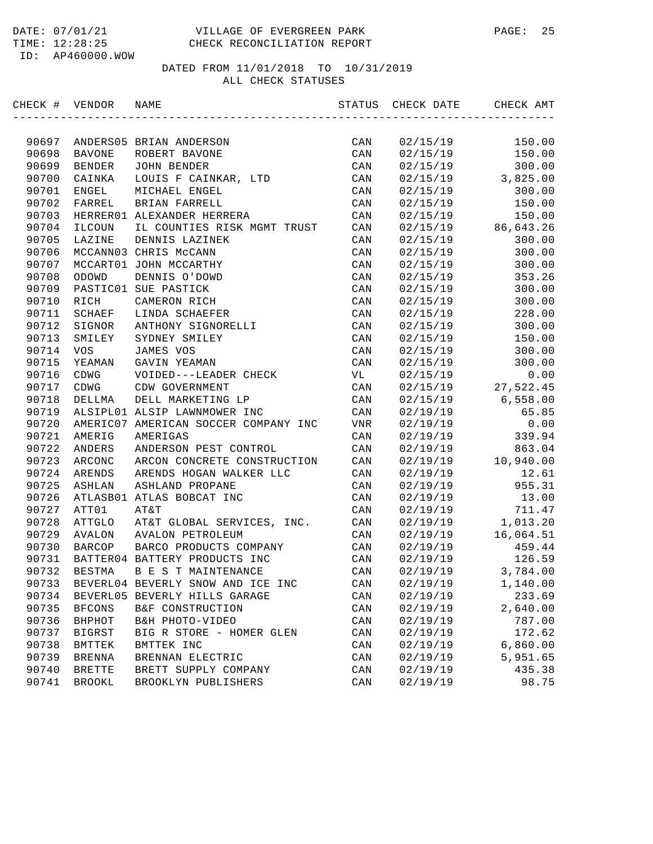| CHECK # VENDOR |               | NAME                                 | STATUS         | CHECK DATE | CHECK AMT |
|----------------|---------------|--------------------------------------|----------------|------------|-----------|
|                |               |                                      |                |            |           |
| 90697          |               | ANDERS05 BRIAN ANDERSON              | CAN            | 02/15/19   | 150.00    |
| 90698          | <b>BAVONE</b> | ROBERT BAVONE                        | CAN            | 02/15/19   | 150.00    |
| 90699          | <b>BENDER</b> | <b>JOHN BENDER</b>                   | CAN            | 02/15/19   | 300.00    |
| 90700          | CAINKA        | LOUIS F CAINKAR, LTD                 | CAN            | 02/15/19   | 3,825.00  |
| 90701          | ENGEL         | MICHAEL ENGEL                        | CAN            | 02/15/19   | 300.00    |
| 90702          | FARREL        | BRIAN FARRELL                        | CAN            | 02/15/19   | 150.00    |
| 90703          |               | HERRER01 ALEXANDER HERRERA           | CAN            | 02/15/19   | 150.00    |
| 90704          | ILCOUN        | IL COUNTIES RISK MGMT TRUST          | CAN            | 02/15/19   | 86,643.26 |
| 90705          | LAZINE        | DENNIS LAZINEK                       | CAN            | 02/15/19   | 300.00    |
| 90706          |               | MCCANN03 CHRIS McCANN                | CAN            | 02/15/19   | 300.00    |
| 90707          |               | MCCART01 JOHN MCCARTHY               | CAN            | 02/15/19   | 300.00    |
| 90708          | ODOWD         | DENNIS O'DOWD                        | CAN            | 02/15/19   | 353.26    |
| 90709          |               | PASTIC01 SUE PASTICK                 | CAN            | 02/15/19   | 300.00    |
| 90710          | RICH          | CAMERON RICH                         | CAN            | 02/15/19   | 300.00    |
| 90711          | SCHAEF        | LINDA SCHAEFER                       | CAN            | 02/15/19   | 228.00    |
| 90712          | SIGNOR        | ANTHONY SIGNORELLI                   | CAN            | 02/15/19   | 300.00    |
| 90713          | SMILEY        | SYDNEY SMILEY                        | CAN            | 02/15/19   | 150.00    |
| 90714          | <b>VOS</b>    | JAMES VOS                            | CAN            | 02/15/19   | 300.00    |
| 90715          | YEAMAN        | GAVIN YEAMAN                         | CAN            | 02/15/19   | 300.00    |
| 90716          | CDWG          | VOIDED---LEADER CHECK                | VL             | 02/15/19   | 0.00      |
| 90717          | CDWG          | CDW GOVERNMENT                       | CAN            | 02/15/19   | 27,522.45 |
| 90718          | DELLMA        | DELL MARKETING LP                    | CAN            | 02/15/19   | 6,558.00  |
| 90719          |               | ALSIPL01 ALSIP LAWNMOWER INC         | CAN            | 02/19/19   | 65.85     |
| 90720          |               | AMERIC07 AMERICAN SOCCER COMPANY INC | VNR            | 02/19/19   | 0.00      |
| 90721          | AMERIG        | AMERIGAS                             | CAN            | 02/19/19   | 339.94    |
| 90722          | ANDERS        | ANDERSON PEST CONTROL                | CAN            | 02/19/19   | 863.04    |
| 90723          | ARCONC        | ARCON CONCRETE CONSTRUCTION          | CAN            | 02/19/19   | 10,940.00 |
| 90724          | ARENDS        | ARENDS HOGAN WALKER LLC              | CAN            | 02/19/19   | 12.61     |
| 90725          | ASHLAN        | ASHLAND PROPANE                      | CAN            | 02/19/19   | 955.31    |
| 90726          |               | ATLASB01 ATLAS BOBCAT INC            | CAN            | 02/19/19   | 13.00     |
| 90727          | ATT01         | AT&T                                 | CAN            | 02/19/19   | 711.47    |
| 90728          | ATTGLO        | AT&T GLOBAL SERVICES, INC.           | CAN            | 02/19/19   | 1,013.20  |
| 90729          | AVALON        | AVALON PETROLEUM                     | CAN            | 02/19/19   | 16,064.51 |
| 90730          | <b>BARCOP</b> | BARCO PRODUCTS COMPANY               | CAN            | 02/19/19   | 459.44    |
| 90731          |               | BATTER04 BATTERY PRODUCTS INC        | CAN            | 02/19/19   | 126.59    |
| 90732          | BESTMA        | B E S T MAINTENANCE                  | CAN            | 02/19/19   | 3,784.00  |
| 90733          |               | BEVERL04 BEVERLY SNOW AND ICE INC    | CAN            | 02/19/19   | 1,140.00  |
| 90734          |               | BEVERL05 BEVERLY HILLS GARAGE        | CAN            | 02/19/19   | 233.69    |
| 90735          | <b>BFCONS</b> | B&F CONSTRUCTION                     | CAN            | 02/19/19   | 2,640.00  |
| 90736          | BHPHOT        | B&H PHOTO-VIDEO                      | CAN            | 02/19/19   | 787.00    |
| 90737          | <b>BIGRST</b> | BIG R STORE - HOMER GLEN             | CAN            | 02/19/19   | 172.62    |
| 90738          | BMTTEK        | BMTTEK INC                           | $\mathtt{CAN}$ | 02/19/19   | 6,860.00  |
| 90739          | <b>BRENNA</b> | BRENNAN ELECTRIC                     | CAN            | 02/19/19   | 5,951.65  |
| 90740          | <b>BRETTE</b> | BRETT SUPPLY COMPANY                 | CAN            | 02/19/19   | 435.38    |
| 90741          | <b>BROOKL</b> | BROOKLYN PUBLISHERS                  | $\mathtt{CAN}$ | 02/19/19   | 98.75     |
|                |               |                                      |                |            |           |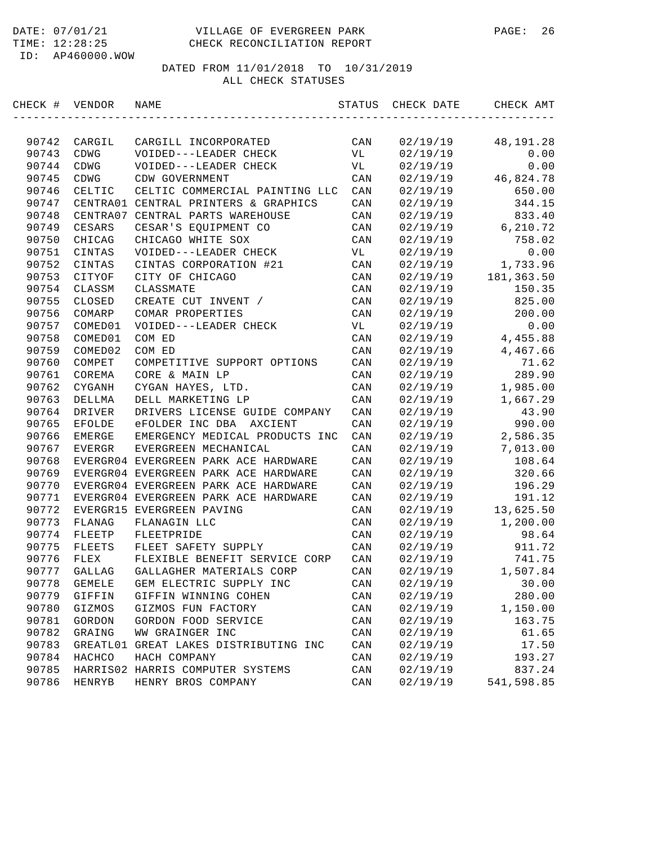| CHECK # | VENDOR         | NAME                                 | STATUS         | CHECK DATE | CHECK AMT  |
|---------|----------------|--------------------------------------|----------------|------------|------------|
|         |                |                                      |                |            |            |
| 90742   | CARGIL         | CARGILL INCORPORATED                 | CAN            | 02/19/19   | 48,191.28  |
| 90743   | CDWG           | VOIDED---LEADER CHECK                | VL             | 02/19/19   | 0.00       |
| 90744   | CDWG           | VOIDED---LEADER CHECK                | VL             | 02/19/19   | 0.00       |
| 90745   | CDWG           | CDW GOVERNMENT                       | CAN            | 02/19/19   | 46,824.78  |
| 90746   | CELTIC         | CELTIC COMMERCIAL PAINTING LLC       | CAN            | 02/19/19   | 650.00     |
| 90747   |                | CENTRA01 CENTRAL PRINTERS & GRAPHICS | CAN            | 02/19/19   | 344.15     |
| 90748   |                | CENTRA07 CENTRAL PARTS WAREHOUSE     | CAN            | 02/19/19   | 833.40     |
| 90749   | CESARS         | CESAR'S EQUIPMENT CO                 | CAN            | 02/19/19   | 6,210.72   |
| 90750   | CHICAG         | CHICAGO WHITE SOX                    | CAN            | 02/19/19   | 758.02     |
| 90751   | CINTAS         | VOIDED---LEADER CHECK                | VL             | 02/19/19   | 0.00       |
| 90752   | CINTAS         | CINTAS CORPORATION #21               | CAN            | 02/19/19   | 1,733.96   |
| 90753   | CITYOF         | CITY OF CHICAGO                      | CAN            | 02/19/19   | 181,363.50 |
| 90754   | CLASSM         | CLASSMATE                            | CAN            | 02/19/19   | 150.35     |
| 90755   | CLOSED         | CREATE CUT INVENT /                  | CAN            | 02/19/19   | 825.00     |
| 90756   | COMARP         | COMAR PROPERTIES                     | CAN            | 02/19/19   | 200.00     |
| 90757   | COMED01        | VOIDED---LEADER CHECK                | VL             | 02/19/19   | 0.00       |
| 90758   | COMED01        | COM ED                               | CAN            | 02/19/19   | 4,455.88   |
| 90759   | COMED02        | COM ED                               | CAN            | 02/19/19   | 4,467.66   |
| 90760   | COMPET         | COMPETITIVE SUPPORT OPTIONS          | CAN            | 02/19/19   | 71.62      |
| 90761   | COREMA         | CORE & MAIN LP                       | CAN            | 02/19/19   | 289.90     |
| 90762   | ${\tt CYGANH}$ | CYGAN HAYES, LTD.                    | CAN            | 02/19/19   | 1,985.00   |
| 90763   | DELLMA         | DELL MARKETING LP                    | CAN            | 02/19/19   | 1,667.29   |
| 90764   | DRIVER         | DRIVERS LICENSE GUIDE COMPANY        | CAN            | 02/19/19   | 43.90      |
| 90765   | <b>EFOLDE</b>  | eFOLDER INC DBA<br>AXCIENT           | CAN            | 02/19/19   | 990.00     |
| 90766   | <b>EMERGE</b>  | EMERGENCY MEDICAL PRODUCTS INC       | CAN            | 02/19/19   | 2,586.35   |
| 90767   | EVERGR         | EVERGREEN MECHANICAL                 | CAN            | 02/19/19   | 7,013.00   |
| 90768   |                | EVERGR04 EVERGREEN PARK ACE HARDWARE | CAN            | 02/19/19   | 108.64     |
| 90769   |                | EVERGR04 EVERGREEN PARK ACE HARDWARE | CAN            | 02/19/19   | 320.66     |
| 90770   |                | EVERGR04 EVERGREEN PARK ACE HARDWARE | CAN            | 02/19/19   | 196.29     |
| 90771   |                | EVERGR04 EVERGREEN PARK ACE HARDWARE | CAN            | 02/19/19   | 191.12     |
| 90772   |                | EVERGR15 EVERGREEN PAVING            | CAN            | 02/19/19   | 13,625.50  |
| 90773   | FLANAG         | FLANAGIN LLC                         | CAN            | 02/19/19   | 1,200.00   |
| 90774   | FLEETP         | FLEETPRIDE                           | CAN            | 02/19/19   | 98.64      |
| 90775   | FLEETS         | FLEET SAFETY SUPPLY                  | CAN            | 02/19/19   | 911.72     |
| 90776   | FLEX           | FLEXIBLE BENEFIT SERVICE CORP        | CAN            | 02/19/19   | 741.75     |
| 90777   | GALLAG         | GALLAGHER MATERIALS CORP             | CAN            | 02/19/19   | 1,507.84   |
| 90778   | <b>GEMELE</b>  | GEM ELECTRIC SUPPLY INC              | CAN            | 02/19/19   | 30.00      |
| 90779   | GIFFIN         | GIFFIN WINNING COHEN                 | CAN            | 02/19/19   | 280.00     |
| 90780   | GIZMOS         | GIZMOS FUN FACTORY                   | $\mathtt{CAN}$ | 02/19/19   | 1,150.00   |
| 90781   | GORDON         | GORDON FOOD SERVICE                  | CAN            | 02/19/19   | 163.75     |
| 90782   | GRAING         | WW GRAINGER INC                      | CAN            | 02/19/19   | 61.65      |
| 90783   | GREATL01       | GREAT LAKES DISTRIBUTING INC         | CAN            | 02/19/19   | 17.50      |
| 90784   | HACHCO         | HACH COMPANY                         | CAN            | 02/19/19   | 193.27     |
| 90785   |                | HARRIS02 HARRIS COMPUTER SYSTEMS     | CAN            | 02/19/19   | 837.24     |
| 90786   | HENRYB         | HENRY BROS COMPANY                   | CAN            | 02/19/19   | 541,598.85 |
|         |                |                                      |                |            |            |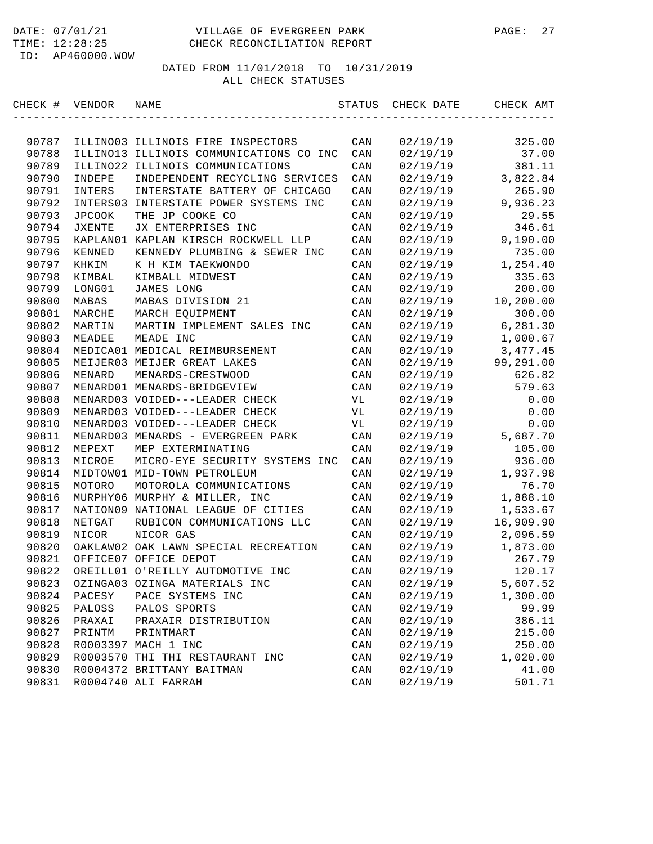| CHECK # | VENDOR        | NAME                                    | STATUS         | CHECK DATE | CHECK AMT |
|---------|---------------|-----------------------------------------|----------------|------------|-----------|
|         |               |                                         |                |            |           |
| 90787   |               | ILLINO03 ILLINOIS FIRE INSPECTORS       | CAN            | 02/19/19   | 325.00    |
| 90788   |               | ILLINO13 ILLINOIS COMMUNICATIONS CO INC | CAN            | 02/19/19   | 37.00     |
| 90789   | ILLINO22      | ILLINOIS COMMUNICATIONS                 | CAN            | 02/19/19   | 381.11    |
| 90790   | INDEPE        | INDEPENDENT RECYCLING SERVICES          | CAN            | 02/19/19   | 3,822.84  |
| 90791   | INTERS        | INTERSTATE BATTERY OF CHICAGO           | CAN            | 02/19/19   | 265.90    |
| 90792   |               | INTERS03 INTERSTATE POWER SYSTEMS INC   | CAN            | 02/19/19   | 9,936.23  |
| 90793   | <b>JPCOOK</b> | THE JP COOKE CO                         | CAN            | 02/19/19   | 29.55     |
| 90794   | <b>JXENTE</b> | JX ENTERPRISES INC                      | CAN            | 02/19/19   | 346.61    |
| 90795   |               | KAPLANO1 KAPLAN KIRSCH ROCKWELL LLP     | CAN            | 02/19/19   | 9,190.00  |
| 90796   | KENNED        | KENNEDY PLUMBING & SEWER INC            | CAN            | 02/19/19   | 735.00    |
| 90797   | KHKIM         | K H KIM TAEKWONDO                       | CAN            | 02/19/19   | 1,254.40  |
| 90798   | KIMBAL        | KIMBALL MIDWEST                         | CAN            | 02/19/19   | 335.63    |
| 90799   | LONG01        | JAMES LONG                              | CAN            | 02/19/19   | 200.00    |
| 90800   | MABAS         | MABAS DIVISION 21                       | CAN            | 02/19/19   | 10,200.00 |
| 90801   | MARCHE        | MARCH EQUIPMENT                         | CAN            | 02/19/19   | 300.00    |
| 90802   | MARTIN        | MARTIN IMPLEMENT SALES INC              | CAN            | 02/19/19   | 6,281.30  |
| 90803   | MEADEE        | MEADE INC                               | CAN            | 02/19/19   | 1,000.67  |
| 90804   |               | MEDICA01 MEDICAL REIMBURSEMENT          | CAN            | 02/19/19   | 3, 477.45 |
| 90805   |               | MEIJER03 MEIJER GREAT LAKES             | CAN            | 02/19/19   | 99,291.00 |
| 90806   | MENARD        | MENARDS-CRESTWOOD                       | CAN            | 02/19/19   | 626.82    |
| 90807   |               | MENARD01 MENARDS-BRIDGEVIEW             | CAN            | 02/19/19   | 579.63    |
| 90808   |               | MENARD03 VOIDED---LEADER CHECK          | VL             | 02/19/19   | 0.00      |
| 90809   |               | MENARD03 VOIDED---LEADER CHECK          | VL             | 02/19/19   | 0.00      |
| 90810   |               | MENARD03 VOIDED---LEADER CHECK          | VL             | 02/19/19   | 0.00      |
| 90811   |               | MENARD03 MENARDS - EVERGREEN PARK       | CAN            | 02/19/19   | 5,687.70  |
| 90812   | MEPEXT        | MEP EXTERMINATING                       | CAN            | 02/19/19   | 105.00    |
| 90813   | MICROE        | MICRO-EYE SECURITY SYSTEMS INC          | CAN            | 02/19/19   | 936.00    |
| 90814   |               | MIDTOW01 MID-TOWN PETROLEUM             | CAN            | 02/19/19   | 1,937.98  |
| 90815   | MOTORO        | MOTOROLA COMMUNICATIONS                 | CAN            | 02/19/19   | 76.70     |
| 90816   |               | MURPHY06 MURPHY & MILLER, INC           | CAN            | 02/19/19   | 1,888.10  |
| 90817   |               | NATION09 NATIONAL LEAGUE OF CITIES      | CAN            | 02/19/19   | 1,533.67  |
| 90818   | NETGAT        | RUBICON COMMUNICATIONS LLC              | CAN            | 02/19/19   | 16,909.90 |
| 90819   | NICOR         | NICOR GAS                               | CAN            | 02/19/19   | 2,096.59  |
| 90820   |               | OAKLAW02 OAK LAWN SPECIAL RECREATION    | CAN            | 02/19/19   | 1,873.00  |
| 90821   |               | OFFICE07 OFFICE DEPOT                   | CAN            | 02/19/19   | 267.79    |
| 90822   |               | OREILL01 O'REILLY AUTOMOTIVE INC        | CAN            | 02/19/19   | 120.17    |
| 90823   |               | OZINGA03 OZINGA MATERIALS INC           | CAN            | 02/19/19   | 5,607.52  |
| 90824   | PACESY        | PACE SYSTEMS INC                        | CAN            | 02/19/19   | 1,300.00  |
| 90825   | PALOSS        | PALOS SPORTS                            | CAN            | 02/19/19   | 99.99     |
| 90826   | PRAXAI        | PRAXAIR DISTRIBUTION                    | CAN            | 02/19/19   | 386.11    |
| 90827   | PRINTM        | PRINTMART                               | CAN            | 02/19/19   | 215.00    |
| 90828   |               | R0003397 MACH 1 INC                     | $\mathtt{CAN}$ | 02/19/19   | 250.00    |
| 90829   |               | R0003570 THI THI RESTAURANT INC         | CAN            | 02/19/19   | 1,020.00  |
| 90830   |               | R0004372 BRITTANY BAITMAN               | CAN            | 02/19/19   | 41.00     |
| 90831   |               | R0004740 ALI FARRAH                     | $\mathtt{CAN}$ | 02/19/19   | 501.71    |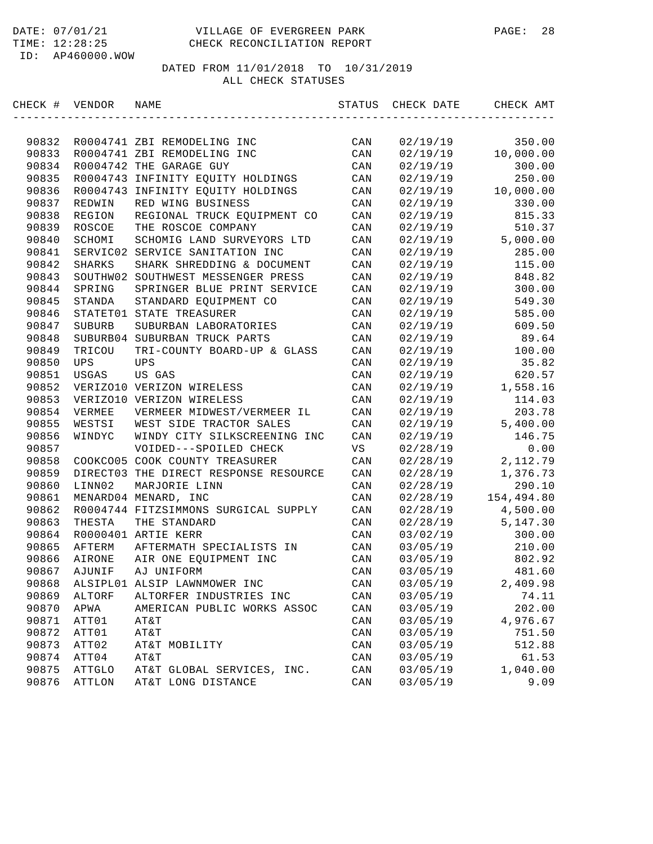| CHECK # VENDOR |        | NAME                                  | STATUS         | CHECK DATE | CHECK AMT  |
|----------------|--------|---------------------------------------|----------------|------------|------------|
|                |        |                                       |                |            |            |
| 90832          |        | R0004741 ZBI REMODELING INC           | CAN            | 02/19/19   | 350.00     |
| 90833          |        | R0004741 ZBI REMODELING INC           | CAN            | 02/19/19   | 10,000.00  |
| 90834          |        | R0004742 THE GARAGE GUY               | CAN            | 02/19/19   | 300.00     |
| 90835          |        | R0004743 INFINITY EQUITY HOLDINGS     | CAN            | 02/19/19   | 250.00     |
| 90836          |        | R0004743 INFINITY EQUITY HOLDINGS     | CAN            | 02/19/19   | 10,000.00  |
| 90837          | REDWIN | RED WING BUSINESS                     | CAN            | 02/19/19   | 330.00     |
| 90838          | REGION | REGIONAL TRUCK EQUIPMENT CO           | CAN            | 02/19/19   | 815.33     |
| 90839          | ROSCOE | THE ROSCOE COMPANY                    | CAN            | 02/19/19   | 510.37     |
| 90840          | SCHOMI | SCHOMIG LAND SURVEYORS LTD            | CAN            | 02/19/19   | 5,000.00   |
| 90841          |        | SERVIC02 SERVICE SANITATION INC       | CAN            | 02/19/19   | 285.00     |
| 90842          | SHARKS | SHARK SHREDDING & DOCUMENT            | CAN            | 02/19/19   | 115.00     |
| 90843          |        | SOUTHW02 SOUTHWEST MESSENGER PRESS    | CAN            | 02/19/19   | 848.82     |
| 90844          | SPRING | SPRINGER BLUE PRINT SERVICE           | CAN            | 02/19/19   | 300.00     |
| 90845          | STANDA | STANDARD EQUIPMENT CO                 | CAN            | 02/19/19   | 549.30     |
| 90846          |        | STATET01 STATE TREASURER              | CAN            | 02/19/19   | 585.00     |
| 90847          | SUBURB | SUBURBAN LABORATORIES                 | CAN            | 02/19/19   | 609.50     |
| 90848          |        | SUBURB04 SUBURBAN TRUCK PARTS         | CAN            | 02/19/19   | 89.64      |
| 90849          | TRICOU | TRI-COUNTY BOARD-UP & GLASS           | CAN            | 02/19/19   | 100.00     |
| 90850          | UPS    | <b>UPS</b>                            | CAN            | 02/19/19   | 35.82      |
| 90851          | USGAS  | US GAS                                | CAN            | 02/19/19   | 620.57     |
| 90852          |        | VERIZO10 VERIZON WIRELESS             | CAN            | 02/19/19   | 1,558.16   |
| 90853          |        | VERIZO10 VERIZON WIRELESS             | CAN            | 02/19/19   | 114.03     |
| 90854          | VERMEE | VERMEER MIDWEST/VERMEER IL            | CAN            | 02/19/19   | 203.78     |
| 90855          | WESTSI | WEST SIDE TRACTOR SALES               | CAN            | 02/19/19   | 5,400.00   |
| 90856          | WINDYC | WINDY CITY SILKSCREENING INC          | CAN            | 02/19/19   | 146.75     |
| 90857          |        | VOIDED---SPOILED CHECK                | VS             | 02/28/19   | 0.00       |
| 90858          |        | COOKCO05 COOK COUNTY TREASURER        | CAN            | 02/28/19   | 2,112.79   |
| 90859          |        | DIRECT03 THE DIRECT RESPONSE RESOURCE | CAN            | 02/28/19   | 1,376.73   |
| 90860          | LINN02 | MARJORIE LINN                         | CAN            | 02/28/19   | 290.10     |
| 90861          |        | MENARD04 MENARD, INC                  | CAN            | 02/28/19   | 154,494.80 |
| 90862          |        | R0004744 FITZSIMMONS SURGICAL SUPPLY  | CAN            | 02/28/19   | 4,500.00   |
| 90863          | THESTA | THE STANDARD                          | CAN            | 02/28/19   | 5,147.30   |
| 90864          |        | R0000401 ARTIE KERR                   | CAN            | 03/02/19   | 300.00     |
| 90865          | AFTERM | AFTERMATH SPECIALISTS IN              | CAN            | 03/05/19   | 210.00     |
| 90866          | AIRONE | AIR ONE EQUIPMENT INC                 | CAN            | 03/05/19   | 802.92     |
| 90867          | AJUNIF | AJ UNIFORM                            | CAN            | 03/05/19   | 481.60     |
| 90868          |        | ALSIPL01 ALSIP LAWNMOWER INC          | CAN            | 03/05/19   | 2,409.98   |
| 90869          | ALTORF | ALTORFER INDUSTRIES INC               | CAN            | 03/05/19   | 74.11      |
| 90870          | APWA   | AMERICAN PUBLIC WORKS ASSOC           | CAN            | 03/05/19   | 202.00     |
| 90871          | ATT01  | AT&T                                  | CAN            | 03/05/19   | 4,976.67   |
| 90872          | ATT01  | AT&T                                  | $\mathtt{CAN}$ | 03/05/19   | 751.50     |
| 90873          | ATT02  | AT&T MOBILITY                         | CAN            | 03/05/19   | 512.88     |
| 90874          | ATT04  | AT&T                                  | CAN            | 03/05/19   | 61.53      |
| 90875          | ATTGLO | AT&T GLOBAL SERVICES, INC.            | CAN            | 03/05/19   | 1,040.00   |
| 90876          | ATTLON | AT&T LONG DISTANCE                    | $\mathtt{CAN}$ | 03/05/19   | 9.09       |
|                |        |                                       |                |            |            |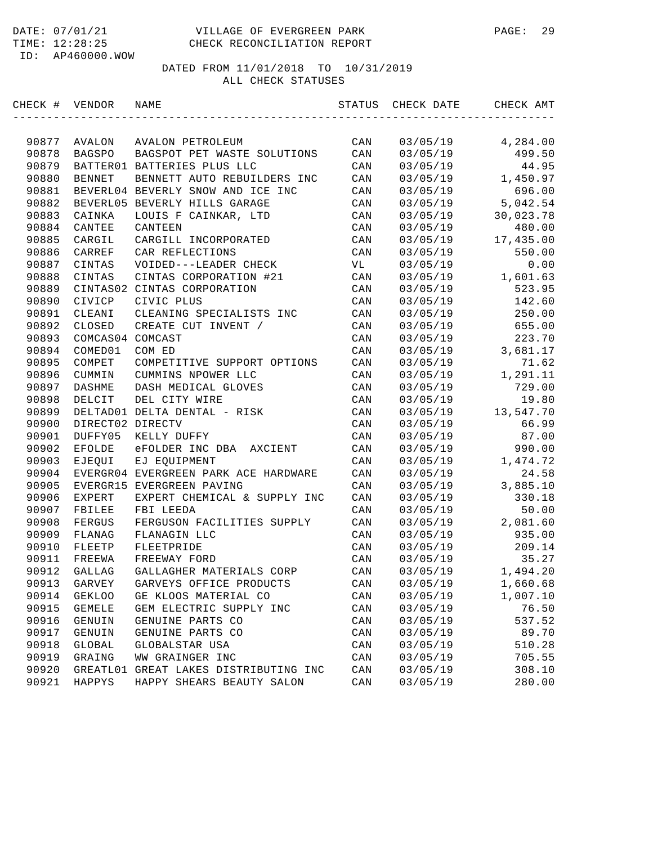| CHECK # VENDOR |                  | NAME                                 | STATUS         | CHECK DATE | CHECK AMT |
|----------------|------------------|--------------------------------------|----------------|------------|-----------|
|                |                  |                                      |                |            |           |
| 90877          | AVALON           | AVALON PETROLEUM                     | CAN            | 03/05/19   | 4,284.00  |
| 90878          | <b>BAGSPO</b>    | BAGSPOT PET WASTE SOLUTIONS          | CAN            | 03/05/19   | 499.50    |
| 90879          |                  | BATTER01 BATTERIES PLUS LLC          | CAN            | 03/05/19   | 44.95     |
| 90880          | <b>BENNET</b>    | BENNETT AUTO REBUILDERS INC          | CAN            | 03/05/19   | 1,450.97  |
| 90881          |                  | BEVERL04 BEVERLY SNOW AND ICE INC    | CAN            | 03/05/19   | 696.00    |
| 90882          |                  | BEVERL05 BEVERLY HILLS GARAGE        | CAN            | 03/05/19   | 5,042.54  |
| 90883          | CAINKA           | LOUIS F CAINKAR, LTD                 | CAN            | 03/05/19   | 30,023.78 |
| 90884          | CANTEE           | CANTEEN                              | CAN            | 03/05/19   | 480.00    |
| 90885          | CARGIL           | CARGILL INCORPORATED                 | CAN            | 03/05/19   | 17,435.00 |
| 90886          | CARREF           | CAR REFLECTIONS                      | CAN            | 03/05/19   | 550.00    |
| 90887          | CINTAS           | VOIDED---LEADER CHECK                | VL             | 03/05/19   | 0.00      |
| 90888          | CINTAS           | CINTAS CORPORATION #21               | CAN            | 03/05/19   | 1,601.63  |
| 90889          |                  | CINTAS02 CINTAS CORPORATION          | CAN            | 03/05/19   | 523.95    |
| 90890          | CIVICP           | CIVIC PLUS                           | CAN            | 03/05/19   | 142.60    |
| 90891          | CLEANI           | CLEANING SPECIALISTS INC             | CAN            | 03/05/19   | 250.00    |
| 90892          | CLOSED           | CREATE CUT INVENT /                  | CAN            | 03/05/19   | 655.00    |
| 90893          | COMCAS04 COMCAST |                                      | CAN            | 03/05/19   | 223.70    |
| 90894          | COMED01          | COM ED                               | CAN            | 03/05/19   | 3,681.17  |
| 90895          | COMPET           | COMPETITIVE SUPPORT OPTIONS          | CAN            | 03/05/19   | 71.62     |
| 90896          | CUMMIN           | CUMMINS NPOWER LLC                   | CAN            | 03/05/19   | 1,291.11  |
| 90897          | DASHME           | DASH MEDICAL GLOVES                  | CAN            | 03/05/19   | 729.00    |
| 90898          | DELCIT           | DEL CITY WIRE                        | CAN            | 03/05/19   | 19.80     |
| 90899          |                  | DELTAD01 DELTA DENTAL - RISK         | CAN            | 03/05/19   | 13,547.70 |
| 90900          | DIRECT02 DIRECTV |                                      | CAN            | 03/05/19   | 66.99     |
| 90901          | DUFFY05          | KELLY DUFFY                          | CAN            | 03/05/19   | 87.00     |
| 90902          | EFOLDE           | eFOLDER INC DBA<br>AXCIENT           | CAN            | 03/05/19   | 990.00    |
| 90903          | EJEQUI           | EJ EQUIPMENT                         | CAN            | 03/05/19   | 1,474.72  |
| 90904          |                  | EVERGR04 EVERGREEN PARK ACE HARDWARE | CAN            | 03/05/19   | 24.58     |
| 90905          |                  | EVERGR15 EVERGREEN PAVING            | CAN            | 03/05/19   | 3,885.10  |
| 90906          | <b>EXPERT</b>    | EXPERT CHEMICAL & SUPPLY INC         | CAN            | 03/05/19   | 330.18    |
| 90907          | FBILEE           | FBI LEEDA                            | CAN            | 03/05/19   | 50.00     |
| 90908          | FERGUS           | FERGUSON FACILITIES SUPPLY           | CAN            | 03/05/19   | 2,081.60  |
| 90909          | FLANAG           | FLANAGIN LLC                         | CAN            | 03/05/19   | 935.00    |
| 90910          | FLEETP           | FLEETPRIDE                           | CAN            | 03/05/19   | 209.14    |
| 90911          | FREEWA           | FREEWAY FORD                         | CAN            | 03/05/19   | 35.27     |
| 90912          | GALLAG           | GALLAGHER MATERIALS CORP             | CAN            | 03/05/19   | 1,494.20  |
| 90913          | GARVEY           | GARVEYS OFFICE PRODUCTS              | CAN            | 03/05/19   | 1,660.68  |
| 90914          | <b>GEKLOO</b>    | GE KLOOS MATERIAL CO                 | CAN            | 03/05/19   | 1,007.10  |
| 90915          | <b>GEMELE</b>    | GEM ELECTRIC SUPPLY INC              | CAN            | 03/05/19   | 76.50     |
| 90916          | GENUIN           | GENUINE PARTS CO                     | CAN            | 03/05/19   | 537.52    |
| 90917          | GENUIN           | GENUINE PARTS CO                     | CAN            | 03/05/19   | 89.70     |
| 90918          | GLOBAL           | GLOBALSTAR USA                       | $\mathtt{CAN}$ | 03/05/19   | 510.28    |
| 90919          | GRAING           | WW GRAINGER INC                      | CAN            | 03/05/19   | 705.55    |
| 90920          | GREATL01         | GREAT LAKES DISTRIBUTING INC         | CAN            | 03/05/19   | 308.10    |
| 90921          | HAPPYS           | HAPPY SHEARS BEAUTY SALON            | $\mathtt{CAN}$ | 03/05/19   | 280.00    |
|                |                  |                                      |                |            |           |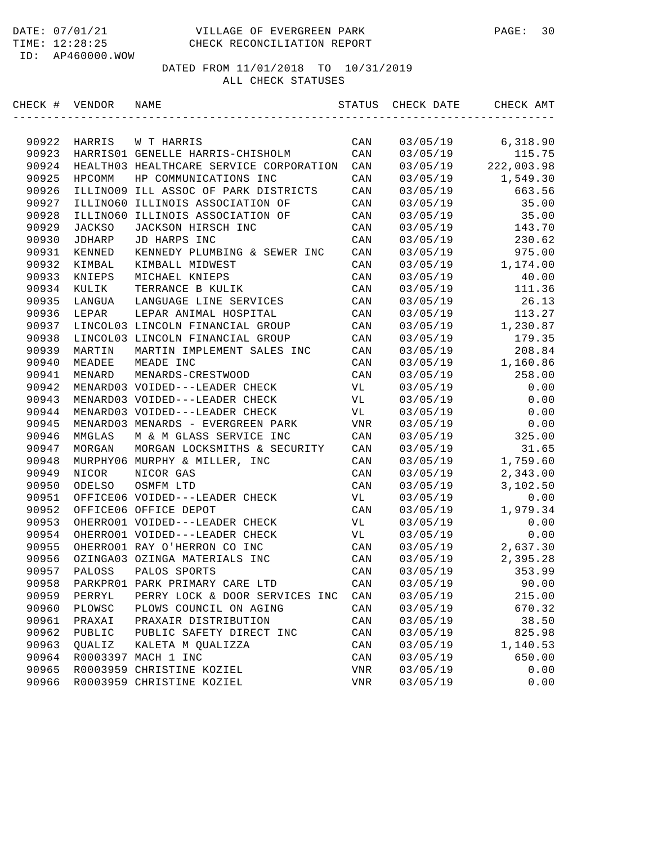| CHECK # | VENDOR        | NAME                                    | STATUS                    | CHECK DATE | CHECK AMT  |
|---------|---------------|-----------------------------------------|---------------------------|------------|------------|
|         |               |                                         |                           |            |            |
| 90922   | HARRIS        | W T HARRIS                              | CAN                       | 03/05/19   | 6,318.90   |
| 90923   |               | HARRIS01 GENELLE HARRIS-CHISHOLM        | CAN                       | 03/05/19   | 115.75     |
| 90924   |               | HEALTH03 HEALTHCARE SERVICE CORPORATION | CAN                       | 03/05/19   | 222,003.98 |
| 90925   | <b>HPCOMM</b> | HP COMMUNICATIONS INC                   | CAN                       | 03/05/19   | 1,549.30   |
| 90926   |               | ILLINO09 ILL ASSOC OF PARK DISTRICTS    | CAN                       | 03/05/19   | 663.56     |
| 90927   | ILLINO60      | ILLINOIS ASSOCIATION OF                 | CAN                       | 03/05/19   | 35.00      |
| 90928   | ILLINO60      | ILLINOIS ASSOCIATION OF                 | CAN                       | 03/05/19   | 35.00      |
| 90929   | <b>JACKSO</b> | JACKSON HIRSCH INC                      | CAN                       | 03/05/19   | 143.70     |
| 90930   | JDHARP        | JD HARPS INC                            | CAN                       | 03/05/19   | 230.62     |
| 90931   | KENNED        | KENNEDY PLUMBING & SEWER INC            | CAN                       | 03/05/19   | 975.00     |
| 90932   | KIMBAL        | KIMBALL MIDWEST                         | CAN                       | 03/05/19   | 1,174.00   |
| 90933   | KNIEPS        | MICHAEL KNIEPS                          | CAN                       | 03/05/19   | 40.00      |
| 90934   | KULIK         | TERRANCE B KULIK                        | CAN                       | 03/05/19   | 111.36     |
| 90935   | LANGUA        | LANGUAGE LINE SERVICES                  | CAN                       | 03/05/19   | 26.13      |
| 90936   | LEPAR         | LEPAR ANIMAL HOSPITAL                   | CAN                       | 03/05/19   | 113.27     |
| 90937   |               | LINCOL03 LINCOLN FINANCIAL GROUP        | CAN                       | 03/05/19   | 1,230.87   |
| 90938   |               | LINCOL03 LINCOLN FINANCIAL GROUP        | CAN                       | 03/05/19   | 179.35     |
| 90939   | MARTIN        | MARTIN IMPLEMENT SALES INC              | CAN                       | 03/05/19   | 208.84     |
| 90940   | MEADEE        | MEADE INC                               | CAN                       | 03/05/19   | 1,160.86   |
| 90941   | MENARD        | MENARDS-CRESTWOOD                       | CAN                       | 03/05/19   | 258.00     |
| 90942   |               | MENARD03 VOIDED---LEADER CHECK          | VL                        | 03/05/19   | 0.00       |
| 90943   |               | MENARD03 VOIDED---LEADER CHECK          | VL                        | 03/05/19   | 0.00       |
| 90944   |               | MENARD03 VOIDED---LEADER CHECK          | VL                        | 03/05/19   | 0.00       |
| 90945   |               | MENARD03 MENARDS - EVERGREEN PARK       | VNR                       | 03/05/19   | 0.00       |
| 90946   | MMGLAS        | M & M GLASS SERVICE INC                 | CAN                       | 03/05/19   | 325.00     |
| 90947   | MORGAN        | MORGAN LOCKSMITHS & SECURITY            | CAN                       | 03/05/19   | 31.65      |
| 90948   |               | MURPHY06 MURPHY & MILLER, INC           | CAN                       | 03/05/19   | 1,759.60   |
| 90949   | NICOR         | NICOR GAS                               | CAN                       | 03/05/19   | 2,343.00   |
| 90950   | ODELSO        | OSMFM LTD                               | CAN                       | 03/05/19   | 3,102.50   |
| 90951   |               | OFFICE06 VOIDED---LEADER CHECK          | VL                        | 03/05/19   | 0.00       |
| 90952   |               | OFFICE06 OFFICE DEPOT                   | CAN                       | 03/05/19   | 1,979.34   |
| 90953   |               | OHERRO01 VOIDED---LEADER CHECK          | VL                        | 03/05/19   | 0.00       |
| 90954   |               | OHERRO01 VOIDED---LEADER CHECK          | VL                        | 03/05/19   | 0.00       |
| 90955   |               | OHERRO01 RAY O'HERRON CO INC            | CAN                       | 03/05/19   | 2,637.30   |
| 90956   |               | OZINGA03 OZINGA MATERIALS INC           | CAN                       | 03/05/19   | 2,395.28   |
| 90957   | PALOSS        | PALOS SPORTS                            | CAN                       | 03/05/19   | 353.99     |
| 90958   |               | PARKPRO1 PARK PRIMARY CARE LTD          | CAN                       | 03/05/19   | 90.00      |
| 90959   | PERRYL        | PERRY LOCK & DOOR SERVICES INC          | CAN                       | 03/05/19   | 215.00     |
| 90960   | PLOWSC        | PLOWS COUNCIL ON AGING                  | CAN                       | 03/05/19   | 670.32     |
| 90961   | PRAXAI        | PRAXAIR DISTRIBUTION                    | CAN                       | 03/05/19   | 38.50      |
| 90962   | PUBLIC        | PUBLIC SAFETY DIRECT INC                | CAN                       | 03/05/19   | 825.98     |
| 90963   | QUALIZ        | KALETA M QUALIZZA                       | CAN                       | 03/05/19   | 1,140.53   |
| 90964   |               | R0003397 MACH 1 INC                     | CAN                       | 03/05/19   | 650.00     |
| 90965   |               | R0003959 CHRISTINE KOZIEL               | VNR                       | 03/05/19   | 0.00       |
| 90966   |               | R0003959 CHRISTINE KOZIEL               | $\ensuremath{\text{VNR}}$ | 03/05/19   | 0.00       |
|         |               |                                         |                           |            |            |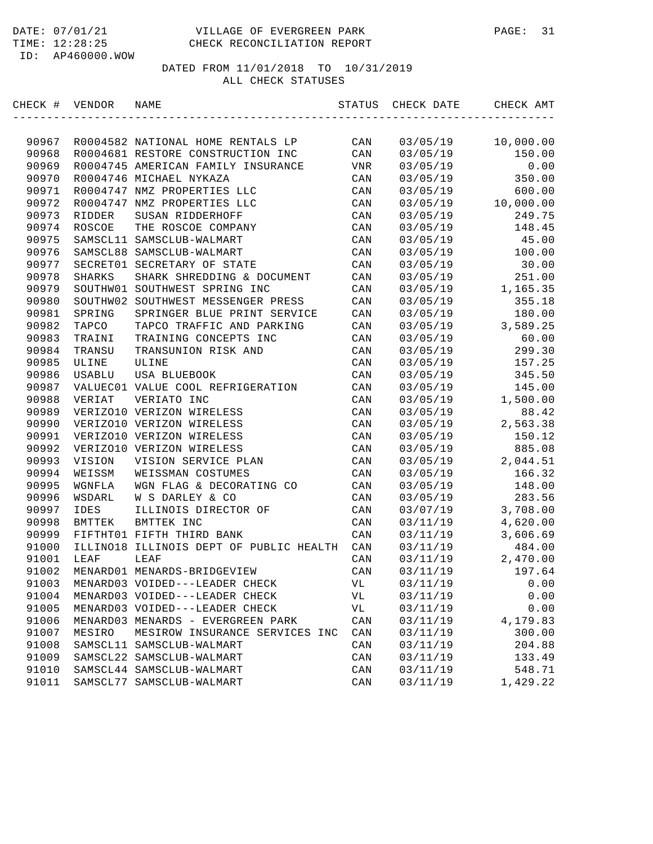| CHECK # | VENDOR        | NAME                                    | STATUS         | CHECK DATE | CHECK AMT |
|---------|---------------|-----------------------------------------|----------------|------------|-----------|
|         |               |                                         |                |            |           |
| 90967   |               | R0004582 NATIONAL HOME RENTALS LP       | CAN            | 03/05/19   | 10,000.00 |
| 90968   |               | R0004681 RESTORE CONSTRUCTION INC       | CAN            | 03/05/19   | 150.00    |
| 90969   |               | R0004745 AMERICAN FAMILY INSURANCE      | VNR            | 03/05/19   | 0.00      |
| 90970   |               | R0004746 MICHAEL NYKAZA                 | CAN            | 03/05/19   | 350.00    |
| 90971   |               | R0004747 NMZ PROPERTIES LLC             | CAN            | 03/05/19   | 600.00    |
| 90972   |               | R0004747 NMZ PROPERTIES LLC             | CAN            | 03/05/19   | 10,000.00 |
| 90973   | RIDDER        | SUSAN RIDDERHOFF                        | CAN            | 03/05/19   | 249.75    |
| 90974   | ROSCOE        | THE ROSCOE COMPANY                      | CAN            | 03/05/19   | 148.45    |
| 90975   |               | SAMSCL11 SAMSCLUB-WALMART               | CAN            | 03/05/19   | 45.00     |
| 90976   |               | SAMSCL88 SAMSCLUB-WALMART               | CAN            | 03/05/19   | 100.00    |
| 90977   |               | SECRET01 SECRETARY OF STATE             | CAN            | 03/05/19   | 30.00     |
| 90978   | <b>SHARKS</b> | SHARK SHREDDING & DOCUMENT              | CAN            | 03/05/19   | 251.00    |
| 90979   |               | SOUTHW01 SOUTHWEST SPRING INC           | CAN            | 03/05/19   | 1,165.35  |
| 90980   | SOUTHW02      | SOUTHWEST MESSENGER PRESS               | CAN            | 03/05/19   | 355.18    |
| 90981   | SPRING        | SPRINGER BLUE PRINT SERVICE             | CAN            | 03/05/19   | 180.00    |
| 90982   | TAPCO         | TAPCO TRAFFIC AND PARKING               | CAN            | 03/05/19   | 3,589.25  |
| 90983   | TRAINI        | TRAINING CONCEPTS INC                   | CAN            | 03/05/19   | 60.00     |
| 90984   | TRANSU        | TRANSUNION RISK AND                     | CAN            | 03/05/19   | 299.30    |
| 90985   | ULINE         | ULINE                                   | CAN            | 03/05/19   | 157.25    |
| 90986   | USABLU        | USA BLUEBOOK                            | CAN            | 03/05/19   | 345.50    |
| 90987   |               | VALUEC01 VALUE COOL REFRIGERATION       | CAN            | 03/05/19   | 145.00    |
| 90988   | VERIAT        | VERIATO INC                             | CAN            | 03/05/19   | 1,500.00  |
| 90989   |               | VERIZO10 VERIZON WIRELESS               | CAN            | 03/05/19   | 88.42     |
| 90990   |               | VERIZO10 VERIZON WIRELESS               | CAN            | 03/05/19   | 2,563.38  |
| 90991   |               | VERIZO10 VERIZON WIRELESS               | CAN            | 03/05/19   | 150.12    |
| 90992   |               | VERIZO10 VERIZON WIRELESS               | CAN            | 03/05/19   | 885.08    |
| 90993   | VISION        | VISION SERVICE PLAN                     | CAN            | 03/05/19   | 2,044.51  |
| 90994   | WEISSM        | WEISSMAN COSTUMES                       | CAN            | 03/05/19   | 166.32    |
| 90995   | WGNFLA        | WGN FLAG & DECORATING CO                | CAN            | 03/05/19   | 148.00    |
| 90996   | WSDARL        | W S DARLEY & CO                         | CAN            | 03/05/19   | 283.56    |
| 90997   | IDES          | ILLINOIS DIRECTOR OF                    | CAN            | 03/07/19   | 3,708.00  |
| 90998   | BMTTEK        | BMTTEK INC                              | CAN            | 03/11/19   | 4,620.00  |
| 90999   |               | FIFTHT01 FIFTH THIRD BANK               | CAN            | 03/11/19   | 3,606.69  |
| 91000   |               | ILLINO18 ILLINOIS DEPT OF PUBLIC HEALTH | CAN            | 03/11/19   | 484.00    |
| 91001   | LEAF          | LEAF                                    | CAN            | 03/11/19   | 2,470.00  |
| 91002   |               | MENARD01 MENARDS-BRIDGEVIEW             | CAN            | 03/11/19   | 197.64    |
| 91003   |               | MENARD03 VOIDED---LEADER CHECK          | VL             | 03/11/19   | 0.00      |
| 91004   |               | MENARD03 VOIDED---LEADER CHECK          | VL             | 03/11/19   | 0.00      |
| 91005   |               | MENARD03 VOIDED---LEADER CHECK          | VL             | 03/11/19   | 0.00      |
| 91006   |               | MENARD03 MENARDS - EVERGREEN PARK       | CAN            | 03/11/19   | 4,179.83  |
| 91007   | MESIRO        | MESIROW INSURANCE SERVICES INC          | $\mathtt{CAN}$ | 03/11/19   | 300.00    |
| 91008   |               | SAMSCL11 SAMSCLUB-WALMART               | CAN            | 03/11/19   | 204.88    |
| 91009   |               | SAMSCL22 SAMSCLUB-WALMART               | CAN            | 03/11/19   | 133.49    |
| 91010   |               | SAMSCL44 SAMSCLUB-WALMART               | CAN            | 03/11/19   | 548.71    |
| 91011   |               | SAMSCL77 SAMSCLUB-WALMART               | CAN            | 03/11/19   | 1,429.22  |
|         |               |                                         |                |            |           |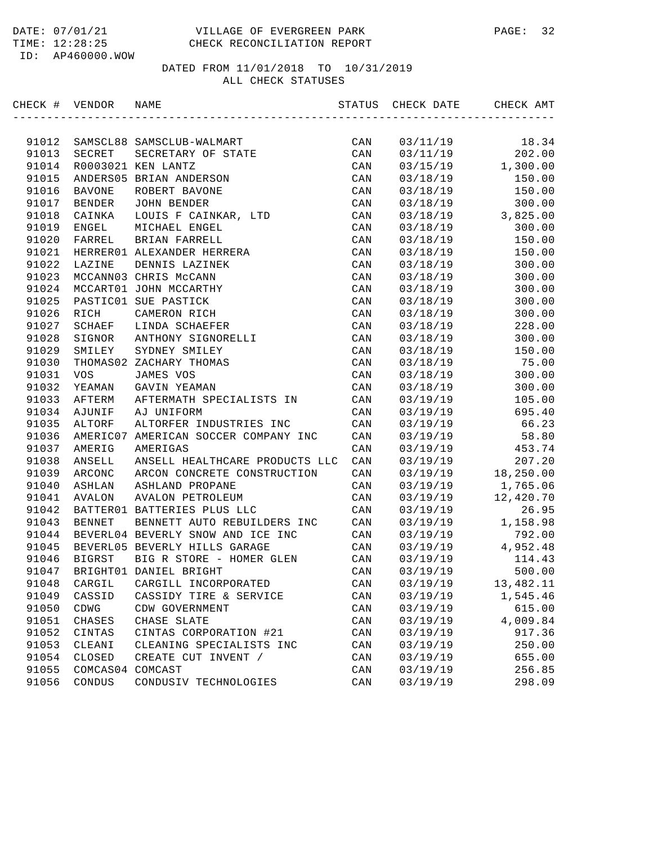| CHECK # VENDOR |               | NAME                                 | STATUS | CHECK DATE | CHECK AMT |
|----------------|---------------|--------------------------------------|--------|------------|-----------|
|                |               |                                      |        |            |           |
| 91012          |               | SAMSCL88 SAMSCLUB-WALMART            | CAN    | 03/11/19   | 18.34     |
| 91013          | SECRET        | SECRETARY OF STATE                   | CAN    | 03/11/19   | 202.00    |
| 91014          |               | R0003021 KEN LANTZ                   | CAN    | 03/15/19   | 1,300.00  |
| 91015          |               | ANDERS05 BRIAN ANDERSON              | CAN    | 03/18/19   | 150.00    |
| 91016          | <b>BAVONE</b> | ROBERT BAVONE                        | CAN    | 03/18/19   | 150.00    |
| 91017          | BENDER        | JOHN BENDER                          | CAN    | 03/18/19   | 300.00    |
| 91018          | CAINKA        | LOUIS F CAINKAR, LTD                 | CAN    | 03/18/19   | 3,825.00  |
| 91019          | ENGEL         | MICHAEL ENGEL                        | CAN    | 03/18/19   | 300.00    |
| 91020          | FARREL        | BRIAN FARRELL                        | CAN    | 03/18/19   | 150.00    |
| 91021          |               | HERRER01 ALEXANDER HERRERA           | CAN    | 03/18/19   | 150.00    |
| 91022          | LAZINE        | DENNIS LAZINEK                       | CAN    | 03/18/19   | 300.00    |
| 91023          |               | MCCANN03 CHRIS McCANN                | CAN    | 03/18/19   | 300.00    |
| 91024          |               | MCCART01 JOHN MCCARTHY               | CAN    | 03/18/19   | 300.00    |
| 91025          |               | PASTIC01 SUE PASTICK                 | CAN    | 03/18/19   | 300.00    |
| 91026          | RICH          | CAMERON RICH                         | CAN    | 03/18/19   | 300.00    |
| 91027          | SCHAEF        | LINDA SCHAEFER                       | CAN    | 03/18/19   | 228.00    |
| 91028          | SIGNOR        | ANTHONY SIGNORELLI                   | CAN    | 03/18/19   | 300.00    |
| 91029          | SMILEY        | SYDNEY SMILEY                        | CAN    | 03/18/19   | 150.00    |
| 91030          |               | THOMAS02 ZACHARY THOMAS              | CAN    | 03/18/19   | 75.00     |
| 91031          | <b>VOS</b>    | JAMES VOS                            | CAN    | 03/18/19   | 300.00    |
| 91032          | YEAMAN        | GAVIN YEAMAN                         | CAN    | 03/18/19   | 300.00    |
| 91033          | AFTERM        | AFTERMATH SPECIALISTS IN             | CAN    | 03/19/19   | 105.00    |
| 91034          | AJUNIF        | AJ UNIFORM                           | CAN    | 03/19/19   | 695.40    |
| 91035          | ALTORF        | ALTORFER INDUSTRIES INC              | CAN    | 03/19/19   | 66.23     |
| 91036          |               | AMERIC07 AMERICAN SOCCER COMPANY INC | CAN    | 03/19/19   | 58.80     |
| 91037          | AMERIG        | AMERIGAS                             | CAN    | 03/19/19   | 453.74    |
| 91038          | ANSELL        | ANSELL HEALTHCARE PRODUCTS LLC       | CAN    | 03/19/19   | 207.20    |
| 91039          | ARCONC        | ARCON CONCRETE CONSTRUCTION          | CAN    | 03/19/19   | 18,250.00 |
| 91040          | ASHLAN        | ASHLAND PROPANE                      | CAN    | 03/19/19   | 1,765.06  |
| 91041          | AVALON        | AVALON PETROLEUM                     | CAN    | 03/19/19   | 12,420.70 |
| 91042          |               | BATTER01 BATTERIES PLUS LLC          | CAN    | 03/19/19   | 26.95     |
| 91043          | <b>BENNET</b> | BENNETT AUTO REBUILDERS INC          | CAN    | 03/19/19   | 1,158.98  |
| 91044          |               | BEVERL04 BEVERLY SNOW AND ICE INC    | CAN    | 03/19/19   | 792.00    |
| 91045          |               | BEVERL05 BEVERLY HILLS GARAGE        | CAN    | 03/19/19   | 4,952.48  |
| 91046          | BIGRST        | BIG R STORE - HOMER GLEN             | CAN    | 03/19/19   | 114.43    |
| 91047          |               | BRIGHT01 DANIEL BRIGHT               | CAN    | 03/19/19   | 500.00    |
| 91048          | CARGIL        | CARGILL INCORPORATED                 | CAN    | 03/19/19   | 13,482.11 |
| 91049          | CASSID        | CASSIDY TIRE & SERVICE               | CAN    | 03/19/19   | 1,545.46  |
| 91050          | CDWG          | CDW GOVERNMENT                       | CAN    | 03/19/19   | 615.00    |
| 91051          | CHASES        | CHASE SLATE                          | CAN    | 03/19/19   | 4,009.84  |
| 91052          | CINTAS        | CINTAS CORPORATION #21               | CAN    | 03/19/19   | 917.36    |
| 91053          | CLEANI        | CLEANING SPECIALISTS INC             | CAN    | 03/19/19   | 250.00    |
| 91054          | CLOSED        | CREATE CUT INVENT /                  | CAN    | 03/19/19   | 655.00    |
| 91055          | COMCAS04      | COMCAST                              | CAN    | 03/19/19   | 256.85    |
| 91056          | CONDUS        | CONDUSIV TECHNOLOGIES                | CAN    | 03/19/19   | 298.09    |
|                |               |                                      |        |            |           |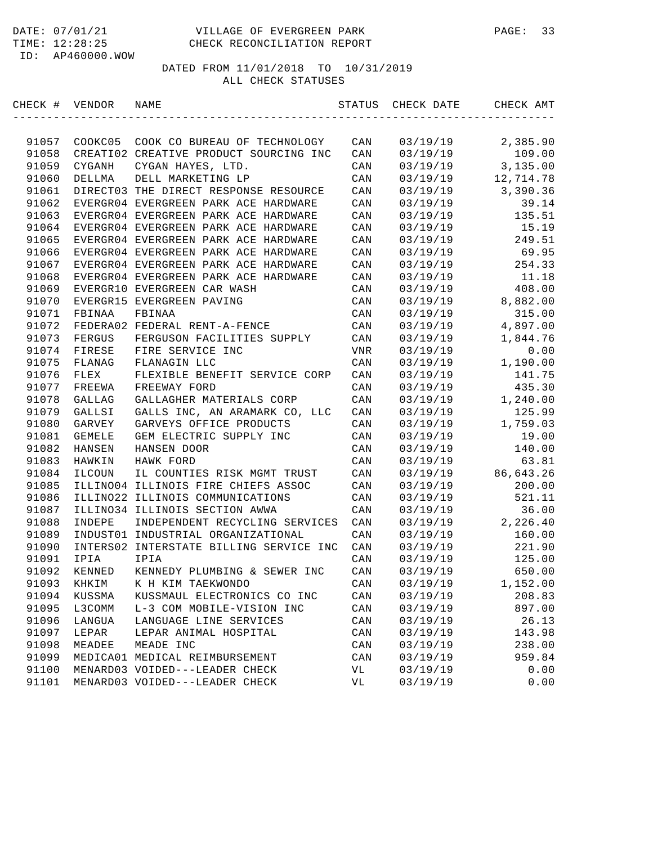| CHECK # | VENDOR        | NAME                                    | STATUS         | CHECK DATE | CHECK AMT |
|---------|---------------|-----------------------------------------|----------------|------------|-----------|
|         |               |                                         |                |            |           |
| 91057   | COOKC05       | COOK CO BUREAU OF TECHNOLOGY            | CAN            | 03/19/19   | 2,385.90  |
| 91058   |               | CREATI02 CREATIVE PRODUCT SOURCING INC  | CAN            | 03/19/19   | 109.00    |
| 91059   | CYGANH        | CYGAN HAYES, LTD.                       | CAN            | 03/19/19   | 3,135.00  |
| 91060   | DELLMA        | DELL MARKETING LP                       | CAN            | 03/19/19   | 12,714.78 |
| 91061   |               | DIRECT03 THE DIRECT RESPONSE RESOURCE   | CAN            | 03/19/19   | 3,390.36  |
| 91062   |               | EVERGR04 EVERGREEN PARK ACE HARDWARE    | CAN            | 03/19/19   | 39.14     |
| 91063   |               | EVERGR04 EVERGREEN PARK ACE HARDWARE    | CAN            | 03/19/19   | 135.51    |
| 91064   |               | EVERGR04 EVERGREEN PARK ACE HARDWARE    | CAN            | 03/19/19   | 15.19     |
| 91065   |               | EVERGR04 EVERGREEN PARK ACE HARDWARE    | CAN            | 03/19/19   | 249.51    |
| 91066   |               | EVERGR04 EVERGREEN PARK ACE HARDWARE    | CAN            | 03/19/19   | 69.95     |
| 91067   |               | EVERGR04 EVERGREEN PARK ACE HARDWARE    | CAN            | 03/19/19   | 254.33    |
| 91068   |               | EVERGR04 EVERGREEN PARK ACE HARDWARE    | CAN            | 03/19/19   | 11.18     |
| 91069   |               | EVERGR10 EVERGREEN CAR WASH             | CAN            | 03/19/19   | 408.00    |
| 91070   |               | EVERGR15 EVERGREEN PAVING               | CAN            | 03/19/19   | 8,882.00  |
| 91071   | FBINAA        | FBINAA                                  | CAN            | 03/19/19   | 315.00    |
| 91072   |               | FEDERA02 FEDERAL RENT-A-FENCE           | CAN            | 03/19/19   | 4,897.00  |
| 91073   | FERGUS        | FERGUSON FACILITIES SUPPLY              | CAN            | 03/19/19   | 1,844.76  |
| 91074   | FIRESE        | FIRE SERVICE INC                        | VNR            | 03/19/19   | 0.00      |
| 91075   | FLANAG        | FLANAGIN LLC                            | CAN            | 03/19/19   | 1,190.00  |
| 91076   | FLEX          | FLEXIBLE BENEFIT SERVICE CORP           | CAN            | 03/19/19   | 141.75    |
| 91077   | FREEWA        | FREEWAY FORD                            | CAN            | 03/19/19   | 435.30    |
| 91078   | GALLAG        | GALLAGHER MATERIALS CORP                | CAN            | 03/19/19   | 1,240.00  |
| 91079   | GALLSI        | GALLS INC, AN ARAMARK CO, LLC           | CAN            | 03/19/19   | 125.99    |
| 91080   | GARVEY        | GARVEYS OFFICE PRODUCTS                 | CAN            | 03/19/19   | 1,759.03  |
| 91081   | <b>GEMELE</b> | GEM ELECTRIC SUPPLY INC                 | CAN            | 03/19/19   | 19.00     |
| 91082   | HANSEN        | HANSEN DOOR                             | CAN            | 03/19/19   | 140.00    |
| 91083   | HAWKIN        | HAWK FORD                               | CAN            | 03/19/19   | 63.81     |
| 91084   | ILCOUN        | IL COUNTIES RISK MGMT TRUST             | CAN            | 03/19/19   | 86,643.26 |
| 91085   |               | ILLINO04 ILLINOIS FIRE CHIEFS ASSOC     | CAN            | 03/19/19   | 200.00    |
| 91086   |               | ILLINO22 ILLINOIS COMMUNICATIONS        | CAN            | 03/19/19   | 521.11    |
| 91087   |               | ILLINO34 ILLINOIS SECTION AWWA          | CAN            | 03/19/19   | 36.00     |
| 91088   | INDEPE        | INDEPENDENT RECYCLING SERVICES          | CAN            | 03/19/19   | 2,226.40  |
| 91089   |               | INDUST01 INDUSTRIAL ORGANIZATIONAL      | CAN            | 03/19/19   | 160.00    |
| 91090   |               | INTERS02 INTERSTATE BILLING SERVICE INC | CAN            | 03/19/19   | 221.90    |
| 91091   | IPIA          | IPIA                                    | CAN            | 03/19/19   | 125.00    |
| 91092   | KENNED        | KENNEDY PLUMBING & SEWER INC            | CAN            | 03/19/19   | 650.00    |
| 91093   | KHKIM         | K H KIM TAEKWONDO                       | CAN            | 03/19/19   | 1,152.00  |
| 91094   | KUSSMA        | KUSSMAUL ELECTRONICS CO INC             | CAN            | 03/19/19   | 208.83    |
| 91095   | L3COMM        | L-3 COM MOBILE-VISION INC               | $\mathtt{CAN}$ | 03/19/19   | 897.00    |
| 91096   | LANGUA        | LANGUAGE LINE SERVICES                  | CAN            | 03/19/19   | 26.13     |
| 91097   | LEPAR         | LEPAR ANIMAL HOSPITAL                   | CAN            | 03/19/19   | 143.98    |
| 91098   | MEADEE        | MEADE INC                               | CAN            | 03/19/19   | 238.00    |
| 91099   |               | MEDICA01 MEDICAL REIMBURSEMENT          | CAN            | 03/19/19   | 959.84    |
| 91100   |               | MENARD03 VOIDED---LEADER CHECK          | VL             | 03/19/19   | 0.00      |
| 91101   |               | MENARD03 VOIDED---LEADER CHECK          | VL             | 03/19/19   | 0.00      |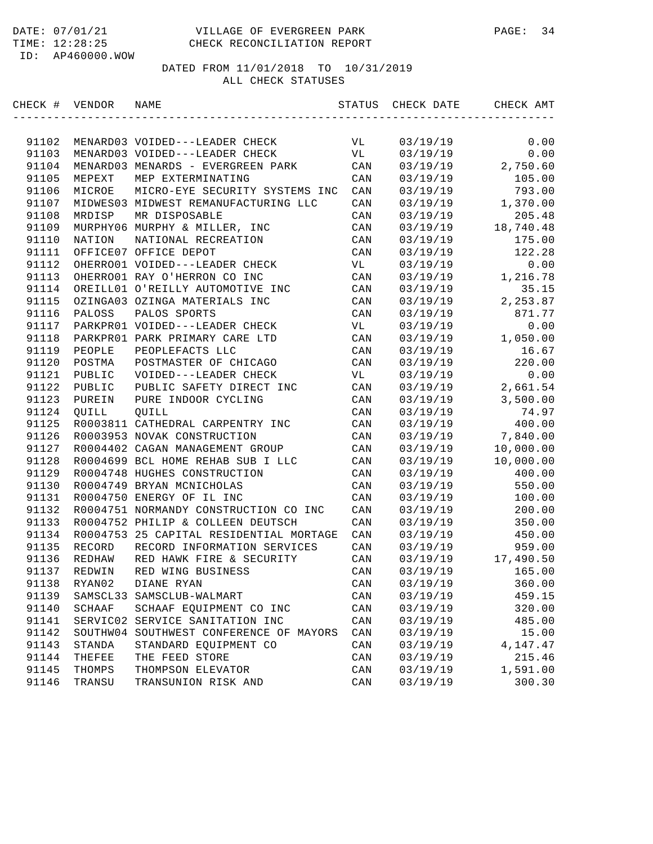| CHECK # VENDOR |          | NAME                                    | STATUS         | CHECK DATE | CHECK AMT |
|----------------|----------|-----------------------------------------|----------------|------------|-----------|
|                |          |                                         |                |            |           |
| 91102          |          | MENARD03 VOIDED---LEADER CHECK          | VL             | 03/19/19   | 0.00      |
| 91103          |          | MENARD03 VOIDED---LEADER CHECK          | VL             | 03/19/19   | 0.00      |
| 91104          |          | MENARD03 MENARDS - EVERGREEN PARK       | CAN            | 03/19/19   | 2,750.60  |
| 91105          | MEPEXT   | MEP EXTERMINATING                       | CAN            | 03/19/19   | 105.00    |
| 91106          | MICROE   | MICRO-EYE SECURITY SYSTEMS INC          | CAN            | 03/19/19   | 793.00    |
| 91107          |          | MIDWES03 MIDWEST REMANUFACTURING LLC    | CAN            | 03/19/19   | 1,370.00  |
| 91108          | MRDISP   | MR DISPOSABLE                           | CAN            | 03/19/19   | 205.48    |
| 91109          |          | MURPHY06 MURPHY & MILLER, INC           | CAN            | 03/19/19   | 18,740.48 |
| 91110          | NATION   | NATIONAL RECREATION                     | CAN            | 03/19/19   | 175.00    |
| 91111          |          | OFFICE07 OFFICE DEPOT                   | CAN            | 03/19/19   | 122.28    |
| 91112          |          | OHERRO01 VOIDED---LEADER CHECK          | VL             | 03/19/19   | 0.00      |
| 91113          |          | OHERRO01 RAY O'HERRON CO INC            | CAN            | 03/19/19   | 1,216.78  |
| 91114          |          | OREILL01 O'REILLY AUTOMOTIVE INC        | CAN            | 03/19/19   | 35.15     |
| 91115          |          | OZINGA03 OZINGA MATERIALS INC           | CAN            | 03/19/19   | 2,253.87  |
| 91116          | PALOSS   | PALOS SPORTS                            | CAN            | 03/19/19   | 871.77    |
| 91117          |          | PARKPR01 VOIDED---LEADER CHECK          | VL             | 03/19/19   | 0.00      |
| 91118          |          | PARKPR01 PARK PRIMARY CARE LTD          | CAN            | 03/19/19   | 1,050.00  |
| 91119          | PEOPLE   | PEOPLEFACTS LLC                         | CAN            | 03/19/19   | 16.67     |
| 91120          | POSTMA   | POSTMASTER OF CHICAGO                   | CAN            | 03/19/19   | 220.00    |
| 91121          | PUBLIC   | VOIDED---LEADER CHECK                   | VL             | 03/19/19   | 0.00      |
| 91122          | PUBLIC   | PUBLIC SAFETY DIRECT INC                | CAN            | 03/19/19   | 2,661.54  |
| 91123          | PUREIN   | PURE INDOOR CYCLING                     | CAN            | 03/19/19   | 3,500.00  |
| 91124          | QUILL    | QUILL                                   | CAN            | 03/19/19   | 74.97     |
| 91125          |          | R0003811 CATHEDRAL CARPENTRY INC        | CAN            | 03/19/19   | 400.00    |
| 91126          |          | R0003953 NOVAK CONSTRUCTION             | CAN            | 03/19/19   | 7,840.00  |
| 91127          |          | R0004402 CAGAN MANAGEMENT GROUP         | CAN            | 03/19/19   | 10,000.00 |
| 91128          |          | R0004699 BCL HOME REHAB SUB I LLC       | CAN            | 03/19/19   | 10,000.00 |
| 91129          |          | R0004748 HUGHES CONSTRUCTION            | CAN            | 03/19/19   | 400.00    |
| 91130          |          | R0004749 BRYAN MCNICHOLAS               | CAN            | 03/19/19   | 550.00    |
| 91131          |          | R0004750 ENERGY OF IL INC               | CAN            | 03/19/19   | 100.00    |
| 91132          |          | R0004751 NORMANDY CONSTRUCTION CO INC   | CAN            | 03/19/19   | 200.00    |
| 91133          |          | R0004752 PHILIP & COLLEEN DEUTSCH       | CAN            | 03/19/19   | 350.00    |
| 91134          |          | R0004753 25 CAPITAL RESIDENTIAL MORTAGE | CAN            | 03/19/19   | 450.00    |
| 91135          | RECORD   | RECORD INFORMATION SERVICES             | CAN            | 03/19/19   | 959.00    |
| 91136          | REDHAW   | RED HAWK FIRE & SECURITY                | CAN            | 03/19/19   | 17,490.50 |
| 91137          | REDWIN   | RED WING BUSINESS                       | CAN            | 03/19/19   | 165.00    |
| 91138          | RYAN02   | DIANE RYAN                              | CAN            | 03/19/19   | 360.00    |
| 91139          | SAMSCL33 | SAMSCLUB-WALMART                        | CAN            | 03/19/19   | 459.15    |
| 91140          | SCHAAF   | SCHAAF EQUIPMENT CO INC                 | $\mathtt{CAN}$ | 03/19/19   | 320.00    |
| 91141          |          | SERVIC02 SERVICE SANITATION INC         | CAN            | 03/19/19   | 485.00    |
| 91142          | SOUTHW04 | SOUTHWEST CONFERENCE OF MAYORS          | CAN            | 03/19/19   | 15.00     |
| 91143          | STANDA   | STANDARD EQUIPMENT CO                   | CAN            | 03/19/19   | 4,147.47  |
| 91144          | THEFEE   | THE FEED STORE                          | CAN            | 03/19/19   | 215.46    |
| 91145          | THOMPS   | THOMPSON ELEVATOR                       | CAN            | 03/19/19   | 1,591.00  |
| 91146          | TRANSU   | TRANSUNION RISK AND                     | CAN            | 03/19/19   | 300.30    |
|                |          |                                         |                |            |           |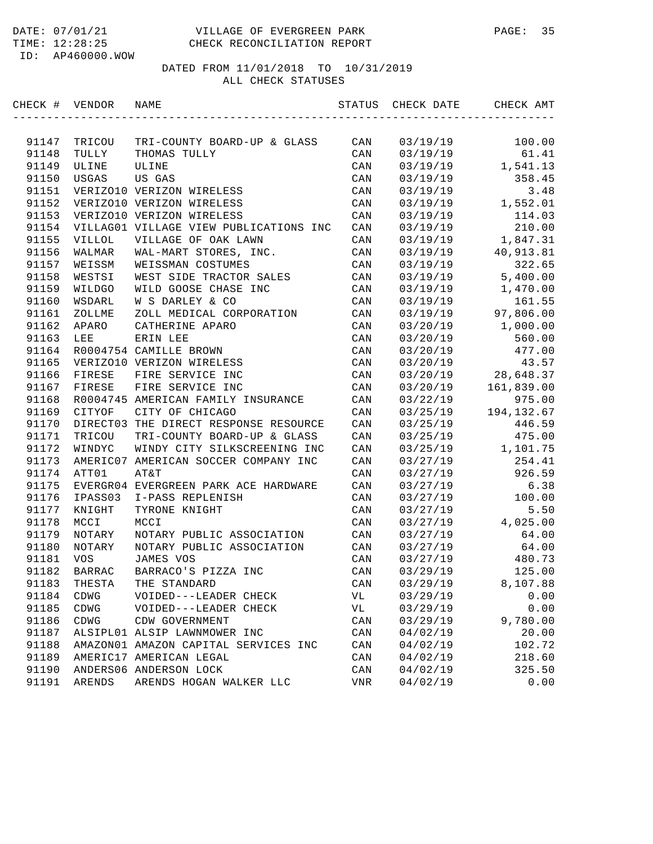#### DATE: 07/01/21 VILLAGE OF EVERGREEN PARK PAGE: 35 TIME: 12:28:25 CHECK RECONCILIATION REPORT

ID: AP460000.WOW

| CHECK # VENDOR |                 | NAME                                        | STATUS     | CHECK DATE           | CHECK AMT  |
|----------------|-----------------|---------------------------------------------|------------|----------------------|------------|
|                |                 |                                             |            |                      | 100.00     |
| 91147<br>91148 | TRICOU<br>TULLY | TRI-COUNTY BOARD-UP & GLASS<br>THOMAS TULLY | CAN<br>CAN | 03/19/19<br>03/19/19 | 61.41      |
| 91149          | ULINE           | ULINE                                       | CAN        | 03/19/19             | 1,541.13   |
| 91150          | <b>USGAS</b>    | US GAS                                      | CAN        | 03/19/19             | 358.45     |
| 91151          |                 | VERIZO10 VERIZON WIRELESS                   | CAN        | 03/19/19             | 3.48       |
| 91152          |                 | VERIZO10 VERIZON WIRELESS                   | CAN        | 03/19/19             | 1,552.01   |
| 91153          |                 | VERIZO10 VERIZON WIRELESS                   | CAN        | 03/19/19             | 114.03     |
| 91154          |                 | VILLAG01 VILLAGE VIEW PUBLICATIONS INC      | CAN        | 03/19/19             | 210.00     |
| 91155          | VILLOL          | VILLAGE OF OAK LAWN                         | CAN        | 03/19/19             | 1,847.31   |
| 91156          | WALMAR          | WAL-MART STORES, INC.                       | CAN        | 03/19/19             | 40,913.81  |
| 91157          | WEISSM          | WEISSMAN COSTUMES                           | CAN        | 03/19/19             | 322.65     |
| 91158          | WESTSI          | WEST SIDE TRACTOR SALES                     | CAN        | 03/19/19             | 5,400.00   |
| 91159          | WILDGO          | WILD GOOSE CHASE INC                        | CAN        | 03/19/19             | 1,470.00   |
| 91160          | WSDARL          | W S DARLEY & CO                             | CAN        | 03/19/19             | 161.55     |
| 91161          | ZOLLME          | ZOLL MEDICAL CORPORATION                    | CAN        | 03/19/19             | 97,806.00  |
| 91162          | APARO           | CATHERINE APARO                             | CAN        | 03/20/19             | 1,000.00   |
| 91163          | LEE             | ERIN LEE                                    | CAN        | 03/20/19             | 560.00     |
| 91164          |                 | R0004754 CAMILLE BROWN                      | CAN        | 03/20/19             | 477.00     |
| 91165          |                 | VERIZO10 VERIZON WIRELESS                   | CAN        | 03/20/19             | 43.57      |
| 91166          | FIRESE          | FIRE SERVICE INC                            | CAN        | 03/20/19             | 28,648.37  |
| 91167          | FIRESE          | FIRE SERVICE INC                            | CAN        | 03/20/19             | 161,839.00 |
| 91168          |                 | R0004745 AMERICAN FAMILY INSURANCE          | CAN        | 03/22/19             | 975.00     |
| 91169          | CITYOF          | CITY OF CHICAGO                             | CAN        | 03/25/19             | 194,132.67 |
| 91170          |                 | DIRECT03 THE DIRECT RESPONSE RESOURCE       | CAN        | 03/25/19             | 446.59     |
| 91171          | TRICOU          | TRI-COUNTY BOARD-UP & GLASS                 | CAN        | 03/25/19             | 475.00     |
| 91172          | WINDYC          | WINDY CITY SILKSCREENING INC                | CAN        | 03/25/19             | 1,101.75   |
| 91173          |                 | AMERIC07 AMERICAN SOCCER COMPANY INC        | CAN        | 03/27/19             | 254.41     |
| 91174          | ATT01           | AT&T                                        | CAN        | 03/27/19             | 926.59     |
| 91175          |                 | EVERGR04 EVERGREEN PARK ACE HARDWARE        | CAN        | 03/27/19             | 6.38       |
| 91176          | IPASS03         | I-PASS REPLENISH                            | CAN        | 03/27/19             | 100.00     |
| 91177          | KNIGHT          | TYRONE KNIGHT                               | CAN        | 03/27/19             | 5.50       |
| 91178          | MCCI            | MCCI                                        | CAN        | 03/27/19             | 4,025.00   |
| 91179          | NOTARY          | NOTARY PUBLIC ASSOCIATION                   | CAN        | 03/27/19             | 64.00      |
| 91180          | NOTARY          | NOTARY PUBLIC ASSOCIATION                   | CAN        | 03/27/19             | 64.00      |
| 91181          | <b>VOS</b>      | JAMES VOS                                   | CAN        | 03/27/19             | 480.73     |
| 91182          | <b>BARRAC</b>   | BARRACO'S PIZZA INC                         | CAN        | 03/29/19             | 125.00     |
| 91183          | THESTA          | THE STANDARD                                | CAN        | 03/29/19             | 8,107.88   |
| 91184          | CDWG            | VOIDED---LEADER CHECK                       | VL         | 03/29/19             | 0.00       |
| 91185          | CDWG            | VOIDED---LEADER CHECK                       | VL         | 03/29/19             | 0.00       |
| 91186          | CDWG            | CDW GOVERNMENT                              | CAN        | 03/29/19             | 9,780.00   |
| 91187          |                 | ALSIPL01 ALSIP LAWNMOWER INC                | CAN        | 04/02/19             | 20.00      |
| 91188          |                 | AMAZON01 AMAZON CAPITAL SERVICES INC        | CAN        | 04/02/19             | 102.72     |
| 91189          |                 | AMERIC17 AMERICAN LEGAL                     | CAN        | 04/02/19             | 218.60     |
| 91190          |                 | ANDERS06 ANDERSON LOCK                      | CAN        | 04/02/19             | 325.50     |
| 91191          | ARENDS          | ARENDS HOGAN WALKER LLC                     | VNR        | 04/02/19             | 0.00       |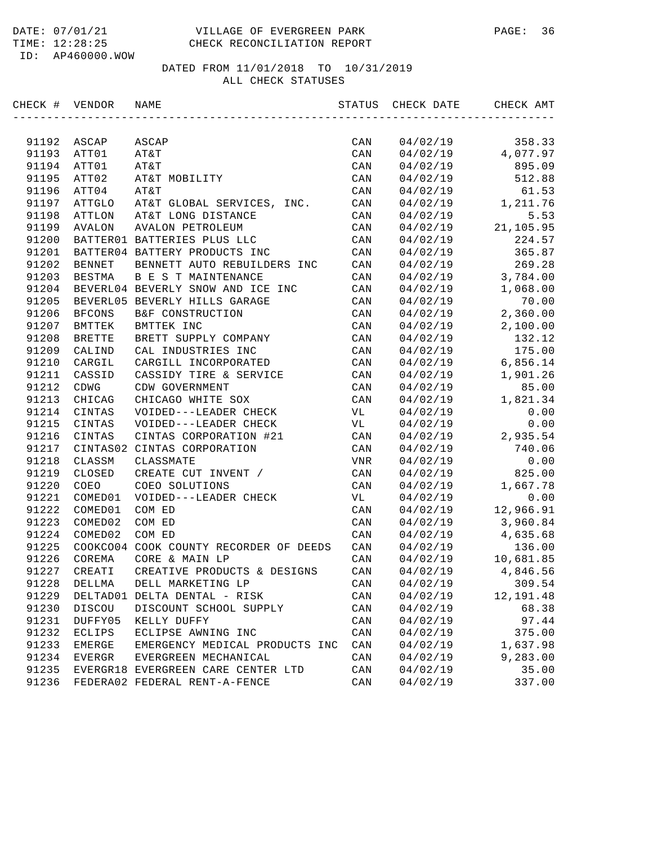#### DATE: 07/01/21 VILLAGE OF EVERGREEN PARK PAGE: 36 TIME: 12:28:25 CHECK RECONCILIATION REPORT

| CHECK # | VENDOR        | NAME                                   | STATUS         | CHECK DATE | CHECK AMT |
|---------|---------------|----------------------------------------|----------------|------------|-----------|
|         |               |                                        |                |            |           |
| 91192   | ASCAP         | ASCAP                                  | CAN            | 04/02/19   | 358.33    |
| 91193   | ATT01         | AT&T                                   | CAN            | 04/02/19   | 4,077.97  |
| 91194   | ATT01         | AT&T                                   | CAN            | 04/02/19   | 895.09    |
| 91195   | ATT02         | AT&T MOBILITY                          | CAN            | 04/02/19   | 512.88    |
| 91196   | ATT04         | AT&T                                   | CAN            | 04/02/19   | 61.53     |
| 91197   | ATTGLO        | AT&T GLOBAL SERVICES, INC.             | CAN            | 04/02/19   | 1,211.76  |
| 91198   | <b>ATTLON</b> | AT&T LONG DISTANCE                     | CAN            | 04/02/19   | 5.53      |
| 91199   | AVALON        | <b>AVALON PETROLEUM</b>                | CAN            | 04/02/19   | 21,105.95 |
| 91200   |               | BATTER01 BATTERIES PLUS LLC            | CAN            | 04/02/19   | 224.57    |
| 91201   |               | BATTER04 BATTERY PRODUCTS INC          | CAN            | 04/02/19   | 365.87    |
| 91202   | <b>BENNET</b> | BENNETT AUTO REBUILDERS INC            | CAN            | 04/02/19   | 269.28    |
| 91203   | BESTMA        | <b>B E S T MAINTENANCE</b>             | CAN            | 04/02/19   | 3,784.00  |
| 91204   |               | BEVERL04 BEVERLY SNOW AND ICE INC      | CAN            | 04/02/19   | 1,068.00  |
| 91205   |               | BEVERL05 BEVERLY HILLS GARAGE          | CAN            | 04/02/19   | 70.00     |
| 91206   | <b>BFCONS</b> | B&F CONSTRUCTION                       | CAN            | 04/02/19   | 2,360.00  |
| 91207   | BMTTEK        | BMTTEK INC                             | CAN            | 04/02/19   | 2,100.00  |
| 91208   | <b>BRETTE</b> | BRETT SUPPLY COMPANY                   | CAN            | 04/02/19   | 132.12    |
| 91209   | CALIND        | CAL INDUSTRIES INC                     | CAN            | 04/02/19   | 175.00    |
| 91210   | CARGIL        | CARGILL INCORPORATED                   | CAN            | 04/02/19   | 6,856.14  |
| 91211   | CASSID        | CASSIDY TIRE & SERVICE                 | CAN            | 04/02/19   | 1,901.26  |
| 91212   | CDWG          | CDW GOVERNMENT                         | CAN            | 04/02/19   | 85.00     |
| 91213   | CHICAG        | CHICAGO WHITE SOX                      | CAN            | 04/02/19   | 1,821.34  |
| 91214   | CINTAS        | VOIDED---LEADER CHECK                  | VL             | 04/02/19   | 0.00      |
| 91215   | CINTAS        | VOIDED---LEADER CHECK                  | VL             | 04/02/19   | 0.00      |
| 91216   | CINTAS        | CINTAS CORPORATION #21                 | CAN            | 04/02/19   | 2,935.54  |
| 91217   | CINTAS02      | CINTAS CORPORATION                     | CAN            | 04/02/19   | 740.06    |
| 91218   | CLASSM        | CLASSMATE                              | VNR            | 04/02/19   | 0.00      |
| 91219   | CLOSED        | CREATE CUT INVENT /                    | CAN            | 04/02/19   | 825.00    |
| 91220   | COEO          | COEO SOLUTIONS                         | CAN            | 04/02/19   | 1,667.78  |
| 91221   | COMED01       | VOIDED---LEADER CHECK                  | VL             | 04/02/19   | 0.00      |
| 91222   | COMED01       | COM ED                                 | CAN            | 04/02/19   | 12,966.91 |
| 91223   | COMED02       | COM ED                                 | CAN            | 04/02/19   | 3,960.84  |
| 91224   | COMED02       | COM ED                                 | CAN            | 04/02/19   | 4,635.68  |
| 91225   |               | COOKCO04 COOK COUNTY RECORDER OF DEEDS | CAN            | 04/02/19   | 136.00    |
| 91226   | COREMA        | CORE & MAIN LP                         | CAN            | 04/02/19   | 10,681.85 |
| 91227   | CREATI        | CREATIVE PRODUCTS & DESIGNS            | CAN            | 04/02/19   | 4,846.56  |
| 91228   | DELLMA        | DELL MARKETING LP                      | CAN            | 04/02/19   | 309.54    |
| 91229   |               | DELTAD01 DELTA DENTAL - RISK           | CAN            | 04/02/19   | 12,191.48 |
| 91230   | DISCOU        | DISCOUNT SCHOOL SUPPLY                 | $\mathtt{CAN}$ | 04/02/19   | 68.38     |
| 91231   | DUFFY05       | KELLY DUFFY                            | CAN            | 04/02/19   | 97.44     |
| 91232   | ECLIPS        | ECLIPSE AWNING INC                     | CAN            | 04/02/19   | 375.00    |
| 91233   | EMERGE        | EMERGENCY MEDICAL PRODUCTS INC         | CAN            | 04/02/19   | 1,637.98  |
| 91234   | EVERGR        | EVERGREEN MECHANICAL                   | CAN            | 04/02/19   | 9,283.00  |
| 91235   |               | EVERGR18 EVERGREEN CARE CENTER LTD     | CAN            | 04/02/19   | 35.00     |
| 91236   |               | FEDERA02 FEDERAL RENT-A-FENCE          | $\mathtt{CAN}$ | 04/02/19   | 337.00    |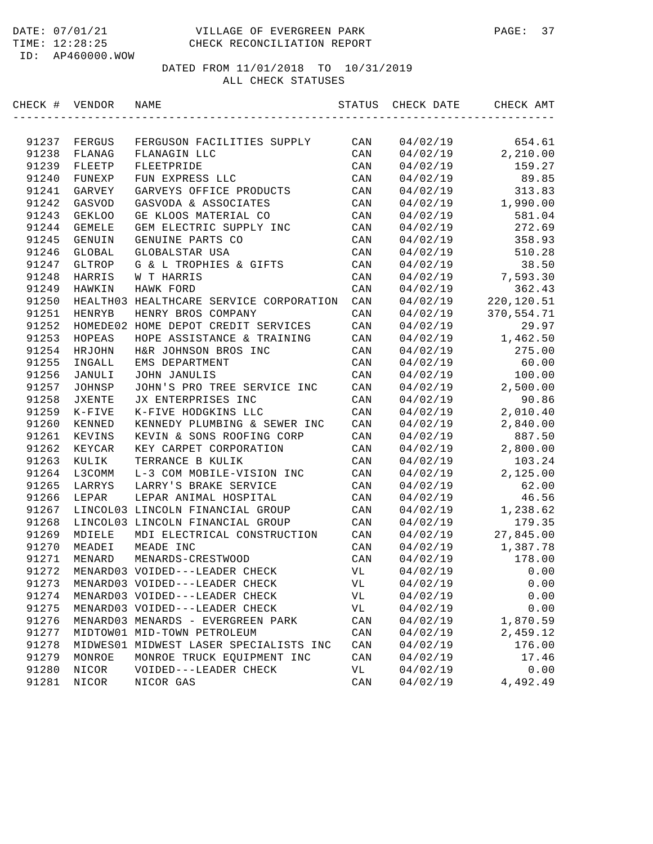| CHECK #        | VENDOR        | NAME                                    | STATUS         | CHECK DATE | CHECK AMT  |
|----------------|---------------|-----------------------------------------|----------------|------------|------------|
|                |               |                                         |                |            |            |
| 91237          | FERGUS        | FERGUSON FACILITIES SUPPLY              | CAN            | 04/02/19   | 654.61     |
| 91238          | FLANAG        | FLANAGIN LLC                            | CAN            | 04/02/19   | 2,210.00   |
| 91239          | FLEETP        | FLEETPRIDE                              | CAN            | 04/02/19   | 159.27     |
| 91240          | FUNEXP        | FUN EXPRESS LLC                         | CAN            | 04/02/19   | 89.85      |
| 91241          | GARVEY        | GARVEYS OFFICE PRODUCTS                 | CAN            | 04/02/19   | 313.83     |
| 91242          | GASVOD        | GASVODA & ASSOCIATES                    | CAN            | 04/02/19   | 1,990.00   |
| 91243          | <b>GEKLOO</b> | GE KLOOS MATERIAL CO                    | CAN            | 04/02/19   | 581.04     |
| 91244          | <b>GEMELE</b> | GEM ELECTRIC SUPPLY INC                 | CAN            | 04/02/19   | 272.69     |
| 91245          | GENUIN        | GENUINE PARTS CO                        | CAN            | 04/02/19   | 358.93     |
| 91246          | GLOBAL        | GLOBALSTAR USA                          | CAN            | 04/02/19   | 510.28     |
| 91247          | GLTROP        | G & L TROPHIES & GIFTS                  | CAN            | 04/02/19   | 38.50      |
| 91248          | HARRIS        | W T HARRIS                              | CAN            | 04/02/19   | 7,593.30   |
| 91249          | HAWKIN        | HAWK FORD                               | CAN            | 04/02/19   | 362.43     |
| 91250          |               | HEALTH03 HEALTHCARE SERVICE CORPORATION | CAN            | 04/02/19   | 220,120.51 |
| 91251          | <b>HENRYB</b> | HENRY BROS COMPANY                      | CAN            | 04/02/19   | 370,554.71 |
| 91252          |               | HOMEDE02 HOME DEPOT CREDIT SERVICES     | CAN            | 04/02/19   | 29.97      |
| 91253          | HOPEAS        | HOPE ASSISTANCE & TRAINING              | CAN            | 04/02/19   | 1,462.50   |
| 91254          | HRJOHN        | H&R JOHNSON BROS INC                    | CAN            | 04/02/19   | 275.00     |
| 91255          | INGALL        | EMS DEPARTMENT                          | CAN            | 04/02/19   | 60.00      |
| 91256          | JANULI        | JOHN JANULIS                            | CAN            | 04/02/19   | 100.00     |
| 91257          | JOHNSP        | JOHN'S PRO TREE SERVICE INC             | CAN            | 04/02/19   | 2,500.00   |
| 91258          | <b>JXENTE</b> | JX ENTERPRISES INC                      | CAN            | 04/02/19   | 90.86      |
| 91259          | $K-FIVE$      | K-FIVE HODGKINS LLC                     | CAN            | 04/02/19   | 2,010.40   |
| 91260          | KENNED        | KENNEDY PLUMBING & SEWER INC            | CAN            | 04/02/19   | 2,840.00   |
| 91261          | KEVINS        | KEVIN & SONS ROOFING CORP               | CAN            | 04/02/19   | 887.50     |
| 91262          | KEYCAR        | KEY CARPET CORPORATION                  | CAN            | 04/02/19   | 2,800.00   |
| 91263          | KULIK         | TERRANCE B KULIK                        | CAN            | 04/02/19   | 103.24     |
| 91264          | L3COMM        | L-3 COM MOBILE-VISION INC               | CAN            | 04/02/19   | 2,125.00   |
| 91265          | LARRYS        | LARRY'S BRAKE SERVICE                   | CAN            | 04/02/19   | 62.00      |
| 91266          | LEPAR         | LEPAR ANIMAL HOSPITAL                   | CAN            | 04/02/19   | 46.56      |
| 91267          |               | LINCOL03 LINCOLN FINANCIAL GROUP        | CAN            | 04/02/19   | 1,238.62   |
| 91268          |               | LINCOL03 LINCOLN FINANCIAL GROUP        | CAN            | 04/02/19   | 179.35     |
| 91269          | MDIELE        | MDI ELECTRICAL CONSTRUCTION             | CAN            | 04/02/19   | 27,845.00  |
| 91270          | MEADEI        | MEADE INC                               | CAN            | 04/02/19   |            |
|                |               |                                         |                |            | 1,387.78   |
| 91271<br>91272 | MENARD        | MENARDS-CRESTWOOD                       | CAN            | 04/02/19   | 178.00     |
|                |               | MENARD03 VOIDED---LEADER CHECK          | VL             | 04/02/19   | 0.00       |
| 91273          |               | MENARD03 VOIDED---LEADER CHECK          | VL             | 04/02/19   | 0.00       |
| 91274          |               | MENARD03 VOIDED---LEADER CHECK          | VL             | 04/02/19   | 0.00       |
| 91275          |               | MENARD03 VOIDED---LEADER CHECK          | VL             | 04/02/19   | 0.00       |
| 91276          |               | MENARD03 MENARDS - EVERGREEN PARK       | CAN            | 04/02/19   | 1,870.59   |
| 91277          |               | MIDTOW01 MID-TOWN PETROLEUM             | $\mathtt{CAN}$ | 04/02/19   | 2,459.12   |
| 91278          |               | MIDWES01 MIDWEST LASER SPECIALISTS INC  | CAN            | 04/02/19   | 176.00     |
| 91279          | MONROE        | MONROE TRUCK EQUIPMENT INC              | CAN            | 04/02/19   | 17.46      |
| 91280          | NICOR         | VOIDED---LEADER CHECK                   | VL             | 04/02/19   | 0.00       |
| 91281          | NICOR         | NICOR GAS                               | CAN            | 04/02/19   | 4,492.49   |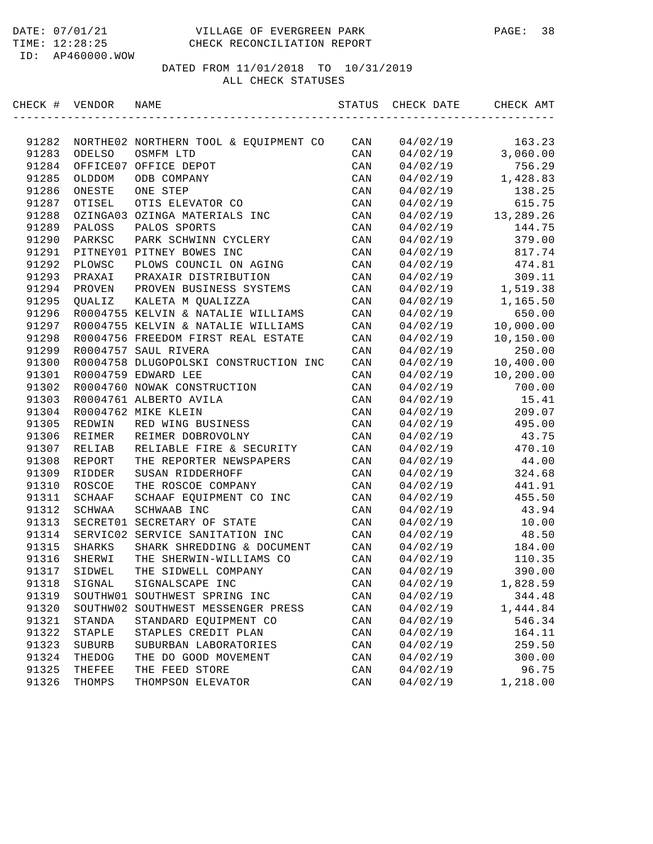| CHECK # | VENDOR   | NAME                                  | STATUS         | CHECK DATE | CHECK AMT |
|---------|----------|---------------------------------------|----------------|------------|-----------|
|         |          |                                       |                |            |           |
| 91282   |          | NORTHE02 NORTHERN TOOL & EQUIPMENT CO | CAN            | 04/02/19   | 163.23    |
| 91283   | ODELSO   | OSMFM LTD                             | CAN            | 04/02/19   | 3,060.00  |
| 91284   |          | OFFICE07 OFFICE DEPOT                 | CAN            | 04/02/19   | 756.29    |
| 91285   | OLDDOM   | ODB COMPANY                           | CAN            | 04/02/19   | 1,428.83  |
| 91286   | ONESTE   | ONE STEP                              | CAN            | 04/02/19   | 138.25    |
| 91287   | OTISEL   | OTIS ELEVATOR CO                      | CAN            | 04/02/19   | 615.75    |
| 91288   |          | OZINGA03 OZINGA MATERIALS INC         | CAN            | 04/02/19   | 13,289.26 |
| 91289   | PALOSS   | PALOS SPORTS                          | CAN            | 04/02/19   | 144.75    |
| 91290   | PARKSC   | PARK SCHWINN CYCLERY                  | CAN            | 04/02/19   | 379.00    |
| 91291   |          | PITNEY01 PITNEY BOWES INC             | CAN            | 04/02/19   | 817.74    |
| 91292   | PLOWSC   | PLOWS COUNCIL ON AGING                | CAN            | 04/02/19   | 474.81    |
| 91293   | PRAXAI   | PRAXAIR DISTRIBUTION                  | CAN            | 04/02/19   | 309.11    |
| 91294   | PROVEN   | PROVEN BUSINESS SYSTEMS               | CAN            | 04/02/19   | 1,519.38  |
| 91295   | QUALIZ   | KALETA M QUALIZZA                     | CAN            | 04/02/19   | 1,165.50  |
| 91296   |          | R0004755 KELVIN & NATALIE WILLIAMS    | CAN            | 04/02/19   | 650.00    |
| 91297   |          | R0004755 KELVIN & NATALIE WILLIAMS    | CAN            | 04/02/19   | 10,000.00 |
| 91298   |          | R0004756 FREEDOM FIRST REAL ESTATE    | CAN            | 04/02/19   | 10,150.00 |
| 91299   |          | R0004757 SAUL RIVERA                  | CAN            | 04/02/19   | 250.00    |
| 91300   |          | R0004758 DLUGOPOLSKI CONSTRUCTION INC | CAN            | 04/02/19   | 10,400.00 |
| 91301   |          | R0004759 EDWARD LEE                   | CAN            | 04/02/19   | 10,200.00 |
| 91302   |          | R0004760 NOWAK CONSTRUCTION           | CAN            | 04/02/19   | 700.00    |
| 91303   |          | R0004761 ALBERTO AVILA                | CAN            | 04/02/19   | 15.41     |
| 91304   |          | R0004762 MIKE KLEIN                   | CAN            | 04/02/19   | 209.07    |
| 91305   | REDWIN   | RED WING BUSINESS                     | CAN            | 04/02/19   | 495.00    |
| 91306   | REIMER   | REIMER DOBROVOLNY                     | CAN            | 04/02/19   | 43.75     |
| 91307   | RELIAB   | RELIABLE FIRE & SECURITY              | CAN            | 04/02/19   | 470.10    |
| 91308   | REPORT   | THE REPORTER NEWSPAPERS               | CAN            | 04/02/19   | 44.00     |
| 91309   | RIDDER   | SUSAN RIDDERHOFF                      | CAN            | 04/02/19   | 324.68    |
| 91310   | ROSCOE   | THE ROSCOE COMPANY                    | CAN            | 04/02/19   | 441.91    |
| 91311   | SCHAAF   | SCHAAF EQUIPMENT CO INC               | CAN            | 04/02/19   | 455.50    |
| 91312   | SCHWAA   | SCHWAAB INC                           | CAN            | 04/02/19   | 43.94     |
| 91313   | SECRET01 | SECRETARY OF STATE                    | CAN            | 04/02/19   | 10.00     |
| 91314   | SERVIC02 | SERVICE SANITATION INC                | CAN            | 04/02/19   | 48.50     |
| 91315   | SHARKS   | SHARK SHREDDING & DOCUMENT            | CAN            | 04/02/19   | 184.00    |
| 91316   | SHERWI   | THE SHERWIN-WILLIAMS CO               | CAN            | 04/02/19   | 110.35    |
| 91317   | SIDWEL   | THE SIDWELL COMPANY                   | CAN            | 04/02/19   | 390.00    |
| 91318   | SIGNAL   | SIGNALSCAPE INC                       | CAN            | 04/02/19   | 1,828.59  |
| 91319   | SOUTHW01 | SOUTHWEST SPRING INC                  | $\mathtt{CAN}$ | 04/02/19   | 344.48    |
| 91320   | SOUTHW02 | SOUTHWEST MESSENGER PRESS             | CAN            | 04/02/19   | 1,444.84  |
| 91321   | STANDA   | STANDARD EQUIPMENT CO                 | CAN            | 04/02/19   | 546.34    |
| 91322   | STAPLE   | STAPLES CREDIT PLAN                   | $\mathtt{CAN}$ | 04/02/19   | 164.11    |
| 91323   | SUBURB   | SUBURBAN LABORATORIES                 | CAN            | 04/02/19   | 259.50    |
| 91324   | THEDOG   | THE DO GOOD MOVEMENT                  | CAN            | 04/02/19   | 300.00    |
| 91325   | THEFEE   | THE FEED STORE                        | $\mathtt{CAN}$ | 04/02/19   | 96.75     |
| 91326   | THOMPS   | THOMPSON ELEVATOR                     | $\mathtt{CAN}$ | 04/02/19   | 1,218.00  |
|         |          |                                       |                |            |           |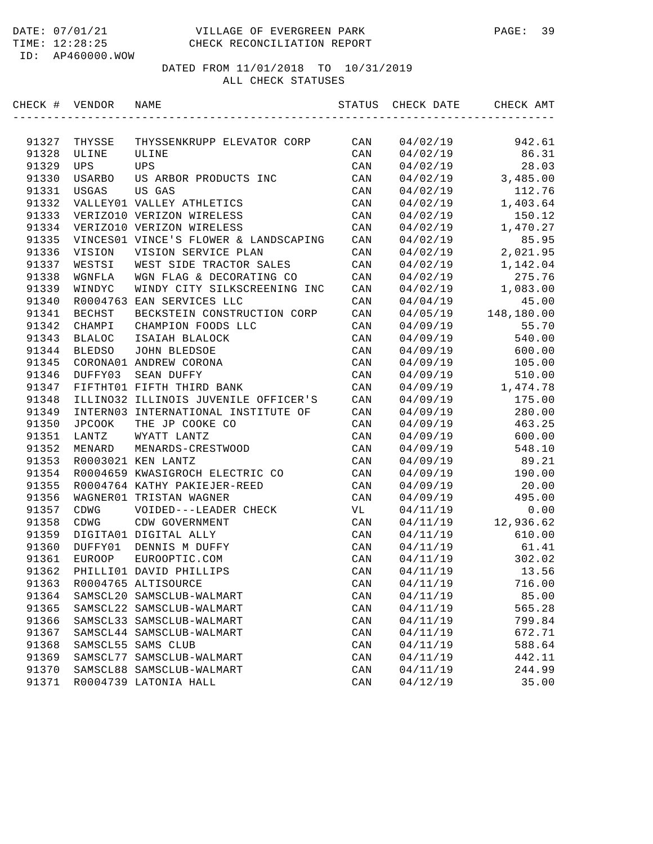#### DATE: 07/01/21 VILLAGE OF EVERGREEN PARK PAGE: 39 TIME: 12:28:25 CHECK RECONCILIATION REPORT

ID: AP460000.WOW

| CHECK # VENDOR |               | NAME                                  | STATUS         | CHECK DATE | CHECK AMT  |
|----------------|---------------|---------------------------------------|----------------|------------|------------|
|                |               |                                       |                |            |            |
| 91327          | THYSSE        | THYSSENKRUPP ELEVATOR CORP            | CAN            | 04/02/19   | 942.61     |
| 91328          | ULINE         | ULINE                                 | CAN            | 04/02/19   | 86.31      |
| 91329          | UPS           | UPS                                   | CAN            | 04/02/19   | 28.03      |
| 91330          | <b>USARBO</b> | US ARBOR PRODUCTS INC                 | CAN            | 04/02/19   | 3,485.00   |
| 91331          | USGAS         | US GAS                                | CAN            | 04/02/19   | 112.76     |
| 91332          |               | VALLEY01 VALLEY ATHLETICS             | CAN            | 04/02/19   | 1,403.64   |
| 91333          |               | VERIZO10 VERIZON WIRELESS             | CAN            | 04/02/19   | 150.12     |
| 91334          |               | VERIZO10 VERIZON WIRELESS             | CAN            | 04/02/19   | 1,470.27   |
| 91335          |               | VINCES01 VINCE'S FLOWER & LANDSCAPING | CAN            | 04/02/19   | 85.95      |
| 91336          | VISION        | VISION SERVICE PLAN                   | CAN            | 04/02/19   | 2,021.95   |
| 91337          | WESTSI        | WEST SIDE TRACTOR SALES               | CAN            | 04/02/19   | 1,142.04   |
| 91338          | WGNFLA        | WGN FLAG & DECORATING CO              | CAN            | 04/02/19   | 275.76     |
| 91339          | WINDYC        | WINDY CITY SILKSCREENING INC          | CAN            | 04/02/19   | 1,083.00   |
| 91340          |               | R0004763 EAN SERVICES LLC             | CAN            | 04/04/19   | 45.00      |
| 91341          | <b>BECHST</b> | BECKSTEIN CONSTRUCTION CORP           | CAN            | 04/05/19   | 148,180.00 |
| 91342          | CHAMPI        | CHAMPION FOODS LLC                    | CAN            | 04/09/19   | 55.70      |
| 91343          | <b>BLALOC</b> | ISAIAH BLALOCK                        | CAN            | 04/09/19   | 540.00     |
| 91344          | <b>BLEDSO</b> | JOHN BLEDSOE                          | CAN            | 04/09/19   | 600.00     |
| 91345          |               | CORONA01 ANDREW CORONA                | CAN            | 04/09/19   | 105.00     |
| 91346          | DUFFY03       | SEAN DUFFY                            | CAN            | 04/09/19   | 510.00     |
| 91347          |               | FIFTHT01 FIFTH THIRD BANK             | CAN            | 04/09/19   | 1,474.78   |
| 91348          |               | ILLINO32 ILLINOIS JUVENILE OFFICER'S  | CAN            | 04/09/19   | 175.00     |
| 91349          |               | INTERN03 INTERNATIONAL INSTITUTE OF   | CAN            | 04/09/19   | 280.00     |
| 91350          | JPCOOK        | THE JP COOKE CO                       | CAN            | 04/09/19   | 463.25     |
| 91351          | LANTZ         | WYATT LANTZ                           | CAN            | 04/09/19   | 600.00     |
| 91352          | MENARD        | MENARDS-CRESTWOOD                     | CAN            | 04/09/19   | 548.10     |
| 91353          |               | R0003021 KEN LANTZ                    | CAN            | 04/09/19   | 89.21      |
| 91354          |               | R0004659 KWASIGROCH ELECTRIC CO       | CAN            | 04/09/19   | 190.00     |
| 91355          |               | R0004764 KATHY PAKIEJER-REED          | CAN            | 04/09/19   | 20.00      |
| 91356          |               | WAGNER01 TRISTAN WAGNER               | CAN            | 04/09/19   | 495.00     |
| 91357          | CDWG          | VOIDED---LEADER CHECK                 | VL             | 04/11/19   | 0.00       |
| 91358          | CDWG          | CDW GOVERNMENT                        | CAN            | 04/11/19   | 12,936.62  |
| 91359          |               | DIGITA01 DIGITAL ALLY                 | CAN            | 04/11/19   | 610.00     |
| 91360          | DUFFY01       | DENNIS M DUFFY                        | CAN            | 04/11/19   | 61.41      |
| 91361          | EUROOP        | EUROOPTIC.COM                         | CAN            | 04/11/19   | 302.02     |
| 91362          |               | PHILLI01 DAVID PHILLIPS               | CAN            | 04/11/19   | 13.56      |
| 91363          |               | R0004765 ALTISOURCE                   | CAN            | 04/11/19   | 716.00     |
| 91364          |               | SAMSCL20 SAMSCLUB-WALMART             | CAN            | 04/11/19   | 85.00      |
| 91365          |               | SAMSCL22 SAMSCLUB-WALMART             | CAN            | 04/11/19   | 565.28     |
| 91366          |               | SAMSCL33 SAMSCLUB-WALMART             | CAN            | 04/11/19   | 799.84     |
| 91367          |               | SAMSCL44 SAMSCLUB-WALMART             | $\mathtt{CAN}$ | 04/11/19   | 672.71     |
| 91368          |               | SAMSCL55 SAMS CLUB                    | CAN            | 04/11/19   | 588.64     |
| 91369          |               | SAMSCL77 SAMSCLUB-WALMART             | CAN            | 04/11/19   | 442.11     |
| 91370          |               | SAMSCL88 SAMSCLUB-WALMART             | $\mathtt{CAN}$ | 04/11/19   | 244.99     |
| 91371          |               | R0004739 LATONIA HALL                 | CAN            | 04/12/19   | 35.00      |
|                |               |                                       |                |            |            |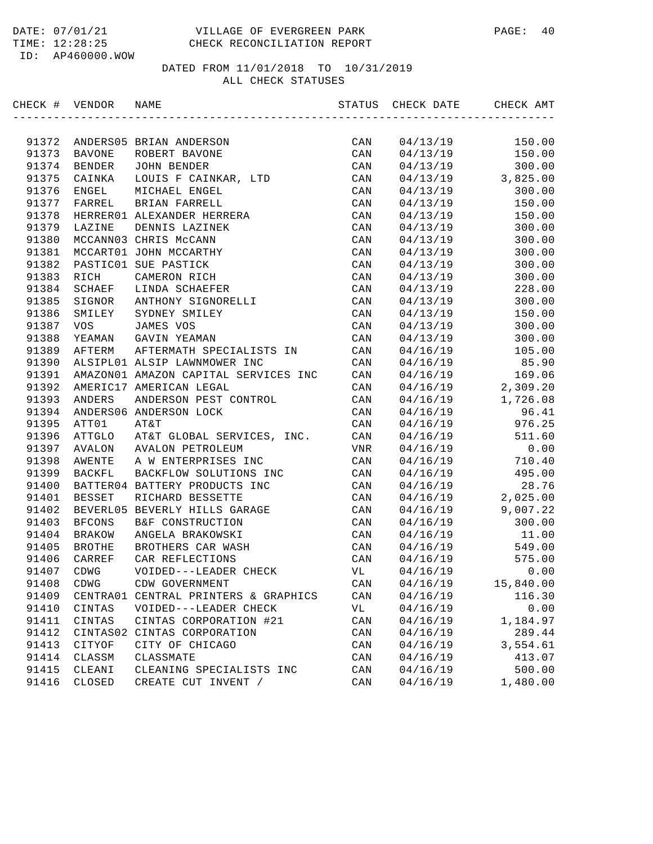| CHECK # VENDOR |                    | NAME                                         | STATUS                | CHECK DATE           | CHECK AMT         |
|----------------|--------------------|----------------------------------------------|-----------------------|----------------------|-------------------|
|                |                    |                                              |                       |                      |                   |
| 91372          |                    | ANDERS05 BRIAN ANDERSON                      | CAN                   | 04/13/19             | 150.00            |
| 91373          | BAVONE             | ROBERT BAVONE                                | CAN                   | 04/13/19             | 150.00            |
| 91374          | BENDER             | JOHN BENDER                                  | CAN                   | 04/13/19             | 300.00            |
| 91375          | CAINKA             | LOUIS F CAINKAR, LTD                         | CAN                   | 04/13/19             | 3,825.00          |
| 91376          | ENGEL              | MICHAEL ENGEL                                | CAN                   | 04/13/19             | 300.00            |
| 91377          | FARREL             | BRIAN FARRELL                                | CAN                   | 04/13/19             | 150.00            |
| 91378          |                    | HERRER01 ALEXANDER HERRERA                   | CAN                   | 04/13/19             | 150.00            |
| 91379          | LAZINE             | DENNIS LAZINEK                               | CAN                   | 04/13/19             | 300.00            |
| 91380          |                    | MCCANN03 CHRIS McCANN                        | CAN                   | 04/13/19             | 300.00            |
| 91381          |                    | MCCART01 JOHN MCCARTHY                       | CAN                   | 04/13/19             | 300.00            |
| 91382          |                    | PASTIC01 SUE PASTICK                         | CAN                   | 04/13/19             | 300.00            |
| 91383          | RICH               | CAMERON RICH                                 | CAN                   | 04/13/19             | 300.00            |
| 91384          | SCHAEF             | LINDA SCHAEFER                               | CAN                   | 04/13/19             | 228.00            |
| 91385          | SIGNOR             | ANTHONY SIGNORELLI                           | CAN                   | 04/13/19             | 300.00            |
| 91386          | SMILEY             | SYDNEY SMILEY                                | CAN                   | 04/13/19             | 150.00            |
| 91387          | <b>VOS</b>         | JAMES VOS                                    | CAN                   | 04/13/19             | 300.00            |
| 91388          | YEAMAN             | GAVIN YEAMAN                                 | CAN                   | 04/13/19             | 300.00            |
| 91389          | AFTERM             | AFTERMATH SPECIALISTS IN                     | CAN                   | 04/16/19             | 105.00            |
| 91390          |                    | ALSIPL01 ALSIP LAWNMOWER INC                 | CAN                   | 04/16/19             | 85.90             |
| 91391          |                    | AMAZON01 AMAZON CAPITAL SERVICES INC         | CAN                   | 04/16/19             | 169.06            |
| 91392          |                    | AMERIC17 AMERICAN LEGAL                      | CAN                   | 04/16/19             | 2,309.20          |
| 91393          | ANDERS             | ANDERSON PEST CONTROL                        | CAN                   | 04/16/19             | 1,726.08          |
| 91394          |                    | ANDERS06 ANDERSON LOCK                       | CAN                   | 04/16/19             | 96.41             |
| 91395          | ATT01              | AT&T                                         | CAN                   | 04/16/19             | 976.25            |
| 91396          | ATTGLO             | AT&T GLOBAL SERVICES, INC.                   | CAN                   | 04/16/19             | 511.60            |
| 91397          | AVALON             | AVALON PETROLEUM                             | VNR                   | 04/16/19             | 0.00              |
| 91398          | AWENTE             | A W ENTERPRISES INC                          | CAN                   | 04/16/19             | 710.40            |
| 91399          | <b>BACKFL</b>      | BACKFLOW SOLUTIONS INC                       | CAN                   | 04/16/19             | 495.00            |
| 91400          |                    | BATTER04 BATTERY PRODUCTS INC                | CAN                   | 04/16/19             | 28.76             |
| 91401          | BESSET             | RICHARD BESSETTE                             | CAN                   | 04/16/19             | 2,025.00          |
| 91402          |                    | BEVERL05 BEVERLY HILLS GARAGE                | CAN                   | 04/16/19             | 9,007.22          |
| 91403          | <b>BFCONS</b>      | B&F CONSTRUCTION                             | CAN                   | 04/16/19             | 300.00            |
| 91404          | <b>BRAKOW</b>      | ANGELA BRAKOWSKI                             | CAN                   | 04/16/19             | 11.00             |
| 91405          | <b>BROTHE</b>      | BROTHERS CAR WASH                            | CAN                   | 04/16/19             | 549.00            |
| 91406          | CARREF             | CAR REFLECTIONS                              | CAN                   | 04/16/19             | 575.00            |
| 91407<br>91408 | CDWG<br>$\tt CDWG$ | VOIDED---LEADER CHECK                        | VL<br>$\mathtt{CAN}$  | 04/16/19<br>04/16/19 | 0.00<br>15,840.00 |
|                |                    | CDW GOVERNMENT                               |                       |                      | 116.30            |
| 91409          | CENTRA01           | CENTRAL PRINTERS & GRAPHICS                  | CAN                   | 04/16/19             |                   |
| 91410          | CINTAS<br>CINTAS   | VOIDED---LEADER CHECK                        | VL                    | 04/16/19             | 0.00              |
| 91411<br>91412 | CINTAS02           | CINTAS CORPORATION #21<br>CINTAS CORPORATION | CAN                   | 04/16/19             | 1,184.97          |
|                |                    |                                              | CAN                   | 04/16/19             | 289.44            |
| 91413          | CITYOF             | CITY OF CHICAGO                              | CAN                   | 04/16/19             | 3,554.61          |
| 91414<br>91415 | CLASSM             | CLASSMATE<br>CLEANING SPECIALISTS INC        | CAN                   | 04/16/19             | 413.07<br>500.00  |
| 91416          | CLEANI             | CREATE CUT INVENT /                          | CAN<br>$\mathtt{CAN}$ | 04/16/19<br>04/16/19 | 1,480.00          |
|                | CLOSED             |                                              |                       |                      |                   |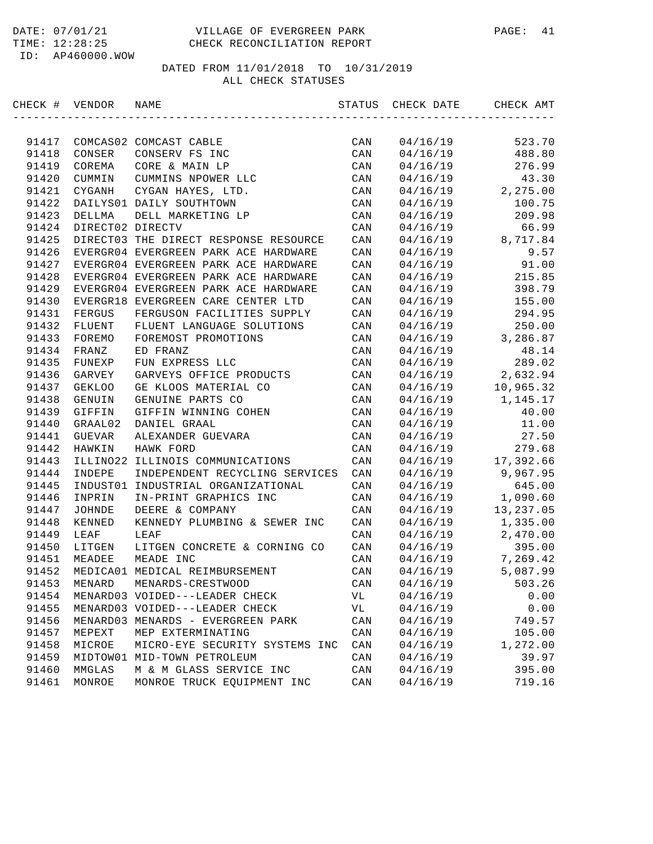| CHECK # VENDOR |                  | NAME                                  | STATUS | CHECK DATE | CHECK AMT  |
|----------------|------------------|---------------------------------------|--------|------------|------------|
|                |                  |                                       |        |            |            |
| 91417          |                  | COMCAS02 COMCAST CABLE                | CAN    | 04/16/19   | 523.70     |
| 91418          | CONSER           | CONSERV FS INC                        | CAN    | 04/16/19   | 488.80     |
| 91419          | COREMA           | CORE & MAIN LP                        | CAN    | 04/16/19   | 276.99     |
| 91420          | CUMMIN           | CUMMINS NPOWER LLC                    | CAN    | 04/16/19   | 43.30      |
| 91421          | CYGANH           | CYGAN HAYES, LTD.                     | CAN    | 04/16/19   | 2,275.00   |
| 91422          |                  | DAILYS01 DAILY SOUTHTOWN              | CAN    | 04/16/19   | 100.75     |
| 91423          | DELLMA           | DELL MARKETING LP                     | CAN    | 04/16/19   | 209.98     |
| 91424          | DIRECT02 DIRECTV |                                       | CAN    | 04/16/19   | 66.99      |
| 91425          |                  | DIRECT03 THE DIRECT RESPONSE RESOURCE | CAN    | 04/16/19   | 8,717.84   |
| 91426          |                  | EVERGR04 EVERGREEN PARK ACE HARDWARE  | CAN    | 04/16/19   | 9.57       |
| 91427          |                  | EVERGR04 EVERGREEN PARK ACE HARDWARE  | CAN    | 04/16/19   | 91.00      |
| 91428          |                  | EVERGR04 EVERGREEN PARK ACE HARDWARE  | CAN    | 04/16/19   | 215.85     |
| 91429          |                  | EVERGR04 EVERGREEN PARK ACE HARDWARE  | CAN    | 04/16/19   | 398.79     |
| 91430          |                  | EVERGR18 EVERGREEN CARE CENTER LTD    | CAN    | 04/16/19   | 155.00     |
| 91431          | <b>FERGUS</b>    | FERGUSON FACILITIES SUPPLY            | CAN    | 04/16/19   | 294.95     |
| 91432          | FLUENT           | FLUENT LANGUAGE SOLUTIONS             | CAN    | 04/16/19   | 250.00     |
| 91433          | FOREMO           | FOREMOST PROMOTIONS                   | CAN    | 04/16/19   | 3,286.87   |
| 91434          | FRANZ            | ED FRANZ                              | CAN    | 04/16/19   | 48.14      |
| 91435          | FUNEXP           | FUN EXPRESS LLC                       | CAN    | 04/16/19   | 289.02     |
| 91436          | GARVEY           | GARVEYS OFFICE PRODUCTS               | CAN    | 04/16/19   | 2,632.94   |
| 91437          | <b>GEKLOO</b>    | GE KLOOS MATERIAL CO                  | CAN    | 04/16/19   | 10,965.32  |
| 91438          | GENUIN           | GENUINE PARTS CO                      | CAN    | 04/16/19   | 1,145.17   |
| 91439          | GIFFIN           | GIFFIN WINNING COHEN                  | CAN    | 04/16/19   | 40.00      |
| 91440          | GRAAL02          | DANIEL GRAAL                          | CAN    | 04/16/19   | 11.00      |
| 91441          | GUEVAR           | ALEXANDER GUEVARA                     | CAN    | 04/16/19   | 27.50      |
| 91442          | HAWKIN           | HAWK FORD                             | CAN    | 04/16/19   | 279.68     |
| 91443          |                  | ILLINO22 ILLINOIS COMMUNICATIONS      | CAN    | 04/16/19   | 17,392.66  |
| 91444          | INDEPE           | INDEPENDENT RECYCLING SERVICES        | CAN    | 04/16/19   | 9,967.95   |
| 91445          | INDUST01         | INDUSTRIAL ORGANIZATIONAL             | CAN    | 04/16/19   | 645.00     |
| 91446          | INPRIN           | IN-PRINT GRAPHICS INC                 | CAN    | 04/16/19   | 1,090.60   |
| 91447          | JOHNDE           | DEERE & COMPANY                       | CAN    | 04/16/19   | 13, 237.05 |
| 91448          | KENNED           | KENNEDY PLUMBING & SEWER INC          | CAN    | 04/16/19   | 1,335.00   |
| 91449          | LEAF             | LEAF                                  | CAN    | 04/16/19   | 2,470.00   |
| 91450          | LITGEN           | LITGEN CONCRETE & CORNING CO          | CAN    | 04/16/19   | 395.00     |
| 91451          | MEADEE           | MEADE INC                             | CAN    | 04/16/19   | 7,269.42   |
| 91452          |                  | MEDICA01 MEDICAL REIMBURSEMENT        | CAN    | 04/16/19   | 5,087.99   |
| 91453          | MENARD           | MENARDS-CRESTWOOD                     | CAN    | 04/16/19   | 503.26     |
| 91454          |                  | MENARD03 VOIDED---LEADER CHECK        | VL     | 04/16/19   | 0.00       |
| 91455          |                  | MENARD03 VOIDED---LEADER CHECK        | VL     | 04/16/19   | 0.00       |
| 91456          |                  | MENARD03 MENARDS - EVERGREEN PARK     | CAN    | 04/16/19   | 749.57     |
| 91457          | MEPEXT           | MEP EXTERMINATING                     | CAN    | 04/16/19   | 105.00     |
| 91458          | MICROE           | MICRO-EYE SECURITY SYSTEMS INC        | CAN    | 04/16/19   | 1,272.00   |
| 91459          |                  | MIDTOW01 MID-TOWN PETROLEUM           | CAN    | 04/16/19   | 39.97      |
| 91460          | MMGLAS           | M & M GLASS SERVICE INC               | CAN    | 04/16/19   | 395.00     |
| 91461          | MONROE           | MONROE TRUCK EQUIPMENT INC            | CAN    | 04/16/19   | 719.16     |
|                |                  |                                       |        |            |            |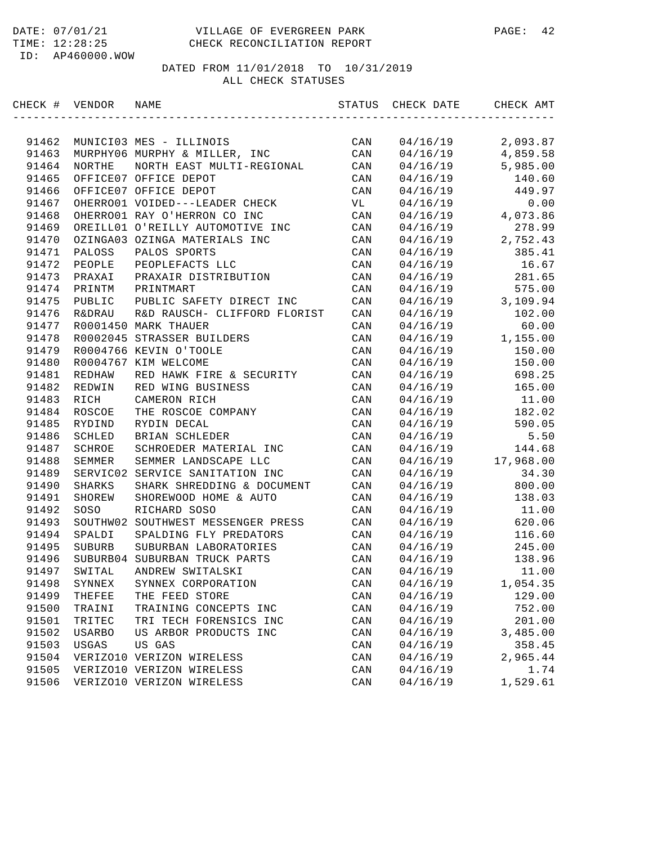#### DATE: 07/01/21 VILLAGE OF EVERGREEN PARK PAGE: 42 TIME: 12:28:25 CHECK RECONCILIATION REPORT

ID: AP460000.WOW

| CHECK # VENDOR |                   | NAME                               | STATUS         | CHECK DATE | CHECK AMT |
|----------------|-------------------|------------------------------------|----------------|------------|-----------|
|                |                   |                                    |                |            |           |
| 91462          |                   | MUNICI03 MES - ILLINOIS            | CAN            | 04/16/19   | 2,093.87  |
| 91463          |                   | MURPHY06 MURPHY & MILLER, INC      | CAN            | 04/16/19   | 4,859.58  |
| 91464          | <b>NORTHE</b>     | NORTH EAST MULTI-REGIONAL          | CAN            | 04/16/19   | 5,985.00  |
| 91465          |                   | OFFICE07 OFFICE DEPOT              | CAN            | 04/16/19   | 140.60    |
| 91466          |                   | OFFICE07 OFFICE DEPOT              | CAN            | 04/16/19   | 449.97    |
| 91467          |                   | OHERRO01 VOIDED---LEADER CHECK     | VL             | 04/16/19   | 0.00      |
| 91468          |                   | OHERRO01 RAY O'HERRON CO INC       | CAN            | 04/16/19   | 4,073.86  |
| 91469          |                   | OREILL01 O'REILLY AUTOMOTIVE INC   | CAN            | 04/16/19   | 278.99    |
| 91470          |                   | OZINGA03 OZINGA MATERIALS INC      | CAN            | 04/16/19   | 2,752.43  |
| 91471          | PALOSS            | PALOS SPORTS                       | CAN            | 04/16/19   | 385.41    |
| 91472          | PEOPLE            | PEOPLEFACTS LLC                    | CAN            | 04/16/19   | 16.67     |
| 91473          | PRAXAI            | PRAXAIR DISTRIBUTION               | CAN            | 04/16/19   | 281.65    |
| 91474          | PRINTM            | PRINTMART                          | CAN            | 04/16/19   | 575.00    |
| 91475          | PUBLIC            | PUBLIC SAFETY DIRECT INC           | CAN            | 04/16/19   | 3,109.94  |
| 91476          | <b>R&amp;DRAU</b> | R&D RAUSCH- CLIFFORD FLORIST       | CAN            | 04/16/19   | 102.00    |
| 91477          |                   | R0001450 MARK THAUER               | CAN            | 04/16/19   | 60.00     |
| 91478          |                   | R0002045 STRASSER BUILDERS         | CAN            | 04/16/19   | 1,155.00  |
| 91479          |                   | R0004766 KEVIN O'TOOLE             | CAN            | 04/16/19   | 150.00    |
| 91480          |                   | R0004767 KIM WELCOME               | CAN            | 04/16/19   | 150.00    |
| 91481          | REDHAW            | RED HAWK FIRE & SECURITY           | CAN            | 04/16/19   | 698.25    |
| 91482          | REDWIN            | RED WING BUSINESS                  | CAN            | 04/16/19   | 165.00    |
| 91483          | RICH              | CAMERON RICH                       | CAN            | 04/16/19   | 11.00     |
| 91484          | ROSCOE            | THE ROSCOE COMPANY                 | CAN            | 04/16/19   | 182.02    |
| 91485          | RYDIND            | RYDIN DECAL                        | CAN            | 04/16/19   | 590.05    |
| 91486          | SCHLED            | BRIAN SCHLEDER                     | CAN            | 04/16/19   | 5.50      |
| 91487          | SCHROE            | SCHROEDER MATERIAL INC             | CAN            | 04/16/19   | 144.68    |
| 91488          | SEMMER            | SEMMER LANDSCAPE LLC               | CAN            | 04/16/19   | 17,968.00 |
| 91489          | SERVIC02          | SERVICE SANITATION INC             | CAN            | 04/16/19   | 34.30     |
| 91490          | <b>SHARKS</b>     | SHARK SHREDDING & DOCUMENT         | CAN            | 04/16/19   | 800.00    |
| 91491          | SHOREW            | SHOREWOOD HOME & AUTO              | CAN            | 04/16/19   | 138.03    |
| 91492          | SOSO              | RICHARD SOSO                       | CAN            | 04/16/19   | 11.00     |
| 91493          |                   | SOUTHW02 SOUTHWEST MESSENGER PRESS | CAN            | 04/16/19   | 620.06    |
| 91494          | SPALDI            | SPALDING FLY PREDATORS             | CAN            | 04/16/19   | 116.60    |
| 91495          | SUBURB            | SUBURBAN LABORATORIES              | CAN            | 04/16/19   | 245.00    |
| 91496          |                   | SUBURB04 SUBURBAN TRUCK PARTS      | CAN            | 04/16/19   | 138.96    |
| 91497          | SWITAL            | ANDREW SWITALSKI                   | CAN            | 04/16/19   | 11.00     |
| 91498          | SYNNEX            | SYNNEX CORPORATION                 | CAN            | 04/16/19   | 1,054.35  |
| 91499          | THEFEE            | THE FEED STORE                     | CAN            | 04/16/19   | 129.00    |
| 91500          | TRAINI            | TRAINING CONCEPTS INC              | $\mathtt{CAN}$ | 04/16/19   | 752.00    |
| 91501          | TRITEC            | TRI TECH FORENSICS INC             | CAN            | 04/16/19   | 201.00    |
| 91502          | USARBO            | US ARBOR PRODUCTS INC              | CAN            | 04/16/19   | 3,485.00  |
| 91503          | USGAS             | US GAS                             | $\mathtt{CAN}$ | 04/16/19   | 358.45    |
| 91504          |                   | VERIZO10 VERIZON WIRELESS          | CAN            | 04/16/19   | 2,965.44  |
| 91505          |                   | VERIZO10 VERIZON WIRELESS          | $\mathtt{CAN}$ | 04/16/19   | 1.74      |
| 91506          |                   | VERIZO10 VERIZON WIRELESS          | CAN            | 04/16/19   | 1,529.61  |
|                |                   |                                    |                |            |           |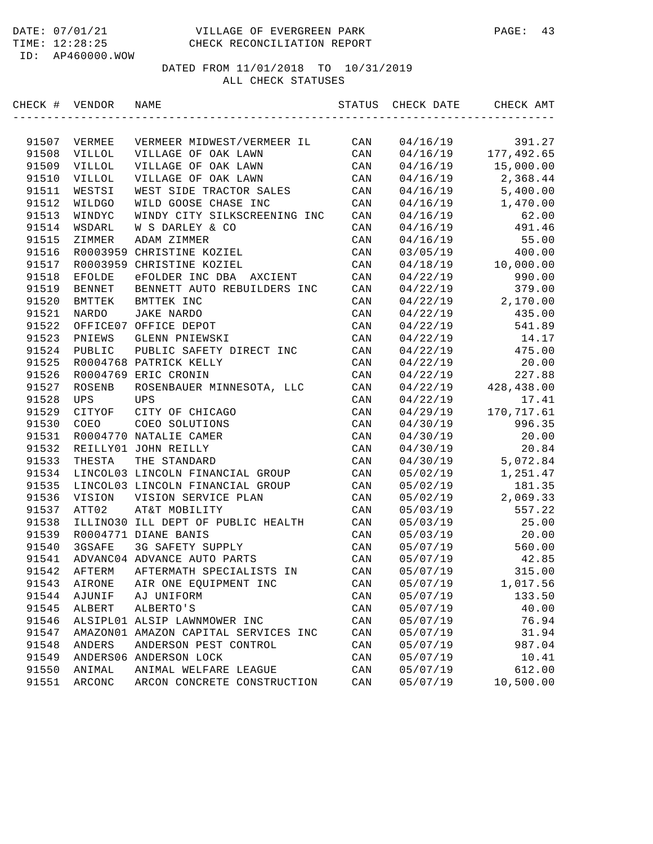| CHECK # VENDOR |               | NAME                                 | STATUS         | CHECK DATE | CHECK AMT   |
|----------------|---------------|--------------------------------------|----------------|------------|-------------|
|                |               |                                      |                |            |             |
| 91507          | VERMEE        | VERMEER MIDWEST/VERMEER IL           | CAN            | 04/16/19   | 391.27      |
| 91508          | <b>VILLOL</b> | VILLAGE OF OAK LAWN                  | CAN            | 04/16/19   | 177,492.65  |
| 91509          | <b>VILLOL</b> | VILLAGE OF OAK LAWN                  | CAN            | 04/16/19   | 15,000.00   |
| 91510          | VILLOL        | VILLAGE OF OAK LAWN                  | CAN            | 04/16/19   | 2,368.44    |
| 91511          | WESTSI        | WEST SIDE TRACTOR SALES              | CAN            | 04/16/19   | 5,400.00    |
| 91512          | WILDGO        | WILD GOOSE CHASE INC                 | CAN            | 04/16/19   | 1,470.00    |
| 91513          | WINDYC        | WINDY CITY SILKSCREENING INC         | CAN            | 04/16/19   | 62.00       |
| 91514          | WSDARL        | W S DARLEY & CO                      | CAN            | 04/16/19   | 491.46      |
| 91515          | ZIMMER        | ADAM ZIMMER                          | CAN            | 04/16/19   | 55.00       |
| 91516          |               | R0003959 CHRISTINE KOZIEL            | CAN            | 03/05/19   | 400.00      |
| 91517          |               | R0003959 CHRISTINE KOZIEL            | CAN            | 04/18/19   | 10,000.00   |
| 91518          | EFOLDE        | eFOLDER INC DBA AXCIENT              | CAN            | 04/22/19   | 990.00      |
| 91519          | BENNET        | BENNETT AUTO REBUILDERS INC          | CAN            | 04/22/19   | 379.00      |
| 91520          | BMTTEK        | BMTTEK INC                           | CAN            | 04/22/19   | 2,170.00    |
| 91521          | <b>NARDO</b>  | <b>JAKE NARDO</b>                    | CAN            | 04/22/19   | 435.00      |
| 91522          |               | OFFICE07 OFFICE DEPOT                | CAN            | 04/22/19   | 541.89      |
| 91523          | PNIEWS        | GLENN PNIEWSKI                       | CAN            | 04/22/19   | 14.17       |
| 91524          | PUBLIC        | PUBLIC SAFETY DIRECT INC             | CAN            | 04/22/19   | 475.00      |
| 91525          |               | R0004768 PATRICK KELLY               | CAN            | 04/22/19   | 20.00       |
| 91526          |               | R0004769 ERIC CRONIN                 | CAN            | 04/22/19   | 227.88      |
| 91527          | ROSENB        | ROSENBAUER MINNESOTA, LLC            | CAN            | 04/22/19   | 428,438.00  |
| 91528          | UPS           | UPS                                  | CAN            | 04/22/19   | 17.41       |
| 91529          | CITYOF        | CITY OF CHICAGO                      | CAN            | 04/29/19   | 170, 717.61 |
| 91530          | COEO          | COEO SOLUTIONS                       | CAN            | 04/30/19   | 996.35      |
| 91531          |               | R0004770 NATALIE CAMER               | CAN            | 04/30/19   | 20.00       |
| 91532          |               | REILLY01 JOHN REILLY                 | CAN            | 04/30/19   | 20.84       |
| 91533          | THESTA        | THE STANDARD                         | CAN            | 04/30/19   | 5,072.84    |
| 91534          |               | LINCOL03 LINCOLN FINANCIAL GROUP     | CAN            | 05/02/19   | 1,251.47    |
| 91535          |               | LINCOL03 LINCOLN FINANCIAL GROUP     | CAN            | 05/02/19   | 181.35      |
| 91536          | VISION        | VISION SERVICE PLAN                  | CAN            | 05/02/19   | 2,069.33    |
| 91537          | ATT02         | AT&T MOBILITY                        | CAN            | 05/03/19   | 557.22      |
| 91538          |               | ILLINO30 ILL DEPT OF PUBLIC HEALTH   | CAN            | 05/03/19   | 25.00       |
| 91539          |               | R0004771 DIANE BANIS                 | CAN            | 05/03/19   | 20.00       |
| 91540          | 3GSAFE        | 3G SAFETY SUPPLY                     | CAN            | 05/07/19   | 560.00      |
| 91541          |               | ADVANC04 ADVANCE AUTO PARTS          | CAN            | 05/07/19   | 42.85       |
| 91542          | AFTERM        | AFTERMATH SPECIALISTS IN             | CAN            | 05/07/19   | 315.00      |
| 91543          | AIRONE        | AIR ONE EQUIPMENT INC                | CAN            | 05/07/19   | 1,017.56    |
| 91544          | AJUNIF        | AJ UNIFORM                           | CAN            | 05/07/19   | 133.50      |
| 91545          | ALBERT        | ALBERTO'S                            | CAN            | 05/07/19   | 40.00       |
| 91546          |               | ALSIPL01 ALSIP LAWNMOWER INC         | CAN            | 05/07/19   | 76.94       |
| 91547          |               | AMAZON01 AMAZON CAPITAL SERVICES INC | $\mathtt{CAN}$ | 05/07/19   | 31.94       |
| 91548          | ANDERS        | ANDERSON PEST CONTROL                | CAN            | 05/07/19   | 987.04      |
| 91549          |               | ANDERS06 ANDERSON LOCK               | CAN            | 05/07/19   | 10.41       |
| 91550          | ANIMAL        | ANIMAL WELFARE LEAGUE                | CAN            | 05/07/19   | 612.00      |
| 91551          | ARCONC        | ARCON CONCRETE CONSTRUCTION          | CAN            | 05/07/19   | 10,500.00   |
|                |               |                                      |                |            |             |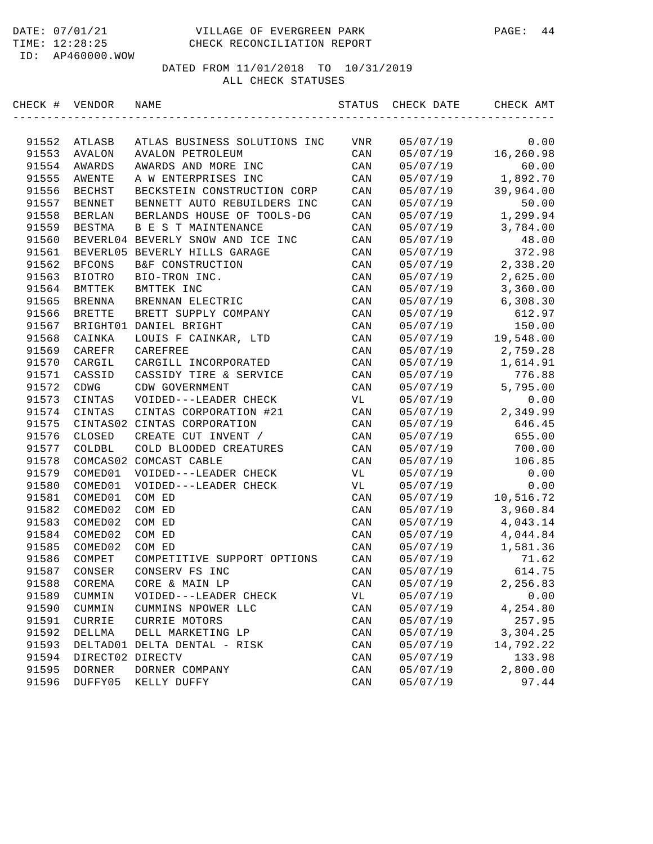| CHECK # VENDOR |                  | NAME                              | STATUS         | CHECK DATE | CHECK AMT |
|----------------|------------------|-----------------------------------|----------------|------------|-----------|
|                |                  |                                   |                |            |           |
| 91552          | ATLASB           | ATLAS BUSINESS SOLUTIONS INC      | VNR            | 05/07/19   | 0.00      |
| 91553          | AVALON           | AVALON PETROLEUM                  | CAN            | 05/07/19   | 16,260.98 |
| 91554          | AWARDS           | AWARDS AND MORE INC               | CAN            | 05/07/19   | 60.00     |
| 91555          | <b>AWENTE</b>    | A W ENTERPRISES INC               | CAN            | 05/07/19   | 1,892.70  |
| 91556          | <b>BECHST</b>    | BECKSTEIN CONSTRUCTION CORP       | CAN            | 05/07/19   | 39,964.00 |
| 91557          | <b>BENNET</b>    | BENNETT AUTO REBUILDERS INC       | CAN            | 05/07/19   | 50.00     |
| 91558          | <b>BERLAN</b>    | BERLANDS HOUSE OF TOOLS-DG        | CAN            | 05/07/19   | 1,299.94  |
| 91559          | <b>BESTMA</b>    | B E S T MAINTENANCE               | CAN            | 05/07/19   | 3,784.00  |
| 91560          |                  | BEVERL04 BEVERLY SNOW AND ICE INC | CAN            | 05/07/19   | 48.00     |
| 91561          |                  | BEVERL05 BEVERLY HILLS GARAGE     | CAN            | 05/07/19   | 372.98    |
| 91562          | <b>BFCONS</b>    | B&F CONSTRUCTION                  | CAN            | 05/07/19   | 2,338.20  |
| 91563          | BIOTRO           | BIO-TRON INC.                     | CAN            | 05/07/19   | 2,625.00  |
| 91564          | BMTTEK           | BMTTEK INC                        | CAN            | 05/07/19   | 3,360.00  |
| 91565          | <b>BRENNA</b>    | BRENNAN ELECTRIC                  | CAN            | 05/07/19   | 6,308.30  |
| 91566          | <b>BRETTE</b>    | BRETT SUPPLY COMPANY              | CAN            | 05/07/19   | 612.97    |
| 91567          |                  | BRIGHT01 DANIEL BRIGHT            | CAN            | 05/07/19   | 150.00    |
| 91568          | CAINKA           | LOUIS F CAINKAR, LTD              | CAN            | 05/07/19   | 19,548.00 |
| 91569          | CAREFR           | CAREFREE                          | CAN            | 05/07/19   | 2,759.28  |
| 91570          | CARGIL           | CARGILL INCORPORATED              | CAN            | 05/07/19   | 1,614.91  |
| 91571          | CASSID           | CASSIDY TIRE & SERVICE            | CAN            | 05/07/19   | 776.88    |
| 91572          | CDWG             | CDW GOVERNMENT                    | CAN            | 05/07/19   | 5,795.00  |
| 91573          | CINTAS           | VOIDED---LEADER CHECK             | VL             | 05/07/19   | 0.00      |
| 91574          | CINTAS           | CINTAS CORPORATION #21            | CAN            | 05/07/19   | 2,349.99  |
| 91575          |                  | CINTAS02 CINTAS CORPORATION       | CAN            | 05/07/19   | 646.45    |
| 91576          | CLOSED           | CREATE CUT INVENT /               | CAN            | 05/07/19   | 655.00    |
| 91577          | COLDBL           | COLD BLOODED CREATURES            | CAN            | 05/07/19   | 700.00    |
| 91578          |                  | COMCAS02 COMCAST CABLE            | CAN            | 05/07/19   | 106.85    |
| 91579          | COMED01          | VOIDED---LEADER CHECK             | VL             | 05/07/19   | 0.00      |
| 91580          | COMED01          | VOIDED---LEADER CHECK             | VL             | 05/07/19   | 0.00      |
| 91581          | COMED01          | COM ED                            | CAN            | 05/07/19   | 10,516.72 |
| 91582          | COMED02          | COM ED                            | CAN            | 05/07/19   | 3,960.84  |
| 91583          | COMED02          | COM ED                            | CAN            | 05/07/19   | 4,043.14  |
| 91584          | COMED02          | COM ED                            | CAN            | 05/07/19   | 4,044.84  |
| 91585          | COMED02          | COM ED                            | CAN            | 05/07/19   | 1,581.36  |
| 91586          | COMPET           | COMPETITIVE SUPPORT OPTIONS       | CAN            | 05/07/19   | 71.62     |
| 91587          | CONSER           | CONSERV FS INC                    | CAN            | 05/07/19   | 614.75    |
| 91588          | COREMA           | CORE & MAIN LP                    | CAN            | 05/07/19   | 2,256.83  |
| 91589          | CUMMIN           | VOIDED---LEADER CHECK             | VL             | 05/07/19   | 0.00      |
| 91590          | CUMMIN           | CUMMINS NPOWER LLC                | CAN            | 05/07/19   | 4,254.80  |
| 91591          | CURRIE           | <b>CURRIE MOTORS</b>              | CAN            | 05/07/19   | 257.95    |
| 91592          | DELLMA           | DELL MARKETING LP                 | CAN            | 05/07/19   | 3,304.25  |
| 91593          | DELTAD01         | DELTA DENTAL - RISK               | CAN            | 05/07/19   | 14,792.22 |
| 91594          | DIRECT02 DIRECTV |                                   | CAN            | 05/07/19   | 133.98    |
| 91595          | DORNER           | DORNER COMPANY                    | CAN            | 05/07/19   | 2,800.00  |
| 91596          | DUFFY05          | KELLY DUFFY                       | $\mathtt{CAN}$ | 05/07/19   | 97.44     |
|                |                  |                                   |                |            |           |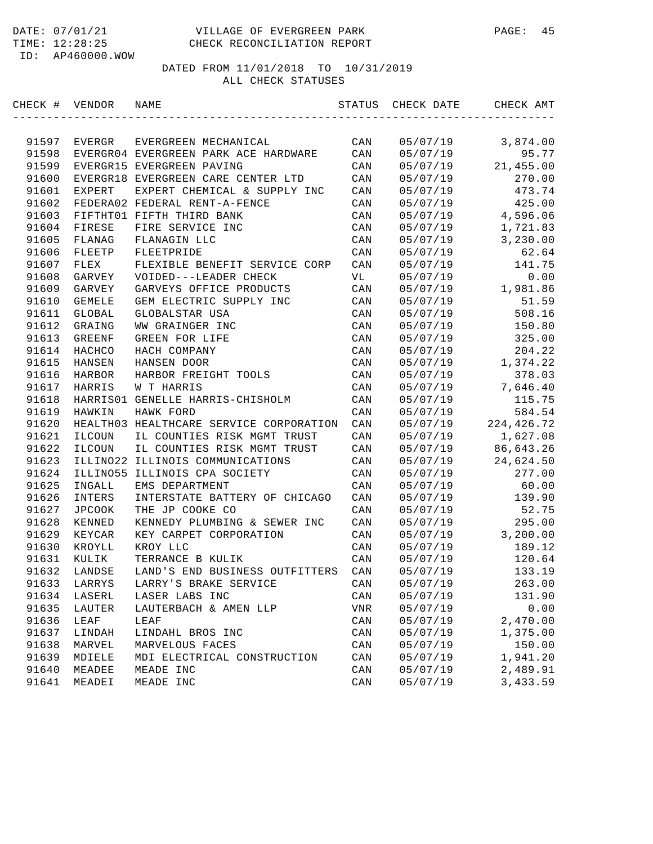| CHECK # | VENDOR        | NAME                                    | STATUS         | CHECK DATE | CHECK AMT   |
|---------|---------------|-----------------------------------------|----------------|------------|-------------|
|         |               |                                         |                |            |             |
| 91597   | EVERGR        | EVERGREEN MECHANICAL                    | CAN            | 05/07/19   | 3,874.00    |
| 91598   |               | EVERGR04 EVERGREEN PARK ACE HARDWARE    | CAN            | 05/07/19   | 95.77       |
| 91599   |               | EVERGR15 EVERGREEN PAVING               | CAN            | 05/07/19   | 21,455.00   |
| 91600   |               | EVERGR18 EVERGREEN CARE CENTER LTD      | CAN            | 05/07/19   | 270.00      |
| 91601   | <b>EXPERT</b> | EXPERT CHEMICAL & SUPPLY INC            | CAN            | 05/07/19   | 473.74      |
| 91602   |               | FEDERA02 FEDERAL RENT-A-FENCE           | CAN            | 05/07/19   | 425.00      |
| 91603   |               | FIFTHT01 FIFTH THIRD BANK               | CAN            | 05/07/19   | 4,596.06    |
| 91604   | FIRESE        | FIRE SERVICE INC                        | CAN            | 05/07/19   | 1,721.83    |
| 91605   | FLANAG        | FLANAGIN LLC                            | CAN            | 05/07/19   | 3,230.00    |
| 91606   | FLEETP        | FLEETPRIDE                              | CAN            | 05/07/19   | 62.64       |
| 91607   | FLEX          | FLEXIBLE BENEFIT SERVICE CORP           | CAN            | 05/07/19   | 141.75      |
| 91608   | GARVEY        | VOIDED---LEADER CHECK                   | VL             | 05/07/19   | 0.00        |
| 91609   | GARVEY        | GARVEYS OFFICE PRODUCTS                 | CAN            | 05/07/19   | 1,981.86    |
| 91610   | GEMELE        | GEM ELECTRIC SUPPLY INC                 | CAN            | 05/07/19   | 51.59       |
| 91611   | GLOBAL        | GLOBALSTAR USA                          | CAN            | 05/07/19   | 508.16      |
| 91612   | GRAING        | WW GRAINGER INC                         | CAN            | 05/07/19   | 150.80      |
| 91613   | GREENF        | GREEN FOR LIFE                          | CAN            | 05/07/19   | 325.00      |
| 91614   | HACHCO        | HACH COMPANY                            | CAN            | 05/07/19   | 204.22      |
| 91615   | HANSEN        | HANSEN DOOR                             | CAN            | 05/07/19   | 1,374.22    |
| 91616   | HARBOR        | HARBOR FREIGHT TOOLS                    | CAN            | 05/07/19   | 378.03      |
| 91617   | HARRIS        | W T HARRIS                              | CAN            | 05/07/19   | 7,646.40    |
| 91618   |               | HARRIS01 GENELLE HARRIS-CHISHOLM        | CAN            | 05/07/19   | 115.75      |
| 91619   | HAWKIN        | HAWK FORD                               | CAN            | 05/07/19   | 584.54      |
| 91620   |               | HEALTH03 HEALTHCARE SERVICE CORPORATION | CAN            | 05/07/19   | 224, 426.72 |
| 91621   | ILCOUN        | IL COUNTIES RISK MGMT TRUST             | CAN            | 05/07/19   | 1,627.08    |
| 91622   | ILCOUN        | IL COUNTIES RISK MGMT TRUST             | CAN            | 05/07/19   | 86,643.26   |
| 91623   | ILLINO22      | ILLINOIS COMMUNICATIONS                 | CAN            | 05/07/19   | 24,624.50   |
| 91624   | ILLIN055      | ILLINOIS CPA SOCIETY                    | CAN            | 05/07/19   | 277.00      |
| 91625   | INGALL        | EMS DEPARTMENT                          | CAN            | 05/07/19   | 60.00       |
| 91626   | INTERS        | INTERSTATE BATTERY OF CHICAGO           | CAN            | 05/07/19   | 139.90      |
| 91627   | <b>JPCOOK</b> | THE JP COOKE CO                         | CAN            | 05/07/19   | 52.75       |
| 91628   | KENNED        | KENNEDY PLUMBING & SEWER INC            | CAN            | 05/07/19   | 295.00      |
| 91629   | KEYCAR        | KEY CARPET CORPORATION                  | CAN            | 05/07/19   | 3,200.00    |
| 91630   | KROYLL        | KROY LLC                                | CAN            | 05/07/19   | 189.12      |
| 91631   | KULIK         | TERRANCE B KULIK                        | CAN            | 05/07/19   | 120.64      |
| 91632   | LANDSE        | LAND'S END BUSINESS OUTFITTERS          | CAN            | 05/07/19   | 133.19      |
| 91633   | LARRYS        | LARRY'S BRAKE SERVICE                   | CAN            | 05/07/19   | 263.00      |
| 91634   | LASERL        | LASER LABS INC                          | CAN            | 05/07/19   | 131.90      |
| 91635   | LAUTER        | LAUTERBACH & AMEN LLP                   | <b>VNR</b>     | 05/07/19   | 0.00        |
| 91636   | LEAF          | LEAF                                    | CAN            | 05/07/19   | 2,470.00    |
| 91637   | LINDAH        | LINDAHL BROS INC                        | $\mathtt{CAN}$ | 05/07/19   | 1,375.00    |
| 91638   | MARVEL        | MARVELOUS FACES                         | CAN            | 05/07/19   | 150.00      |
| 91639   | MDIELE        | MDI ELECTRICAL CONSTRUCTION             | CAN            | 05/07/19   | 1,941.20    |
| 91640   | MEADEE        | MEADE INC                               | $\mathtt{CAN}$ | 05/07/19   | 2,489.91    |
| 91641   | MEADEI        | MEADE INC                               | CAN            | 05/07/19   | 3,433.59    |
|         |               |                                         |                |            |             |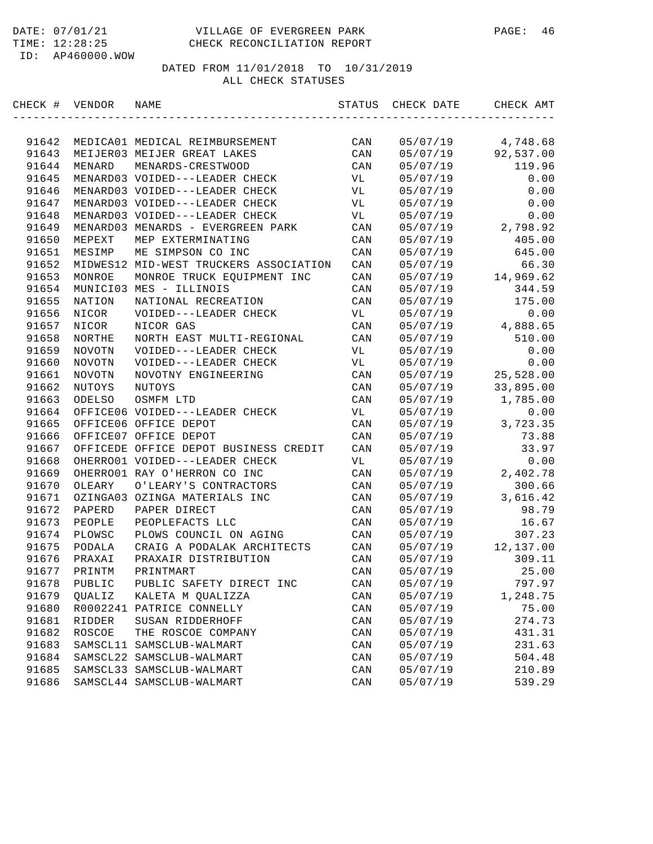| CHECK # VENDOR |          | NAME                                   | STATUS         | CHECK DATE | CHECK AMT |
|----------------|----------|----------------------------------------|----------------|------------|-----------|
|                |          |                                        |                |            |           |
| 91642          |          | MEDICA01 MEDICAL REIMBURSEMENT         | CAN            | 05/07/19   | 4,748.68  |
| 91643          |          | MEIJER03 MEIJER GREAT LAKES            | CAN            | 05/07/19   | 92,537.00 |
| 91644          | MENARD   | MENARDS-CRESTWOOD                      | CAN            | 05/07/19   | 119.96    |
| 91645          |          | MENARD03 VOIDED---LEADER CHECK         | VL             | 05/07/19   | 0.00      |
| 91646          |          | MENARD03 VOIDED---LEADER CHECK         | VL             | 05/07/19   | 0.00      |
| 91647          |          | MENARD03 VOIDED---LEADER CHECK         | VL             | 05/07/19   | 0.00      |
| 91648          |          | MENARD03 VOIDED---LEADER CHECK         | VL             | 05/07/19   | 0.00      |
| 91649          |          | MENARD03 MENARDS - EVERGREEN PARK      | CAN            | 05/07/19   | 2,798.92  |
| 91650          | MEPEXT   | MEP EXTERMINATING                      | CAN            | 05/07/19   | 405.00    |
| 91651          | MESIMP   | ME SIMPSON CO INC                      | CAN            | 05/07/19   | 645.00    |
| 91652          |          | MIDWES12 MID-WEST TRUCKERS ASSOCIATION | CAN            | 05/07/19   | 66.30     |
| 91653          | MONROE   | MONROE TRUCK EQUIPMENT INC             | CAN            | 05/07/19   | 14,969.62 |
| 91654          |          | MUNICI03 MES - ILLINOIS                | CAN            | 05/07/19   | 344.59    |
| 91655          | NATION   | NATIONAL RECREATION                    | CAN            | 05/07/19   | 175.00    |
| 91656          | NICOR    | VOIDED---LEADER CHECK                  | VL             | 05/07/19   | 0.00      |
| 91657          | NICOR    | NICOR GAS                              | CAN            | 05/07/19   | 4,888.65  |
| 91658          | NORTHE   | NORTH EAST MULTI-REGIONAL              | CAN            | 05/07/19   | 510.00    |
| 91659          | NOVOTN   | VOIDED---LEADER CHECK                  | VL             | 05/07/19   | 0.00      |
| 91660          | NOVOTN   | VOIDED---LEADER CHECK                  | VL             | 05/07/19   | 0.00      |
| 91661          | NOVOTN   | NOVOTNY ENGINEERING                    | CAN            | 05/07/19   | 25,528.00 |
| 91662          | NUTOYS   | NUTOYS                                 | CAN            | 05/07/19   | 33,895.00 |
| 91663          | ODELSO   | OSMFM LTD                              | CAN            | 05/07/19   | 1,785.00  |
| 91664          |          | OFFICE06 VOIDED---LEADER CHECK         | VL             | 05/07/19   | 0.00      |
| 91665          |          | OFFICE06 OFFICE DEPOT                  | CAN            | 05/07/19   | 3,723.35  |
| 91666          |          | OFFICE07 OFFICE DEPOT                  | CAN            | 05/07/19   | 73.88     |
| 91667          |          | OFFICEDE OFFICE DEPOT BUSINESS CREDIT  | CAN            | 05/07/19   | 33.97     |
| 91668          |          | OHERRO01 VOIDED---LEADER CHECK         | VL             | 05/07/19   | 0.00      |
| 91669          |          | OHERRO01 RAY O'HERRON CO INC           | CAN            | 05/07/19   | 2,402.78  |
| 91670          | OLEARY   | O'LEARY'S CONTRACTORS                  | CAN            | 05/07/19   | 300.66    |
| 91671          |          | OZINGA03 OZINGA MATERIALS INC          | CAN            | 05/07/19   | 3,616.42  |
| 91672          | PAPERD   | PAPER DIRECT                           | CAN            | 05/07/19   | 98.79     |
| 91673          | PEOPLE   | PEOPLEFACTS LLC                        | CAN            | 05/07/19   | 16.67     |
| 91674          | PLOWSC   | PLOWS COUNCIL ON AGING                 | CAN            | 05/07/19   | 307.23    |
| 91675          | PODALA   | CRAIG A PODALAK ARCHITECTS             | CAN            | 05/07/19   | 12,137.00 |
| 91676          | PRAXAI   | PRAXAIR DISTRIBUTION                   | CAN            | 05/07/19   | 309.11    |
| 91677          | PRINTM   | PRINTMART                              | CAN            | 05/07/19   | 25.00     |
| 91678          | PUBLIC   | PUBLIC SAFETY DIRECT INC               | CAN            | 05/07/19   | 797.97    |
| 91679          | QUALIZ   | KALETA M QUALIZZA                      | CAN            | 05/07/19   | 1,248.75  |
| 91680          |          | R0002241 PATRICE CONNELLY              | $\mathtt{CAN}$ | 05/07/19   | 75.00     |
| 91681          | RIDDER   | SUSAN RIDDERHOFF                       | CAN            | 05/07/19   | 274.73    |
| 91682          | ROSCOE   | THE ROSCOE COMPANY                     | CAN            | 05/07/19   | 431.31    |
| 91683          | SAMSCL11 | SAMSCLUB-WALMART                       | $\mathtt{CAN}$ | 05/07/19   | 231.63    |
| 91684          |          | SAMSCL22 SAMSCLUB-WALMART              | CAN            | 05/07/19   | 504.48    |
| 91685          |          | SAMSCL33 SAMSCLUB-WALMART              | $\mathtt{CAN}$ | 05/07/19   | 210.89    |
| 91686          |          | SAMSCL44 SAMSCLUB-WALMART              | CAN            | 05/07/19   | 539.29    |
|                |          |                                        |                |            |           |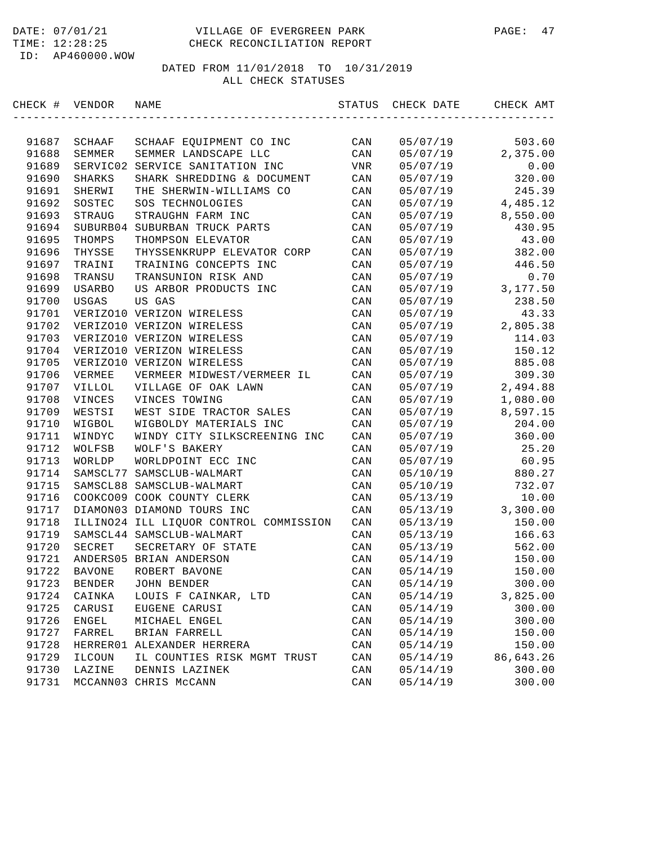| CHECK # | VENDOR        | NAME                                   | STATUS | CHECK DATE | CHECK AMT |
|---------|---------------|----------------------------------------|--------|------------|-----------|
|         |               |                                        |        |            |           |
| 91687   | SCHAAF        | SCHAAF EQUIPMENT CO INC                | CAN    | 05/07/19   | 503.60    |
| 91688   | SEMMER        | SEMMER LANDSCAPE LLC                   | CAN    | 05/07/19   | 2,375.00  |
| 91689   | SERVIC02      | SERVICE SANITATION INC                 | VNR    | 05/07/19   | 0.00      |
| 91690   | <b>SHARKS</b> | SHARK SHREDDING & DOCUMENT             | CAN    | 05/07/19   | 320.00    |
| 91691   | SHERWI        | THE SHERWIN-WILLIAMS CO                | CAN    | 05/07/19   | 245.39    |
| 91692   | SOSTEC        | SOS TECHNOLOGIES                       | CAN    | 05/07/19   | 4,485.12  |
| 91693   | STRAUG        | STRAUGHN FARM INC                      | CAN    | 05/07/19   | 8,550.00  |
| 91694   |               | SUBURB04 SUBURBAN TRUCK PARTS          | CAN    | 05/07/19   | 430.95    |
| 91695   | THOMPS        | THOMPSON ELEVATOR                      | CAN    | 05/07/19   | 43.00     |
| 91696   | THYSSE        | THYSSENKRUPP ELEVATOR CORP             | CAN    | 05/07/19   | 382.00    |
| 91697   | TRAINI        | TRAINING CONCEPTS INC                  | CAN    | 05/07/19   | 446.50    |
| 91698   | TRANSU        | TRANSUNION RISK AND                    | CAN    | 05/07/19   | 0.70      |
| 91699   | <b>USARBO</b> | US ARBOR PRODUCTS INC                  | CAN    | 05/07/19   | 3,177.50  |
| 91700   | USGAS         | US GAS                                 | CAN    | 05/07/19   | 238.50    |
| 91701   |               | VERIZO10 VERIZON WIRELESS              | CAN    | 05/07/19   | 43.33     |
| 91702   |               | VERIZO10 VERIZON WIRELESS              | CAN    | 05/07/19   | 2,805.38  |
| 91703   |               | VERIZO10 VERIZON WIRELESS              | CAN    | 05/07/19   | 114.03    |
| 91704   |               | VERIZO10 VERIZON WIRELESS              | CAN    | 05/07/19   | 150.12    |
| 91705   |               | VERIZO10 VERIZON WIRELESS              | CAN    | 05/07/19   | 885.08    |
| 91706   | VERMEE        | VERMEER MIDWEST/VERMEER IL             | CAN    | 05/07/19   | 309.30    |
| 91707   | VILLOL        | VILLAGE OF OAK LAWN                    | CAN    | 05/07/19   | 2,494.88  |
| 91708   | VINCES        | VINCES TOWING                          | CAN    | 05/07/19   | 1,080.00  |
| 91709   | WESTSI        | WEST SIDE TRACTOR SALES                | CAN    | 05/07/19   | 8,597.15  |
| 91710   | WIGBOL        | WIGBOLDY MATERIALS INC                 | CAN    | 05/07/19   | 204.00    |
| 91711   | WINDYC        | WINDY CITY SILKSCREENING INC           | CAN    | 05/07/19   | 360.00    |
| 91712   | WOLFSB        | WOLF'S BAKERY                          | CAN    | 05/07/19   | 25.20     |
| 91713   | WORLDP        | WORLDPOINT ECC INC                     | CAN    | 05/07/19   | 60.95     |
| 91714   | SAMSCL77      | SAMSCLUB-WALMART                       | CAN    | 05/10/19   | 880.27    |
| 91715   |               | SAMSCL88 SAMSCLUB-WALMART              | CAN    | 05/10/19   | 732.07    |
| 91716   |               | COOKCO09 COOK COUNTY CLERK             | CAN    | 05/13/19   | 10.00     |
| 91717   |               | DIAMON03 DIAMOND TOURS INC             | CAN    | 05/13/19   | 3,300.00  |
| 91718   |               | ILLINO24 ILL LIQUOR CONTROL COMMISSION | CAN    | 05/13/19   | 150.00    |
| 91719   |               | SAMSCL44 SAMSCLUB-WALMART              | CAN    | 05/13/19   | 166.63    |
| 91720   | SECRET        | SECRETARY OF STATE                     | CAN    | 05/13/19   | 562.00    |
| 91721   |               | ANDERS05 BRIAN ANDERSON                | CAN    | 05/14/19   | 150.00    |
| 91722   | <b>BAVONE</b> | ROBERT BAVONE                          | CAN    | 05/14/19   | 150.00    |
| 91723   | <b>BENDER</b> | <b>JOHN BENDER</b>                     | CAN    | 05/14/19   | 300.00    |
| 91724   | CAINKA        | LOUIS F CAINKAR, LTD                   | CAN    | 05/14/19   | 3,825.00  |
| 91725   | CARUSI        | EUGENE CARUSI                          | CAN    | 05/14/19   | 300.00    |
| 91726   | ENGEL         | MICHAEL ENGEL                          | CAN    | 05/14/19   | 300.00    |
| 91727   | FARREL        | BRIAN FARRELL                          | CAN    | 05/14/19   | 150.00    |
| 91728   | HERRER01      | ALEXANDER HERRERA                      | CAN    | 05/14/19   | 150.00    |
| 91729   | ILCOUN        | IL COUNTIES RISK MGMT TRUST            | CAN    | 05/14/19   | 86,643.26 |
| 91730   | LAZINE        | DENNIS LAZINEK                         | CAN    | 05/14/19   | 300.00    |
| 91731   |               | MCCANN03 CHRIS McCANN                  | CAN    | 05/14/19   | 300.00    |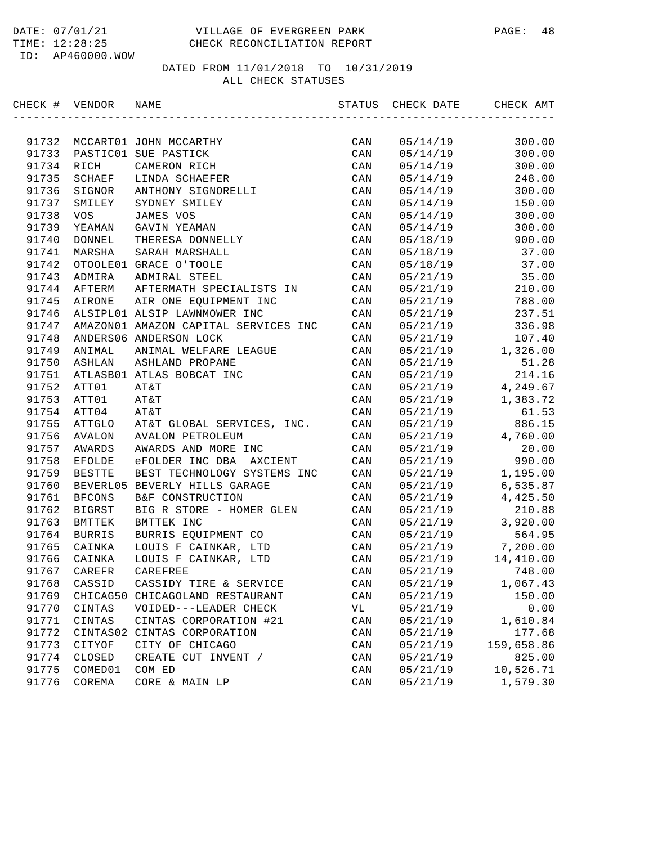| CHECK # | VENDOR        | NAME                                 | STATUS         | CHECK DATE | CHECK AMT  |
|---------|---------------|--------------------------------------|----------------|------------|------------|
|         |               |                                      |                |            |            |
| 91732   |               | MCCART01 JOHN MCCARTHY               | CAN            | 05/14/19   | 300.00     |
| 91733   |               | PASTIC01 SUE PASTICK                 | CAN            | 05/14/19   | 300.00     |
| 91734   | RICH          | CAMERON RICH                         | CAN            | 05/14/19   | 300.00     |
| 91735   | SCHAEF        | LINDA SCHAEFER                       | CAN            | 05/14/19   | 248.00     |
| 91736   | SIGNOR        | ANTHONY SIGNORELLI                   | CAN            | 05/14/19   | 300.00     |
| 91737   | SMILEY        | SYDNEY SMILEY                        | CAN            | 05/14/19   | 150.00     |
| 91738   | <b>VOS</b>    | JAMES VOS                            | CAN            | 05/14/19   | 300.00     |
| 91739   | YEAMAN        | GAVIN YEAMAN                         | CAN            | 05/14/19   | 300.00     |
| 91740   | DONNEL        | THERESA DONNELLY                     | CAN            | 05/18/19   | 900.00     |
| 91741   | MARSHA        | SARAH MARSHALL                       | CAN            | 05/18/19   | 37.00      |
| 91742   |               | OTOOLE01 GRACE O'TOOLE               | CAN            | 05/18/19   | 37.00      |
| 91743   | ADMIRA        | ADMIRAL STEEL                        | CAN            | 05/21/19   | 35.00      |
| 91744   | AFTERM        | AFTERMATH SPECIALISTS IN             | CAN            | 05/21/19   | 210.00     |
| 91745   | AIRONE        | AIR ONE EQUIPMENT INC                | CAN            | 05/21/19   | 788.00     |
| 91746   |               | ALSIPL01 ALSIP LAWNMOWER INC         | CAN            | 05/21/19   | 237.51     |
| 91747   |               | AMAZON01 AMAZON CAPITAL SERVICES INC | CAN            | 05/21/19   | 336.98     |
| 91748   |               | ANDERS06 ANDERSON LOCK               | CAN            | 05/21/19   | 107.40     |
| 91749   | ANIMAL        | ANIMAL WELFARE LEAGUE                | CAN            | 05/21/19   | 1,326.00   |
| 91750   | ASHLAN        | ASHLAND PROPANE                      | CAN            | 05/21/19   | 51.28      |
| 91751   |               | ATLASB01 ATLAS BOBCAT INC            | CAN            | 05/21/19   | 214.16     |
| 91752   | ATT01         | AT&T                                 | CAN            | 05/21/19   | 4,249.67   |
| 91753   | ATT01         | AT&T                                 | CAN            | 05/21/19   | 1,383.72   |
| 91754   | ATT04         | AT&T                                 | CAN            | 05/21/19   | 61.53      |
| 91755   | ATTGLO        | AT&T GLOBAL SERVICES, INC.           | CAN            | 05/21/19   | 886.15     |
| 91756   | AVALON        | <b>AVALON PETROLEUM</b>              | CAN            | 05/21/19   | 4,760.00   |
| 91757   | AWARDS        | AWARDS AND MORE INC                  | CAN            | 05/21/19   | 20.00      |
| 91758   | EFOLDE        | eFOLDER INC DBA<br>AXCIENT           | CAN            | 05/21/19   | 990.00     |
| 91759   | <b>BESTTE</b> | BEST TECHNOLOGY SYSTEMS INC          | CAN            | 05/21/19   | 1,195.00   |
| 91760   |               | BEVERL05 BEVERLY HILLS GARAGE        | CAN            | 05/21/19   | 6,535.87   |
| 91761   | <b>BFCONS</b> | B&F CONSTRUCTION                     | CAN            | 05/21/19   | 4,425.50   |
| 91762   | BIGRST        | BIG R STORE - HOMER GLEN             | CAN            | 05/21/19   | 210.88     |
| 91763   | BMTTEK        | BMTTEK INC                           | CAN            | 05/21/19   | 3,920.00   |
| 91764   | <b>BURRIS</b> | BURRIS EQUIPMENT CO                  | CAN            | 05/21/19   | 564.95     |
| 91765   | CAINKA        | LOUIS F CAINKAR, LTD                 | CAN            | 05/21/19   | 7,200.00   |
| 91766   | CAINKA        | LOUIS F CAINKAR, LTD                 | CAN            | 05/21/19   | 14,410.00  |
| 91767   | CAREFR        | CAREFREE                             | CAN            | 05/21/19   | 748.00     |
| 91768   | CASSID        | CASSIDY TIRE & SERVICE               | CAN            | 05/21/19   | 1,067.43   |
| 91769   | CHICAG50      | CHICAGOLAND RESTAURANT               | CAN            | 05/21/19   | 150.00     |
| 91770   | CINTAS        | VOIDED---LEADER CHECK                | VL             | 05/21/19   | 0.00       |
| 91771   | CINTAS        | CINTAS CORPORATION #21               | CAN            | 05/21/19   | 1,610.84   |
| 91772   | CINTAS02      | CINTAS CORPORATION                   | CAN            | 05/21/19   | 177.68     |
| 91773   | CITYOF        | CITY OF CHICAGO                      | CAN            | 05/21/19   | 159,658.86 |
| 91774   | CLOSED        | CREATE CUT INVENT /                  | CAN            | 05/21/19   | 825.00     |
| 91775   | COMED01       | COM ED                               | CAN            | 05/21/19   | 10,526.71  |
| 91776   | COREMA        | CORE & MAIN LP                       | $\mathtt{CAN}$ | 05/21/19   | 1,579.30   |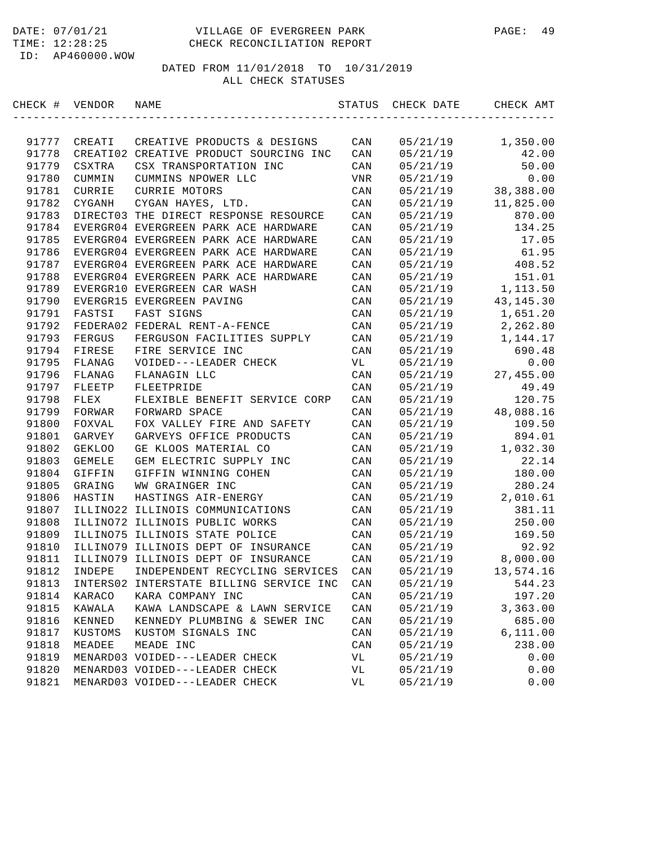| CHECK # | VENDOR        | NAME                                    | STATUS | CHECK DATE | CHECK AMT   |
|---------|---------------|-----------------------------------------|--------|------------|-------------|
|         |               |                                         |        |            |             |
| 91777   | CREATI        | CREATIVE PRODUCTS & DESIGNS             | CAN    | 05/21/19   | 1,350.00    |
| 91778   |               | CREATI02 CREATIVE PRODUCT SOURCING INC  | CAN    | 05/21/19   | 42.00       |
| 91779   | CSXTRA        | CSX TRANSPORTATION INC                  | CAN    | 05/21/19   | 50.00       |
| 91780   | CUMMIN        | CUMMINS NPOWER LLC                      | VNR    | 05/21/19   | 0.00        |
| 91781   | CURRIE        | CURRIE MOTORS                           | CAN    | 05/21/19   | 38,388.00   |
| 91782   | CYGANH        | CYGAN HAYES, LTD.                       | CAN    | 05/21/19   | 11,825.00   |
| 91783   |               | DIRECT03 THE DIRECT RESPONSE RESOURCE   | CAN    | 05/21/19   | 870.00      |
| 91784   |               | EVERGR04 EVERGREEN PARK ACE HARDWARE    | CAN    | 05/21/19   | 134.25      |
| 91785   |               | EVERGR04 EVERGREEN PARK ACE HARDWARE    | CAN    | 05/21/19   | 17.05       |
| 91786   |               | EVERGR04 EVERGREEN PARK ACE HARDWARE    | CAN    | 05/21/19   | 61.95       |
| 91787   |               | EVERGR04 EVERGREEN PARK ACE HARDWARE    | CAN    | 05/21/19   | 408.52      |
| 91788   |               | EVERGR04 EVERGREEN PARK ACE HARDWARE    | CAN    | 05/21/19   | 151.01      |
| 91789   |               | EVERGR10 EVERGREEN CAR WASH             | CAN    | 05/21/19   | 1,113.50    |
| 91790   |               | EVERGR15 EVERGREEN PAVING               | CAN    | 05/21/19   | 43, 145. 30 |
| 91791   | FASTSI        | FAST SIGNS                              | CAN    | 05/21/19   | 1,651.20    |
| 91792   |               | FEDERA02 FEDERAL RENT-A-FENCE           | CAN    | 05/21/19   | 2,262.80    |
| 91793   | <b>FERGUS</b> | FERGUSON FACILITIES SUPPLY              | CAN    | 05/21/19   | 1,144.17    |
| 91794   | FIRESE        | FIRE SERVICE INC                        | CAN    | 05/21/19   | 690.48      |
| 91795   | FLANAG        | VOIDED---LEADER CHECK                   | VL     | 05/21/19   | 0.00        |
| 91796   | FLANAG        | FLANAGIN LLC                            | CAN    | 05/21/19   | 27,455.00   |
| 91797   | FLEETP        | FLEETPRIDE                              | CAN    | 05/21/19   | 49.49       |
| 91798   | FLEX          | FLEXIBLE BENEFIT SERVICE CORP           | CAN    | 05/21/19   | 120.75      |
| 91799   | FORWAR        | FORWARD SPACE                           | CAN    | 05/21/19   | 48,088.16   |
| 91800   | FOXVAL        | FOX VALLEY FIRE AND SAFETY              | CAN    | 05/21/19   | 109.50      |
| 91801   | GARVEY        | GARVEYS OFFICE PRODUCTS                 | CAN    | 05/21/19   | 894.01      |
| 91802   | <b>GEKLOO</b> | GE KLOOS MATERIAL CO                    | CAN    | 05/21/19   | 1,032.30    |
| 91803   | GEMELE        | GEM ELECTRIC SUPPLY INC                 | CAN    | 05/21/19   | 22.14       |
| 91804   | GIFFIN        | GIFFIN WINNING COHEN                    | CAN    | 05/21/19   | 180.00      |
| 91805   | GRAING        | WW GRAINGER INC                         | CAN    | 05/21/19   | 280.24      |
| 91806   | HASTIN        | HASTINGS AIR-ENERGY                     | CAN    | 05/21/19   | 2,010.61    |
| 91807   | ILLINO22      | ILLINOIS COMMUNICATIONS                 | CAN    | 05/21/19   | 381.11      |
| 91808   |               | ILLINO72 ILLINOIS PUBLIC WORKS          | CAN    | 05/21/19   | 250.00      |
| 91809   |               | ILLINO75 ILLINOIS STATE POLICE          | CAN    | 05/21/19   | 169.50      |
| 91810   |               | ILLINO79 ILLINOIS DEPT OF INSURANCE     | CAN    | 05/21/19   | 92.92       |
| 91811   |               | ILLINO79 ILLINOIS DEPT OF INSURANCE     | CAN    | 05/21/19   | 8,000.00    |
| 91812   | INDEPE        | INDEPENDENT RECYCLING SERVICES          | CAN    | 05/21/19   | 13,574.16   |
| 91813   |               | INTERS02 INTERSTATE BILLING SERVICE INC | CAN    | 05/21/19   | 544.23      |
| 91814   | KARACO        | KARA COMPANY INC                        | CAN    | 05/21/19   | 197.20      |
| 91815   | KAWALA        | KAWA LANDSCAPE & LAWN SERVICE           | CAN    | 05/21/19   | 3,363.00    |
| 91816   | KENNED        | KENNEDY PLUMBING & SEWER INC            | CAN    | 05/21/19   | 685.00      |
| 91817   | KUSTOMS       | KUSTOM SIGNALS INC                      | CAN    | 05/21/19   | 6,111.00    |
| 91818   | MEADEE        | MEADE INC                               | CAN    | 05/21/19   | 238.00      |
| 91819   |               | MENARD03 VOIDED---LEADER CHECK          | VL     | 05/21/19   | 0.00        |
| 91820   |               | MENARD03 VOIDED---LEADER CHECK          | VL     | 05/21/19   | 0.00        |
| 91821   |               | MENARD03 VOIDED---LEADER CHECK          | VL     | 05/21/19   | 0.00        |
|         |               |                                         |        |            |             |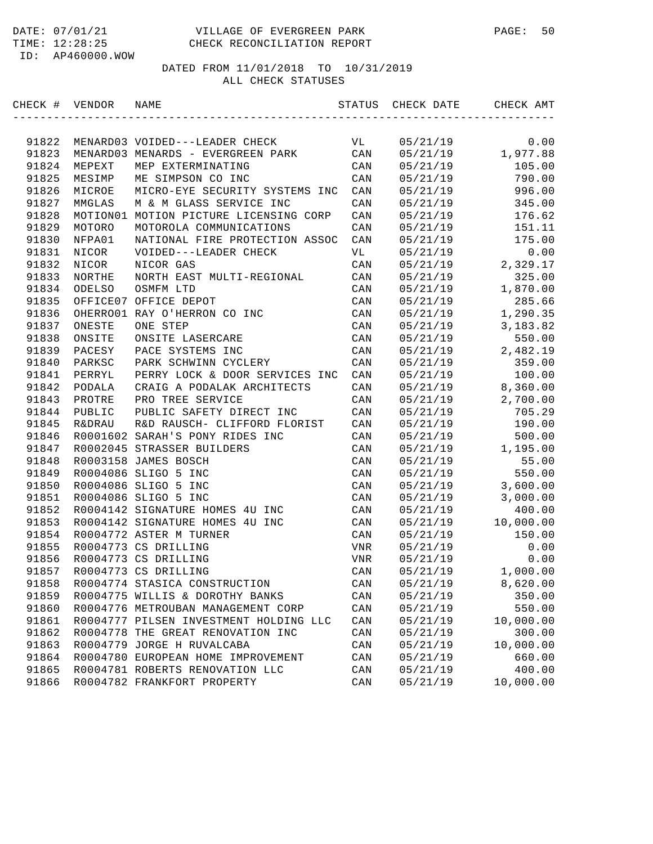| CHECK # | VENDOR            | NAME                                   | STATUS         | CHECK DATE | CHECK AMT |
|---------|-------------------|----------------------------------------|----------------|------------|-----------|
|         |                   |                                        |                |            |           |
| 91822   |                   | MENARD03 VOIDED---LEADER CHECK         | VL             | 05/21/19   | 0.00      |
| 91823   |                   | MENARD03 MENARDS - EVERGREEN PARK      | CAN            | 05/21/19   | 1,977.88  |
| 91824   | MEPEXT            | MEP EXTERMINATING                      | CAN            | 05/21/19   | 105.00    |
| 91825   | MESIMP            | ME SIMPSON CO INC                      | CAN            | 05/21/19   | 790.00    |
| 91826   | MICROE            | MICRO-EYE SECURITY SYSTEMS INC         | CAN            | 05/21/19   | 996.00    |
| 91827   | MMGLAS            | M & M GLASS SERVICE INC                | CAN            | 05/21/19   | 345.00    |
| 91828   |                   | MOTION01 MOTION PICTURE LICENSING CORP | CAN            | 05/21/19   | 176.62    |
| 91829   | MOTORO            | MOTOROLA COMMUNICATIONS                | CAN            | 05/21/19   | 151.11    |
| 91830   | NFPA01            | NATIONAL FIRE PROTECTION ASSOC         | CAN            | 05/21/19   | 175.00    |
| 91831   | NICOR             | VOIDED---LEADER CHECK                  | VL             | 05/21/19   | 0.00      |
| 91832   | NICOR             | NICOR GAS                              | CAN            | 05/21/19   | 2,329.17  |
| 91833   | NORTHE            | NORTH EAST MULTI-REGIONAL              | CAN            | 05/21/19   | 325.00    |
| 91834   | ODELSO            | OSMFM LTD                              | CAN            | 05/21/19   | 1,870.00  |
| 91835   |                   | OFFICE07 OFFICE DEPOT                  | CAN            | 05/21/19   | 285.66    |
| 91836   |                   | OHERRO01 RAY O'HERRON CO INC           | CAN            | 05/21/19   | 1,290.35  |
| 91837   | ONESTE            | ONE STEP                               | CAN            | 05/21/19   | 3,183.82  |
| 91838   | ONSITE            | ONSITE LASERCARE                       | CAN            | 05/21/19   | 550.00    |
| 91839   | PACESY            | PACE SYSTEMS INC                       | CAN            | 05/21/19   | 2,482.19  |
| 91840   | PARKSC            | PARK SCHWINN CYCLERY                   | CAN            | 05/21/19   | 359.00    |
| 91841   | PERRYL            | PERRY LOCK & DOOR SERVICES INC         | CAN            | 05/21/19   | 100.00    |
| 91842   | PODALA            | CRAIG A PODALAK ARCHITECTS             | CAN            | 05/21/19   | 8,360.00  |
| 91843   | PROTRE            | PRO TREE SERVICE                       | CAN            | 05/21/19   | 2,700.00  |
| 91844   | PUBLIC            | PUBLIC SAFETY DIRECT INC               | CAN            | 05/21/19   | 705.29    |
| 91845   | <b>R&amp;DRAU</b> | R&D RAUSCH- CLIFFORD FLORIST           | CAN            | 05/21/19   | 190.00    |
| 91846   |                   | R0001602 SARAH'S PONY RIDES INC        | CAN            | 05/21/19   | 500.00    |
| 91847   |                   | R0002045 STRASSER BUILDERS             | CAN            | 05/21/19   | 1,195.00  |
| 91848   |                   | R0003158 JAMES BOSCH                   | CAN            | 05/21/19   | 55.00     |
| 91849   |                   | R0004086 SLIGO 5 INC                   | CAN            | 05/21/19   | 550.00    |
| 91850   |                   | R0004086 SLIGO 5 INC                   | CAN            | 05/21/19   | 3,600.00  |
| 91851   |                   | R0004086 SLIGO 5 INC                   | CAN            | 05/21/19   | 3,000.00  |
| 91852   |                   | R0004142 SIGNATURE HOMES 4U INC        | CAN            | 05/21/19   | 400.00    |
| 91853   |                   | R0004142 SIGNATURE HOMES 4U INC        | CAN            | 05/21/19   | 10,000.00 |
| 91854   |                   | R0004772 ASTER M TURNER                | CAN            | 05/21/19   | 150.00    |
| 91855   |                   | R0004773 CS DRILLING                   | VNR            | 05/21/19   | 0.00      |
| 91856   |                   | R0004773 CS DRILLING                   | VNR            | 05/21/19   | 0.00      |
| 91857   |                   | R0004773 CS DRILLING                   | CAN            | 05/21/19   | 1,000.00  |
| 91858   |                   | R0004774 STASICA CONSTRUCTION          | CAN            | 05/21/19   | 8,620.00  |
| 91859   |                   | R0004775 WILLIS & DOROTHY BANKS        | CAN            | 05/21/19   | 350.00    |
| 91860   |                   | R0004776 METROUBAN MANAGEMENT CORP     | CAN            | 05/21/19   | 550.00    |
| 91861   |                   | R0004777 PILSEN INVESTMENT HOLDING LLC | CAN            | 05/21/19   | 10,000.00 |
| 91862   |                   | R0004778 THE GREAT RENOVATION INC      | CAN            | 05/21/19   | 300.00    |
| 91863   |                   | R0004779 JORGE H RUVALCABA             | CAN            | 05/21/19   | 10,000.00 |
| 91864   |                   | R0004780 EUROPEAN HOME IMPROVEMENT     | CAN            | 05/21/19   | 660.00    |
| 91865   |                   | R0004781 ROBERTS RENOVATION LLC        | CAN            | 05/21/19   | 400.00    |
| 91866   |                   | R0004782 FRANKFORT PROPERTY            | $\mathtt{CAN}$ | 05/21/19   | 10,000.00 |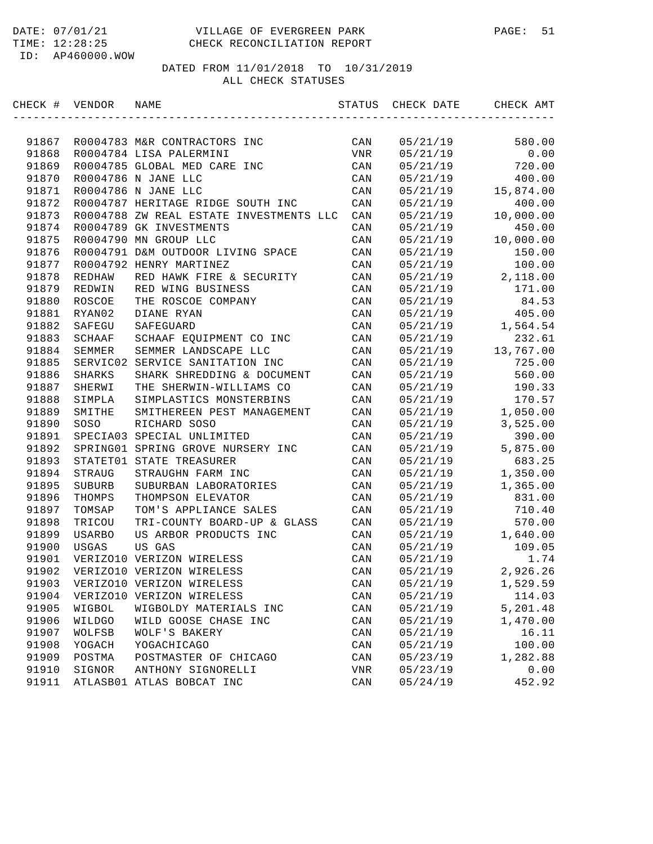#### DATE: 07/01/21 VILLAGE OF EVERGREEN PARK PAGE: 51 TIME: 12:28:25 CHECK RECONCILIATION REPORT

ID: AP460000.WOW

| CHECK # VENDOR |               | NAME                                    | STATUS         | CHECK DATE | CHECK AMT |
|----------------|---------------|-----------------------------------------|----------------|------------|-----------|
|                |               |                                         |                |            |           |
| 91867          |               | R0004783 M&R CONTRACTORS INC            | CAN            | 05/21/19   | 580.00    |
| 91868          |               | R0004784 LISA PALERMINI                 | VNR            | 05/21/19   | 0.00      |
| 91869          |               | R0004785 GLOBAL MED CARE INC            | CAN            | 05/21/19   | 720.00    |
| 91870          |               | R0004786 N JANE LLC                     | CAN            | 05/21/19   | 400.00    |
| 91871          |               | R0004786 N JANE LLC                     | CAN            | 05/21/19   | 15,874.00 |
| 91872          |               | R0004787 HERITAGE RIDGE SOUTH INC       | CAN            | 05/21/19   | 400.00    |
| 91873          |               | R0004788 ZW REAL ESTATE INVESTMENTS LLC | CAN            | 05/21/19   | 10,000.00 |
| 91874          |               | R0004789 GK INVESTMENTS                 | CAN            | 05/21/19   | 450.00    |
| 91875          |               | R0004790 MN GROUP LLC                   | CAN            | 05/21/19   | 10,000.00 |
| 91876          |               | R0004791 D&M OUTDOOR LIVING SPACE       | CAN            | 05/21/19   | 150.00    |
| 91877          |               | R0004792 HENRY MARTINEZ                 | CAN            | 05/21/19   | 100.00    |
| 91878          | REDHAW        | RED HAWK FIRE & SECURITY                | CAN            | 05/21/19   | 2,118.00  |
| 91879          | REDWIN        | RED WING BUSINESS                       | CAN            | 05/21/19   | 171.00    |
| 91880          | ROSCOE        | THE ROSCOE COMPANY                      | CAN            | 05/21/19   | 84.53     |
| 91881          | RYAN02        | DIANE RYAN                              | CAN            | 05/21/19   | 405.00    |
| 91882          | SAFEGU        | SAFEGUARD                               | CAN            | 05/21/19   | 1,564.54  |
| 91883          | SCHAAF        | SCHAAF EQUIPMENT CO INC                 | CAN            | 05/21/19   | 232.61    |
| 91884          | SEMMER        | SEMMER LANDSCAPE LLC                    | CAN            | 05/21/19   | 13,767.00 |
| 91885          | SERVIC02      | SERVICE SANITATION INC                  | CAN            | 05/21/19   | 725.00    |
| 91886          | SHARKS        | SHARK SHREDDING & DOCUMENT              | CAN            | 05/21/19   | 560.00    |
| 91887          | SHERWI        | THE SHERWIN-WILLIAMS CO                 | CAN            | 05/21/19   | 190.33    |
| 91888          | SIMPLA        | SIMPLASTICS MONSTERBINS                 | CAN            | 05/21/19   | 170.57    |
| 91889          | SMITHE        | SMITHEREEN PEST MANAGEMENT              | CAN            | 05/21/19   | 1,050.00  |
| 91890          | SOSO          | RICHARD SOSO                            | CAN            | 05/21/19   | 3,525.00  |
| 91891          |               | SPECIA03 SPECIAL UNLIMITED              | CAN            | 05/21/19   | 390.00    |
| 91892          |               | SPRING01 SPRING GROVE NURSERY INC       | CAN            | 05/21/19   | 5,875.00  |
| 91893          | STATET01      | STATE TREASURER                         | CAN            | 05/21/19   | 683.25    |
| 91894          | STRAUG        | STRAUGHN FARM INC                       | CAN            | 05/21/19   | 1,350.00  |
| 91895          | <b>SUBURB</b> | SUBURBAN LABORATORIES                   | CAN            | 05/21/19   | 1,365.00  |
| 91896          | THOMPS        | THOMPSON ELEVATOR                       | CAN            | 05/21/19   | 831.00    |
| 91897          | TOMSAP        | TOM'S APPLIANCE SALES                   | CAN            | 05/21/19   | 710.40    |
| 91898          | TRICOU        | TRI-COUNTY BOARD-UP & GLASS             | CAN            | 05/21/19   | 570.00    |
| 91899          | USARBO        | US ARBOR PRODUCTS INC                   | CAN            | 05/21/19   | 1,640.00  |
| 91900          | USGAS         | US GAS                                  | CAN            | 05/21/19   | 109.05    |
| 91901          |               | VERIZO10 VERIZON WIRELESS               | CAN            | 05/21/19   | 1.74      |
| 91902          |               | VERIZO10 VERIZON WIRELESS               | CAN            | 05/21/19   | 2,926.26  |
| 91903          |               | VERIZO10 VERIZON WIRELESS               | CAN            | 05/21/19   | 1,529.59  |
| 91904          |               | VERIZO10 VERIZON WIRELESS               | CAN            | 05/21/19   | 114.03    |
| 91905          | WIGBOL        | WIGBOLDY MATERIALS INC                  | $\mathtt{CAN}$ | 05/21/19   | 5,201.48  |
| 91906          | WILDGO        | WILD GOOSE CHASE INC                    | CAN            | 05/21/19   | 1,470.00  |
| 91907          | WOLFSB        | WOLF'S BAKERY                           | $\mathtt{CAN}$ | 05/21/19   | 16.11     |
| 91908          | YOGACH        | YOGACHICAGO                             | CAN            | 05/21/19   | 100.00    |
| 91909          | POSTMA        | POSTMASTER OF CHICAGO                   | CAN            | 05/23/19   | 1,282.88  |
| 91910          | SIGNOR        | ANTHONY SIGNORELLI                      | VNR            | 05/23/19   | 0.00      |
| 91911          |               | ATLASB01 ATLAS BOBCAT INC               | CAN            | 05/24/19   | 452.92    |
|                |               |                                         |                |            |           |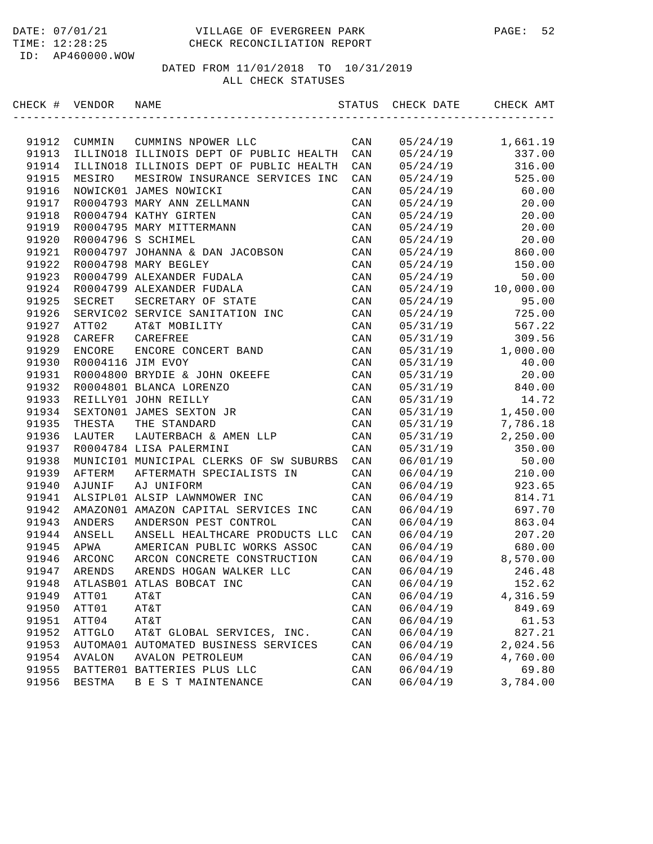| CHECK # VENDOR |               | NAME                                    | STATUS         | CHECK DATE | CHECK AMT |
|----------------|---------------|-----------------------------------------|----------------|------------|-----------|
|                |               |                                         |                |            |           |
| 91912          | CUMMIN        | CUMMINS NPOWER LLC                      | CAN            | 05/24/19   | 1,661.19  |
| 91913          |               | ILLINO18 ILLINOIS DEPT OF PUBLIC HEALTH | CAN            | 05/24/19   | 337.00    |
| 91914          |               | ILLINO18 ILLINOIS DEPT OF PUBLIC HEALTH | CAN            | 05/24/19   | 316.00    |
| 91915          | MESIRO        | MESIROW INSURANCE SERVICES INC          | CAN            | 05/24/19   | 525.00    |
| 91916          |               | NOWICK01 JAMES NOWICKI                  | CAN            | 05/24/19   | 60.00     |
| 91917          |               | R0004793 MARY ANN ZELLMANN              | CAN            | 05/24/19   | 20.00     |
| 91918          |               | R0004794 KATHY GIRTEN                   | CAN            | 05/24/19   | 20.00     |
| 91919          |               | R0004795 MARY MITTERMANN                | CAN            | 05/24/19   | 20.00     |
| 91920          |               | R0004796 S SCHIMEL                      | CAN            | 05/24/19   | 20.00     |
| 91921          |               | R0004797 JOHANNA & DAN JACOBSON         | CAN            | 05/24/19   | 860.00    |
| 91922          |               | R0004798 MARY BEGLEY                    | CAN            | 05/24/19   | 150.00    |
| 91923          |               | R0004799 ALEXANDER FUDALA               | CAN            | 05/24/19   | 50.00     |
| 91924          |               | R0004799 ALEXANDER FUDALA               | CAN            | 05/24/19   | 10,000.00 |
| 91925          | SECRET        | SECRETARY OF STATE                      | CAN            | 05/24/19   | 95.00     |
| 91926          |               | SERVIC02 SERVICE SANITATION INC         | CAN            | 05/24/19   | 725.00    |
| 91927          | ATT02         | AT&T MOBILITY                           | CAN            | 05/31/19   | 567.22    |
| 91928          | CAREFR        | CAREFREE                                | CAN            | 05/31/19   | 309.56    |
| 91929          | <b>ENCORE</b> | ENCORE CONCERT BAND                     | CAN            | 05/31/19   | 1,000.00  |
| 91930          |               | R0004116 JIM EVOY                       | CAN            | 05/31/19   | 40.00     |
| 91931          |               | R0004800 BRYDIE & JOHN OKEEFE           | CAN            | 05/31/19   | 20.00     |
| 91932          |               | R0004801 BLANCA LORENZO                 | CAN            | 05/31/19   | 840.00    |
| 91933          |               | REILLY01 JOHN REILLY                    | CAN            | 05/31/19   | 14.72     |
| 91934          |               | SEXTON01 JAMES SEXTON JR                | CAN            | 05/31/19   | 1,450.00  |
| 91935          | THESTA        | THE STANDARD                            | CAN            | 05/31/19   | 7,786.18  |
| 91936          | LAUTER        | LAUTERBACH & AMEN LLP                   | CAN            | 05/31/19   | 2,250.00  |
| 91937          |               | R0004784 LISA PALERMINI                 | CAN            | 05/31/19   | 350.00    |
| 91938          |               | MUNICI01 MUNICIPAL CLERKS OF SW SUBURBS | CAN            | 06/01/19   | 50.00     |
| 91939          | AFTERM        | AFTERMATH SPECIALISTS IN                | CAN            | 06/04/19   | 210.00    |
| 91940          | AJUNIF        | AJ UNIFORM                              | CAN            | 06/04/19   | 923.65    |
| 91941          |               | ALSIPL01 ALSIP LAWNMOWER INC            | CAN            | 06/04/19   | 814.71    |
| 91942          |               | AMAZON01 AMAZON CAPITAL SERVICES INC    | CAN            | 06/04/19   | 697.70    |
| 91943          | ANDERS        | ANDERSON PEST CONTROL                   | CAN            | 06/04/19   | 863.04    |
| 91944          | ANSELL        | ANSELL HEALTHCARE PRODUCTS LLC          | CAN            | 06/04/19   | 207.20    |
| 91945          | APWA          | AMERICAN PUBLIC WORKS ASSOC             | CAN            | 06/04/19   | 680.00    |
| 91946          | ARCONC        | ARCON CONCRETE CONSTRUCTION             | CAN            | 06/04/19   | 8,570.00  |
| 91947          | ARENDS        | ARENDS HOGAN WALKER LLC                 | CAN            | 06/04/19   | 246.48    |
| 91948          |               | ATLASB01 ATLAS BOBCAT INC               | CAN            | 06/04/19   | 152.62    |
| 91949          | ATT01         | AT&T                                    | $\mathtt{CAN}$ | 06/04/19   | 4,316.59  |
| 91950          | ATT01         | AT&T                                    | CAN            | 06/04/19   | 849.69    |
| 91951          | ATT04         | AT&T                                    | CAN            | 06/04/19   | 61.53     |
| 91952          | <b>ATTGLO</b> | AT&T GLOBAL SERVICES, INC.              | CAN            | 06/04/19   | 827.21    |
| 91953          |               | AUTOMA01 AUTOMATED BUSINESS SERVICES    | $\mathtt{CAN}$ | 06/04/19   | 2,024.56  |
| 91954          | AVALON        | <b>AVALON PETROLEUM</b>                 | $\mathtt{CAN}$ | 06/04/19   | 4,760.00  |
| 91955          |               | BATTER01 BATTERIES PLUS LLC             | CAN            | 06/04/19   | 69.80     |
| 91956          | <b>BESTMA</b> | B E S T MAINTENANCE                     | CAN            | 06/04/19   | 3,784.00  |
|                |               |                                         |                |            |           |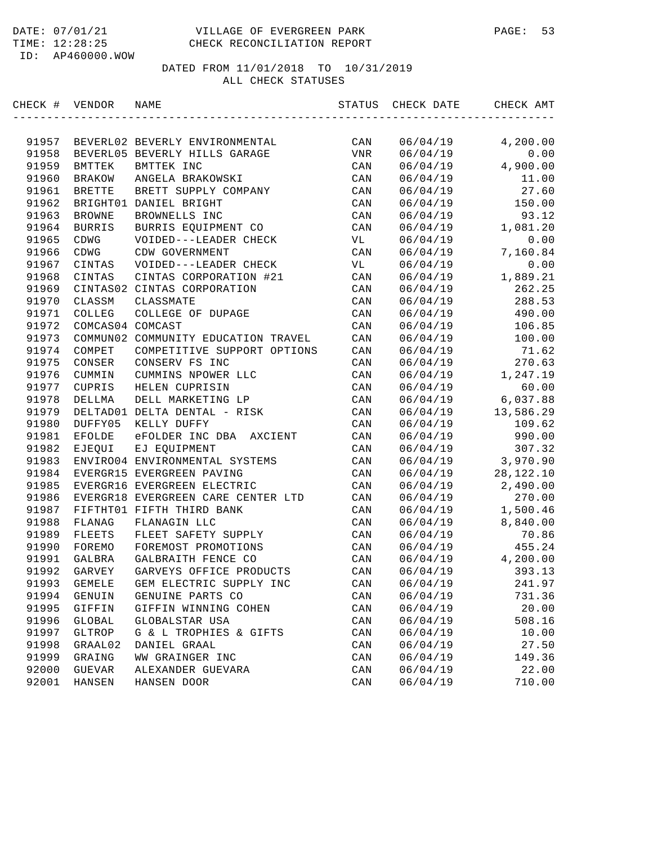| CHECK # VENDOR |                  | NAME                                | STATUS | CHECK DATE | CHECK AMT |
|----------------|------------------|-------------------------------------|--------|------------|-----------|
|                |                  |                                     |        |            |           |
| 91957          |                  | BEVERL02 BEVERLY ENVIRONMENTAL      | CAN    | 06/04/19   | 4,200.00  |
| 91958          |                  | BEVERL05 BEVERLY HILLS GARAGE       | VNR    | 06/04/19   | 0.00      |
| 91959          | BMTTEK           | BMTTEK INC                          | CAN    | 06/04/19   | 4,900.00  |
| 91960          | <b>BRAKOW</b>    | ANGELA BRAKOWSKI                    | CAN    | 06/04/19   | 11.00     |
| 91961          | <b>BRETTE</b>    | BRETT SUPPLY COMPANY                | CAN    | 06/04/19   | 27.60     |
| 91962          |                  | BRIGHT01 DANIEL BRIGHT              | CAN    | 06/04/19   | 150.00    |
| 91963          | <b>BROWNE</b>    | BROWNELLS INC                       | CAN    | 06/04/19   | 93.12     |
| 91964          | <b>BURRIS</b>    | BURRIS EQUIPMENT CO                 | CAN    | 06/04/19   | 1,081.20  |
| 91965          | CDWG             | VOIDED---LEADER CHECK               | VL     | 06/04/19   | 0.00      |
| 91966          | CDWG             | CDW GOVERNMENT                      | CAN    | 06/04/19   | 7,160.84  |
| 91967          | CINTAS           | VOIDED---LEADER CHECK               | VL     | 06/04/19   | 0.00      |
| 91968          | CINTAS           | CINTAS CORPORATION #21              | CAN    | 06/04/19   | 1,889.21  |
| 91969          |                  | CINTAS02 CINTAS CORPORATION         | CAN    | 06/04/19   | 262.25    |
| 91970          | CLASSM           | CLASSMATE                           | CAN    | 06/04/19   | 288.53    |
| 91971          | COLLEG           | COLLEGE OF DUPAGE                   | CAN    | 06/04/19   | 490.00    |
| 91972          | COMCAS04 COMCAST |                                     | CAN    | 06/04/19   | 106.85    |
| 91973          |                  | COMMUN02 COMMUNITY EDUCATION TRAVEL | CAN    | 06/04/19   | 100.00    |
| 91974          | COMPET           | COMPETITIVE SUPPORT OPTIONS         | CAN    | 06/04/19   | 71.62     |
| 91975          | CONSER           | CONSERV FS INC                      | CAN    | 06/04/19   | 270.63    |
| 91976          | CUMMIN           | CUMMINS NPOWER LLC                  | CAN    | 06/04/19   | 1,247.19  |
| 91977          | CUPRIS           | HELEN CUPRISIN                      | CAN    | 06/04/19   | 60.00     |
| 91978          | DELLMA           | DELL MARKETING LP                   | CAN    | 06/04/19   | 6,037.88  |
| 91979          |                  | DELTAD01 DELTA DENTAL - RISK        | CAN    | 06/04/19   | 13,586.29 |
| 91980          | DUFFY05          | KELLY DUFFY                         | CAN    | 06/04/19   | 109.62    |
| 91981          | EFOLDE           | eFOLDER INC DBA AXCIENT             | CAN    | 06/04/19   | 990.00    |
| 91982          | EJEQUI           | EJ EQUIPMENT                        | CAN    | 06/04/19   | 307.32    |
| 91983          |                  | ENVIRO04 ENVIRONMENTAL SYSTEMS      | CAN    | 06/04/19   | 3,970.90  |
| 91984          |                  | EVERGR15 EVERGREEN PAVING           | CAN    | 06/04/19   | 28,122.10 |
| 91985          |                  | EVERGR16 EVERGREEN ELECTRIC         | CAN    | 06/04/19   | 2,490.00  |
| 91986          |                  | EVERGR18 EVERGREEN CARE CENTER LTD  | CAN    | 06/04/19   | 270.00    |
| 91987          |                  | FIFTHT01 FIFTH THIRD BANK           | CAN    | 06/04/19   | 1,500.46  |
| 91988          | FLANAG           | FLANAGIN LLC                        | CAN    | 06/04/19   | 8,840.00  |
| 91989          | FLEETS           | FLEET SAFETY SUPPLY                 | CAN    | 06/04/19   | 70.86     |
| 91990          | FOREMO           | FOREMOST PROMOTIONS                 | CAN    | 06/04/19   | 455.24    |
| 91991          | GALBRA           | GALBRAITH FENCE CO                  | CAN    | 06/04/19   | 4,200.00  |
| 91992          | GARVEY           | GARVEYS OFFICE PRODUCTS             | CAN    | 06/04/19   | 393.13    |
| 91993          | <b>GEMELE</b>    | GEM ELECTRIC SUPPLY INC             | CAN    | 06/04/19   | 241.97    |
| 91994          | GENUIN           | GENUINE PARTS CO                    | CAN    | 06/04/19   | 731.36    |
| 91995          | GIFFIN           | GIFFIN WINNING COHEN                | CAN    | 06/04/19   | 20.00     |
| 91996          | GLOBAL           | GLOBALSTAR USA                      | CAN    | 06/04/19   | 508.16    |
| 91997          | GLTROP           | G & L TROPHIES & GIFTS              | CAN    | 06/04/19   | 10.00     |
| 91998          | GRAAL02          | DANIEL GRAAL                        | CAN    | 06/04/19   | 27.50     |
| 91999          | GRAING           | WW GRAINGER INC                     | CAN    | 06/04/19   | 149.36    |
| 92000          | <b>GUEVAR</b>    | ALEXANDER GUEVARA                   | CAN    | 06/04/19   | 22.00     |
| 92001          | HANSEN           | HANSEN DOOR                         | CAN    | 06/04/19   | 710.00    |
|                |                  |                                     |        |            |           |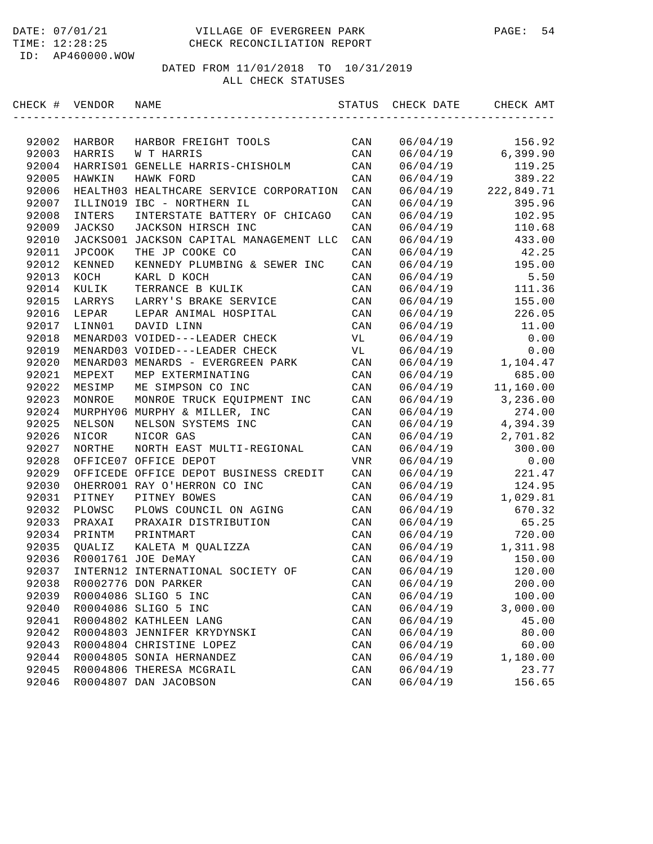#### DATE: 07/01/21 VILLAGE OF EVERGREEN PARK PAGE: 54 TIME: 12:28:25 CHECK RECONCILIATION REPORT

ID: AP460000.WOW

| CHECK # | VENDOR        | NAME                                    | STATUS         | CHECK DATE | CHECK AMT  |
|---------|---------------|-----------------------------------------|----------------|------------|------------|
|         |               |                                         |                |            |            |
| 92002   | HARBOR        | HARBOR FREIGHT TOOLS                    | CAN            | 06/04/19   | 156.92     |
| 92003   | HARRIS        | W T HARRIS                              | CAN            | 06/04/19   | 6, 399.90  |
| 92004   |               | HARRIS01 GENELLE HARRIS-CHISHOLM        | CAN            | 06/04/19   | 119.25     |
| 92005   | HAWKIN        | HAWK FORD                               | CAN            | 06/04/19   | 389.22     |
| 92006   |               | HEALTH03 HEALTHCARE SERVICE CORPORATION | CAN            | 06/04/19   | 222,849.71 |
| 92007   | ILLINO19      | IBC - NORTHERN IL                       | CAN            | 06/04/19   | 395.96     |
| 92008   | INTERS        | INTERSTATE BATTERY OF CHICAGO           | CAN            | 06/04/19   | 102.95     |
| 92009   | <b>JACKSO</b> | JACKSON HIRSCH INC                      | CAN            | 06/04/19   | 110.68     |
| 92010   |               | JACKSO01 JACKSON CAPITAL MANAGEMENT LLC | CAN            | 06/04/19   | 433.00     |
| 92011   | <b>JPCOOK</b> | THE JP COOKE CO                         | CAN            | 06/04/19   | 42.25      |
| 92012   | KENNED        | KENNEDY PLUMBING & SEWER INC            | CAN            | 06/04/19   | 195.00     |
| 92013   | KOCH          | KARL D KOCH                             | CAN            | 06/04/19   | 5.50       |
| 92014   | KULIK         | TERRANCE B KULIK                        | CAN            | 06/04/19   | 111.36     |
| 92015   | LARRYS        | LARRY'S BRAKE SERVICE                   | CAN            | 06/04/19   | 155.00     |
| 92016   | LEPAR         | LEPAR ANIMAL HOSPITAL                   | CAN            | 06/04/19   | 226.05     |
| 92017   | LINN01        | DAVID LINN                              | CAN            | 06/04/19   | 11.00      |
| 92018   |               | MENARD03 VOIDED---LEADER CHECK          | VL             | 06/04/19   | 0.00       |
| 92019   |               | MENARD03 VOIDED---LEADER CHECK          | VL             | 06/04/19   | 0.00       |
| 92020   | MENARD03      | MENARDS - EVERGREEN PARK                | CAN            | 06/04/19   | 1,104.47   |
| 92021   | MEPEXT        | MEP EXTERMINATING                       | CAN            | 06/04/19   | 685.00     |
| 92022   | MESIMP        | ME SIMPSON CO INC                       | CAN            | 06/04/19   | 11,160.00  |
| 92023   | MONROE        | MONROE TRUCK EQUIPMENT INC              | CAN            | 06/04/19   | 3,236.00   |
| 92024   |               | MURPHY06 MURPHY & MILLER, INC           | CAN            | 06/04/19   | 274.00     |
| 92025   | NELSON        | NELSON SYSTEMS INC                      | CAN            | 06/04/19   | 4,394.39   |
| 92026   | NICOR         | NICOR GAS                               | CAN            | 06/04/19   | 2,701.82   |
| 92027   | NORTHE        | NORTH EAST MULTI-REGIONAL               | CAN            | 06/04/19   | 300.00     |
| 92028   |               | OFFICE07 OFFICE DEPOT                   | <b>VNR</b>     | 06/04/19   | 0.00       |
| 92029   |               | OFFICEDE OFFICE DEPOT BUSINESS CREDIT   | CAN            | 06/04/19   | 221.47     |
| 92030   |               | OHERRO01 RAY O'HERRON CO INC            | CAN            | 06/04/19   | 124.95     |
| 92031   | PITNEY        | PITNEY BOWES                            | CAN            | 06/04/19   | 1,029.81   |
| 92032   | PLOWSC        | PLOWS COUNCIL ON AGING                  | CAN            | 06/04/19   | 670.32     |
| 92033   | PRAXAI        | PRAXAIR DISTRIBUTION                    | CAN            | 06/04/19   | 65.25      |
| 92034   | PRINTM        | PRINTMART                               | CAN            | 06/04/19   | 720.00     |
| 92035   | QUALIZ        | KALETA M QUALIZZA                       | CAN            | 06/04/19   | 1,311.98   |
| 92036   |               | R0001761 JOE DeMAY                      | CAN            | 06/04/19   | 150.00     |
| 92037   |               | INTERN12 INTERNATIONAL SOCIETY OF       | CAN            | 06/04/19   | 120.00     |
| 92038   |               | R0002776 DON PARKER                     | CAN            | 06/04/19   | 200.00     |
| 92039   |               | R0004086 SLIGO 5 INC                    | $\mathtt{CAN}$ | 06/04/19   | 100.00     |
| 92040   |               | R0004086 SLIGO 5 INC                    | $\mathtt{CAN}$ | 06/04/19   | 3,000.00   |
| 92041   |               | R0004802 KATHLEEN LANG                  | $\mathtt{CAN}$ | 06/04/19   | 45.00      |
| 92042   |               | R0004803 JENNIFER KRYDYNSKI             | $\mathtt{CAN}$ | 06/04/19   | 80.00      |
| 92043   |               | R0004804 CHRISTINE LOPEZ                | CAN            | 06/04/19   | 60.00      |
| 92044   |               | R0004805 SONIA HERNANDEZ                | CAN            | 06/04/19   | 1,180.00   |
| 92045   |               | R0004806 THERESA MCGRAIL                | $\mathtt{CAN}$ | 06/04/19   | 23.77      |
| 92046   |               | R0004807 DAN JACOBSON                   | $\mathtt{CAN}$ | 06/04/19   | 156.65     |
|         |               |                                         |                |            |            |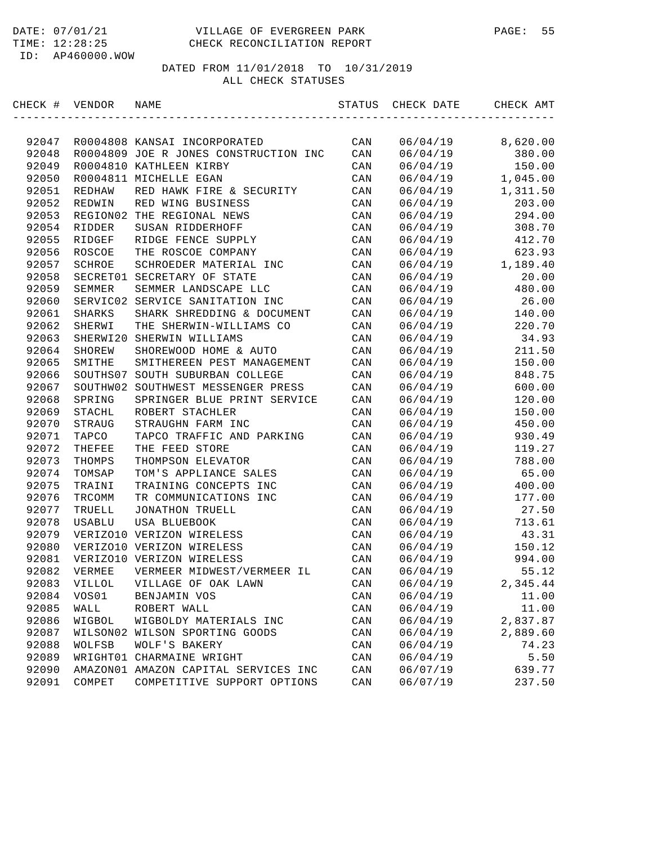#### DATE: 07/01/21 VILLAGE OF EVERGREEN PARK PAGE: 55 TIME: 12:28:25 CHECK RECONCILIATION REPORT

ID: AP460000.WOW

| CHECK # VENDOR |               | NAME                                  | STATUS | CHECK DATE | CHECK AMT |
|----------------|---------------|---------------------------------------|--------|------------|-----------|
|                |               |                                       |        |            |           |
| 92047          |               | R0004808 KANSAI INCORPORATED          | CAN    | 06/04/19   | 8,620.00  |
| 92048          |               | R0004809 JOE R JONES CONSTRUCTION INC | CAN    | 06/04/19   | 380.00    |
| 92049          |               | R0004810 KATHLEEN KIRBY               | CAN    | 06/04/19   | 150.00    |
| 92050          |               | R0004811 MICHELLE EGAN                | CAN    | 06/04/19   | 1,045.00  |
| 92051          | REDHAW        | RED HAWK FIRE & SECURITY              | CAN    | 06/04/19   | 1,311.50  |
| 92052          | REDWIN        | RED WING BUSINESS                     | CAN    | 06/04/19   | 203.00    |
| 92053          | REGION02      | THE REGIONAL NEWS                     | CAN    | 06/04/19   | 294.00    |
| 92054          | RIDDER        | SUSAN RIDDERHOFF                      | CAN    | 06/04/19   | 308.70    |
| 92055          | RIDGEF        | RIDGE FENCE SUPPLY                    | CAN    | 06/04/19   | 412.70    |
| 92056          | ROSCOE        | THE ROSCOE COMPANY                    | CAN    | 06/04/19   | 623.93    |
| 92057          | SCHROE        | SCHROEDER MATERIAL INC                | CAN    | 06/04/19   | 1,189.40  |
| 92058          | SECRET01      | SECRETARY OF STATE                    | CAN    | 06/04/19   | 20.00     |
| 92059          | SEMMER        | SEMMER LANDSCAPE LLC                  | CAN    | 06/04/19   | 480.00    |
| 92060          | SERVIC02      | SERVICE SANITATION INC                | CAN    | 06/04/19   | 26.00     |
| 92061          | SHARKS        | SHARK SHREDDING & DOCUMENT            | CAN    | 06/04/19   | 140.00    |
| 92062          | SHERWI        | THE SHERWIN-WILLIAMS CO               | CAN    | 06/04/19   | 220.70    |
| 92063          | SHERWI20      | SHERWIN WILLIAMS                      | CAN    | 06/04/19   | 34.93     |
| 92064          | SHOREW        | SHOREWOOD HOME & AUTO                 | CAN    | 06/04/19   | 211.50    |
| 92065          | SMITHE        | SMITHEREEN PEST MANAGEMENT            | CAN    | 06/04/19   | 150.00    |
| 92066          | SOUTHS07      | SOUTH SUBURBAN COLLEGE                | CAN    | 06/04/19   | 848.75    |
| 92067          |               | SOUTHW02 SOUTHWEST MESSENGER PRESS    | CAN    | 06/04/19   | 600.00    |
| 92068          | SPRING        | SPRINGER BLUE PRINT SERVICE           | CAN    | 06/04/19   | 120.00    |
| 92069          | STACHL        | ROBERT STACHLER                       | CAN    | 06/04/19   | 150.00    |
| 92070          | STRAUG        | STRAUGHN FARM INC                     | CAN    | 06/04/19   | 450.00    |
| 92071          | TAPCO         | TAPCO TRAFFIC AND PARKING             | CAN    | 06/04/19   | 930.49    |
| 92072          | THEFEE        | THE FEED STORE                        | CAN    | 06/04/19   | 119.27    |
| 92073          | THOMPS        | THOMPSON ELEVATOR                     | CAN    | 06/04/19   | 788.00    |
| 92074          | TOMSAP        | TOM'S APPLIANCE SALES                 | CAN    | 06/04/19   | 65.00     |
| 92075          | TRAINI        | TRAINING CONCEPTS INC                 | CAN    | 06/04/19   | 400.00    |
| 92076          | TRCOMM        | TR COMMUNICATIONS INC                 | CAN    | 06/04/19   | 177.00    |
| 92077          | TRUELL        | JONATHON TRUELL                       | CAN    | 06/04/19   | 27.50     |
| 92078          | USABLU        | USA BLUEBOOK                          | CAN    | 06/04/19   | 713.61    |
| 92079          |               | VERIZO10 VERIZON WIRELESS             | CAN    | 06/04/19   | 43.31     |
| 92080          |               | VERIZO10 VERIZON WIRELESS             | CAN    | 06/04/19   | 150.12    |
| 92081          |               | VERIZO10 VERIZON WIRELESS             | CAN    | 06/04/19   | 994.00    |
| 92082          | VERMEE        | VERMEER MIDWEST/VERMEER IL            | CAN    | 06/04/19   | 55.12     |
| 92083          | <b>AILLOT</b> | VILLAGE OF OAK LAWN                   | CAN    | 06/04/19   | 2,345.44  |
| 92084          | VOS01         | BENJAMIN VOS                          | CAN    | 06/04/19   | 11.00     |
| 92085          | WALL          | ROBERT WALL                           | CAN    | 06/04/19   | 11.00     |
| 92086          | WIGBOL        | WIGBOLDY MATERIALS INC                | CAN    | 06/04/19   | 2,837.87  |
| 92087          | WILSON02      | WILSON SPORTING GOODS                 | CAN    | 06/04/19   | 2,889.60  |
| 92088          | WOLFSB        | WOLF'S BAKERY                         | CAN    | 06/04/19   | 74.23     |
| 92089          |               | WRIGHT01 CHARMAINE WRIGHT             | CAN    | 06/04/19   | 5.50      |
| 92090          |               | AMAZON01 AMAZON CAPITAL SERVICES INC  | CAN    | 06/07/19   | 639.77    |
| 92091          | COMPET        | COMPETITIVE SUPPORT OPTIONS           | CAN    | 06/07/19   | 237.50    |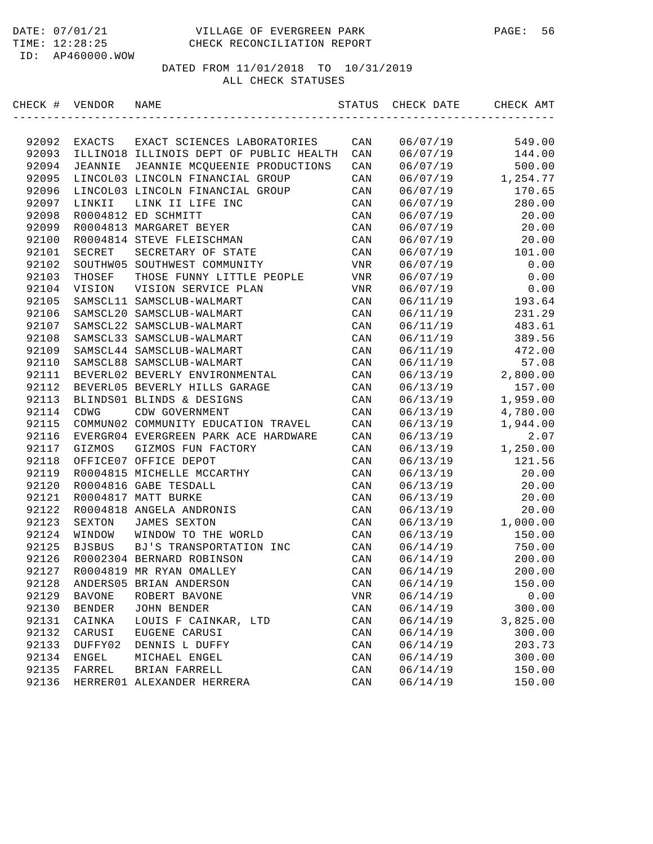| CHECK # | VENDOR         | NAME                                    | STATUS         | CHECK DATE | CHECK AMT |
|---------|----------------|-----------------------------------------|----------------|------------|-----------|
|         |                |                                         |                |            |           |
| 92092   | EXACTS         | EXACT SCIENCES LABORATORIES             | CAN            | 06/07/19   | 549.00    |
| 92093   |                | ILLINO18 ILLINOIS DEPT OF PUBLIC HEALTH | CAN            | 06/07/19   | 144.00    |
| 92094   | <b>JEANNIE</b> | JEANNIE MCQUEENIE PRODUCTIONS           | CAN            | 06/07/19   | 500.00    |
| 92095   |                | LINCOL03 LINCOLN FINANCIAL GROUP        | CAN            | 06/07/19   | 1,254.77  |
| 92096   |                | LINCOL03 LINCOLN FINANCIAL GROUP        | CAN            | 06/07/19   | 170.65    |
| 92097   | LINKII         | LINK II LIFE INC                        | CAN            | 06/07/19   | 280.00    |
| 92098   |                | R0004812 ED SCHMITT                     | CAN            | 06/07/19   | 20.00     |
| 92099   |                | R0004813 MARGARET BEYER                 | CAN            | 06/07/19   | 20.00     |
| 92100   |                | R0004814 STEVE FLEISCHMAN               | CAN            | 06/07/19   | 20.00     |
| 92101   | SECRET         | SECRETARY OF STATE                      | CAN            | 06/07/19   | 101.00    |
| 92102   |                | SOUTHW05 SOUTHWEST COMMUNITY            | VNR            | 06/07/19   | 0.00      |
| 92103   | THOSEF         | THOSE FUNNY LITTLE PEOPLE               | VNR            | 06/07/19   | 0.00      |
| 92104   | VISION         | VISION SERVICE PLAN                     | VNR            | 06/07/19   | 0.00      |
| 92105   |                | SAMSCL11 SAMSCLUB-WALMART               | CAN            | 06/11/19   | 193.64    |
| 92106   |                | SAMSCL20 SAMSCLUB-WALMART               | CAN            | 06/11/19   | 231.29    |
| 92107   |                | SAMSCL22 SAMSCLUB-WALMART               | CAN            | 06/11/19   | 483.61    |
| 92108   |                | SAMSCL33 SAMSCLUB-WALMART               | CAN            | 06/11/19   | 389.56    |
| 92109   |                | SAMSCL44 SAMSCLUB-WALMART               | CAN            | 06/11/19   | 472.00    |
| 92110   |                | SAMSCL88 SAMSCLUB-WALMART               | CAN            | 06/11/19   | 57.08     |
| 92111   |                | BEVERL02 BEVERLY ENVIRONMENTAL          | CAN            | 06/13/19   | 2,800.00  |
| 92112   |                | BEVERL05 BEVERLY HILLS GARAGE           | CAN            | 06/13/19   | 157.00    |
| 92113   |                | BLINDS01 BLINDS & DESIGNS               | CAN            | 06/13/19   | 1,959.00  |
| 92114   | CDWG           | CDW GOVERNMENT                          | CAN            | 06/13/19   | 4,780.00  |
| 92115   |                | COMMUN02 COMMUNITY EDUCATION TRAVEL     | CAN            | 06/13/19   | 1,944.00  |
| 92116   |                | EVERGR04 EVERGREEN PARK ACE HARDWARE    | CAN            | 06/13/19   | 2.07      |
| 92117   | GIZMOS         | GIZMOS FUN FACTORY                      | CAN            | 06/13/19   | 1,250.00  |
| 92118   |                | OFFICE07 OFFICE DEPOT                   | CAN            | 06/13/19   | 121.56    |
| 92119   |                | R0004815 MICHELLE MCCARTHY              | CAN            | 06/13/19   | 20.00     |
| 92120   |                | R0004816 GABE TESDALL                   | CAN            | 06/13/19   | 20.00     |
| 92121   |                | R0004817 MATT BURKE                     | CAN            | 06/13/19   | 20.00     |
| 92122   |                | R0004818 ANGELA ANDRONIS                | CAN            | 06/13/19   | 20.00     |
| 92123   | SEXTON         | <b>JAMES SEXTON</b>                     | CAN            | 06/13/19   | 1,000.00  |
| 92124   | WINDOW         | WINDOW TO THE WORLD                     | CAN            | 06/13/19   | 150.00    |
| 92125   | <b>BJSBUS</b>  | BJ'S TRANSPORTATION INC                 | CAN            | 06/14/19   | 750.00    |
| 92126   |                | R0002304 BERNARD ROBINSON               | CAN            | 06/14/19   | 200.00    |
| 92127   |                | R0004819 MR RYAN OMALLEY                | CAN            | 06/14/19   | 200.00    |
| 92128   |                | ANDERS05 BRIAN ANDERSON                 | CAN            | 06/14/19   | 150.00    |
| 92129   | <b>BAVONE</b>  | ROBERT BAVONE                           | VNR            | 06/14/19   | 0.00      |
| 92130   | <b>BENDER</b>  | <b>JOHN BENDER</b>                      | $\mathtt{CAN}$ | 06/14/19   | 300.00    |
| 92131   | CAINKA         | LOUIS F CAINKAR, LTD                    | CAN            | 06/14/19   | 3,825.00  |
| 92132   | CARUSI         | EUGENE CARUSI                           | $\mathtt{CAN}$ | 06/14/19   | 300.00    |
| 92133   | DUFFY02        | DENNIS L DUFFY                          | CAN            | 06/14/19   | 203.73    |
| 92134   | ENGEL          | MICHAEL ENGEL                           | CAN            | 06/14/19   | 300.00    |
| 92135   | FARREL         | BRIAN FARRELL                           | CAN            | 06/14/19   | 150.00    |
| 92136   |                | HERRER01 ALEXANDER HERRERA              | $\mathtt{CAN}$ | 06/14/19   | 150.00    |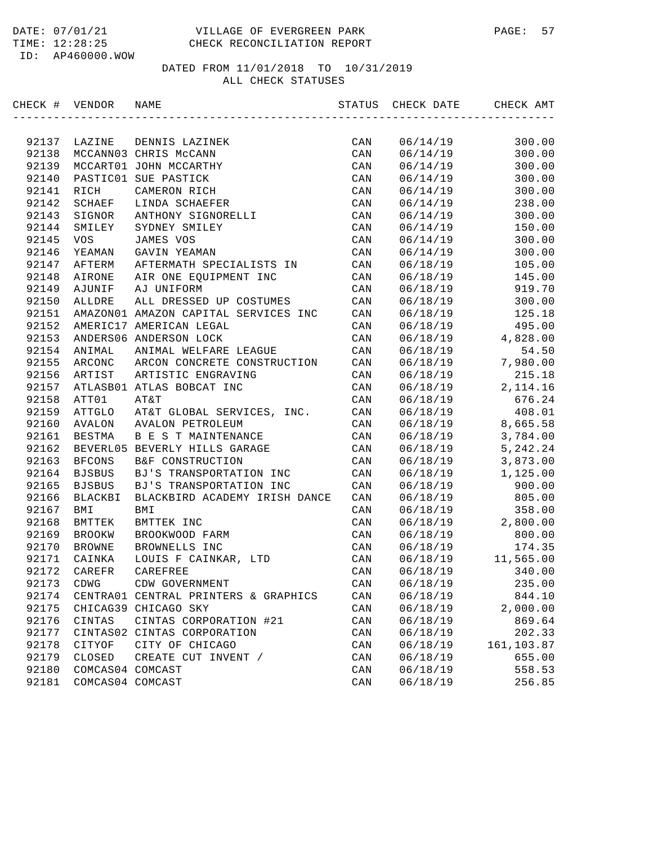| CHECK # VENDOR |                  | NAME                                 | STATUS         | CHECK DATE | CHECK AMT  |
|----------------|------------------|--------------------------------------|----------------|------------|------------|
|                |                  |                                      |                |            |            |
| 92137          | LAZINE           | DENNIS LAZINEK                       | CAN            | 06/14/19   | 300.00     |
| 92138          |                  | MCCANN03 CHRIS McCANN                | CAN            | 06/14/19   | 300.00     |
| 92139          |                  | MCCART01 JOHN MCCARTHY               | CAN            | 06/14/19   | 300.00     |
| 92140          |                  | PASTIC01 SUE PASTICK                 | CAN            | 06/14/19   | 300.00     |
| 92141          | RICH             | CAMERON RICH                         | CAN            | 06/14/19   | 300.00     |
| 92142          | SCHAEF           | LINDA SCHAEFER                       | CAN            | 06/14/19   | 238.00     |
| 92143          | SIGNOR           | ANTHONY SIGNORELLI                   | CAN            | 06/14/19   | 300.00     |
| 92144          | SMILEY           | SYDNEY SMILEY                        | CAN            | 06/14/19   | 150.00     |
| 92145          | VOS              | JAMES VOS                            | CAN            | 06/14/19   | 300.00     |
| 92146          | YEAMAN           | GAVIN YEAMAN                         | CAN            | 06/14/19   | 300.00     |
| 92147          | AFTERM           | AFTERMATH SPECIALISTS IN             | CAN            | 06/18/19   | 105.00     |
| 92148          | AIRONE           | AIR ONE EQUIPMENT INC                | CAN            | 06/18/19   | 145.00     |
| 92149          | AJUNIF           | AJ UNIFORM                           | CAN            | 06/18/19   | 919.70     |
| 92150          | ALLDRE           | ALL DRESSED UP COSTUMES              | CAN            | 06/18/19   | 300.00     |
| 92151          |                  | AMAZON01 AMAZON CAPITAL SERVICES INC | CAN            | 06/18/19   | 125.18     |
| 92152          |                  | AMERIC17 AMERICAN LEGAL              | CAN            | 06/18/19   | 495.00     |
| 92153          |                  | ANDERS06 ANDERSON LOCK               | CAN            | 06/18/19   | 4,828.00   |
| 92154          | ANIMAL           | ANIMAL WELFARE LEAGUE                | CAN            | 06/18/19   | 54.50      |
| 92155          | ARCONC           | ARCON CONCRETE CONSTRUCTION          | CAN            | 06/18/19   | 7,980.00   |
| 92156          | ARTIST           | ARTISTIC ENGRAVING                   | CAN            | 06/18/19   | 215.18     |
| 92157          |                  | ATLASB01 ATLAS BOBCAT INC            | CAN            | 06/18/19   | 2, 114.16  |
| 92158          | ATT01            | AT&T                                 | CAN            | 06/18/19   | 676.24     |
| 92159          | ATTGLO           | AT&T GLOBAL SERVICES, INC.           | CAN            | 06/18/19   | 408.01     |
| 92160          | AVALON           | <b>AVALON PETROLEUM</b>              | CAN            | 06/18/19   | 8,665.58   |
| 92161          | <b>BESTMA</b>    | B E S T MAINTENANCE                  | CAN            | 06/18/19   | 3,784.00   |
| 92162          |                  | BEVERL05 BEVERLY HILLS GARAGE        | CAN            | 06/18/19   | 5, 242.24  |
| 92163          | <b>BFCONS</b>    | B&F CONSTRUCTION                     | CAN            | 06/18/19   | 3,873.00   |
| 92164          | <b>BJSBUS</b>    | BJ'S TRANSPORTATION INC              | CAN            | 06/18/19   | 1,125.00   |
| 92165          | <b>BJSBUS</b>    | BJ'S TRANSPORTATION INC              | CAN            | 06/18/19   | 900.00     |
| 92166          | BLACKBI          | BLACKBIRD ACADEMY IRISH DANCE        | CAN            | 06/18/19   | 805.00     |
| 92167          | BMI              | BMI                                  | CAN            | 06/18/19   | 358.00     |
| 92168          | BMTTEK           | BMTTEK INC                           | CAN            | 06/18/19   | 2,800.00   |
| 92169          | <b>BROOKW</b>    | BROOKWOOD FARM                       | CAN            | 06/18/19   | 800.00     |
| 92170          | <b>BROWNE</b>    | BROWNELLS INC                        | CAN            | 06/18/19   | 174.35     |
| 92171          | CAINKA           | LOUIS F CAINKAR, LTD                 | CAN            | 06/18/19   | 11,565.00  |
| 92172          | CAREFR           | CAREFREE                             | CAN            | 06/18/19   | 340.00     |
| 92173          | CDWG             | CDW GOVERNMENT                       | CAN            | 06/18/19   | 235.00     |
| 92174          |                  | CENTRA01 CENTRAL PRINTERS & GRAPHICS | $\mathtt{CAN}$ | 06/18/19   | 844.10     |
| 92175          |                  | CHICAG39 CHICAGO SKY                 | CAN            | 06/18/19   | 2,000.00   |
| 92176          | CINTAS           | CINTAS CORPORATION #21               | CAN            | 06/18/19   | 869.64     |
| 92177          |                  | CINTAS02 CINTAS CORPORATION          | CAN            | 06/18/19   | 202.33     |
| 92178          | CITYOF           | CITY OF CHICAGO                      | CAN            | 06/18/19   | 161,103.87 |
| 92179          | CLOSED           | CREATE CUT INVENT /                  | CAN            | 06/18/19   | 655.00     |
| 92180          | COMCAS04 COMCAST |                                      | CAN            | 06/18/19   | 558.53     |
| 92181          | COMCAS04 COMCAST |                                      | CAN            | 06/18/19   | 256.85     |
|                |                  |                                      |                |            |            |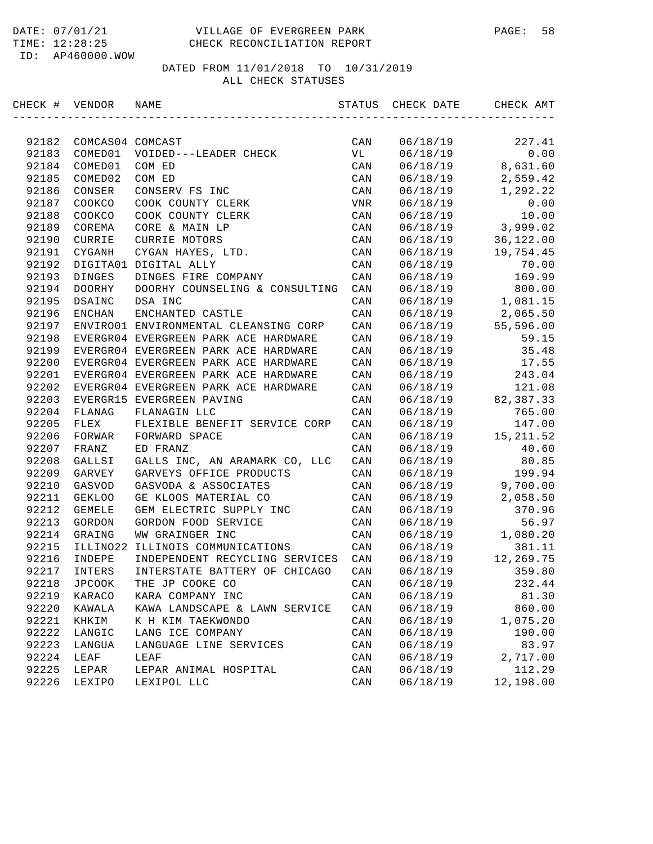#### DATE: 07/01/21 VILLAGE OF EVERGREEN PARK PAGE: 58 TIME: 12:28:25 CHECK RECONCILIATION REPORT

ID: AP460000.WOW

| CHECK # | VENDOR           | NAME                                  | STATUS         | CHECK DATE | CHECK AMT  |
|---------|------------------|---------------------------------------|----------------|------------|------------|
|         |                  |                                       |                |            |            |
| 92182   | COMCAS04 COMCAST |                                       | CAN            | 06/18/19   | 227.41     |
| 92183   | COMED01          | VOIDED---LEADER CHECK                 | VL             | 06/18/19   | 0.00       |
| 92184   | COMED01          | COM ED                                | CAN            | 06/18/19   | 8,631.60   |
| 92185   | COMED02          | COM ED                                | CAN            | 06/18/19   | 2,559.42   |
| 92186   | CONSER           | CONSERV FS INC                        | CAN            | 06/18/19   | 1,292.22   |
| 92187   | COOKCO           | COOK COUNTY CLERK                     | VNR            | 06/18/19   | 0.00       |
| 92188   | COOKCO           | COOK COUNTY CLERK                     | CAN            | 06/18/19   | 10.00      |
| 92189   | COREMA           | CORE & MAIN LP                        | CAN            | 06/18/19   | 3,999.02   |
| 92190   | CURRIE           | CURRIE MOTORS                         | CAN            | 06/18/19   | 36,122.00  |
| 92191   | CYGANH           | CYGAN HAYES, LTD.                     | CAN            | 06/18/19   | 19,754.45  |
| 92192   |                  | DIGITA01 DIGITAL ALLY                 | CAN            | 06/18/19   | 70.00      |
| 92193   | DINGES           | DINGES FIRE COMPANY                   | CAN            | 06/18/19   | 169.99     |
| 92194   | DOORHY           | DOORHY COUNSELING & CONSULTING        | CAN            | 06/18/19   | 800.00     |
| 92195   | DSAINC           | DSA INC                               | CAN            | 06/18/19   | 1,081.15   |
| 92196   | <b>ENCHAN</b>    | ENCHANTED CASTLE                      | CAN            | 06/18/19   | 2,065.50   |
| 92197   |                  | ENVIRO01 ENVIRONMENTAL CLEANSING CORP | CAN            | 06/18/19   | 55,596.00  |
| 92198   |                  | EVERGR04 EVERGREEN PARK ACE HARDWARE  | CAN            | 06/18/19   | 59.15      |
| 92199   |                  | EVERGR04 EVERGREEN PARK ACE HARDWARE  | CAN            | 06/18/19   | 35.48      |
| 92200   |                  | EVERGR04 EVERGREEN PARK ACE HARDWARE  | CAN            | 06/18/19   | 17.55      |
| 92201   |                  | EVERGR04 EVERGREEN PARK ACE HARDWARE  | CAN            | 06/18/19   | 243.04     |
| 92202   |                  | EVERGR04 EVERGREEN PARK ACE HARDWARE  | CAN            | 06/18/19   | 121.08     |
| 92203   |                  | EVERGR15 EVERGREEN PAVING             | CAN            | 06/18/19   | 82, 387.33 |
| 92204   | FLANAG           | FLANAGIN LLC                          | CAN            | 06/18/19   | 765.00     |
| 92205   | FLEX             | FLEXIBLE BENEFIT SERVICE CORP         | CAN            | 06/18/19   | 147.00     |
| 92206   | FORWAR           | FORWARD SPACE                         | CAN            | 06/18/19   | 15, 211.52 |
| 92207   | FRANZ            | ED FRANZ                              | CAN            | 06/18/19   | 40.60      |
| 92208   | GALLSI           | GALLS INC, AN ARAMARK CO, LLC         | CAN            | 06/18/19   | 80.85      |
| 92209   | GARVEY           | GARVEYS OFFICE PRODUCTS               | CAN            | 06/18/19   | 199.94     |
| 92210   | GASVOD           | GASVODA & ASSOCIATES                  | CAN            | 06/18/19   | 9,700.00   |
| 92211   | <b>GEKLOO</b>    | GE KLOOS MATERIAL CO                  | CAN            | 06/18/19   | 2,058.50   |
| 92212   | <b>GEMELE</b>    | GEM ELECTRIC SUPPLY INC               | CAN            | 06/18/19   | 370.96     |
| 92213   | GORDON           | GORDON FOOD SERVICE                   | CAN            | 06/18/19   | 56.97      |
| 92214   | GRAING           | WW GRAINGER INC                       | CAN            | 06/18/19   | 1,080.20   |
| 92215   | ILLINO22         | ILLINOIS COMMUNICATIONS               | CAN            | 06/18/19   | 381.11     |
| 92216   | INDEPE           | INDEPENDENT RECYCLING SERVICES        | CAN            | 06/18/19   | 12,269.75  |
| 92217   | INTERS           | INTERSTATE BATTERY OF CHICAGO         | CAN            | 06/18/19   | 359.80     |
| 92218   | JPCOOK           | THE JP COOKE CO                       | CAN            | 06/18/19   | 232.44     |
| 92219   | KARACO           | KARA COMPANY INC                      | $\mathtt{CAN}$ | 06/18/19   | 81.30      |
| 92220   | KAWALA           | KAWA LANDSCAPE & LAWN SERVICE         | $\mathtt{CAN}$ | 06/18/19   | 860.00     |
| 92221   | KHKIM            | K H KIM TAEKWONDO                     | CAN            | 06/18/19   | 1,075.20   |
| 92222   | LANGIC           | LANG ICE COMPANY                      | CAN            | 06/18/19   | 190.00     |
| 92223   | LANGUA           | LANGUAGE LINE SERVICES                | CAN            | 06/18/19   | 83.97      |
| 92224   | LEAF             | LEAF                                  | CAN            | 06/18/19   | 2,717.00   |
| 92225   | LEPAR            | LEPAR ANIMAL HOSPITAL                 | CAN            | 06/18/19   | 112.29     |
| 92226   | LEXIPO           | LEXIPOL LLC                           | CAN            | 06/18/19   | 12,198.00  |
|         |                  |                                       |                |            |            |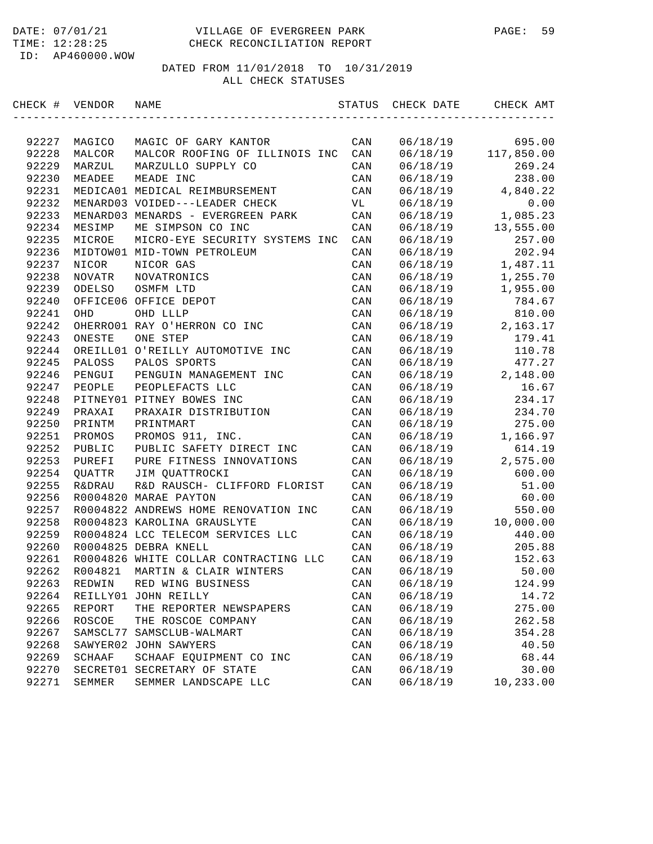#### DATE: 07/01/21 VILLAGE OF EVERGREEN PARK PAGE: 59 TIME: 12:28:25 CHECK RECONCILIATION REPORT

ID: AP460000.WOW

| CHECK # VENDOR |                   | NAME                                  | STATUS         | CHECK DATE           | CHECK AMT  |
|----------------|-------------------|---------------------------------------|----------------|----------------------|------------|
|                |                   | MAGIC OF GARY KANTOR                  |                |                      | 695.00     |
| 92227<br>92228 | MAGICO<br>MALCOR  | MALCOR ROOFING OF ILLINOIS INC        | CAN<br>CAN     | 06/18/19<br>06/18/19 | 117,850.00 |
| 92229          | MARZUL            | MARZULLO SUPPLY CO                    | CAN            | 06/18/19             | 269.24     |
| 92230          | MEADEE            | MEADE INC                             | CAN            | 06/18/19             | 238.00     |
| 92231          |                   | MEDICA01 MEDICAL REIMBURSEMENT        | CAN            | 06/18/19             | 4,840.22   |
| 92232          |                   | MENARD03 VOIDED---LEADER CHECK        | VL             | 06/18/19             | 0.00       |
| 92233          |                   | MENARD03 MENARDS - EVERGREEN PARK     | CAN            | 06/18/19             | 1,085.23   |
| 92234          | MESIMP            | ME SIMPSON CO INC                     | CAN            | 06/18/19             | 13,555.00  |
| 92235          | MICROE            | MICRO-EYE SECURITY SYSTEMS INC        | CAN            | 06/18/19             | 257.00     |
| 92236          |                   | MIDTOW01 MID-TOWN PETROLEUM           | CAN            | 06/18/19             | 202.94     |
| 92237          | NICOR             | NICOR GAS                             | CAN            | 06/18/19             | 1,487.11   |
| 92238          | NOVATR            | NOVATRONICS                           | CAN            | 06/18/19             | 1,255.70   |
| 92239          | ODELSO            | OSMFM LTD                             | CAN            | 06/18/19             | 1,955.00   |
| 92240          |                   | OFFICE06 OFFICE DEPOT                 | CAN            | 06/18/19             | 784.67     |
| 92241          | OHD               | OHD LLLP                              | CAN            | 06/18/19             | 810.00     |
| 92242          |                   | OHERRO01 RAY O'HERRON CO INC          | CAN            | 06/18/19             | 2,163.17   |
| 92243          | ONESTE            | ONE STEP                              | CAN            | 06/18/19             | 179.41     |
| 92244          |                   | OREILL01 O'REILLY AUTOMOTIVE INC      | CAN            | 06/18/19             | 110.78     |
| 92245          | PALOSS            | PALOS SPORTS                          | CAN            | 06/18/19             | 477.27     |
| 92246          | PENGUI            | PENGUIN MANAGEMENT INC                | CAN            | 06/18/19             | 2,148.00   |
| 92247          | PEOPLE            | PEOPLEFACTS LLC                       | CAN            | 06/18/19             | 16.67      |
| 92248          |                   | PITNEY01 PITNEY BOWES INC             | CAN            | 06/18/19             | 234.17     |
| 92249          | PRAXAI            | PRAXAIR DISTRIBUTION                  | CAN            | 06/18/19             | 234.70     |
| 92250          | PRINTM            | PRINTMART                             | CAN            | 06/18/19             | 275.00     |
| 92251          | PROMOS            | PROMOS 911, INC.                      | CAN            | 06/18/19             | 1,166.97   |
| 92252          | PUBLIC            | PUBLIC SAFETY DIRECT INC              | CAN            | 06/18/19             | 614.19     |
| 92253          | PUREFI            | PURE FITNESS INNOVATIONS              | CAN            | 06/18/19             | 2,575.00   |
| 92254          | QUATTR            | JIM QUATTROCKI                        | CAN            | 06/18/19             | 600.00     |
| 92255          | <b>R&amp;DRAU</b> | R&D RAUSCH- CLIFFORD FLORIST          | CAN            | 06/18/19             | 51.00      |
| 92256          |                   | R0004820 MARAE PAYTON                 | CAN            | 06/18/19             | 60.00      |
| 92257          |                   | R0004822 ANDREWS HOME RENOVATION INC  | CAN            | 06/18/19             | 550.00     |
| 92258          |                   | R0004823 KAROLINA GRAUSLYTE           | CAN            | 06/18/19             | 10,000.00  |
| 92259          |                   | R0004824 LCC TELECOM SERVICES LLC     | CAN            | 06/18/19             | 440.00     |
| 92260          |                   | R0004825 DEBRA KNELL                  | CAN            | 06/18/19             | 205.88     |
| 92261          |                   | R0004826 WHITE COLLAR CONTRACTING LLC | CAN            | 06/18/19             | 152.63     |
| 92262          | R004821           | MARTIN & CLAIR WINTERS                | CAN            | 06/18/19             | 50.00      |
| 92263          | REDWIN            | RED WING BUSINESS                     | CAN            | 06/18/19             | 124.99     |
| 92264          | REILLY01          | JOHN REILLY                           | CAN            | 06/18/19             | 14.72      |
| 92265          | REPORT            | THE REPORTER NEWSPAPERS               | CAN            | 06/18/19             | 275.00     |
| 92266          | ROSCOE            | THE ROSCOE COMPANY                    | CAN            | 06/18/19             | 262.58     |
| 92267          | SAMSCL77          | SAMSCLUB-WALMART                      | CAN            | 06/18/19             | 354.28     |
| 92268          | SAWYER02          | JOHN SAWYERS                          | CAN            | 06/18/19             | 40.50      |
| 92269          | SCHAAF            | SCHAAF EQUIPMENT CO INC               | $\mathtt{CAN}$ | 06/18/19             | 68.44      |
| 92270          | SECRET01          | SECRETARY OF STATE                    | CAN            | 06/18/19             | 30.00      |
| 92271          | SEMMER            | SEMMER LANDSCAPE LLC                  | CAN            | 06/18/19             | 10,233.00  |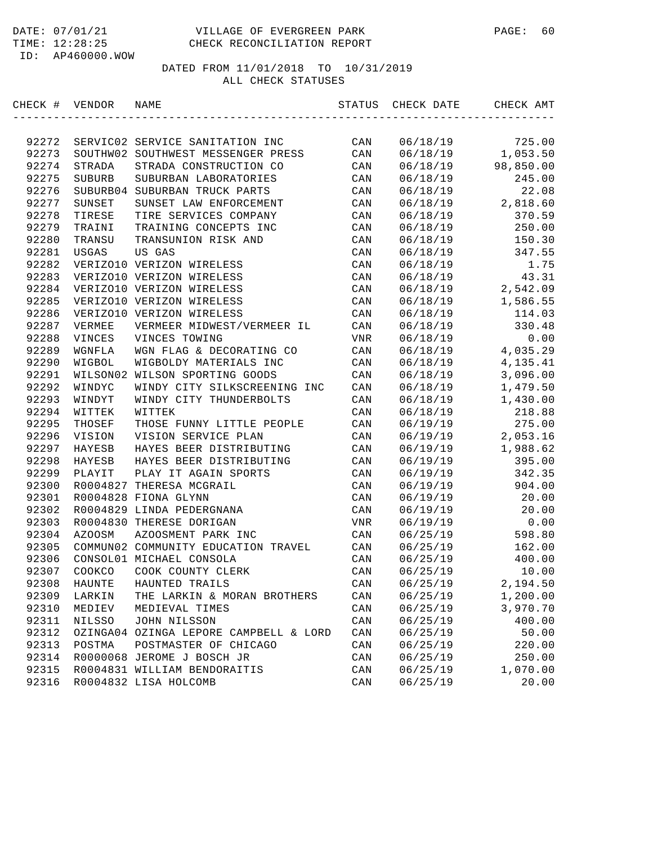| CHECK # | VENDOR        | NAME                                   | STATUS         | CHECK DATE | CHECK AMT |
|---------|---------------|----------------------------------------|----------------|------------|-----------|
|         |               |                                        |                |            |           |
| 92272   |               | SERVIC02 SERVICE SANITATION INC        | CAN            | 06/18/19   | 725.00    |
| 92273   |               | SOUTHW02 SOUTHWEST MESSENGER PRESS     | CAN            | 06/18/19   | 1,053.50  |
| 92274   | STRADA        | STRADA CONSTRUCTION CO                 | CAN            | 06/18/19   | 98,850.00 |
| 92275   | SUBURB        | SUBURBAN LABORATORIES                  | CAN            | 06/18/19   | 245.00    |
| 92276   |               | SUBURB04 SUBURBAN TRUCK PARTS          | CAN            | 06/18/19   | 22.08     |
| 92277   | SUNSET        | SUNSET LAW ENFORCEMENT                 | CAN            | 06/18/19   | 2,818.60  |
| 92278   | TIRESE        | TIRE SERVICES COMPANY                  | CAN            | 06/18/19   | 370.59    |
| 92279   | TRAINI        | TRAINING CONCEPTS INC                  | CAN            | 06/18/19   | 250.00    |
| 92280   | TRANSU        | TRANSUNION RISK AND                    | CAN            | 06/18/19   | 150.30    |
| 92281   | USGAS         | US GAS                                 | CAN            | 06/18/19   | 347.55    |
| 92282   |               | VERIZO10 VERIZON WIRELESS              | CAN            | 06/18/19   | 1.75      |
| 92283   |               | VERIZO10 VERIZON WIRELESS              | CAN            | 06/18/19   | 43.31     |
| 92284   |               | VERIZO10 VERIZON WIRELESS              | CAN            | 06/18/19   | 2,542.09  |
| 92285   |               | VERIZO10 VERIZON WIRELESS              | CAN            | 06/18/19   | 1,586.55  |
| 92286   |               | VERIZO10 VERIZON WIRELESS              | CAN            | 06/18/19   | 114.03    |
| 92287   | VERMEE        | VERMEER MIDWEST/VERMEER IL             | CAN            | 06/18/19   | 330.48    |
| 92288   | VINCES        | VINCES TOWING                          | VNR            | 06/18/19   | 0.00      |
| 92289   | WGNFLA        | WGN FLAG & DECORATING CO               | CAN            | 06/18/19   | 4,035.29  |
| 92290   | WIGBOL        | WIGBOLDY MATERIALS INC                 | CAN            | 06/18/19   | 4,135.41  |
| 92291   |               | WILSON02 WILSON SPORTING GOODS         | CAN            | 06/18/19   | 3,096.00  |
| 92292   | WINDYC        | WINDY CITY SILKSCREENING INC           | CAN            | 06/18/19   | 1,479.50  |
| 92293   | WINDYT        | WINDY CITY THUNDERBOLTS                | CAN            | 06/18/19   | 1,430.00  |
| 92294   | WITTEK        | WITTEK                                 | CAN            | 06/18/19   | 218.88    |
| 92295   | THOSEF        | THOSE FUNNY LITTLE PEOPLE              | CAN            | 06/19/19   | 275.00    |
| 92296   | VISION        | VISION SERVICE PLAN                    | CAN            | 06/19/19   | 2,053.16  |
| 92297   | HAYESB        | HAYES BEER DISTRIBUTING                | CAN            | 06/19/19   | 1,988.62  |
| 92298   | HAYESB        | HAYES BEER DISTRIBUTING                | CAN            | 06/19/19   | 395.00    |
| 92299   | PLAYIT        | PLAY IT AGAIN SPORTS                   | CAN            | 06/19/19   | 342.35    |
| 92300   |               | R0004827 THERESA MCGRAIL               | CAN            | 06/19/19   | 904.00    |
| 92301   |               | R0004828 FIONA GLYNN                   | CAN            | 06/19/19   | 20.00     |
| 92302   |               | R0004829 LINDA PEDERGNANA              | CAN            | 06/19/19   | 20.00     |
| 92303   |               | R0004830 THERESE DORIGAN               | VNR            | 06/19/19   | 0.00      |
| 92304   | AZOOSM        | AZOOSMENT PARK INC                     | CAN            | 06/25/19   | 598.80    |
| 92305   |               | COMMUN02 COMMUNITY EDUCATION TRAVEL    | CAN            | 06/25/19   | 162.00    |
| 92306   |               | CONSOL01 MICHAEL CONSOLA               | CAN            | 06/25/19   | 400.00    |
| 92307   | COOKCO        | COOK COUNTY CLERK                      | CAN            | 06/25/19   | 10.00     |
| 92308   | HAUNTE        | HAUNTED TRAILS                         | $\mathtt{CAN}$ | 06/25/19   | 2,194.50  |
| 92309   | LARKIN        | THE LARKIN & MORAN BROTHERS            | CAN            | 06/25/19   | 1,200.00  |
| 92310   | MEDIEV        | MEDIEVAL TIMES                         | $\mathtt{CAN}$ | 06/25/19   | 3,970.70  |
| 92311   | <b>NILSSO</b> | JOHN NILSSON                           | CAN            | 06/25/19   | 400.00    |
| 92312   |               | OZINGA04 OZINGA LEPORE CAMPBELL & LORD | CAN            | 06/25/19   | 50.00     |
| 92313   | POSTMA        | POSTMASTER OF CHICAGO                  | CAN            | 06/25/19   | 220.00    |
| 92314   |               | R0000068 JEROME J BOSCH JR             | CAN            | 06/25/19   | 250.00    |
| 92315   |               | R0004831 WILLIAM BENDORAITIS           | CAN            | 06/25/19   | 1,070.00  |
| 92316   |               | R0004832 LISA HOLCOMB                  | $\mathtt{CAN}$ | 06/25/19   | 20.00     |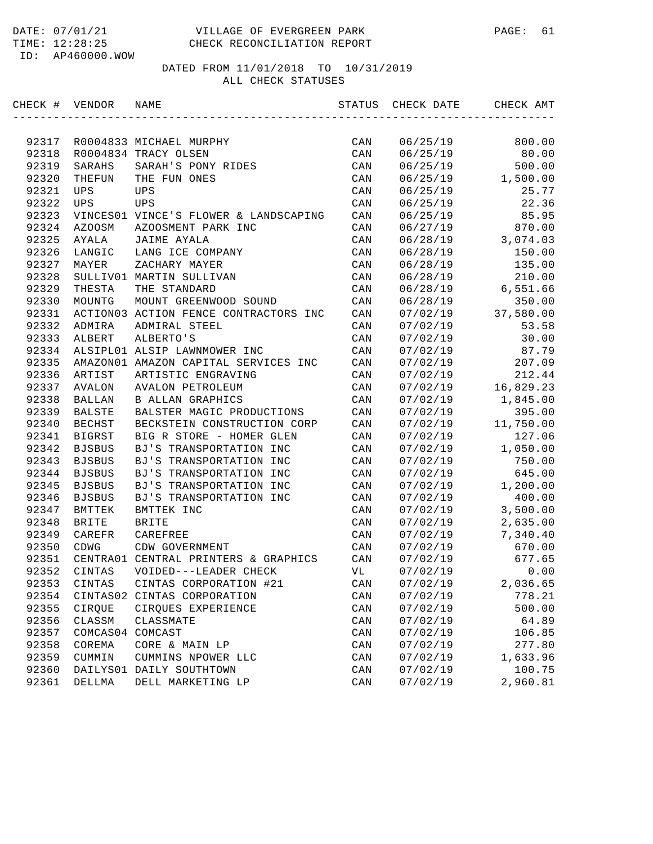| CHECK # | VENDOR        | NAME                                  | STATUS         | CHECK DATE | CHECK AMT |
|---------|---------------|---------------------------------------|----------------|------------|-----------|
|         |               |                                       |                |            |           |
| 92317   |               | R0004833 MICHAEL MURPHY               | CAN            | 06/25/19   | 800.00    |
| 92318   |               | R0004834 TRACY OLSEN                  | CAN            | 06/25/19   | 80.00     |
| 92319   | SARAHS        | SARAH'S PONY RIDES                    | CAN            | 06/25/19   | 500.00    |
| 92320   | THEFUN        | THE FUN ONES                          | CAN            | 06/25/19   | 1,500.00  |
| 92321   | UPS           | UPS                                   | CAN            | 06/25/19   | 25.77     |
| 92322   | UPS           | UPS                                   | CAN            | 06/25/19   | 22.36     |
| 92323   |               | VINCES01 VINCE'S FLOWER & LANDSCAPING | CAN            | 06/25/19   | 85.95     |
| 92324   | AZOOSM        | AZOOSMENT PARK INC                    | CAN            | 06/27/19   | 870.00    |
| 92325   | AYALA         | JAIME AYALA                           | CAN            | 06/28/19   | 3,074.03  |
| 92326   | LANGIC        | LANG ICE COMPANY                      | CAN            | 06/28/19   | 150.00    |
| 92327   | MAYER         | ZACHARY MAYER                         | CAN            | 06/28/19   | 135.00    |
| 92328   |               | SULLIV01 MARTIN SULLIVAN              | CAN            | 06/28/19   | 210.00    |
| 92329   | THESTA        | THE STANDARD                          | CAN            | 06/28/19   | 6,551.66  |
| 92330   | MOUNTG        | MOUNT GREENWOOD SOUND                 | CAN            | 06/28/19   | 350.00    |
| 92331   |               | ACTION03 ACTION FENCE CONTRACTORS INC | CAN            | 07/02/19   | 37,580.00 |
| 92332   | ADMIRA        | ADMIRAL STEEL                         | CAN            | 07/02/19   | 53.58     |
| 92333   | ALBERT        | ALBERTO'S                             | CAN            | 07/02/19   | 30.00     |
| 92334   |               | ALSIPL01 ALSIP LAWNMOWER INC          | CAN            | 07/02/19   | 87.79     |
| 92335   |               | AMAZON01 AMAZON CAPITAL SERVICES INC  | CAN            | 07/02/19   | 207.09    |
| 92336   | ARTIST        | ARTISTIC ENGRAVING                    | CAN            | 07/02/19   | 212.44    |
| 92337   | AVALON        | <b>AVALON PETROLEUM</b>               | CAN            | 07/02/19   | 16,829.23 |
| 92338   | <b>BALLAN</b> | <b>B ALLAN GRAPHICS</b>               | CAN            | 07/02/19   | 1,845.00  |
| 92339   | BALSTE        | BALSTER MAGIC PRODUCTIONS             | CAN            | 07/02/19   | 395.00    |
| 92340   | <b>BECHST</b> | BECKSTEIN CONSTRUCTION CORP           | CAN            | 07/02/19   | 11,750.00 |
| 92341   | <b>BIGRST</b> | BIG R STORE - HOMER GLEN              | CAN            | 07/02/19   | 127.06    |
| 92342   | <b>BJSBUS</b> | BJ'S TRANSPORTATION INC               | CAN            | 07/02/19   | 1,050.00  |
| 92343   | <b>BJSBUS</b> | BJ'S TRANSPORTATION INC               | CAN            | 07/02/19   | 750.00    |
| 92344   | <b>BJSBUS</b> | BJ'S TRANSPORTATION INC               | CAN            | 07/02/19   | 645.00    |
| 92345   | <b>BJSBUS</b> | BJ'S TRANSPORTATION INC               | CAN            | 07/02/19   | 1,200.00  |
| 92346   | <b>BJSBUS</b> | BJ'S TRANSPORTATION INC               | CAN            | 07/02/19   | 400.00    |
| 92347   | BMTTEK        | BMTTEK INC                            | CAN            | 07/02/19   | 3,500.00  |
| 92348   | <b>BRITE</b>  | <b>BRITE</b>                          | CAN            | 07/02/19   | 2,635.00  |
| 92349   | CAREFR        | CAREFREE                              | CAN            | 07/02/19   | 7,340.40  |
| 92350   | CDWG          | CDW GOVERNMENT                        | CAN            | 07/02/19   | 670.00    |
| 92351   |               | CENTRA01 CENTRAL PRINTERS & GRAPHICS  | CAN            | 07/02/19   | 677.65    |
| 92352   | CINTAS        | VOIDED---LEADER CHECK                 | VL             | 07/02/19   | 0.00      |
| 92353   | CINTAS        | CINTAS CORPORATION #21                | CAN            | 07/02/19   | 2,036.65  |
| 92354   | CINTAS02      | CINTAS CORPORATION                    | CAN            | 07/02/19   | 778.21    |
| 92355   | CIRQUE        | CIRQUES EXPERIENCE                    | $\mathtt{CAN}$ | 07/02/19   | 500.00    |
| 92356   | CLASSM        | CLASSMATE                             | CAN            | 07/02/19   | 64.89     |
| 92357   | COMCAS04      | COMCAST                               | $\mathtt{CAN}$ | 07/02/19   | 106.85    |
| 92358   | COREMA        | CORE & MAIN LP                        | CAN            | 07/02/19   | 277.80    |
| 92359   | CUMMIN        | CUMMINS NPOWER LLC                    | CAN            | 07/02/19   | 1,633.96  |
| 92360   |               | DAILYS01 DAILY SOUTHTOWN              | CAN            | 07/02/19   | 100.75    |
| 92361   | DELLMA        | DELL MARKETING LP                     | CAN            | 07/02/19   | 2,960.81  |
|         |               |                                       |                |            |           |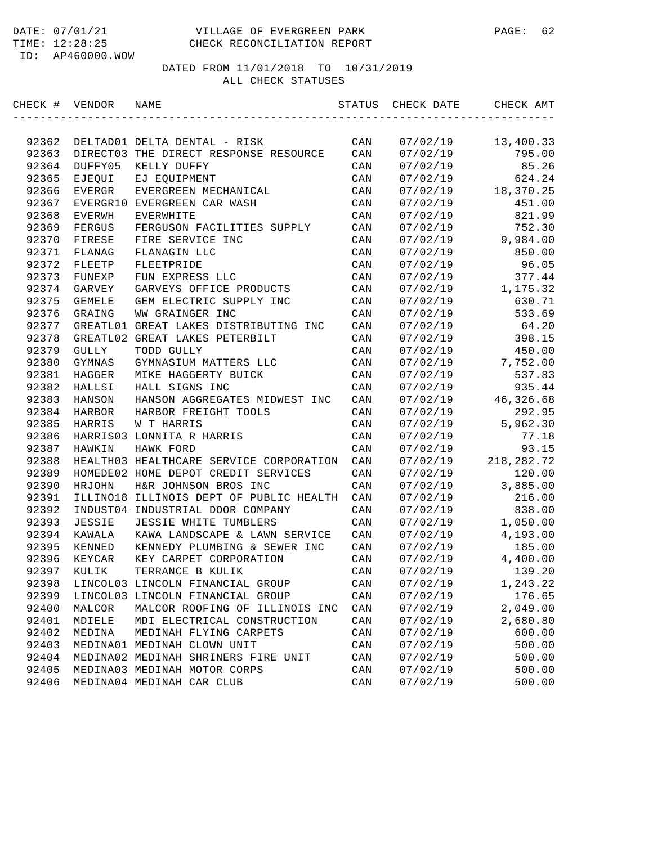#### DATE: 07/01/21 VILLAGE OF EVERGREEN PARK PAGE: 62 TIME: 12:28:25 CHECK RECONCILIATION REPORT

ID: AP460000.WOW

| CHECK # | VENDOR        | NAME                                    | STATUS | CHECK DATE | CHECK AMT    |
|---------|---------------|-----------------------------------------|--------|------------|--------------|
|         |               |                                         |        |            |              |
| 92362   |               | DELTAD01 DELTA DENTAL - RISK            | CAN    | 07/02/19   | 13,400.33    |
| 92363   |               | DIRECT03 THE DIRECT RESPONSE RESOURCE   | CAN    | 07/02/19   | 795.00       |
| 92364   | DUFFY05       | KELLY DUFFY                             | CAN    | 07/02/19   | 85.26        |
| 92365   | EJEQUI        | EJ EQUIPMENT                            | CAN    | 07/02/19   | 624.24       |
| 92366   | EVERGR        | EVERGREEN MECHANICAL                    | CAN    | 07/02/19   | 18,370.25    |
| 92367   | EVERGR10      | EVERGREEN CAR WASH                      | CAN    | 07/02/19   | 451.00       |
| 92368   | EVERWH        | <b>EVERWHITE</b>                        | CAN    | 07/02/19   | 821.99       |
| 92369   | FERGUS        | FERGUSON FACILITIES SUPPLY              | CAN    | 07/02/19   | 752.30       |
| 92370   | FIRESE        | FIRE SERVICE INC                        | CAN    | 07/02/19   | 9,984.00     |
| 92371   | FLANAG        | FLANAGIN LLC                            | CAN    | 07/02/19   | 850.00       |
| 92372   | FLEETP        | FLEETPRIDE                              | CAN    | 07/02/19   | 96.05        |
| 92373   | FUNEXP        | FUN EXPRESS LLC                         | CAN    | 07/02/19   | 377.44       |
| 92374   | GARVEY        | GARVEYS OFFICE PRODUCTS                 | CAN    | 07/02/19   | 1,175.32     |
| 92375   | <b>GEMELE</b> | GEM ELECTRIC SUPPLY INC                 | CAN    | 07/02/19   | 630.71       |
| 92376   | GRAING        | WW GRAINGER INC                         | CAN    | 07/02/19   | 533.69       |
| 92377   | GREATL01      | GREAT LAKES DISTRIBUTING INC            | CAN    | 07/02/19   | 64.20        |
| 92378   | GREATL02      | GREAT LAKES PETERBILT                   | CAN    | 07/02/19   | 398.15       |
| 92379   | <b>GULLY</b>  | TODD GULLY                              | CAN    | 07/02/19   | 450.00       |
| 92380   | GYMNAS        | GYMNASIUM MATTERS LLC                   | CAN    | 07/02/19   | 7,752.00     |
| 92381   | HAGGER        | MIKE HAGGERTY BUICK                     | CAN    | 07/02/19   | 537.83       |
| 92382   | HALLSI        | HALL SIGNS INC                          | CAN    | 07/02/19   | 935.44       |
| 92383   | HANSON        | HANSON AGGREGATES MIDWEST INC           | CAN    | 07/02/19   | 46,326.68    |
| 92384   | HARBOR        | HARBOR FREIGHT TOOLS                    | CAN    | 07/02/19   | 292.95       |
| 92385   | HARRIS        | W T HARRIS                              | CAN    | 07/02/19   | 5,962.30     |
| 92386   |               | HARRIS03 LONNITA R HARRIS               | CAN    | 07/02/19   | 77.18        |
| 92387   | <b>HAWKIN</b> | HAWK FORD                               | CAN    | 07/02/19   | 93.15        |
| 92388   |               | HEALTH03 HEALTHCARE SERVICE CORPORATION | CAN    | 07/02/19   | 218, 282. 72 |
| 92389   |               | HOMEDE02 HOME DEPOT CREDIT SERVICES     | CAN    | 07/02/19   | 120.00       |
| 92390   | HRJOHN        | H&R JOHNSON BROS INC                    | CAN    | 07/02/19   | 3,885.00     |
| 92391   |               | ILLINO18 ILLINOIS DEPT OF PUBLIC HEALTH | CAN    | 07/02/19   | 216.00       |
| 92392   |               | INDUST04 INDUSTRIAL DOOR COMPANY        | CAN    | 07/02/19   | 838.00       |
| 92393   | <b>JESSIE</b> | JESSIE WHITE TUMBLERS                   | CAN    | 07/02/19   | 1,050.00     |
| 92394   | KAWALA        | KAWA LANDSCAPE & LAWN SERVICE           | CAN    | 07/02/19   | 4,193.00     |
| 92395   | KENNED        | KENNEDY PLUMBING & SEWER INC            | CAN    | 07/02/19   | 185.00       |
| 92396   | KEYCAR        | KEY CARPET CORPORATION                  | CAN    | 07/02/19   | 4,400.00     |
| 92397   | KULIK         | TERRANCE B KULIK                        | CAN    | 07/02/19   | 139.20       |
| 92398   |               | LINCOL03 LINCOLN FINANCIAL GROUP        | CAN    | 07/02/19   | 1,243.22     |
| 92399   |               | LINCOL03 LINCOLN FINANCIAL GROUP        | CAN    | 07/02/19   | 176.65       |
| 92400   | MALCOR        | MALCOR ROOFING OF ILLINOIS INC          | CAN    | 07/02/19   | 2,049.00     |
| 92401   | MDIELE        | MDI ELECTRICAL CONSTRUCTION             | CAN    | 07/02/19   | 2,680.80     |
| 92402   | MEDINA        | MEDINAH FLYING CARPETS                  | CAN    | 07/02/19   | 600.00       |
| 92403   |               | MEDINA01 MEDINAH CLOWN UNIT             | CAN    | 07/02/19   | 500.00       |
| 92404   |               | MEDINA02 MEDINAH SHRINERS FIRE UNIT     | CAN    | 07/02/19   | 500.00       |
| 92405   |               | MEDINA03 MEDINAH MOTOR CORPS            | CAN    | 07/02/19   | 500.00       |
| 92406   |               | MEDINA04 MEDINAH CAR CLUB               | CAN    | 07/02/19   | 500.00       |
|         |               |                                         |        |            |              |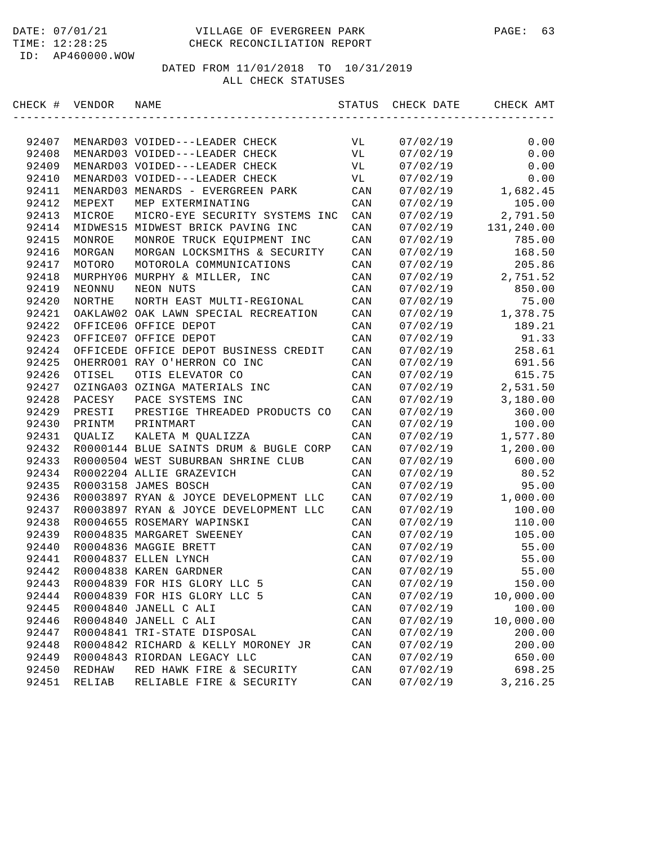| CHECK # VENDOR |               | NAME                                   | STATUS         | CHECK DATE | CHECK AMT  |
|----------------|---------------|----------------------------------------|----------------|------------|------------|
|                |               |                                        |                |            |            |
| 92407          |               | MENARD03 VOIDED---LEADER CHECK         | VL             | 07/02/19   | 0.00       |
| 92408          |               | MENARD03 VOIDED---LEADER CHECK         | VL             | 07/02/19   | 0.00       |
| 92409          |               | MENARD03 VOIDED---LEADER CHECK         | VL             | 07/02/19   | 0.00       |
| 92410          |               | MENARD03 VOIDED---LEADER CHECK         | VL             | 07/02/19   | 0.00       |
| 92411          |               | MENARD03 MENARDS - EVERGREEN PARK      | CAN            | 07/02/19   | 1,682.45   |
| 92412          | MEPEXT        | MEP EXTERMINATING                      | CAN            | 07/02/19   | 105.00     |
| 92413          | MICROE        | MICRO-EYE SECURITY SYSTEMS INC         | CAN            | 07/02/19   | 2,791.50   |
| 92414          |               | MIDWES15 MIDWEST BRICK PAVING INC      | CAN            | 07/02/19   | 131,240.00 |
| 92415          | MONROE        | MONROE TRUCK EQUIPMENT INC             | CAN            | 07/02/19   | 785.00     |
| 92416          | MORGAN        | MORGAN LOCKSMITHS & SECURITY           | CAN            | 07/02/19   | 168.50     |
| 92417          | MOTORO        | MOTOROLA COMMUNICATIONS                | CAN            | 07/02/19   | 205.86     |
| 92418          |               | MURPHY06 MURPHY & MILLER, INC          | CAN            | 07/02/19   | 2,751.52   |
| 92419          | NEONNU        | NEON NUTS                              | CAN            | 07/02/19   | 850.00     |
| 92420          | <b>NORTHE</b> | NORTH EAST MULTI-REGIONAL              | CAN            | 07/02/19   | 75.00      |
| 92421          |               | OAKLAW02 OAK LAWN SPECIAL RECREATION   | CAN            | 07/02/19   | 1,378.75   |
| 92422          |               | OFFICE06 OFFICE DEPOT                  | CAN            | 07/02/19   | 189.21     |
| 92423          |               | OFFICE07 OFFICE DEPOT                  | CAN            | 07/02/19   | 91.33      |
| 92424          |               | OFFICEDE OFFICE DEPOT BUSINESS CREDIT  | CAN            | 07/02/19   | 258.61     |
| 92425          |               | OHERRO01 RAY O'HERRON CO INC           | CAN            | 07/02/19   | 691.56     |
| 92426          | OTISEL        | OTIS ELEVATOR CO                       | CAN            | 07/02/19   | 615.75     |
| 92427          |               | OZINGA03 OZINGA MATERIALS INC          | CAN            | 07/02/19   | 2,531.50   |
| 92428          | PACESY        | PACE SYSTEMS INC                       | CAN            | 07/02/19   | 3,180.00   |
| 92429          | PRESTI        | PRESTIGE THREADED PRODUCTS CO          | CAN            | 07/02/19   | 360.00     |
| 92430          | PRINTM        | PRINTMART                              | CAN            | 07/02/19   | 100.00     |
| 92431          | <b>OUALIZ</b> | KALETA M QUALIZZA                      | CAN            | 07/02/19   | 1,577.80   |
| 92432          |               | R0000144 BLUE SAINTS DRUM & BUGLE CORP | CAN            | 07/02/19   | 1,200.00   |
| 92433          |               | R0000504 WEST SUBURBAN SHRINE CLUB     | CAN            | 07/02/19   | 600.00     |
| 92434          |               | R0002204 ALLIE GRAZEVICH               | CAN            | 07/02/19   | 80.52      |
| 92435          |               | R0003158 JAMES BOSCH                   | CAN            | 07/02/19   | 95.00      |
| 92436          |               | R0003897 RYAN & JOYCE DEVELOPMENT LLC  | CAN            | 07/02/19   | 1,000.00   |
| 92437          |               | R0003897 RYAN & JOYCE DEVELOPMENT LLC  | CAN            | 07/02/19   | 100.00     |
| 92438          |               | R0004655 ROSEMARY WAPINSKI             | CAN            | 07/02/19   | 110.00     |
| 92439          |               | R0004835 MARGARET SWEENEY              | CAN            | 07/02/19   | 105.00     |
| 92440          |               | R0004836 MAGGIE BRETT                  | CAN            | 07/02/19   | 55.00      |
| 92441          |               | R0004837 ELLEN LYNCH                   | CAN            | 07/02/19   | 55.00      |
| 92442          |               | R0004838 KAREN GARDNER                 | CAN            | 07/02/19   | 55.00      |
| 92443          |               | R0004839 FOR HIS GLORY LLC 5           | CAN            | 07/02/19   | 150.00     |
| 92444          |               | R0004839 FOR HIS GLORY LLC 5           | CAN            | 07/02/19   | 10,000.00  |
| 92445          |               | R0004840 JANELL C ALI                  | $\mathtt{CAN}$ | 07/02/19   | 100.00     |
| 92446          |               | R0004840 JANELL C ALI                  | CAN            | 07/02/19   | 10,000.00  |
| 92447          |               | R0004841 TRI-STATE DISPOSAL            | CAN            | 07/02/19   | 200.00     |
| 92448          |               | R0004842 RICHARD & KELLY MORONEY JR    | CAN            | 07/02/19   | 200.00     |
| 92449          |               | R0004843 RIORDAN LEGACY LLC            | CAN            | 07/02/19   | 650.00     |
| 92450          | REDHAW        | RED HAWK FIRE & SECURITY               | CAN            | 07/02/19   | 698.25     |
| 92451          | RELIAB        | RELIABLE FIRE & SECURITY               | $\mathtt{CAN}$ | 07/02/19   | 3, 216.25  |
|                |               |                                        |                |            |            |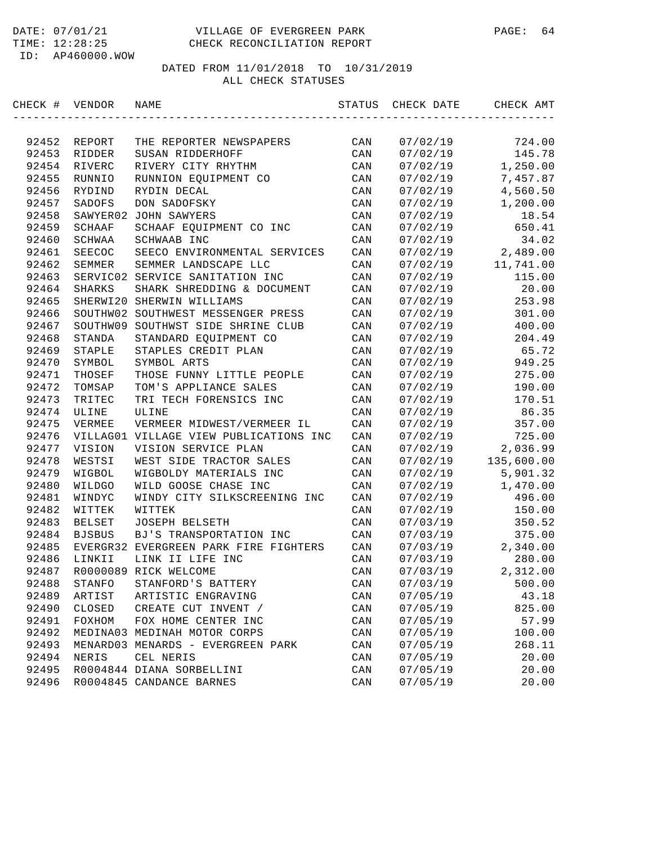| CHECK # VENDOR |                  | NAME                                   | STATUS         | CHECK DATE | CHECK AMT            |
|----------------|------------------|----------------------------------------|----------------|------------|----------------------|
|                |                  |                                        |                |            |                      |
| 92452          | REPORT           | THE REPORTER NEWSPAPERS                | CAN            | 07/02/19   | 724.00               |
| 92453          | RIDDER           | SUSAN RIDDERHOFF                       | CAN            | 07/02/19   | 145.78               |
| 92454<br>92455 | RIVERC           | RIVERY CITY RHYTHM                     | CAN            | 07/02/19   | 1,250.00             |
| 92456          | RUNNIO<br>RYDIND | RUNNION EQUIPMENT CO<br>RYDIN DECAL    | CAN            | 07/02/19   | 7,457.87             |
|                | SADOFS           | DON SADOFSKY                           | CAN            | 07/02/19   | 4,560.50<br>1,200.00 |
| 92457          |                  | <b>JOHN SAWYERS</b>                    | CAN            | 07/02/19   |                      |
| 92458          | SAWYER02         |                                        | CAN            | 07/02/19   | 18.54                |
| 92459          | SCHAAF           | SCHAAF EQUIPMENT CO INC<br>SCHWAAB INC | CAN            | 07/02/19   | 650.41               |
| 92460          | SCHWAA<br>SEECOC |                                        | CAN            | 07/02/19   | 34.02                |
| 92461          |                  | SEECO ENVIRONMENTAL SERVICES           | CAN            | 07/02/19   | 2,489.00             |
| 92462          | SEMMER           | SEMMER LANDSCAPE LLC                   | CAN            | 07/02/19   | 11,741.00            |
| 92463          |                  | SERVIC02 SERVICE SANITATION INC        | CAN            | 07/02/19   | 115.00               |
| 92464          | SHARKS           | SHARK SHREDDING & DOCUMENT             | CAN            | 07/02/19   | 20.00                |
| 92465          |                  | SHERWI20 SHERWIN WILLIAMS              | CAN            | 07/02/19   | 253.98               |
| 92466          |                  | SOUTHW02 SOUTHWEST MESSENGER PRESS     | CAN            | 07/02/19   | 301.00               |
| 92467          | SOUTHW09         | SOUTHWST SIDE SHRINE CLUB              | CAN            | 07/02/19   | 400.00               |
| 92468          | STANDA           | STANDARD EQUIPMENT CO                  | CAN            | 07/02/19   | 204.49               |
| 92469          | STAPLE           | STAPLES CREDIT PLAN                    | CAN            | 07/02/19   | 65.72                |
| 92470          | SYMBOL           | SYMBOL ARTS                            | CAN            | 07/02/19   | 949.25               |
| 92471          | THOSEF           | THOSE FUNNY LITTLE PEOPLE              | CAN            | 07/02/19   | 275.00               |
| 92472          | TOMSAP           | TOM'S APPLIANCE SALES                  | CAN            | 07/02/19   | 190.00               |
| 92473          | TRITEC           | TRI TECH FORENSICS INC                 | CAN            | 07/02/19   | 170.51               |
| 92474          | ULINE            | ULINE                                  | CAN            | 07/02/19   | 86.35                |
| 92475          | VERMEE           | VERMEER MIDWEST/VERMEER IL             | CAN            | 07/02/19   | 357.00               |
| 92476          |                  | VILLAG01 VILLAGE VIEW PUBLICATIONS INC | CAN            | 07/02/19   | 725.00               |
| 92477          | VISION           | VISION SERVICE PLAN                    | CAN            | 07/02/19   | 2,036.99             |
| 92478          | WESTSI           | WEST SIDE TRACTOR SALES                | CAN            | 07/02/19   | 135,600.00           |
| 92479          | WIGBOL           | WIGBOLDY MATERIALS INC                 | CAN            | 07/02/19   | 5,901.32             |
| 92480          | WILDGO           | WILD GOOSE CHASE INC                   | CAN            | 07/02/19   | 1,470.00             |
| 92481          | WINDYC           | WINDY CITY SILKSCREENING INC           | CAN            | 07/02/19   | 496.00               |
| 92482          | WITTEK           | WITTEK                                 | CAN            | 07/02/19   | 150.00               |
| 92483          | <b>BELSET</b>    | JOSEPH BELSETH                         | CAN            | 07/03/19   | 350.52               |
| 92484          | <b>BJSBUS</b>    | BJ'S TRANSPORTATION INC                | CAN            | 07/03/19   | 375.00               |
| 92485          |                  | EVERGR32 EVERGREEN PARK FIRE FIGHTERS  | CAN            | 07/03/19   | 2,340.00             |
| 92486          | LINKII           | LINK II LIFE INC                       | CAN            | 07/03/19   | 280.00               |
| 92487          |                  | R0000089 RICK WELCOME                  | CAN            | 07/03/19   | 2,312.00             |
| 92488          | STANFO           | STANFORD'S BATTERY                     | CAN            | 07/03/19   | 500.00               |
| 92489          | ARTIST           | ARTISTIC ENGRAVING                     | CAN            | 07/05/19   | 43.18                |
| 92490          | CLOSED           | CREATE CUT INVENT /                    | CAN            | 07/05/19   | 825.00               |
| 92491          | FOXHOM           | FOX HOME CENTER INC                    | CAN            | 07/05/19   | 57.99                |
| 92492          |                  | MEDINA03 MEDINAH MOTOR CORPS           | CAN            | 07/05/19   | 100.00               |
| 92493          |                  | MENARD03 MENARDS - EVERGREEN PARK      | CAN            | 07/05/19   | 268.11               |
| 92494          | NERIS            | CEL NERIS                              | CAN            | 07/05/19   | 20.00                |
| 92495          |                  | R0004844 DIANA SORBELLINI              | CAN            | 07/05/19   | 20.00                |
| 92496          |                  | R0004845 CANDANCE BARNES               | $\mathtt{CAN}$ | 07/05/19   | 20.00                |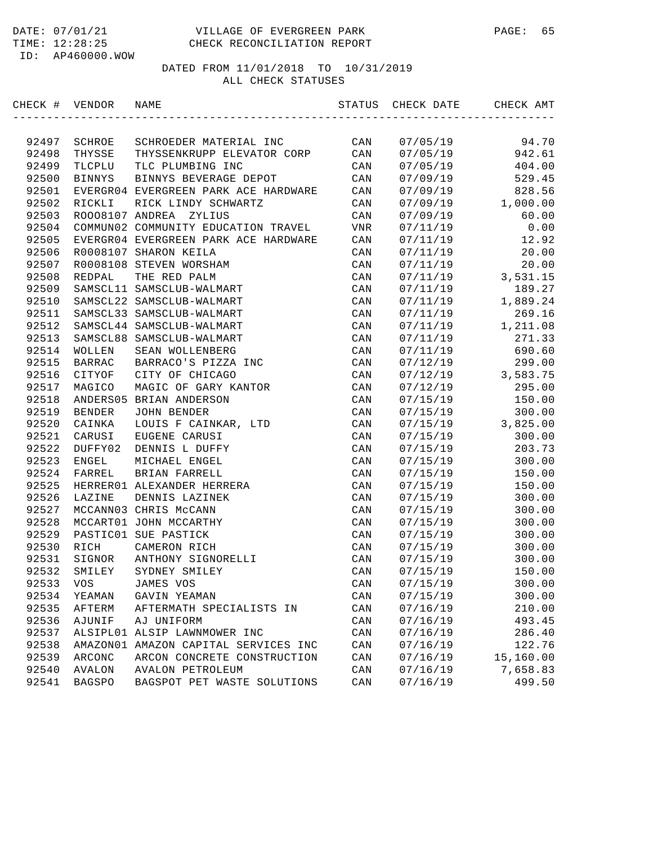| CHECK # VENDOR |               | NAME                                 | STATUS         | CHECK DATE | CHECK AMT |
|----------------|---------------|--------------------------------------|----------------|------------|-----------|
|                |               |                                      |                |            |           |
| 92497          | SCHROE        | SCHROEDER MATERIAL INC               | CAN            | 07/05/19   | 94.70     |
| 92498          | THYSSE        | THYSSENKRUPP ELEVATOR CORP           | CAN            | 07/05/19   | 942.61    |
| 92499          | TLCPLU        | TLC PLUMBING INC                     | CAN            | 07/05/19   | 404.00    |
| 92500          | <b>BINNYS</b> | BINNYS BEVERAGE DEPOT                | CAN            | 07/09/19   | 529.45    |
| 92501          |               | EVERGR04 EVERGREEN PARK ACE HARDWARE | CAN            | 07/09/19   | 828.56    |
| 92502          | RICKLI        | RICK LINDY SCHWARTZ                  | CAN            | 07/09/19   | 1,000.00  |
| 92503          |               | ROOO8107 ANDREA<br>ZYLIUS            | CAN            | 07/09/19   | 60.00     |
| 92504          |               | COMMUN02 COMMUNITY EDUCATION TRAVEL  | VNR            | 07/11/19   | 0.00      |
| 92505          |               | EVERGR04 EVERGREEN PARK ACE HARDWARE | CAN            | 07/11/19   | 12.92     |
| 92506          |               | R0008107 SHARON KEILA                | CAN            | 07/11/19   | 20.00     |
| 92507          |               | R0008108 STEVEN WORSHAM              | CAN            | 07/11/19   | 20.00     |
| 92508          | REDPAL        | THE RED PALM                         | CAN            | 07/11/19   | 3,531.15  |
| 92509          |               | SAMSCL11 SAMSCLUB-WALMART            | CAN            | 07/11/19   | 189.27    |
| 92510          |               | SAMSCL22 SAMSCLUB-WALMART            | CAN            | 07/11/19   | 1,889.24  |
| 92511          |               | SAMSCL33 SAMSCLUB-WALMART            | CAN            | 07/11/19   | 269.16    |
| 92512          |               | SAMSCL44 SAMSCLUB-WALMART            | CAN            | 07/11/19   | 1,211.08  |
| 92513          |               | SAMSCL88 SAMSCLUB-WALMART            | CAN            | 07/11/19   | 271.33    |
| 92514          | WOLLEN        | SEAN WOLLENBERG                      | CAN            | 07/11/19   | 690.60    |
| 92515          | BARRAC        | BARRACO'S PIZZA INC                  | CAN            | 07/12/19   | 299.00    |
| 92516          | CITYOF        | CITY OF CHICAGO                      | CAN            | 07/12/19   | 3,583.75  |
| 92517          | MAGICO        | MAGIC OF GARY KANTOR                 | CAN            | 07/12/19   | 295.00    |
| 92518          |               | ANDERS05 BRIAN ANDERSON              | CAN            | 07/15/19   | 150.00    |
| 92519          | BENDER        | JOHN BENDER                          | CAN            | 07/15/19   | 300.00    |
| 92520          | CAINKA        | LOUIS F CAINKAR, LTD                 | CAN            | 07/15/19   | 3,825.00  |
| 92521          | CARUSI        | EUGENE CARUSI                        | CAN            | 07/15/19   | 300.00    |
| 92522          | DUFFY02       | DENNIS L DUFFY                       | CAN            | 07/15/19   | 203.73    |
| 92523          | ENGEL         | MICHAEL ENGEL                        | CAN            | 07/15/19   | 300.00    |
| 92524          | FARREL        | BRIAN FARRELL                        | CAN            | 07/15/19   | 150.00    |
| 92525          |               | HERRER01 ALEXANDER HERRERA           | CAN            | 07/15/19   | 150.00    |
| 92526          | LAZINE        | DENNIS LAZINEK                       | CAN            | 07/15/19   | 300.00    |
| 92527          |               | MCCANN03 CHRIS McCANN                | CAN            | 07/15/19   | 300.00    |
| 92528          |               | MCCART01 JOHN MCCARTHY               | CAN            | 07/15/19   | 300.00    |
| 92529          |               | PASTIC01 SUE PASTICK                 | CAN            | 07/15/19   | 300.00    |
| 92530          | RICH          | CAMERON RICH                         | CAN            | 07/15/19   | 300.00    |
| 92531          | SIGNOR        | ANTHONY SIGNORELLI                   | CAN            | 07/15/19   | 300.00    |
| 92532          | SMILEY        | SYDNEY SMILEY                        | CAN            | 07/15/19   | 150.00    |
| 92533          | VOS           | JAMES VOS                            | CAN            | 07/15/19   | 300.00    |
| 92534          | YEAMAN        | GAVIN YEAMAN                         | CAN            | 07/15/19   | 300.00    |
| 92535          | AFTERM        | AFTERMATH SPECIALISTS IN             | CAN            | 07/16/19   | 210.00    |
| 92536          | AJUNIF        | AJ UNIFORM                           | CAN            | 07/16/19   | 493.45    |
| 92537          |               | ALSIPL01 ALSIP LAWNMOWER INC         | CAN            | 07/16/19   | 286.40    |
| 92538          | AMAZON01      | AMAZON CAPITAL SERVICES INC          | CAN            | 07/16/19   | 122.76    |
| 92539          | ARCONC        | ARCON CONCRETE CONSTRUCTION          | CAN            | 07/16/19   | 15,160.00 |
| 92540          | AVALON        | AVALON PETROLEUM                     | CAN            | 07/16/19   | 7,658.83  |
| 92541          | <b>BAGSPO</b> | BAGSPOT PET WASTE SOLUTIONS          | $\mathtt{CAN}$ | 07/16/19   | 499.50    |
|                |               |                                      |                |            |           |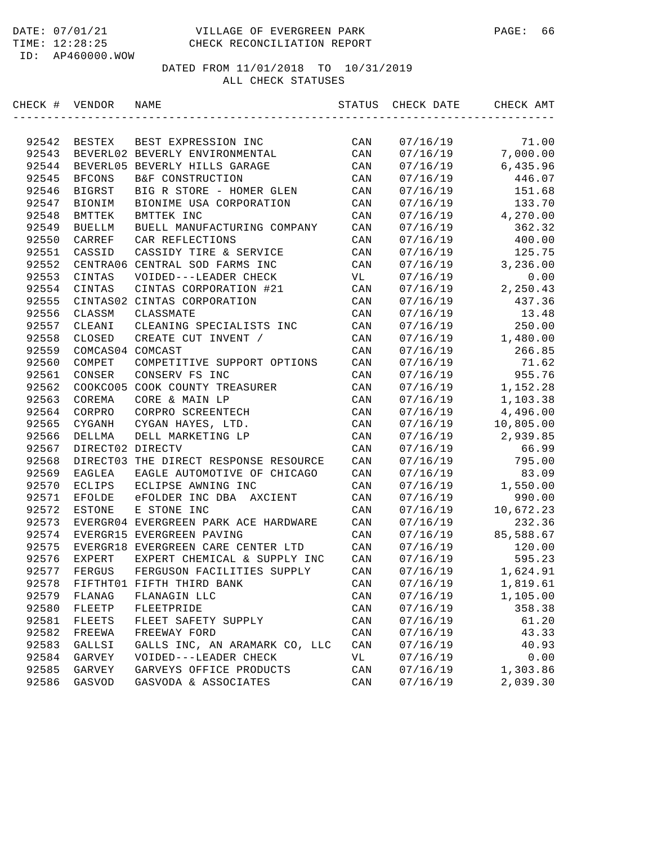| CHECK # | VENDOR           | NAME                                  | STATUS         | CHECK DATE | CHECK AMT |
|---------|------------------|---------------------------------------|----------------|------------|-----------|
|         |                  |                                       |                |            |           |
| 92542   | BESTEX           | BEST EXPRESSION INC                   | CAN            | 07/16/19   | 71.00     |
| 92543   |                  | BEVERL02 BEVERLY ENVIRONMENTAL        | CAN            | 07/16/19   | 7,000.00  |
| 92544   |                  | BEVERL05 BEVERLY HILLS GARAGE         | CAN            | 07/16/19   | 6,435.96  |
| 92545   | <b>BFCONS</b>    | B&F CONSTRUCTION                      | CAN            | 07/16/19   | 446.07    |
| 92546   | <b>BIGRST</b>    | BIG R STORE - HOMER GLEN              | CAN            | 07/16/19   | 151.68    |
| 92547   | <b>BIONIM</b>    | BIONIME USA CORPORATION               | CAN            | 07/16/19   | 133.70    |
| 92548   | BMTTEK           | BMTTEK INC                            | CAN            | 07/16/19   | 4,270.00  |
| 92549   | <b>BUELLM</b>    | BUELL MANUFACTURING COMPANY           | CAN            | 07/16/19   | 362.32    |
| 92550   | CARREF           | CAR REFLECTIONS                       | CAN            | 07/16/19   | 400.00    |
| 92551   | CASSID           | CASSIDY TIRE & SERVICE                | CAN            | 07/16/19   | 125.75    |
| 92552   |                  | CENTRA06 CENTRAL SOD FARMS INC        | CAN            | 07/16/19   | 3,236.00  |
| 92553   | CINTAS           | VOIDED---LEADER CHECK                 | VL             | 07/16/19   | 0.00      |
| 92554   | CINTAS           | CINTAS CORPORATION #21                | CAN            | 07/16/19   | 2,250.43  |
| 92555   |                  | CINTAS02 CINTAS CORPORATION           | CAN            | 07/16/19   | 437.36    |
| 92556   | CLASSM           | CLASSMATE                             | CAN            | 07/16/19   | 13.48     |
| 92557   | CLEANI           | CLEANING SPECIALISTS INC              | CAN            | 07/16/19   | 250.00    |
| 92558   | CLOSED           | CREATE CUT INVENT /                   | CAN            | 07/16/19   | 1,480.00  |
| 92559   | COMCAS04 COMCAST |                                       | CAN            | 07/16/19   | 266.85    |
| 92560   | COMPET           | COMPETITIVE SUPPORT OPTIONS           | CAN            | 07/16/19   | 71.62     |
| 92561   | CONSER           | CONSERV FS INC                        | CAN            | 07/16/19   | 955.76    |
| 92562   |                  | COOKCO05 COOK COUNTY TREASURER        | CAN            | 07/16/19   | 1,152.28  |
| 92563   | COREMA           | CORE & MAIN LP                        | CAN            | 07/16/19   | 1,103.38  |
| 92564   | CORPRO           | CORPRO SCREENTECH                     | CAN            | 07/16/19   | 4,496.00  |
| 92565   | CYGANH           | CYGAN HAYES, LTD.                     | CAN            | 07/16/19   | 10,805.00 |
| 92566   | DELLMA           | DELL MARKETING LP                     | CAN            | 07/16/19   | 2,939.85  |
| 92567   | DIRECT02 DIRECTV |                                       | CAN            | 07/16/19   | 66.99     |
| 92568   |                  | DIRECT03 THE DIRECT RESPONSE RESOURCE | CAN            | 07/16/19   | 795.00    |
| 92569   | EAGLEA           | EAGLE AUTOMOTIVE OF CHICAGO           | CAN            | 07/16/19   | 83.09     |
| 92570   | ECLIPS           | ECLIPSE AWNING INC                    | CAN            | 07/16/19   | 1,550.00  |
| 92571   | EFOLDE           | eFOLDER INC DBA<br>AXCIENT            | CAN            | 07/16/19   | 990.00    |
| 92572   | <b>ESTONE</b>    | E STONE INC                           | CAN            | 07/16/19   | 10,672.23 |
| 92573   |                  | EVERGR04 EVERGREEN PARK ACE HARDWARE  | CAN            | 07/16/19   | 232.36    |
| 92574   |                  | EVERGR15 EVERGREEN PAVING             | CAN            | 07/16/19   | 85,588.67 |
| 92575   |                  | EVERGR18 EVERGREEN CARE CENTER LTD    | CAN            | 07/16/19   | 120.00    |
| 92576   | EXPERT           | EXPERT CHEMICAL & SUPPLY INC          | CAN            | 07/16/19   | 595.23    |
| 92577   | FERGUS           | FERGUSON FACILITIES SUPPLY            | CAN            | 07/16/19   | 1,624.91  |
| 92578   |                  | FIFTHT01 FIFTH THIRD BANK             | CAN            | 07/16/19   | 1,819.61  |
| 92579   | FLANAG           | FLANAGIN LLC                          | $\mathtt{CAN}$ | 07/16/19   | 1,105.00  |
| 92580   | FLEETP           | FLEETPRIDE                            | $\mathtt{CAN}$ | 07/16/19   | 358.38    |
| 92581   | FLEETS           | FLEET SAFETY SUPPLY                   | CAN            | 07/16/19   | 61.20     |
| 92582   | FREEWA           | FREEWAY FORD                          | CAN            | 07/16/19   | 43.33     |
| 92583   | GALLSI           | GALLS INC, AN ARAMARK CO, LLC         | CAN            | 07/16/19   | 40.93     |
| 92584   | GARVEY           | VOIDED---LEADER CHECK                 | VL             | 07/16/19   | 0.00      |
| 92585   | GARVEY           | GARVEYS OFFICE PRODUCTS               | CAN            | 07/16/19   | 1,303.86  |
| 92586   | GASVOD           | GASVODA & ASSOCIATES                  | CAN            | 07/16/19   | 2,039.30  |
|         |                  |                                       |                |            |           |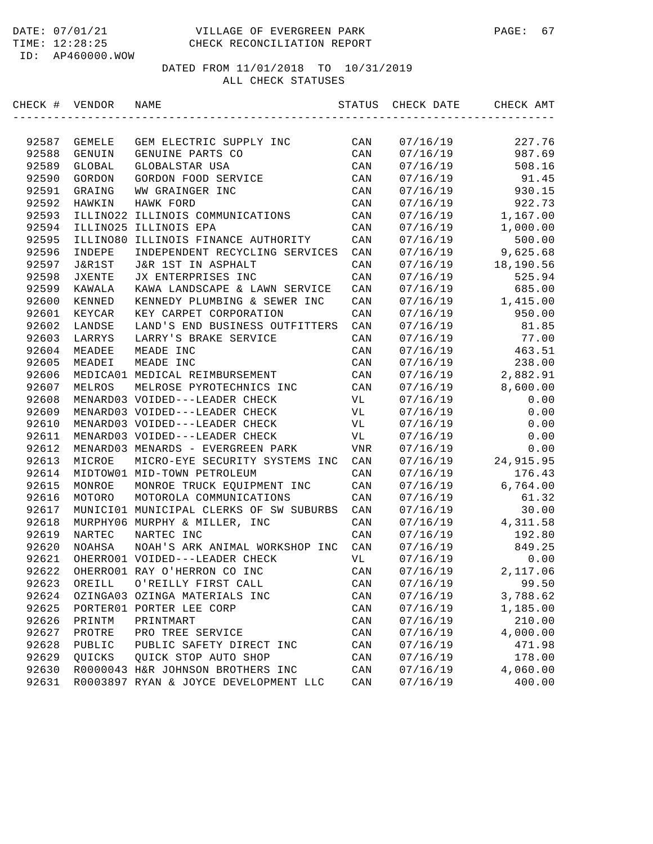| CHECK # VENDOR |          | NAME                                    | STATUS         | CHECK DATE | CHECK AMT |
|----------------|----------|-----------------------------------------|----------------|------------|-----------|
|                |          |                                         |                |            |           |
| 92587          | GEMELE   | GEM ELECTRIC SUPPLY INC                 | CAN            | 07/16/19   | 227.76    |
| 92588          | GENUIN   | GENUINE PARTS CO                        | CAN            | 07/16/19   | 987.69    |
| 92589          | GLOBAL   | GLOBALSTAR USA                          | CAN            | 07/16/19   | 508.16    |
| 92590          | GORDON   | GORDON FOOD SERVICE                     | CAN            | 07/16/19   | 91.45     |
| 92591          | GRAING   | WW GRAINGER INC                         | CAN            | 07/16/19   | 930.15    |
| 92592          | HAWKIN   | HAWK FORD                               | CAN            | 07/16/19   | 922.73    |
| 92593          |          | ILLINO22 ILLINOIS COMMUNICATIONS        | CAN            | 07/16/19   | 1,167.00  |
| 92594          |          | ILLINO25 ILLINOIS EPA                   | CAN            | 07/16/19   | 1,000.00  |
| 92595          | ILLINO80 | ILLINOIS FINANCE AUTHORITY              | CAN            | 07/16/19   | 500.00    |
| 92596          | INDEPE   | INDEPENDENT RECYCLING SERVICES          | CAN            | 07/16/19   | 9,625.68  |
| 92597          | J&R1ST   | J&R 1ST IN ASPHALT                      | CAN            | 07/16/19   | 18,190.56 |
| 92598          | JXENTE   | JX ENTERPRISES INC                      | CAN            | 07/16/19   | 525.94    |
| 92599          | KAWALA   | KAWA LANDSCAPE & LAWN SERVICE           | CAN            | 07/16/19   | 685.00    |
| 92600          | KENNED   | KENNEDY PLUMBING & SEWER INC            | CAN            | 07/16/19   | 1,415.00  |
| 92601          | KEYCAR   | KEY CARPET CORPORATION                  | CAN            | 07/16/19   | 950.00    |
| 92602          | LANDSE   | LAND'S END BUSINESS OUTFITTERS          | CAN            | 07/16/19   | 81.85     |
| 92603          | LARRYS   | LARRY'S BRAKE SERVICE                   | CAN            | 07/16/19   | 77.00     |
| 92604          | MEADEE   | MEADE INC                               | CAN            | 07/16/19   | 463.51    |
| 92605          | MEADEI   | MEADE INC                               | CAN            | 07/16/19   | 238.00    |
| 92606          |          | MEDICA01 MEDICAL REIMBURSEMENT          | CAN            | 07/16/19   | 2,882.91  |
| 92607          | MELROS   | MELROSE PYROTECHNICS INC                | CAN            | 07/16/19   | 8,600.00  |
| 92608          |          | MENARD03 VOIDED---LEADER CHECK          | VL             | 07/16/19   | 0.00      |
| 92609          |          | MENARD03 VOIDED---LEADER CHECK          | VL             | 07/16/19   | 0.00      |
| 92610          |          | MENARD03 VOIDED---LEADER CHECK          | VL             | 07/16/19   | 0.00      |
| 92611          |          | MENARD03 VOIDED---LEADER CHECK          | VL             | 07/16/19   | 0.00      |
| 92612          |          | MENARD03 MENARDS - EVERGREEN PARK       | VNR            | 07/16/19   | 0.00      |
| 92613          | MICROE   | MICRO-EYE SECURITY SYSTEMS INC          | CAN            | 07/16/19   | 24,915.95 |
| 92614          |          | MIDTOW01 MID-TOWN PETROLEUM             | CAN            | 07/16/19   | 176.43    |
| 92615          | MONROE   | MONROE TRUCK EQUIPMENT INC              | CAN            | 07/16/19   | 6,764.00  |
| 92616          | MOTORO   | MOTOROLA COMMUNICATIONS                 | CAN            | 07/16/19   | 61.32     |
| 92617          |          | MUNICIO1 MUNICIPAL CLERKS OF SW SUBURBS | CAN            | 07/16/19   | 30.00     |
| 92618          |          | MURPHY06 MURPHY & MILLER, INC           | CAN            | 07/16/19   | 4,311.58  |
| 92619          | NARTEC   | NARTEC INC                              | CAN            | 07/16/19   | 192.80    |
| 92620          | NOAHSA   | NOAH'S ARK ANIMAL WORKSHOP INC          | CAN            | 07/16/19   | 849.25    |
| 92621          |          | OHERRO01 VOIDED---LEADER CHECK          | VL             | 07/16/19   | 0.00      |
| 92622          |          | OHERRO01 RAY O'HERRON CO INC            | CAN            | 07/16/19   | 2,117.06  |
| 92623          | OREILL   | O'REILLY FIRST CALL                     | CAN            | 07/16/19   | 99.50     |
| 92624          |          | OZINGA03 OZINGA MATERIALS INC           | CAN            | 07/16/19   | 3,788.62  |
| 92625          |          | PORTER01 PORTER LEE CORP                | CAN            | 07/16/19   | 1,185.00  |
| 92626          | PRINTM   | PRINTMART                               | $\mathtt{CAN}$ | 07/16/19   | 210.00    |
| 92627          | PROTRE   | PRO TREE SERVICE                        | CAN            | 07/16/19   | 4,000.00  |
| 92628          | PUBLIC   | PUBLIC SAFETY DIRECT INC                | CAN            | 07/16/19   | 471.98    |
| 92629          | QUICKS   | QUICK STOP AUTO SHOP                    | CAN            | 07/16/19   | 178.00    |
| 92630          |          | R0000043 H&R JOHNSON BROTHERS INC       | CAN            | 07/16/19   | 4,060.00  |
| 92631          |          | R0003897 RYAN & JOYCE DEVELOPMENT LLC   | CAN            | 07/16/19   | 400.00    |
|                |          |                                         |                |            |           |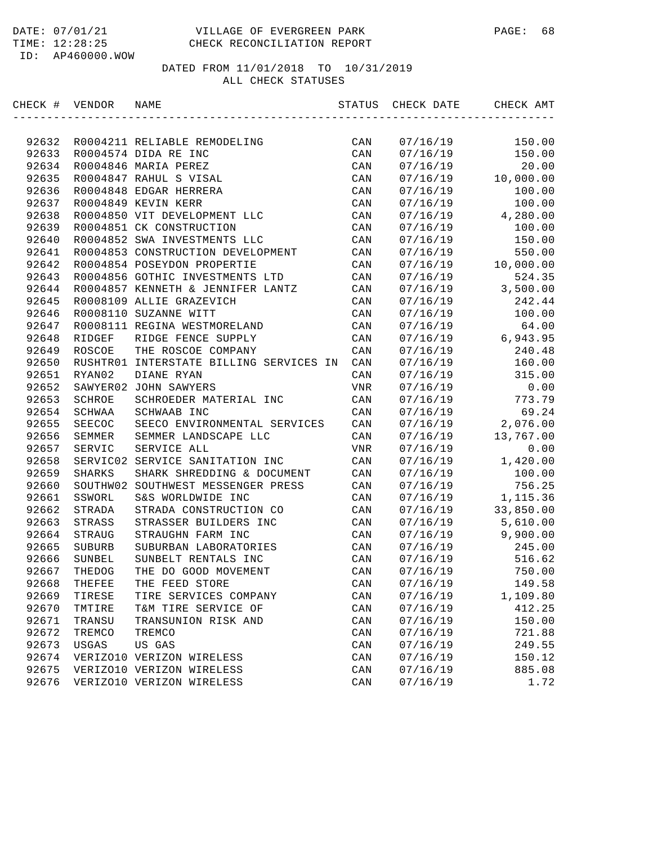| CHECK # VENDOR |               | NAME                                    | STATUS         | CHECK DATE | CHECK AMT |
|----------------|---------------|-----------------------------------------|----------------|------------|-----------|
|                |               |                                         |                |            |           |
| 92632          |               | R0004211 RELIABLE REMODELING            | CAN            | 07/16/19   | 150.00    |
| 92633          |               | R0004574 DIDA RE INC                    | CAN            | 07/16/19   | 150.00    |
| 92634          |               | R0004846 MARIA PEREZ                    | CAN            | 07/16/19   | 20.00     |
| 92635          |               | R0004847 RAHUL S VISAL                  | CAN            | 07/16/19   | 10,000.00 |
| 92636          |               | R0004848 EDGAR HERRERA                  | CAN            | 07/16/19   | 100.00    |
| 92637          |               | R0004849 KEVIN KERR                     | CAN            | 07/16/19   | 100.00    |
| 92638          |               | R0004850 VIT DEVELOPMENT LLC            | CAN            | 07/16/19   | 4,280.00  |
| 92639          |               | R0004851 CK CONSTRUCTION                | CAN            | 07/16/19   | 100.00    |
| 92640          |               | R0004852 SWA INVESTMENTS LLC            | CAN            | 07/16/19   | 150.00    |
| 92641          |               | R0004853 CONSTRUCTION DEVELOPMENT       | CAN            | 07/16/19   | 550.00    |
| 92642          |               | R0004854 POSEYDON PROPERTIE             | CAN            | 07/16/19   | 10,000.00 |
| 92643          |               | R0004856 GOTHIC INVESTMENTS LTD         | CAN            | 07/16/19   | 524.35    |
| 92644          |               | R0004857 KENNETH & JENNIFER LANTZ       | CAN            | 07/16/19   | 3,500.00  |
| 92645          |               | R0008109 ALLIE GRAZEVICH                | CAN            | 07/16/19   | 242.44    |
| 92646          |               | R0008110 SUZANNE WITT                   | CAN            | 07/16/19   | 100.00    |
| 92647          |               | R0008111 REGINA WESTMORELAND            | CAN            | 07/16/19   | 64.00     |
| 92648          | RIDGEF        | RIDGE FENCE SUPPLY                      | CAN            | 07/16/19   | 6,943.95  |
| 92649          | ROSCOE        | THE ROSCOE COMPANY                      | CAN            | 07/16/19   | 240.48    |
| 92650          |               | RUSHTR01 INTERSTATE BILLING SERVICES IN | CAN            | 07/16/19   | 160.00    |
| 92651          | RYAN02        | DIANE RYAN                              | CAN            | 07/16/19   | 315.00    |
| 92652          |               | SAWYER02 JOHN SAWYERS                   | VNR            | 07/16/19   | 0.00      |
| 92653          | SCHROE        | SCHROEDER MATERIAL INC                  | CAN            | 07/16/19   | 773.79    |
| 92654          | SCHWAA        | SCHWAAB INC                             | CAN            | 07/16/19   | 69.24     |
| 92655          | SEECOC        | SEECO ENVIRONMENTAL SERVICES            | CAN            | 07/16/19   | 2,076.00  |
| 92656          | SEMMER        | SEMMER LANDSCAPE LLC                    | CAN            | 07/16/19   | 13,767.00 |
| 92657          | SERVIC        | SERVICE ALL                             | VNR            | 07/16/19   | 0.00      |
| 92658          |               | SERVIC02 SERVICE SANITATION INC         | CAN            | 07/16/19   | 1,420.00  |
| 92659          | <b>SHARKS</b> | SHARK SHREDDING & DOCUMENT              | CAN            | 07/16/19   | 100.00    |
| 92660          |               | SOUTHW02 SOUTHWEST MESSENGER PRESS      | CAN            | 07/16/19   | 756.25    |
| 92661          | SSWORL        | S&S WORLDWIDE INC                       | CAN            | 07/16/19   | 1,115.36  |
| 92662          | STRADA        | STRADA CONSTRUCTION CO                  | CAN            | 07/16/19   | 33,850.00 |
| 92663          | STRASS        | STRASSER BUILDERS INC                   | CAN            | 07/16/19   | 5,610.00  |
| 92664          | STRAUG        | STRAUGHN FARM INC                       | CAN            | 07/16/19   | 9,900.00  |
| 92665          | SUBURB        | SUBURBAN LABORATORIES                   | CAN            | 07/16/19   | 245.00    |
| 92666          | SUNBEL        | SUNBELT RENTALS INC                     | CAN            | 07/16/19   | 516.62    |
| 92667          | THEDOG        | THE DO GOOD MOVEMENT                    | CAN            | 07/16/19   | 750.00    |
| 92668          | THEFEE        | THE FEED STORE                          | CAN            | 07/16/19   | 149.58    |
| 92669          | TIRESE        | TIRE SERVICES COMPANY                   | CAN            | 07/16/19   | 1,109.80  |
| 92670          | TMTIRE        | T&M TIRE SERVICE OF                     | CAN            | 07/16/19   | 412.25    |
| 92671          | TRANSU        | TRANSUNION RISK AND                     | $\mathtt{CAN}$ | 07/16/19   | 150.00    |
| 92672          | TREMCO        | TREMCO                                  | CAN            | 07/16/19   | 721.88    |
| 92673          | USGAS         | US GAS                                  | CAN            | 07/16/19   | 249.55    |
| 92674          |               | VERIZO10 VERIZON WIRELESS               | CAN            | 07/16/19   | 150.12    |
| 92675          |               | VERIZO10 VERIZON WIRELESS               | CAN            | 07/16/19   | 885.08    |
| 92676          |               | VERIZO10 VERIZON WIRELESS               | CAN            | 07/16/19   | 1.72      |
|                |               |                                         |                |            |           |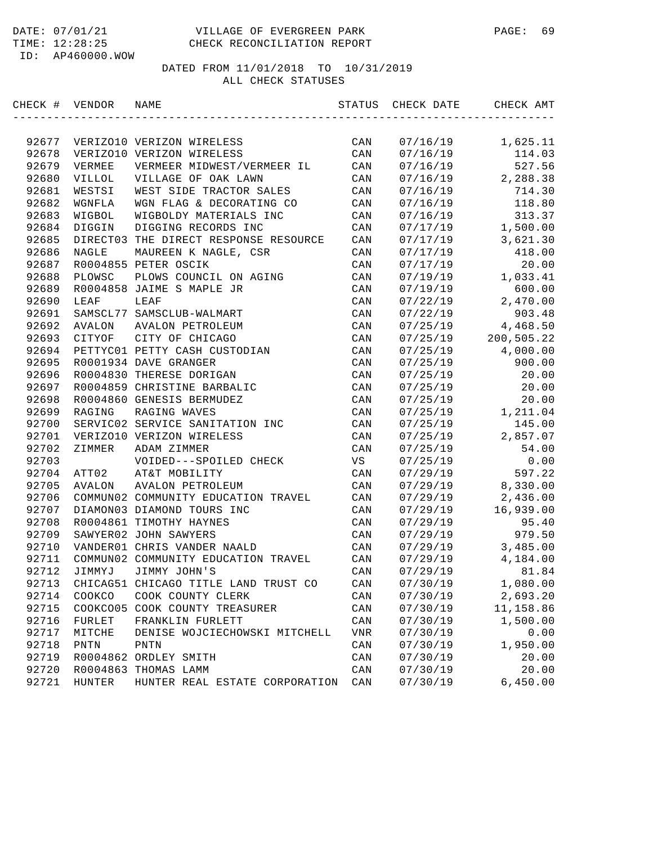| CHECK # VENDOR |          | NAME                                  | STATUS         | CHECK DATE | CHECK AMT  |
|----------------|----------|---------------------------------------|----------------|------------|------------|
|                |          |                                       |                |            |            |
| 92677          |          | VERIZO10 VERIZON WIRELESS             | CAN            | 07/16/19   | 1,625.11   |
| 92678          |          | VERIZO10 VERIZON WIRELESS             | CAN            | 07/16/19   | 114.03     |
| 92679          | VERMEE   | VERMEER MIDWEST/VERMEER IL            | CAN            | 07/16/19   | 527.56     |
| 92680          | VILLOL   | VILLAGE OF OAK LAWN                   | CAN            | 07/16/19   | 2,288.38   |
| 92681          | WESTSI   | WEST SIDE TRACTOR SALES               | CAN            | 07/16/19   | 714.30     |
| 92682          | WGNFLA   | WGN FLAG & DECORATING CO              | CAN            | 07/16/19   | 118.80     |
| 92683          | WIGBOL   | WIGBOLDY MATERIALS INC                | CAN            | 07/16/19   | 313.37     |
| 92684          | DIGGIN   | DIGGING RECORDS INC                   | CAN            | 07/17/19   | 1,500.00   |
| 92685          |          | DIRECT03 THE DIRECT RESPONSE RESOURCE | CAN            | 07/17/19   | 3,621.30   |
| 92686          | NAGLE    | MAUREEN K NAGLE, CSR                  | CAN            | 07/17/19   | 418.00     |
| 92687          |          | R0004855 PETER OSCIK                  | CAN            | 07/17/19   | 20.00      |
| 92688          | PLOWSC   | PLOWS COUNCIL ON AGING                | CAN            | 07/19/19   | 1,033.41   |
| 92689          |          | R0004858 JAIME S MAPLE JR             | CAN            | 07/19/19   | 600.00     |
| 92690          | LEAF     | LEAF                                  | CAN            | 07/22/19   | 2,470.00   |
| 92691          |          | SAMSCL77 SAMSCLUB-WALMART             | CAN            | 07/22/19   | 903.48     |
| 92692          | AVALON   | AVALON PETROLEUM                      | CAN            | 07/25/19   | 4,468.50   |
| 92693          | CITYOF   | CITY OF CHICAGO                       | CAN            | 07/25/19   | 200,505.22 |
| 92694          |          | PETTYC01 PETTY CASH CUSTODIAN         | CAN            | 07/25/19   | 4,000.00   |
| 92695          |          | R0001934 DAVE GRANGER                 | CAN            | 07/25/19   | 900.00     |
| 92696          |          | R0004830 THERESE DORIGAN              | CAN            | 07/25/19   | 20.00      |
| 92697          |          | R0004859 CHRISTINE BARBALIC           | CAN            | 07/25/19   | 20.00      |
| 92698          |          | R0004860 GENESIS BERMUDEZ             | CAN            | 07/25/19   | 20.00      |
| 92699          | RAGING   | RAGING WAVES                          | CAN            | 07/25/19   | 1,211.04   |
| 92700          |          | SERVIC02 SERVICE SANITATION INC       | CAN            | 07/25/19   | 145.00     |
| 92701          |          | VERIZO10 VERIZON WIRELESS             | CAN            | 07/25/19   | 2,857.07   |
| 92702          | ZIMMER   | ADAM ZIMMER                           | CAN            | 07/25/19   | 54.00      |
| 92703          |          | VOIDED---SPOILED CHECK                | VS             | 07/25/19   | 0.00       |
| 92704          | ATT02    | AT&T MOBILITY                         | CAN            | 07/29/19   | 597.22     |
| 92705          | AVALON   | AVALON PETROLEUM                      | CAN            | 07/29/19   | 8,330.00   |
| 92706          |          | COMMUN02 COMMUNITY EDUCATION TRAVEL   | CAN            | 07/29/19   | 2,436.00   |
| 92707          |          | DIAMON03 DIAMOND TOURS INC            | CAN            | 07/29/19   | 16,939.00  |
| 92708          |          | R0004861 TIMOTHY HAYNES               | CAN            | 07/29/19   | 95.40      |
| 92709          |          | SAWYER02 JOHN SAWYERS                 | CAN            | 07/29/19   | 979.50     |
| 92710          |          | VANDER01 CHRIS VANDER NAALD           | CAN            | 07/29/19   | 3,485.00   |
| 92711          |          | COMMUN02 COMMUNITY EDUCATION TRAVEL   | CAN            | 07/29/19   | 4,184.00   |
| 92712          | JIMMYJ   | JIMMY JOHN'S                          | CAN            | 07/29/19   | 81.84      |
| 92713          |          | CHICAG51 CHICAGO TITLE LAND TRUST CO  | CAN            | 07/30/19   | 1,080.00   |
| 92714          | COOKCO   | COOK COUNTY CLERK                     | CAN            | 07/30/19   | 2,693.20   |
| 92715          | COOKCO05 | COOK COUNTY TREASURER                 | CAN            | 07/30/19   | 11,158.86  |
| 92716          | FURLET   | FRANKLIN FURLETT                      | CAN            | 07/30/19   | 1,500.00   |
| 92717          | MITCHE   | DENISE WOJCIECHOWSKI MITCHELL         | <b>VNR</b>     | 07/30/19   | 0.00       |
| 92718          | PNTN     | PNTN                                  | $\mathtt{CAN}$ | 07/30/19   | 1,950.00   |
| 92719          |          | R0004862 ORDLEY SMITH                 | CAN            | 07/30/19   | 20.00      |
| 92720          |          | R0004863 THOMAS LAMM                  | CAN            | 07/30/19   | 20.00      |
| 92721          | HUNTER   | HUNTER REAL ESTATE CORPORATION        | CAN            | 07/30/19   | 6,450.00   |
|                |          |                                       |                |            |            |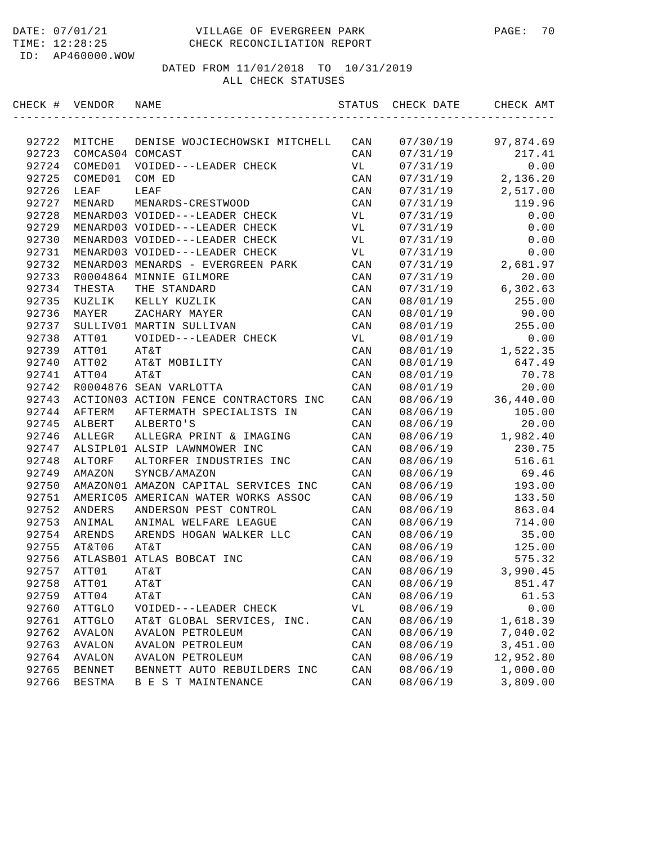| CHECK # | VENDOR           | NAME                                  | STATUS | CHECK DATE | CHECK AMT |
|---------|------------------|---------------------------------------|--------|------------|-----------|
|         |                  |                                       |        |            |           |
| 92722   | MITCHE           | DENISE WOJCIECHOWSKI MITCHELL         | CAN    | 07/30/19   | 97,874.69 |
| 92723   | COMCAS04 COMCAST |                                       | CAN    | 07/31/19   | 217.41    |
| 92724   | COMED01          | VOIDED---LEADER CHECK                 | VL     | 07/31/19   | 0.00      |
| 92725   | COMED01          | COM ED                                | CAN    | 07/31/19   | 2,136.20  |
| 92726   | LEAF             | LEAF                                  | CAN    | 07/31/19   | 2,517.00  |
| 92727   | MENARD           | MENARDS-CRESTWOOD                     | CAN    | 07/31/19   | 119.96    |
| 92728   |                  | MENARD03 VOIDED---LEADER CHECK        | VL     | 07/31/19   | 0.00      |
| 92729   |                  | MENARD03 VOIDED---LEADER CHECK        | VL     | 07/31/19   | 0.00      |
| 92730   |                  | MENARD03 VOIDED---LEADER CHECK        | VL     | 07/31/19   | 0.00      |
| 92731   |                  | MENARD03 VOIDED---LEADER CHECK        | VL     | 07/31/19   | 0.00      |
| 92732   |                  | MENARD03 MENARDS - EVERGREEN PARK     | CAN    | 07/31/19   | 2,681.97  |
| 92733   |                  | R0004864 MINNIE GILMORE               | CAN    | 07/31/19   | 20.00     |
| 92734   | THESTA           | THE STANDARD                          | CAN    | 07/31/19   | 6,302.63  |
| 92735   | KUZLIK           | KELLY KUZLIK                          | CAN    | 08/01/19   | 255.00    |
| 92736   | MAYER            | ZACHARY MAYER                         | CAN    | 08/01/19   | 90.00     |
| 92737   |                  | SULLIV01 MARTIN SULLIVAN              | CAN    | 08/01/19   | 255.00    |
| 92738   | ATT01            | VOIDED---LEADER CHECK                 | VL     | 08/01/19   | 0.00      |
| 92739   | ATT01            | AT&T                                  | CAN    | 08/01/19   | 1,522.35  |
| 92740   | ATT02            | AT&T MOBILITY                         | CAN    | 08/01/19   | 647.49    |
| 92741   | ATT04            | AT&T                                  | CAN    | 08/01/19   | 70.78     |
| 92742   |                  | R0004876 SEAN VARLOTTA                | CAN    | 08/01/19   | 20.00     |
| 92743   |                  | ACTION03 ACTION FENCE CONTRACTORS INC | CAN    | 08/06/19   | 36,440.00 |
| 92744   | AFTERM           | AFTERMATH SPECIALISTS IN              | CAN    | 08/06/19   | 105.00    |
| 92745   | ALBERT           | ALBERTO'S                             | CAN    | 08/06/19   | 20.00     |
| 92746   | ALLEGR           | ALLEGRA PRINT & IMAGING               | CAN    | 08/06/19   | 1,982.40  |
| 92747   |                  | ALSIPL01 ALSIP LAWNMOWER INC          | CAN    | 08/06/19   | 230.75    |
| 92748   | ALTORF           | ALTORFER INDUSTRIES INC               | CAN    | 08/06/19   | 516.61    |
| 92749   | AMAZON           | SYNCB/AMAZON                          | CAN    | 08/06/19   | 69.46     |
| 92750   |                  | AMAZON01 AMAZON CAPITAL SERVICES INC  | CAN    | 08/06/19   | 193.00    |
| 92751   |                  | AMERIC05 AMERICAN WATER WORKS ASSOC   | CAN    | 08/06/19   | 133.50    |
| 92752   | ANDERS           | ANDERSON PEST CONTROL                 | CAN    | 08/06/19   | 863.04    |
| 92753   | ANIMAL           | ANIMAL WELFARE LEAGUE                 | CAN    | 08/06/19   | 714.00    |
| 92754   | ARENDS           | ARENDS HOGAN WALKER LLC               | CAN    | 08/06/19   | 35.00     |
| 92755   | AT&T06           | AT&T                                  | CAN    | 08/06/19   | 125.00    |
| 92756   |                  | ATLASB01 ATLAS BOBCAT INC             | CAN    | 08/06/19   | 575.32    |
| 92757   | ATT01            | AT&T                                  | CAN    | 08/06/19   | 3,990.45  |
| 92758   | ATT01            | AT&T                                  | CAN    | 08/06/19   | 851.47    |
| 92759   | ATT04            | AT&T                                  | CAN    | 08/06/19   | 61.53     |
| 92760   | ATTGLO           | VOIDED---LEADER CHECK                 | VL     | 08/06/19   | 0.00      |
| 92761   | ATTGLO           | AT&T GLOBAL SERVICES, INC.            | CAN    | 08/06/19   | 1,618.39  |
| 92762   | AVALON           | <b>AVALON PETROLEUM</b>               | CAN    | 08/06/19   | 7,040.02  |
| 92763   | <b>AVALON</b>    | <b>AVALON PETROLEUM</b>               | CAN    | 08/06/19   | 3,451.00  |
| 92764   | <b>AVALON</b>    | <b>AVALON PETROLEUM</b>               | CAN    | 08/06/19   | 12,952.80 |
| 92765   | <b>BENNET</b>    | BENNETT AUTO REBUILDERS INC           | CAN    | 08/06/19   | 1,000.00  |
| 92766   | <b>BESTMA</b>    | B E S T MAINTENANCE                   | CAN    | 08/06/19   | 3,809.00  |
|         |                  |                                       |        |            |           |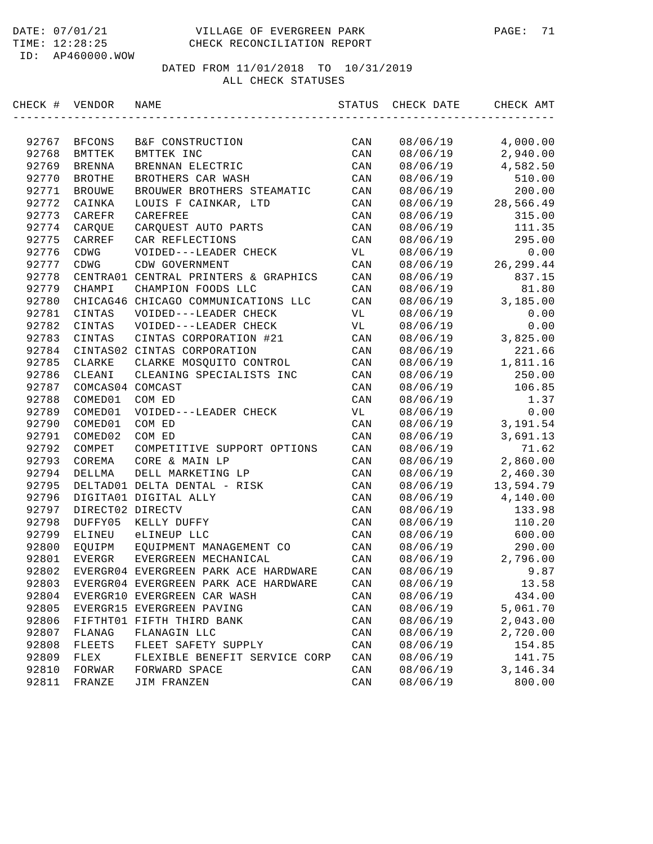| CHECK # | VENDOR           | NAME                                 | STATUS         | CHECK DATE | CHECK AMT  |
|---------|------------------|--------------------------------------|----------------|------------|------------|
|         |                  |                                      |                |            |            |
| 92767   | BFCONS           | B&F CONSTRUCTION                     | CAN            | 08/06/19   | 4,000.00   |
| 92768   | BMTTEK           | BMTTEK INC                           | CAN            | 08/06/19   | 2,940.00   |
| 92769   | <b>BRENNA</b>    | BRENNAN ELECTRIC                     | CAN            | 08/06/19   | 4,582.50   |
| 92770   | <b>BROTHE</b>    | BROTHERS CAR WASH                    | CAN            | 08/06/19   | 510.00     |
| 92771   | <b>BROUWE</b>    | BROUWER BROTHERS STEAMATIC           | CAN            | 08/06/19   | 200.00     |
| 92772   | CAINKA           | LOUIS F CAINKAR, LTD                 | CAN            | 08/06/19   | 28,566.49  |
| 92773   | CAREFR           | CAREFREE                             | CAN            | 08/06/19   | 315.00     |
| 92774   | CAROUE           | CARQUEST AUTO PARTS                  | CAN            | 08/06/19   | 111.35     |
| 92775   | CARREF           | CAR REFLECTIONS                      | CAN            | 08/06/19   | 295.00     |
| 92776   | CDWG             | VOIDED---LEADER CHECK                | VL             | 08/06/19   | 0.00       |
| 92777   | CDWG             | CDW GOVERNMENT                       | CAN            | 08/06/19   | 26, 299.44 |
| 92778   |                  | CENTRA01 CENTRAL PRINTERS & GRAPHICS | CAN            | 08/06/19   | 837.15     |
| 92779   | CHAMPI           | CHAMPION FOODS LLC                   | CAN            | 08/06/19   | 81.80      |
| 92780   |                  | CHICAG46 CHICAGO COMMUNICATIONS LLC  | CAN            | 08/06/19   | 3,185.00   |
| 92781   | CINTAS           | VOIDED---LEADER CHECK                | VL             | 08/06/19   | 0.00       |
| 92782   | CINTAS           | VOIDED---LEADER CHECK                | VL             | 08/06/19   | 0.00       |
| 92783   | CINTAS           | CINTAS CORPORATION #21               | CAN            | 08/06/19   | 3,825.00   |
| 92784   |                  | CINTAS02 CINTAS CORPORATION          | CAN            | 08/06/19   | 221.66     |
| 92785   | CLARKE           | CLARKE MOSQUITO CONTROL              | CAN            | 08/06/19   | 1,811.16   |
| 92786   | CLEANI           | CLEANING SPECIALISTS INC             | CAN            | 08/06/19   | 250.00     |
| 92787   | COMCAS04 COMCAST |                                      | CAN            | 08/06/19   | 106.85     |
| 92788   | COMED01          | COM ED                               | CAN            | 08/06/19   | 1.37       |
| 92789   | COMED01          | VOIDED---LEADER CHECK                | VL             | 08/06/19   | 0.00       |
| 92790   | COMED01          | COM ED                               | CAN            | 08/06/19   | 3,191.54   |
| 92791   | COMED02          | COM ED                               | CAN            | 08/06/19   | 3,691.13   |
| 92792   | COMPET           | COMPETITIVE SUPPORT OPTIONS          | CAN            | 08/06/19   | 71.62      |
| 92793   | COREMA           | CORE & MAIN LP                       | CAN            | 08/06/19   | 2,860.00   |
| 92794   | DELLMA           | DELL MARKETING LP                    | CAN            | 08/06/19   | 2,460.30   |
| 92795   |                  | DELTAD01 DELTA DENTAL - RISK         | CAN            | 08/06/19   | 13,594.79  |
| 92796   |                  | DIGITA01 DIGITAL ALLY                | CAN            | 08/06/19   | 4,140.00   |
| 92797   | DIRECT02 DIRECTV |                                      | CAN            | 08/06/19   | 133.98     |
| 92798   | DUFFY05          | KELLY DUFFY                          | CAN            | 08/06/19   | 110.20     |
| 92799   | ELINEU           | eLINEUP LLC                          | CAN            | 08/06/19   | 600.00     |
| 92800   | EQUIPM           | EOUIPMENT MANAGEMENT CO              | CAN            | 08/06/19   | 290.00     |
| 92801   | EVERGR           | EVERGREEN MECHANICAL                 | CAN            | 08/06/19   | 2,796.00   |
| 92802   |                  | EVERGR04 EVERGREEN PARK ACE HARDWARE | CAN            | 08/06/19   | 9.87       |
| 92803   |                  | EVERGR04 EVERGREEN PARK ACE HARDWARE | CAN            | 08/06/19   | 13.58      |
| 92804   |                  | EVERGR10 EVERGREEN CAR WASH          | CAN            | 08/06/19   | 434.00     |
| 92805   |                  | EVERGR15 EVERGREEN PAVING            | CAN            | 08/06/19   | 5,061.70   |
| 92806   |                  | FIFTHT01 FIFTH THIRD BANK            | CAN            | 08/06/19   | 2,043.00   |
| 92807   | FLANAG           | FLANAGIN LLC                         | CAN            | 08/06/19   | 2,720.00   |
| 92808   | FLEETS           | FLEET SAFETY SUPPLY                  | CAN            | 08/06/19   | 154.85     |
| 92809   | FLEX             | FLEXIBLE BENEFIT SERVICE CORP        | CAN            | 08/06/19   | 141.75     |
| 92810   | FORWAR           | FORWARD SPACE                        | $\mathtt{CAN}$ | 08/06/19   | 3, 146. 34 |
| 92811   | FRANZE           | JIM FRANZEN                          | CAN            | 08/06/19   | 800.00     |
|         |                  |                                      |                |            |            |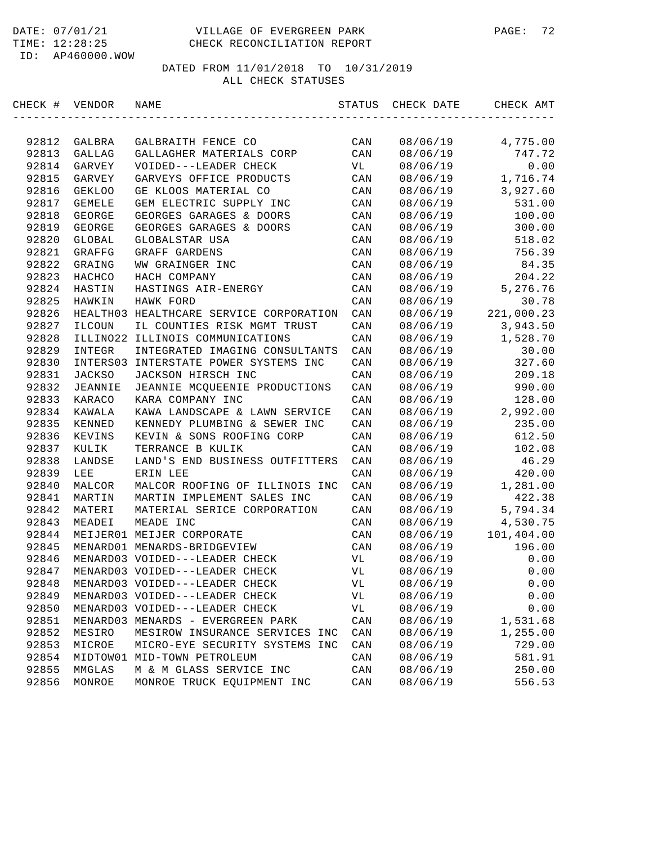|     | $1 \perp \mathsf{ML}$ . $1 \perp \perp \cdot \perp \mathsf{C}$ . 49 |
|-----|---------------------------------------------------------------------|
| ID: | AP460000.WOW                                                        |

| CHECK # | VENDOR         | NAME                                    | STATUS | CHECK DATE | CHECK AMT  |
|---------|----------------|-----------------------------------------|--------|------------|------------|
|         |                |                                         |        |            |            |
| 92812   | GALBRA         | GALBRAITH FENCE CO                      | CAN    | 08/06/19   | 4,775.00   |
| 92813   | GALLAG         | GALLAGHER MATERIALS CORP                | CAN    | 08/06/19   | 747.72     |
| 92814   | GARVEY         | VOIDED---LEADER CHECK                   | VL     | 08/06/19   | 0.00       |
| 92815   | GARVEY         | GARVEYS OFFICE PRODUCTS                 | CAN    | 08/06/19   | 1,716.74   |
| 92816   | <b>GEKLOO</b>  | GE KLOOS MATERIAL CO                    | CAN    | 08/06/19   | 3,927.60   |
| 92817   | GEMELE         | GEM ELECTRIC SUPPLY INC                 | CAN    | 08/06/19   | 531.00     |
| 92818   | GEORGE         | GEORGES GARAGES & DOORS                 | CAN    | 08/06/19   | 100.00     |
| 92819   | GEORGE         | GEORGES GARAGES & DOORS                 | CAN    | 08/06/19   | 300.00     |
| 92820   | GLOBAL         | GLOBALSTAR USA                          | CAN    | 08/06/19   | 518.02     |
| 92821   | GRAFFG         | GRAFF GARDENS                           | CAN    | 08/06/19   | 756.39     |
| 92822   | GRAING         | WW GRAINGER INC                         | CAN    | 08/06/19   | 84.35      |
| 92823   | HACHCO         | HACH COMPANY                            | CAN    | 08/06/19   | 204.22     |
| 92824   | HASTIN         | HASTINGS AIR-ENERGY                     | CAN    | 08/06/19   | 5,276.76   |
| 92825   | HAWKIN         | HAWK FORD                               | CAN    | 08/06/19   | 30.78      |
| 92826   |                | HEALTH03 HEALTHCARE SERVICE CORPORATION | CAN    | 08/06/19   | 221,000.23 |
| 92827   | ILCOUN         | IL COUNTIES RISK MGMT TRUST             | CAN    | 08/06/19   | 3,943.50   |
| 92828   | ILLINO22       | ILLINOIS COMMUNICATIONS                 | CAN    | 08/06/19   | 1,528.70   |
| 92829   | INTEGR         | INTEGRATED IMAGING CONSULTANTS          | CAN    | 08/06/19   | 30.00      |
| 92830   | INTERS03       | INTERSTATE POWER SYSTEMS INC            | CAN    | 08/06/19   | 327.60     |
| 92831   | <b>JACKSO</b>  | JACKSON HIRSCH INC                      | CAN    | 08/06/19   | 209.18     |
| 92832   | <b>JEANNIE</b> | JEANNIE MCQUEENIE PRODUCTIONS           | CAN    | 08/06/19   | 990.00     |
| 92833   | KARACO         | KARA COMPANY INC                        | CAN    | 08/06/19   | 128.00     |
| 92834   | KAWALA         | KAWA LANDSCAPE & LAWN SERVICE           | CAN    | 08/06/19   | 2,992.00   |
| 92835   | KENNED         | KENNEDY PLUMBING & SEWER INC            | CAN    | 08/06/19   | 235.00     |
| 92836   | KEVINS         | KEVIN & SONS ROOFING CORP               | CAN    | 08/06/19   | 612.50     |
| 92837   | KULIK          | TERRANCE B KULIK                        | CAN    | 08/06/19   | 102.08     |
| 92838   | LANDSE         | LAND'S END BUSINESS OUTFITTERS          | CAN    | 08/06/19   | 46.29      |
| 92839   | LEE            | ERIN LEE                                | CAN    | 08/06/19   | 420.00     |
| 92840   | MALCOR         | MALCOR ROOFING OF ILLINOIS INC          | CAN    | 08/06/19   | 1,281.00   |
| 92841   | MARTIN         | MARTIN IMPLEMENT SALES INC              | CAN    | 08/06/19   | 422.38     |
| 92842   | MATERI         | MATERIAL SERICE CORPORATION             | CAN    | 08/06/19   | 5,794.34   |
| 92843   | MEADEI         | MEADE INC                               | CAN    | 08/06/19   | 4,530.75   |
| 92844   |                | MEIJER01 MEIJER CORPORATE               | CAN    | 08/06/19   | 101,404.00 |
| 92845   |                | MENARD01 MENARDS-BRIDGEVIEW             | CAN    | 08/06/19   | 196.00     |
| 92846   |                | MENARD03 VOIDED---LEADER CHECK          | VL     | 08/06/19   | 0.00       |
| 92847   |                | MENARD03 VOIDED---LEADER CHECK          | VL     | 08/06/19   | 0.00       |
| 92848   |                | MENARD03 VOIDED---LEADER CHECK          | VL     | 08/06/19   | 0.00       |
| 92849   |                | MENARD03 VOIDED---LEADER CHECK          | VL     | 08/06/19   | 0.00       |
| 92850   |                | MENARD03 VOIDED---LEADER CHECK          | VL     | 08/06/19   | 0.00       |
| 92851   |                | MENARD03 MENARDS - EVERGREEN PARK       | CAN    | 08/06/19   | 1,531.68   |
| 92852   | MESIRO         | MESIROW INSURANCE SERVICES INC          | CAN    | 08/06/19   | 1,255.00   |
| 92853   | MICROE         | MICRO-EYE SECURITY SYSTEMS INC          | CAN    | 08/06/19   | 729.00     |
| 92854   |                | MIDTOW01 MID-TOWN PETROLEUM             | CAN    | 08/06/19   | 581.91     |
| 92855   | MMGLAS         | M & M GLASS SERVICE INC                 | CAN    | 08/06/19   | 250.00     |
| 92856   | MONROE         | MONROE TRUCK EQUIPMENT INC              | CAN    | 08/06/19   | 556.53     |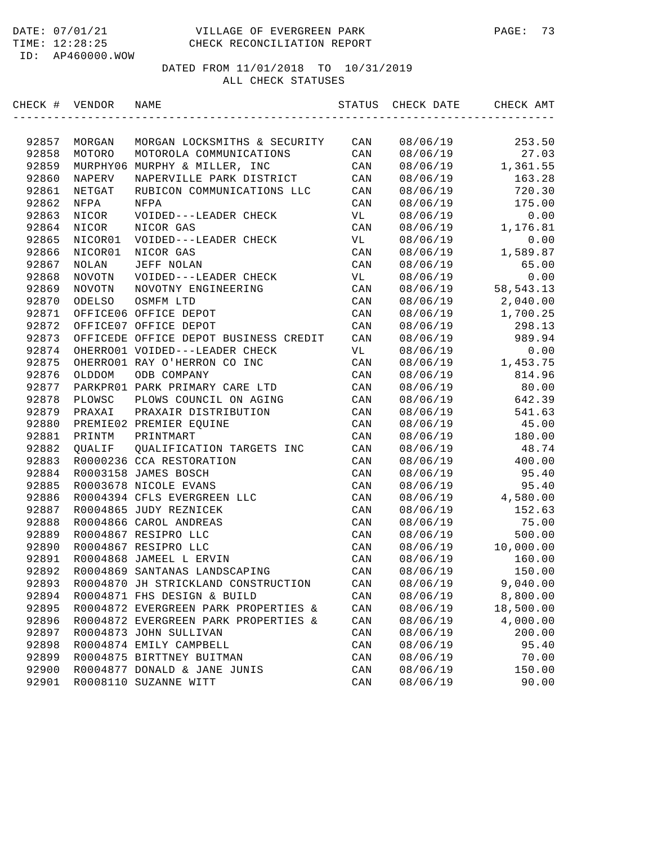| CHECK # VENDOR |               | NAME                                  | STATUS         | CHECK DATE | CHECK AMT   |
|----------------|---------------|---------------------------------------|----------------|------------|-------------|
|                |               |                                       |                |            |             |
| 92857          | MORGAN        | MORGAN LOCKSMITHS & SECURITY          | CAN            | 08/06/19   | 253.50      |
| 92858          | MOTORO        | MOTOROLA COMMUNICATIONS               | CAN            | 08/06/19   | 27.03       |
| 92859          |               | MURPHY06 MURPHY & MILLER, INC         | CAN            | 08/06/19   | 1,361.55    |
| 92860          | <b>NAPERV</b> | NAPERVILLE PARK DISTRICT              | CAN            | 08/06/19   | 163.28      |
| 92861          | NETGAT        | RUBICON COMMUNICATIONS LLC            | CAN            | 08/06/19   | 720.30      |
| 92862          | NFPA          | NFPA                                  | CAN            | 08/06/19   | 175.00      |
| 92863          | NICOR         | VOIDED---LEADER CHECK                 | VL             | 08/06/19   | 0.00        |
| 92864          | NICOR         | NICOR GAS                             | CAN            | 08/06/19   | 1,176.81    |
| 92865          | NICOR01       | VOIDED---LEADER CHECK                 | VL             | 08/06/19   | 0.00        |
| 92866          | NICOR01       | NICOR GAS                             | CAN            | 08/06/19   | 1,589.87    |
| 92867          | NOLAN         | JEFF NOLAN                            | CAN            | 08/06/19   | 65.00       |
| 92868          | NOVOTN        | VOIDED---LEADER CHECK                 | VL             | 08/06/19   | 0.00        |
| 92869          | NOVOTN        | NOVOTNY ENGINEERING                   | CAN            | 08/06/19   | 58, 543. 13 |
| 92870          | ODELSO        | OSMFM LTD                             | CAN            | 08/06/19   | 2,040.00    |
| 92871          |               | OFFICE06 OFFICE DEPOT                 | CAN            | 08/06/19   | 1,700.25    |
| 92872          |               | OFFICE07 OFFICE DEPOT                 | CAN            | 08/06/19   | 298.13      |
| 92873          |               | OFFICEDE OFFICE DEPOT BUSINESS CREDIT | CAN            | 08/06/19   | 989.94      |
| 92874          |               | OHERRO01 VOIDED---LEADER CHECK        | VL             | 08/06/19   | 0.00        |
| 92875          |               | OHERRO01 RAY O'HERRON CO INC          | CAN            | 08/06/19   | 1,453.75    |
| 92876          | OLDDOM        | ODB COMPANY                           | CAN            | 08/06/19   | 814.96      |
| 92877          |               | PARKPRO1 PARK PRIMARY CARE LTD        | CAN            | 08/06/19   | 80.00       |
| 92878          | PLOWSC        | PLOWS COUNCIL ON AGING                | CAN            | 08/06/19   | 642.39      |
| 92879          | PRAXAI        | PRAXAIR DISTRIBUTION                  | CAN            | 08/06/19   | 541.63      |
| 92880          |               | PREMIE02 PREMIER EQUINE               | CAN            | 08/06/19   | 45.00       |
| 92881          | PRINTM        | PRINTMART                             | CAN            | 08/06/19   | 180.00      |
| 92882          | QUALIF        | QUALIFICATION TARGETS INC             | CAN            | 08/06/19   | 48.74       |
| 92883          |               | R0000236 CCA RESTORATION              | CAN            | 08/06/19   | 400.00      |
| 92884          |               | R0003158 JAMES BOSCH                  | CAN            | 08/06/19   | 95.40       |
| 92885          |               | R0003678 NICOLE EVANS                 | CAN            | 08/06/19   | 95.40       |
| 92886          |               | R0004394 CFLS EVERGREEN LLC           | CAN            | 08/06/19   | 4,580.00    |
| 92887          |               | R0004865 JUDY REZNICEK                | CAN            | 08/06/19   | 152.63      |
| 92888          |               | R0004866 CAROL ANDREAS                | CAN            | 08/06/19   | 75.00       |
| 92889          |               | R0004867 RESIPRO LLC                  | CAN            | 08/06/19   | 500.00      |
| 92890          |               | R0004867 RESIPRO LLC                  | CAN            | 08/06/19   | 10,000.00   |
| 92891          |               | R0004868 JAMEEL L ERVIN               | CAN            | 08/06/19   | 160.00      |
| 92892          |               | R0004869 SANTANAS LANDSCAPING         | CAN            | 08/06/19   | 150.00      |
| 92893          |               | R0004870 JH STRICKLAND CONSTRUCTION   | CAN            | 08/06/19   | 9,040.00    |
| 92894          |               | R0004871 FHS DESIGN & BUILD           | CAN            | 08/06/19   | 8,800.00    |
| 92895          |               | R0004872 EVERGREEN PARK PROPERTIES &  | $\mathtt{CAN}$ | 08/06/19   | 18,500.00   |
| 92896          |               | R0004872 EVERGREEN PARK PROPERTIES &  | CAN            | 08/06/19   | 4,000.00    |
| 92897          |               | R0004873 JOHN SULLIVAN                | CAN            | 08/06/19   | 200.00      |
| 92898          |               | R0004874 EMILY CAMPBELL               | $\mathtt{CAN}$ | 08/06/19   | 95.40       |
| 92899          |               | R0004875 BIRTTNEY BUITMAN             | CAN            | 08/06/19   | 70.00       |
| 92900          |               | R0004877 DONALD & JANE JUNIS          | CAN            | 08/06/19   | 150.00      |
| 92901          |               | R0008110 SUZANNE WITT                 | $\mathtt{CAN}$ | 08/06/19   | 90.00       |
|                |               |                                       |                |            |             |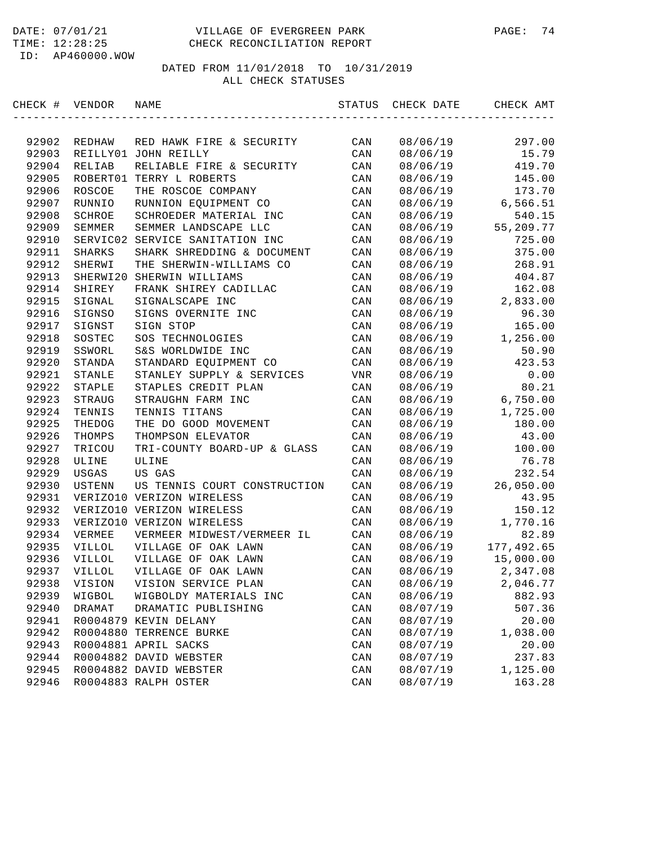| CHECK # | VENDOR        | NAME                         | STATUS         | CHECK DATE | CHECK AMT  |
|---------|---------------|------------------------------|----------------|------------|------------|
|         |               |                              |                |            |            |
| 92902   | REDHAW        | RED HAWK FIRE & SECURITY     | CAN            | 08/06/19   | 297.00     |
| 92903   |               | REILLY01 JOHN REILLY         | CAN            | 08/06/19   | 15.79      |
| 92904   | RELIAB        | RELIABLE FIRE & SECURITY     | CAN            | 08/06/19   | 419.70     |
| 92905   | ROBERT01      | TERRY L ROBERTS              | CAN            | 08/06/19   | 145.00     |
| 92906   | ROSCOE        | THE ROSCOE COMPANY           | CAN            | 08/06/19   | 173.70     |
| 92907   | RUNNIO        | RUNNION EQUIPMENT CO         | CAN            | 08/06/19   | 6,566.51   |
| 92908   | SCHROE        | SCHROEDER MATERIAL INC       | CAN            | 08/06/19   | 540.15     |
| 92909   | SEMMER        | SEMMER LANDSCAPE LLC         | CAN            | 08/06/19   | 55,209.77  |
| 92910   | SERVIC02      | SERVICE SANITATION INC       | CAN            | 08/06/19   | 725.00     |
| 92911   | SHARKS        | SHARK SHREDDING & DOCUMENT   | CAN            | 08/06/19   | 375.00     |
| 92912   | SHERWI        | THE SHERWIN-WILLIAMS CO      | CAN            | 08/06/19   | 268.91     |
| 92913   | SHERWI20      | SHERWIN WILLIAMS             | CAN            | 08/06/19   | 404.87     |
| 92914   | SHIREY        | FRANK SHIREY CADILLAC        | CAN            | 08/06/19   | 162.08     |
| 92915   | SIGNAL        | SIGNALSCAPE INC              | CAN            | 08/06/19   | 2,833.00   |
| 92916   | SIGNSO        | SIGNS OVERNITE INC           | CAN            | 08/06/19   | 96.30      |
| 92917   | SIGNST        | SIGN STOP                    | CAN            | 08/06/19   | 165.00     |
| 92918   | SOSTEC        | SOS TECHNOLOGIES             | CAN            | 08/06/19   | 1,256.00   |
| 92919   | SSWORL        | S&S WORLDWIDE INC            | CAN            | 08/06/19   | 50.90      |
| 92920   | STANDA        | STANDARD EQUIPMENT CO        | CAN            | 08/06/19   | 423.53     |
| 92921   | STANLE        | STANLEY SUPPLY & SERVICES    | VNR            | 08/06/19   | 0.00       |
| 92922   | <b>STAPLE</b> | STAPLES CREDIT PLAN          | CAN            | 08/06/19   | 80.21      |
| 92923   | STRAUG        | STRAUGHN FARM INC            | CAN            | 08/06/19   | 6,750.00   |
| 92924   | TENNIS        | TENNIS TITANS                | CAN            | 08/06/19   | 1,725.00   |
| 92925   | THEDOG        | THE DO GOOD MOVEMENT         | CAN            | 08/06/19   | 180.00     |
| 92926   | THOMPS        | THOMPSON ELEVATOR            | CAN            | 08/06/19   | 43.00      |
| 92927   | TRICOU        | TRI-COUNTY BOARD-UP & GLASS  | CAN            | 08/06/19   | 100.00     |
| 92928   | ULINE         | ULINE                        | CAN            | 08/06/19   | 76.78      |
| 92929   | USGAS         | US GAS                       | CAN            | 08/06/19   | 232.54     |
| 92930   | USTENN        | US TENNIS COURT CONSTRUCTION | CAN            | 08/06/19   | 26,050.00  |
| 92931   |               | VERIZO10 VERIZON WIRELESS    | CAN            | 08/06/19   | 43.95      |
| 92932   |               | VERIZO10 VERIZON WIRELESS    | CAN            | 08/06/19   | 150.12     |
| 92933   |               | VERIZO10 VERIZON WIRELESS    | CAN            | 08/06/19   | 1,770.16   |
| 92934   | VERMEE        | VERMEER MIDWEST/VERMEER IL   | CAN            | 08/06/19   | 82.89      |
| 92935   | VILLOL        | VILLAGE OF OAK LAWN          | CAN            | 08/06/19   | 177,492.65 |
| 92936   | VILLOL        | VILLAGE OF OAK LAWN          | CAN            | 08/06/19   | 15,000.00  |
| 92937   | <b>VILLOL</b> | VILLAGE OF OAK LAWN          | CAN            | 08/06/19   | 2,347.08   |
| 92938   | VISION        | VISION SERVICE PLAN          | CAN            | 08/06/19   | 2,046.77   |
| 92939   | WIGBOL        | WIGBOLDY MATERIALS INC       | CAN            | 08/06/19   | 882.93     |
| 92940   | DRAMAT        | DRAMATIC PUBLISHING          | $\mathtt{CAN}$ | 08/07/19   | 507.36     |
| 92941   |               | R0004879 KEVIN DELANY        | CAN            | 08/07/19   | 20.00      |
| 92942   |               | R0004880 TERRENCE BURKE      | $\mathtt{CAN}$ | 08/07/19   | 1,038.00   |
| 92943   |               | R0004881 APRIL SACKS         | $\mathtt{CAN}$ | 08/07/19   | 20.00      |
| 92944   |               | R0004882 DAVID WEBSTER       | $\mathtt{CAN}$ | 08/07/19   | 237.83     |
| 92945   |               | R0004882 DAVID WEBSTER       | CAN            | 08/07/19   | 1,125.00   |
| 92946   |               | R0004883 RALPH OSTER         | $\mathtt{CAN}$ | 08/07/19   | 163.28     |
|         |               |                              |                |            |            |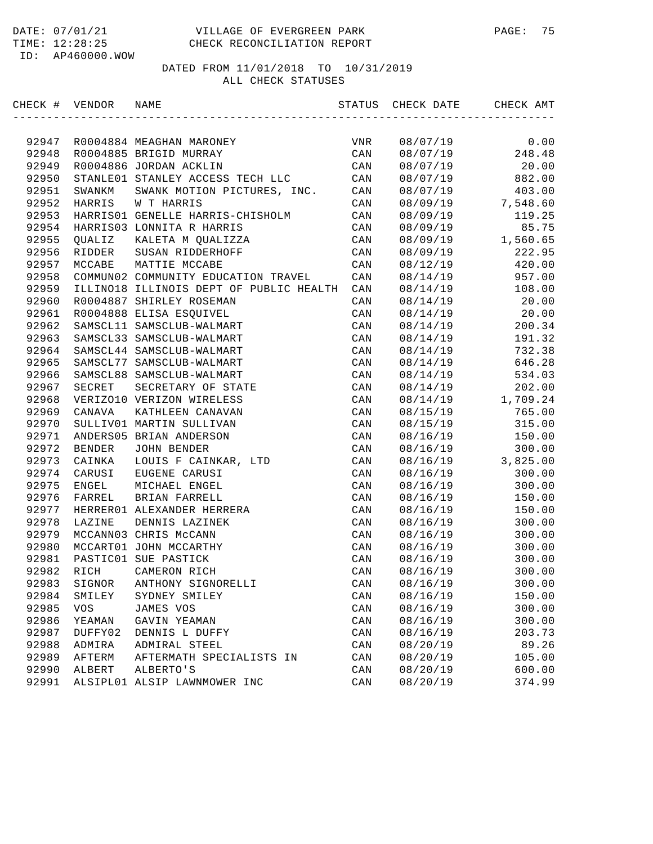| CHECK # VENDOR |               | NAME                                    | STATUS         | CHECK DATE | CHECK AMT |
|----------------|---------------|-----------------------------------------|----------------|------------|-----------|
|                |               |                                         |                |            |           |
| 92947          |               | R0004884 MEAGHAN MARONEY                | VNR            | 08/07/19   | 0.00      |
| 92948          |               | R0004885 BRIGID MURRAY                  | CAN            | 08/07/19   | 248.48    |
| 92949          |               | R0004886 JORDAN ACKLIN                  | CAN            | 08/07/19   | 20.00     |
| 92950          |               | STANLE01 STANLEY ACCESS TECH LLC        | CAN            | 08/07/19   | 882.00    |
| 92951          | SWANKM        | SWANK MOTION PICTURES, INC.             | CAN            | 08/07/19   | 403.00    |
| 92952          | HARRIS        | W T HARRIS                              | CAN            | 08/09/19   | 7,548.60  |
| 92953          |               | HARRIS01 GENELLE HARRIS-CHISHOLM        | CAN            | 08/09/19   | 119.25    |
| 92954          |               | HARRIS03 LONNITA R HARRIS               | CAN            | 08/09/19   | 85.75     |
| 92955          | QUALIZ        | KALETA M QUALIZZA                       | CAN            | 08/09/19   | 1,560.65  |
| 92956          | RIDDER        | SUSAN RIDDERHOFF                        | CAN            | 08/09/19   | 222.95    |
| 92957          | MCCABE        | MATTIE MCCABE                           | CAN            | 08/12/19   | 420.00    |
| 92958          |               | COMMUN02 COMMUNITY EDUCATION TRAVEL     | CAN            | 08/14/19   | 957.00    |
| 92959          |               | ILLINO18 ILLINOIS DEPT OF PUBLIC HEALTH | CAN            | 08/14/19   | 108.00    |
| 92960          |               | R0004887 SHIRLEY ROSEMAN                | CAN            | 08/14/19   | 20.00     |
| 92961          |               | R0004888 ELISA ESQUIVEL                 | CAN            | 08/14/19   | 20.00     |
| 92962          |               | SAMSCL11 SAMSCLUB-WALMART               | CAN            | 08/14/19   | 200.34    |
| 92963          |               | SAMSCL33 SAMSCLUB-WALMART               | CAN            | 08/14/19   | 191.32    |
| 92964          |               | SAMSCL44 SAMSCLUB-WALMART               | CAN            | 08/14/19   | 732.38    |
| 92965          |               | SAMSCL77 SAMSCLUB-WALMART               | CAN            | 08/14/19   | 646.28    |
| 92966          |               | SAMSCL88 SAMSCLUB-WALMART               | CAN            | 08/14/19   | 534.03    |
| 92967          | SECRET        | SECRETARY OF STATE                      | CAN            | 08/14/19   | 202.00    |
| 92968          |               | VERIZO10 VERIZON WIRELESS               | CAN            | 08/14/19   | 1,709.24  |
| 92969          | CANAVA        | KATHLEEN CANAVAN                        | CAN            | 08/15/19   | 765.00    |
| 92970          |               | SULLIV01 MARTIN SULLIVAN                | CAN            | 08/15/19   | 315.00    |
| 92971          |               | ANDERS05 BRIAN ANDERSON                 | CAN            | 08/16/19   | 150.00    |
| 92972          | <b>BENDER</b> | JOHN BENDER                             | CAN            | 08/16/19   | 300.00    |
| 92973          | CAINKA        | LOUIS F CAINKAR, LTD                    | CAN            | 08/16/19   | 3,825.00  |
| 92974          | CARUSI        | EUGENE CARUSI                           | CAN            | 08/16/19   | 300.00    |
| 92975          | ENGEL         | MICHAEL ENGEL                           | CAN            | 08/16/19   | 300.00    |
| 92976          | FARREL        | BRIAN FARRELL                           | CAN            | 08/16/19   | 150.00    |
| 92977          |               | HERRER01 ALEXANDER HERRERA              | CAN            | 08/16/19   | 150.00    |
| 92978          | LAZINE        | DENNIS LAZINEK                          | CAN            | 08/16/19   | 300.00    |
| 92979          |               | MCCANN03 CHRIS McCANN                   | CAN            | 08/16/19   | 300.00    |
| 92980          |               | MCCART01 JOHN MCCARTHY                  | CAN            | 08/16/19   | 300.00    |
| 92981          |               | PASTIC01 SUE PASTICK                    | CAN            | 08/16/19   | 300.00    |
| 92982          | RICH          | CAMERON RICH                            | CAN            | 08/16/19   | 300.00    |
| 92983          | SIGNOR        | ANTHONY SIGNORELLI                      | CAN            | 08/16/19   | 300.00    |
| 92984          | SMILEY        | SYDNEY SMILEY                           | CAN            | 08/16/19   | 150.00    |
| 92985          | VOS           | JAMES VOS                               | $\mathtt{CAN}$ | 08/16/19   | 300.00    |
| 92986          | YEAMAN        | GAVIN YEAMAN                            | CAN            | 08/16/19   | 300.00    |
| 92987          | DUFFY02       | DENNIS L DUFFY                          | CAN            | 08/16/19   | 203.73    |
| 92988          | ADMIRA        | ADMIRAL STEEL                           | $\mathtt{CAN}$ | 08/20/19   | 89.26     |
| 92989          | AFTERM        | AFTERMATH SPECIALISTS IN                | CAN            | 08/20/19   | 105.00    |
| 92990          | ALBERT        | ALBERTO'S                               | CAN            | 08/20/19   | 600.00    |
| 92991          |               | ALSIPL01 ALSIP LAWNMOWER INC            | $\mathtt{CAN}$ | 08/20/19   | 374.99    |
|                |               |                                         |                |            |           |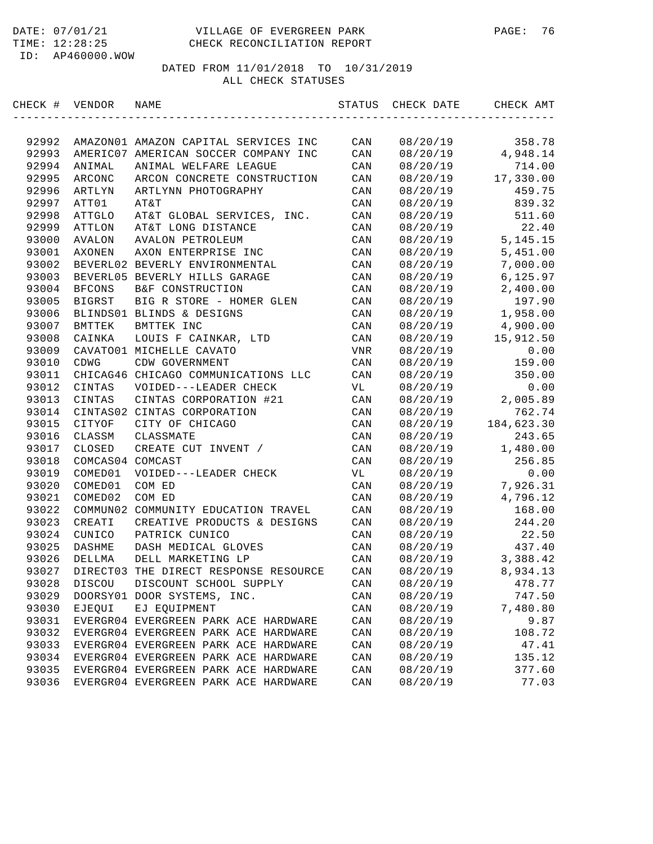| CHECK # VENDOR |                  | NAME                                  | STATUS         | CHECK DATE | CHECK AMT  |
|----------------|------------------|---------------------------------------|----------------|------------|------------|
|                |                  |                                       |                |            |            |
| 92992          |                  | AMAZON01 AMAZON CAPITAL SERVICES INC  | CAN            | 08/20/19   | 358.78     |
| 92993          |                  | AMERIC07 AMERICAN SOCCER COMPANY INC  | CAN            | 08/20/19   | 4,948.14   |
| 92994          | ANIMAL           | ANIMAL WELFARE LEAGUE                 | CAN            | 08/20/19   | 714.00     |
| 92995          | ARCONC           | ARCON CONCRETE CONSTRUCTION           | CAN            | 08/20/19   | 17,330.00  |
| 92996          | ARTLYN           | ARTLYNN PHOTOGRAPHY                   | CAN            | 08/20/19   | 459.75     |
| 92997          | ATT01            | AT&T                                  | CAN            | 08/20/19   | 839.32     |
| 92998          | ATTGLO           | AT&T GLOBAL SERVICES, INC.            | CAN            | 08/20/19   | 511.60     |
| 92999          | ATTLON           | AT&T LONG DISTANCE                    | CAN            | 08/20/19   | 22.40      |
| 93000          | AVALON           | <b>AVALON PETROLEUM</b>               | CAN            | 08/20/19   | 5, 145. 15 |
| 93001          | AXONEN           | AXON ENTERPRISE INC                   | CAN            | 08/20/19   | 5,451.00   |
| 93002          |                  | BEVERL02 BEVERLY ENVIRONMENTAL        | CAN            | 08/20/19   | 7,000.00   |
| 93003          |                  | BEVERL05 BEVERLY HILLS GARAGE         | CAN            | 08/20/19   | 6,125.97   |
| 93004          | <b>BFCONS</b>    | B&F CONSTRUCTION                      | CAN            | 08/20/19   | 2,400.00   |
| 93005          | <b>BIGRST</b>    | BIG R STORE - HOMER GLEN              | CAN            | 08/20/19   | 197.90     |
| 93006          |                  | BLINDS01 BLINDS & DESIGNS             | CAN            | 08/20/19   | 1,958.00   |
| 93007          | BMTTEK           | BMTTEK INC                            | CAN            | 08/20/19   | 4,900.00   |
| 93008          | CAINKA           | LOUIS F CAINKAR, LTD                  | CAN            | 08/20/19   | 15,912.50  |
| 93009          |                  | CAVATO01 MICHELLE CAVATO              | VNR            | 08/20/19   | 0.00       |
| 93010          | CDWG             | CDW GOVERNMENT                        | CAN            | 08/20/19   | 159.00     |
| 93011          |                  | CHICAG46 CHICAGO COMMUNICATIONS LLC   | CAN            | 08/20/19   | 350.00     |
| 93012          | CINTAS           | VOIDED---LEADER CHECK                 | VL             | 08/20/19   | 0.00       |
| 93013          | CINTAS           | CINTAS CORPORATION #21                | CAN            | 08/20/19   | 2,005.89   |
| 93014          |                  | CINTAS02 CINTAS CORPORATION           | CAN            | 08/20/19   | 762.74     |
| 93015          | CITYOF           | CITY OF CHICAGO                       | CAN            | 08/20/19   | 184,623.30 |
| 93016          | CLASSM           | CLASSMATE                             | CAN            | 08/20/19   | 243.65     |
| 93017          | CLOSED           | CREATE CUT INVENT /                   | CAN            | 08/20/19   | 1,480.00   |
| 93018          | COMCAS04 COMCAST |                                       | CAN            | 08/20/19   | 256.85     |
| 93019          | COMED01          | VOIDED---LEADER CHECK                 | VL             | 08/20/19   | 0.00       |
| 93020          | COMED01          | COM ED                                | CAN            | 08/20/19   | 7,926.31   |
| 93021          | COMED02          | COM ED                                | CAN            | 08/20/19   | 4,796.12   |
| 93022          |                  | COMMUN02 COMMUNITY EDUCATION TRAVEL   | CAN            | 08/20/19   | 168.00     |
| 93023          | CREATI           | CREATIVE PRODUCTS & DESIGNS           | CAN            | 08/20/19   | 244.20     |
| 93024          | CUNICO           | PATRICK CUNICO                        | CAN            | 08/20/19   | 22.50      |
| 93025          | DASHME           | DASH MEDICAL GLOVES                   | CAN            | 08/20/19   | 437.40     |
| 93026          | DELLMA           | DELL MARKETING LP                     | CAN            | 08/20/19   | 3,388.42   |
| 93027          |                  | DIRECT03 THE DIRECT RESPONSE RESOURCE | CAN            | 08/20/19   | 8,934.13   |
| 93028          | DISCOU           | DISCOUNT SCHOOL SUPPLY                | CAN            | 08/20/19   | 478.77     |
| 93029          |                  | DOORSY01 DOOR SYSTEMS, INC.           | CAN            | 08/20/19   | 747.50     |
| 93030          | EJEQUI           | EJ EQUIPMENT                          | CAN            | 08/20/19   | 7,480.80   |
| 93031          |                  | EVERGR04 EVERGREEN PARK ACE HARDWARE  | CAN            | 08/20/19   | 9.87       |
| 93032          |                  | EVERGR04 EVERGREEN PARK ACE HARDWARE  | CAN            | 08/20/19   | 108.72     |
| 93033          |                  | EVERGR04 EVERGREEN PARK ACE HARDWARE  | CAN            | 08/20/19   | 47.41      |
| 93034          |                  | EVERGR04 EVERGREEN PARK ACE HARDWARE  | CAN            | 08/20/19   | 135.12     |
| 93035          |                  | EVERGR04 EVERGREEN PARK ACE HARDWARE  | CAN            | 08/20/19   | 377.60     |
| 93036          |                  | EVERGR04 EVERGREEN PARK ACE HARDWARE  | $\mathtt{CAN}$ | 08/20/19   | 77.03      |
|                |                  |                                       |                |            |            |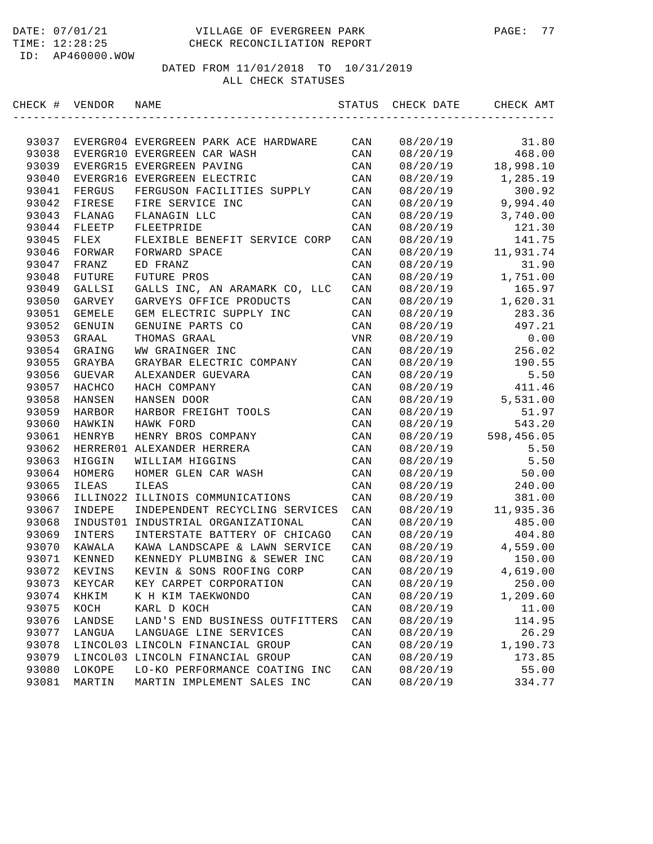| CHECK # VENDOR |              | NAME                                 | STATUS         | CHECK DATE | CHECK AMT  |
|----------------|--------------|--------------------------------------|----------------|------------|------------|
|                |              |                                      |                |            |            |
| 93037          |              | EVERGR04 EVERGREEN PARK ACE HARDWARE | CAN            | 08/20/19   | 31.80      |
| 93038          |              | EVERGR10 EVERGREEN CAR WASH          | CAN            | 08/20/19   | 468.00     |
| 93039          |              | EVERGR15 EVERGREEN PAVING            | CAN            | 08/20/19   | 18,998.10  |
| 93040          |              | EVERGR16 EVERGREEN ELECTRIC          | CAN            | 08/20/19   | 1,285.19   |
| 93041          | FERGUS       | FERGUSON FACILITIES SUPPLY           | CAN            | 08/20/19   | 300.92     |
| 93042          | FIRESE       | FIRE SERVICE INC                     | CAN            | 08/20/19   | 9,994.40   |
| 93043          | FLANAG       | FLANAGIN LLC                         | CAN            | 08/20/19   | 3,740.00   |
| 93044          | FLEETP       | FLEETPRIDE                           | CAN            | 08/20/19   | 121.30     |
| 93045          | FLEX         | FLEXIBLE BENEFIT SERVICE CORP        | CAN            | 08/20/19   | 141.75     |
| 93046          | FORWAR       | FORWARD SPACE                        | CAN            | 08/20/19   | 11,931.74  |
| 93047          | FRANZ        | ED FRANZ                             | CAN            | 08/20/19   | 31.90      |
| 93048          | FUTURE       | <b>FUTURE PROS</b>                   | CAN            | 08/20/19   | 1,751.00   |
| 93049          | GALLSI       | GALLS INC, AN ARAMARK CO, LLC        | CAN            | 08/20/19   | 165.97     |
| 93050          | GARVEY       | GARVEYS OFFICE PRODUCTS              | CAN            | 08/20/19   | 1,620.31   |
| 93051          | GEMELE       | GEM ELECTRIC SUPPLY INC              | CAN            | 08/20/19   | 283.36     |
| 93052          | GENUIN       | GENUINE PARTS CO                     | CAN            | 08/20/19   | 497.21     |
| 93053          | GRAAL        | THOMAS GRAAL                         | VNR            | 08/20/19   | 0.00       |
| 93054          | GRAING       | WW GRAINGER INC                      | CAN            | 08/20/19   | 256.02     |
| 93055          | GRAYBA       | GRAYBAR ELECTRIC COMPANY             | CAN            | 08/20/19   | 190.55     |
| 93056          | GUEVAR       | ALEXANDER GUEVARA                    | CAN            | 08/20/19   | 5.50       |
| 93057          | HACHCO       | HACH COMPANY                         | CAN            | 08/20/19   | 411.46     |
| 93058          | HANSEN       | HANSEN DOOR                          | CAN            | 08/20/19   | 5,531.00   |
| 93059          | HARBOR       | HARBOR FREIGHT TOOLS                 | CAN            | 08/20/19   | 51.97      |
| 93060          | HAWKIN       | HAWK FORD                            | CAN            | 08/20/19   | 543.20     |
| 93061          | HENRYB       | HENRY BROS COMPANY                   | CAN            | 08/20/19   | 598,456.05 |
| 93062          |              | HERRER01 ALEXANDER HERRERA           | CAN            | 08/20/19   | 5.50       |
| 93063          | HIGGIN       | WILLIAM HIGGINS                      | CAN            | 08/20/19   | 5.50       |
| 93064          | HOMERG       | HOMER GLEN CAR WASH                  | CAN            | 08/20/19   | 50.00      |
| 93065          | <b>ILEAS</b> | <b>ILEAS</b>                         | CAN            | 08/20/19   | 240.00     |
| 93066          |              | ILLINO22 ILLINOIS COMMUNICATIONS     | CAN            | 08/20/19   | 381.00     |
| 93067          | INDEPE       | INDEPENDENT RECYCLING SERVICES       | CAN            | 08/20/19   | 11,935.36  |
| 93068          | INDUST01     | INDUSTRIAL ORGANIZATIONAL            | CAN            | 08/20/19   | 485.00     |
| 93069          | INTERS       | INTERSTATE BATTERY OF CHICAGO        | CAN            | 08/20/19   | 404.80     |
| 93070          | KAWALA       | KAWA LANDSCAPE & LAWN SERVICE        | CAN            | 08/20/19   | 4,559.00   |
| 93071          | KENNED       | KENNEDY PLUMBING & SEWER INC         | CAN            | 08/20/19   | 150.00     |
| 93072          | KEVINS       | KEVIN & SONS ROOFING CORP            | CAN            | 08/20/19   | 4,619.00   |
| 93073          | KEYCAR       | KEY CARPET CORPORATION               | CAN            | 08/20/19   | 250.00     |
| 93074          | KHKIM        | K H KIM TAEKWONDO                    | CAN            | 08/20/19   | 1,209.60   |
| 93075          | KOCH         | KARL D KOCH                          | CAN            | 08/20/19   | 11.00      |
| 93076          | LANDSE       | LAND'S END BUSINESS OUTFITTERS       | CAN            | 08/20/19   | 114.95     |
| 93077          | LANGUA       | LANGUAGE LINE SERVICES               | CAN            | 08/20/19   | 26.29      |
| 93078          |              | LINCOL03 LINCOLN FINANCIAL GROUP     | CAN            | 08/20/19   | 1,190.73   |
| 93079          |              | LINCOL03 LINCOLN FINANCIAL GROUP     | CAN            | 08/20/19   | 173.85     |
| 93080          | LOKOPE       | LO-KO PERFORMANCE COATING INC        | CAN            | 08/20/19   | 55.00      |
| 93081          | MARTIN       | MARTIN IMPLEMENT SALES INC           | $\mathtt{CAN}$ | 08/20/19   | 334.77     |
|                |              |                                      |                |            |            |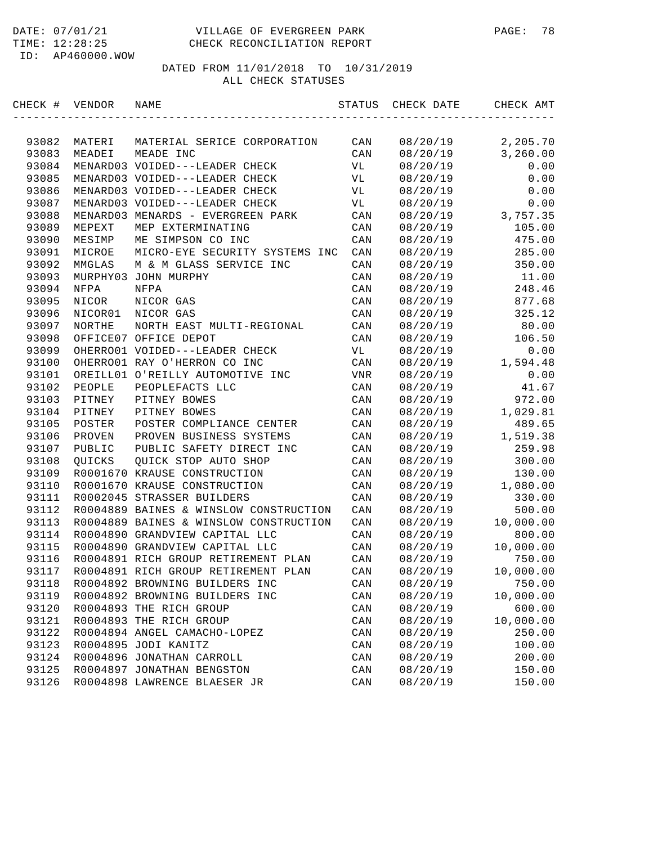#### DATE: 07/01/21 VILLAGE OF EVERGREEN PARK PAGE: 78 TIME: 12:28:25 CHECK RECONCILIATION REPORT

ID: AP460000.WOW

| CHECK # | VENDOR   | NAME                                   | STATUS         | CHECK DATE | CHECK AMT |
|---------|----------|----------------------------------------|----------------|------------|-----------|
|         |          |                                        |                |            |           |
| 93082   | MATERI   | MATERIAL SERICE CORPORATION            | CAN            | 08/20/19   | 2,205.70  |
| 93083   | MEADEI   | MEADE INC                              | CAN            | 08/20/19   | 3, 260.00 |
| 93084   |          | MENARD03 VOIDED---LEADER CHECK         | VL             | 08/20/19   | 0.00      |
| 93085   |          | MENARD03 VOIDED---LEADER CHECK         | VL             | 08/20/19   | 0.00      |
| 93086   |          | MENARD03 VOIDED---LEADER CHECK         | VL             | 08/20/19   | 0.00      |
| 93087   |          | MENARD03 VOIDED---LEADER CHECK         | VL             | 08/20/19   | 0.00      |
| 93088   |          | MENARD03 MENARDS - EVERGREEN PARK      | CAN            | 08/20/19   | 3,757.35  |
| 93089   | MEPEXT   | MEP EXTERMINATING                      | CAN            | 08/20/19   | 105.00    |
| 93090   | MESIMP   | ME SIMPSON CO INC                      | CAN            | 08/20/19   | 475.00    |
| 93091   | MICROE   | MICRO-EYE SECURITY SYSTEMS INC         | CAN            | 08/20/19   | 285.00    |
| 93092   | MMGLAS   | M & M GLASS SERVICE INC                | CAN            | 08/20/19   | 350.00    |
| 93093   | MURPHY03 | JOHN MURPHY                            | CAN            | 08/20/19   | 11.00     |
| 93094   | NFPA     | NFPA                                   | CAN            | 08/20/19   | 248.46    |
| 93095   | NICOR    | NICOR GAS                              | CAN            | 08/20/19   | 877.68    |
| 93096   | NICOR01  | NICOR GAS                              | CAN            | 08/20/19   | 325.12    |
| 93097   | NORTHE   | NORTH EAST MULTI-REGIONAL              | CAN            | 08/20/19   | 80.00     |
| 93098   |          | OFFICE07 OFFICE DEPOT                  | CAN            | 08/20/19   | 106.50    |
| 93099   |          | OHERRO01 VOIDED---LEADER CHECK         | VL             | 08/20/19   | 0.00      |
| 93100   |          | OHERRO01 RAY O'HERRON CO INC           | CAN            | 08/20/19   | 1,594.48  |
| 93101   |          | OREILL01 O'REILLY AUTOMOTIVE INC       | VNR            | 08/20/19   | 0.00      |
| 93102   | PEOPLE   | PEOPLEFACTS LLC                        | CAN            | 08/20/19   | 41.67     |
| 93103   | PITNEY   | PITNEY BOWES                           | CAN            | 08/20/19   | 972.00    |
| 93104   | PITNEY   | PITNEY BOWES                           | CAN            | 08/20/19   | 1,029.81  |
| 93105   | POSTER   | POSTER COMPLIANCE CENTER               | CAN            | 08/20/19   | 489.65    |
| 93106   | PROVEN   | PROVEN BUSINESS SYSTEMS                | CAN            | 08/20/19   | 1,519.38  |
| 93107   | PUBLIC   | PUBLIC SAFETY DIRECT INC               | CAN            | 08/20/19   | 259.98    |
| 93108   | QUICKS   | QUICK STOP AUTO SHOP                   | CAN            | 08/20/19   | 300.00    |
| 93109   |          | R0001670 KRAUSE CONSTRUCTION           | CAN            | 08/20/19   | 130.00    |
| 93110   |          | R0001670 KRAUSE CONSTRUCTION           | CAN            | 08/20/19   | 1,080.00  |
| 93111   |          | R0002045 STRASSER BUILDERS             | CAN            | 08/20/19   | 330.00    |
| 93112   |          | R0004889 BAINES & WINSLOW CONSTRUCTION | CAN            | 08/20/19   | 500.00    |
| 93113   |          | R0004889 BAINES & WINSLOW CONSTRUCTION | CAN            | 08/20/19   | 10,000.00 |
| 93114   |          | R0004890 GRANDVIEW CAPITAL LLC         | CAN            | 08/20/19   | 800.00    |
| 93115   |          | R0004890 GRANDVIEW CAPITAL LLC         | CAN            | 08/20/19   | 10,000.00 |
| 93116   |          | R0004891 RICH GROUP RETIREMENT PLAN    | CAN            | 08/20/19   | 750.00    |
| 93117   |          | R0004891 RICH GROUP RETIREMENT PLAN    | CAN            | 08/20/19   | 10,000.00 |
| 93118   |          | R0004892 BROWNING BUILDERS INC         | CAN            | 08/20/19   | 750.00    |
| 93119   |          | R0004892 BROWNING BUILDERS INC         | CAN            | 08/20/19   | 10,000.00 |
| 93120   |          | R0004893 THE RICH GROUP                | CAN            | 08/20/19   | 600.00    |
| 93121   |          | R0004893 THE RICH GROUP                | CAN            | 08/20/19   | 10,000.00 |
| 93122   |          | R0004894 ANGEL CAMACHO-LOPEZ           | CAN            | 08/20/19   | 250.00    |
| 93123   |          | R0004895 JODI KANITZ                   | $\mathtt{CAN}$ | 08/20/19   | 100.00    |
| 93124   |          | R0004896 JONATHAN CARROLL              | CAN            | 08/20/19   | 200.00    |
| 93125   |          | R0004897 JONATHAN BENGSTON             | CAN            | 08/20/19   | 150.00    |
| 93126   |          | R0004898 LAWRENCE BLAESER JR           | $\mathtt{CAN}$ | 08/20/19   | 150.00    |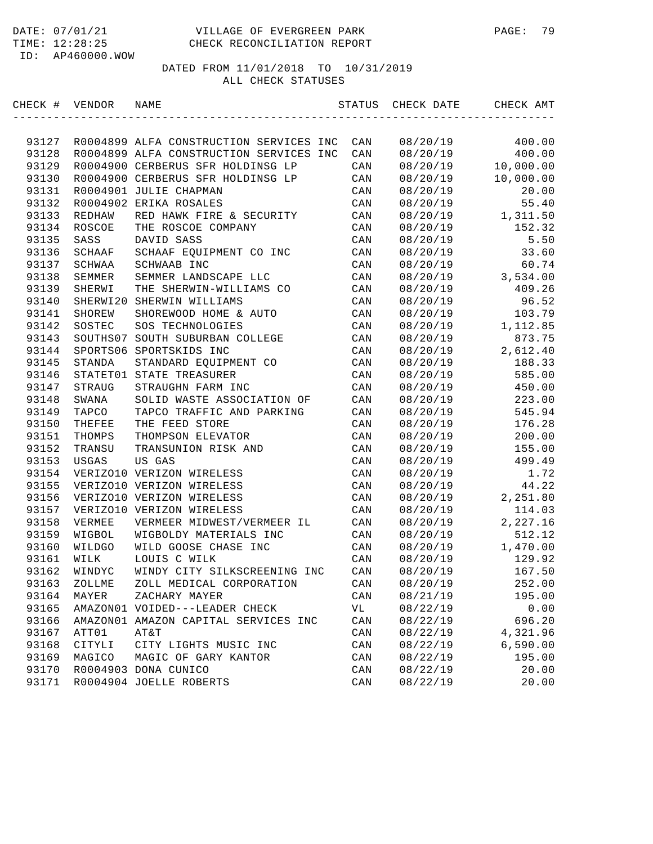| CHECK # | VENDOR        | NAME                                    | STATUS | CHECK DATE | CHECK AMT |
|---------|---------------|-----------------------------------------|--------|------------|-----------|
|         |               |                                         |        |            |           |
| 93127   |               | R0004899 ALFA CONSTRUCTION SERVICES INC | CAN    | 08/20/19   | 400.00    |
| 93128   |               | R0004899 ALFA CONSTRUCTION SERVICES INC | CAN    | 08/20/19   | 400.00    |
| 93129   |               | R0004900 CERBERUS SFR HOLDINSG LP       | CAN    | 08/20/19   | 10,000.00 |
| 93130   |               | R0004900 CERBERUS SFR HOLDINSG LP       | CAN    | 08/20/19   | 10,000.00 |
| 93131   |               | R0004901 JULIE CHAPMAN                  | CAN    | 08/20/19   | 20.00     |
| 93132   |               | R0004902 ERIKA ROSALES                  | CAN    | 08/20/19   | 55.40     |
| 93133   | REDHAW        | RED HAWK FIRE & SECURITY                | CAN    | 08/20/19   | 1,311.50  |
| 93134   | <b>ROSCOE</b> | THE ROSCOE COMPANY                      | CAN    | 08/20/19   | 152.32    |
| 93135   | SASS          | DAVID SASS                              | CAN    | 08/20/19   | 5.50      |
| 93136   | SCHAAF        | SCHAAF EQUIPMENT CO INC                 | CAN    | 08/20/19   | 33.60     |
| 93137   | SCHWAA        | SCHWAAB INC                             | CAN    | 08/20/19   | 60.74     |
| 93138   | SEMMER        | SEMMER LANDSCAPE LLC                    | CAN    | 08/20/19   | 3,534.00  |
| 93139   | SHERWI        | THE SHERWIN-WILLIAMS CO                 | CAN    | 08/20/19   | 409.26    |
| 93140   | SHERWI20      | SHERWIN WILLIAMS                        | CAN    | 08/20/19   | 96.52     |
| 93141   | SHOREW        | SHOREWOOD HOME & AUTO                   | CAN    | 08/20/19   | 103.79    |
| 93142   | SOSTEC        | SOS TECHNOLOGIES                        | CAN    | 08/20/19   | 1,112.85  |
| 93143   | SOUTHS07      | SOUTH SUBURBAN COLLEGE                  | CAN    | 08/20/19   | 873.75    |
| 93144   |               | SPORTS06 SPORTSKIDS INC                 | CAN    | 08/20/19   | 2,612.40  |
| 93145   | STANDA        | STANDARD EQUIPMENT CO                   | CAN    | 08/20/19   | 188.33    |
| 93146   | STATET01      | STATE TREASURER                         | CAN    | 08/20/19   | 585.00    |
| 93147   | STRAUG        | STRAUGHN FARM INC                       | CAN    | 08/20/19   | 450.00    |
| 93148   | SWANA         | SOLID WASTE ASSOCIATION OF              | CAN    | 08/20/19   | 223.00    |
| 93149   | TAPCO         | TAPCO TRAFFIC AND PARKING               | CAN    | 08/20/19   | 545.94    |
| 93150   | THEFEE        | THE FEED STORE                          | CAN    | 08/20/19   | 176.28    |
| 93151   | THOMPS        | THOMPSON ELEVATOR                       | CAN    | 08/20/19   | 200.00    |
| 93152   | TRANSU        | TRANSUNION RISK AND                     | CAN    | 08/20/19   | 155.00    |
| 93153   | USGAS         | US GAS                                  | CAN    | 08/20/19   | 499.49    |
| 93154   |               | VERIZO10 VERIZON WIRELESS               | CAN    | 08/20/19   | 1.72      |
| 93155   |               | VERIZO10 VERIZON WIRELESS               | CAN    | 08/20/19   | 44.22     |
| 93156   |               | VERIZO10 VERIZON WIRELESS               | CAN    | 08/20/19   | 2,251.80  |
| 93157   |               | VERIZO10 VERIZON WIRELESS               | CAN    | 08/20/19   | 114.03    |
| 93158   | VERMEE        | VERMEER MIDWEST/VERMEER IL              | CAN    | 08/20/19   | 2,227.16  |
| 93159   | WIGBOL        | WIGBOLDY MATERIALS INC                  | CAN    | 08/20/19   | 512.12    |
| 93160   | WILDGO        | WILD GOOSE CHASE INC                    | CAN    | 08/20/19   | 1,470.00  |
| 93161   | WILK          | LOUIS C WILK                            | CAN    | 08/20/19   | 129.92    |
| 93162   | WINDYC        | WINDY CITY SILKSCREENING INC            | CAN    | 08/20/19   | 167.50    |
| 93163   | ZOLLME        | ZOLL MEDICAL CORPORATION                | CAN    | 08/20/19   | 252.00    |
| 93164   | MAYER         | ZACHARY MAYER                           | CAN    | 08/21/19   | 195.00    |
| 93165   |               | AMAZON01 VOIDED---LEADER CHECK          | VL     | 08/22/19   | 0.00      |
| 93166   |               | AMAZON01 AMAZON CAPITAL SERVICES INC    | CAN    | 08/22/19   | 696.20    |
| 93167   | ATT01         | AT&T                                    | CAN    | 08/22/19   | 4,321.96  |
| 93168   | CITYLI        | CITY LIGHTS MUSIC INC                   | CAN    | 08/22/19   | 6,590.00  |
| 93169   | MAGICO        | MAGIC OF GARY KANTOR                    | CAN    | 08/22/19   | 195.00    |
| 93170   |               | R0004903 DONA CUNICO                    | CAN    | 08/22/19   | 20.00     |
| 93171   |               | R0004904 JOELLE ROBERTS                 | CAN    | 08/22/19   | 20.00     |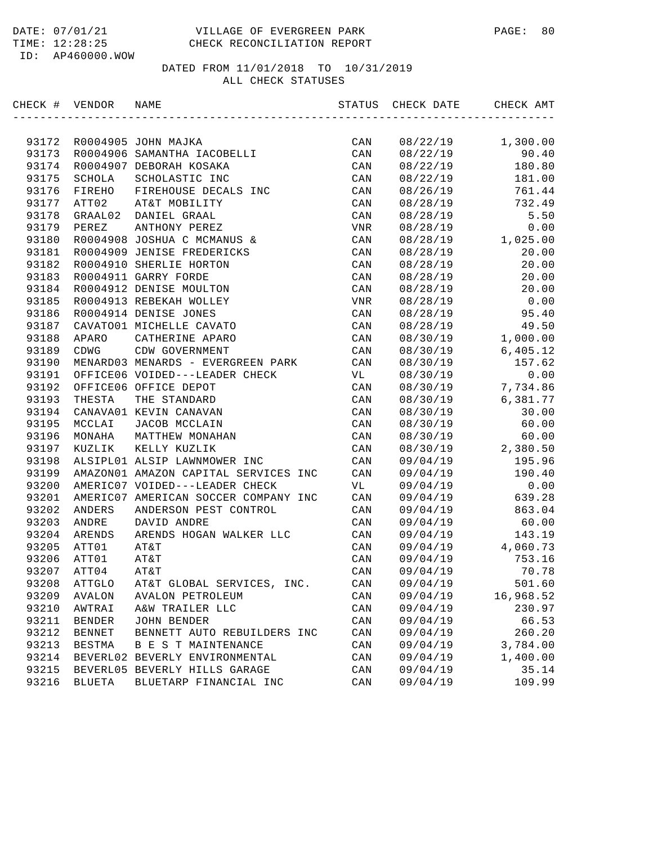| CHECK # VENDOR |               | NAME                                 | STATUS | CHECK DATE | CHECK AMT |
|----------------|---------------|--------------------------------------|--------|------------|-----------|
|                |               |                                      |        |            |           |
| 93172          |               | R0004905 JOHN MAJKA                  | CAN    | 08/22/19   | 1,300.00  |
| 93173          |               | R0004906 SAMANTHA IACOBELLI          | CAN    | 08/22/19   | 90.40     |
| 93174          |               | R0004907 DEBORAH KOSAKA              | CAN    | 08/22/19   | 180.80    |
| 93175          | SCHOLA        | SCHOLASTIC INC                       | CAN    | 08/22/19   | 181.00    |
| 93176          | FIREHO        | FIREHOUSE DECALS INC                 | CAN    | 08/26/19   | 761.44    |
| 93177          | ATT02         | AT&T MOBILITY                        | CAN    | 08/28/19   | 732.49    |
| 93178          | GRAAL02       | DANIEL GRAAL                         | CAN    | 08/28/19   | 5.50      |
| 93179          | PEREZ         | ANTHONY PEREZ                        | VNR    | 08/28/19   | 0.00      |
| 93180          |               | R0004908 JOSHUA C MCMANUS &          | CAN    | 08/28/19   | 1,025.00  |
| 93181          |               | R0004909 JENISE FREDERICKS           | CAN    | 08/28/19   | 20.00     |
| 93182          |               | R0004910 SHERLIE HORTON              | CAN    | 08/28/19   | 20.00     |
| 93183          |               | R0004911 GARRY FORDE                 | CAN    | 08/28/19   | 20.00     |
| 93184          |               | R0004912 DENISE MOULTON              | CAN    | 08/28/19   | 20.00     |
| 93185          |               | R0004913 REBEKAH WOLLEY              | VNR    | 08/28/19   | 0.00      |
| 93186          |               | R0004914 DENISE JONES                | CAN    | 08/28/19   | 95.40     |
| 93187          |               | CAVATO01 MICHELLE CAVATO             | CAN    | 08/28/19   | 49.50     |
| 93188          | APARO         | CATHERINE APARO                      | CAN    | 08/30/19   | 1,000.00  |
| 93189          | CDWG          | CDW GOVERNMENT                       | CAN    | 08/30/19   | 6,405.12  |
| 93190          |               | MENARD03 MENARDS - EVERGREEN PARK    | CAN    | 08/30/19   | 157.62    |
| 93191          |               | OFFICE06 VOIDED---LEADER CHECK       | VL     | 08/30/19   | 0.00      |
| 93192          |               | OFFICE06 OFFICE DEPOT                | CAN    | 08/30/19   | 7,734.86  |
| 93193          | THESTA        | THE STANDARD                         | CAN    | 08/30/19   | 6,381.77  |
| 93194          |               | CANAVA01 KEVIN CANAVAN               | CAN    | 08/30/19   | 30.00     |
| 93195          | MCCLAI        | JACOB MCCLAIN                        | CAN    | 08/30/19   | 60.00     |
| 93196          | MONAHA        | MATTHEW MONAHAN                      | CAN    | 08/30/19   | 60.00     |
| 93197          | KUZLIK        | KELLY KUZLIK                         | CAN    | 08/30/19   | 2,380.50  |
| 93198          |               | ALSIPL01 ALSIP LAWNMOWER INC         | CAN    | 09/04/19   | 195.96    |
| 93199          |               | AMAZON01 AMAZON CAPITAL SERVICES INC | CAN    | 09/04/19   | 190.40    |
| 93200          |               | AMERIC07 VOIDED---LEADER CHECK       | VL     | 09/04/19   | 0.00      |
| 93201          |               | AMERIC07 AMERICAN SOCCER COMPANY INC | CAN    | 09/04/19   | 639.28    |
| 93202          | ANDERS        | ANDERSON PEST CONTROL                | CAN    | 09/04/19   | 863.04    |
| 93203          | ANDRE         | DAVID ANDRE                          | CAN    | 09/04/19   | 60.00     |
| 93204          | ARENDS        | ARENDS HOGAN WALKER LLC              | CAN    | 09/04/19   | 143.19    |
| 93205          | ATT01         | AT&T                                 | CAN    | 09/04/19   | 4,060.73  |
| 93206          | ATT01         | AT&T                                 | CAN    | 09/04/19   | 753.16    |
| 93207          | ATT04         | AT&T                                 | CAN    | 09/04/19   | 70.78     |
| 93208          | ATTGLO        | AT&T GLOBAL SERVICES, INC.           | CAN    | 09/04/19   | 501.60    |
| 93209          | AVALON        | AVALON PETROLEUM                     | CAN    | 09/04/19   | 16,968.52 |
| 93210          | AWTRAI        | A&W TRAILER LLC                      | CAN    | 09/04/19   | 230.97    |
| 93211          | <b>BENDER</b> | JOHN BENDER                          | CAN    | 09/04/19   | 66.53     |
| 93212          | <b>BENNET</b> | BENNETT AUTO REBUILDERS INC          | CAN    | 09/04/19   | 260.20    |
| 93213          | BESTMA        | B E S T MAINTENANCE                  | CAN    | 09/04/19   | 3,784.00  |
| 93214          |               | BEVERL02 BEVERLY ENVIRONMENTAL       | CAN    | 09/04/19   | 1,400.00  |
| 93215          |               | BEVERL05 BEVERLY HILLS GARAGE        | CAN    | 09/04/19   | 35.14     |
| 93216          | <b>BLUETA</b> | BLUETARP FINANCIAL INC               | CAN    | 09/04/19   | 109.99    |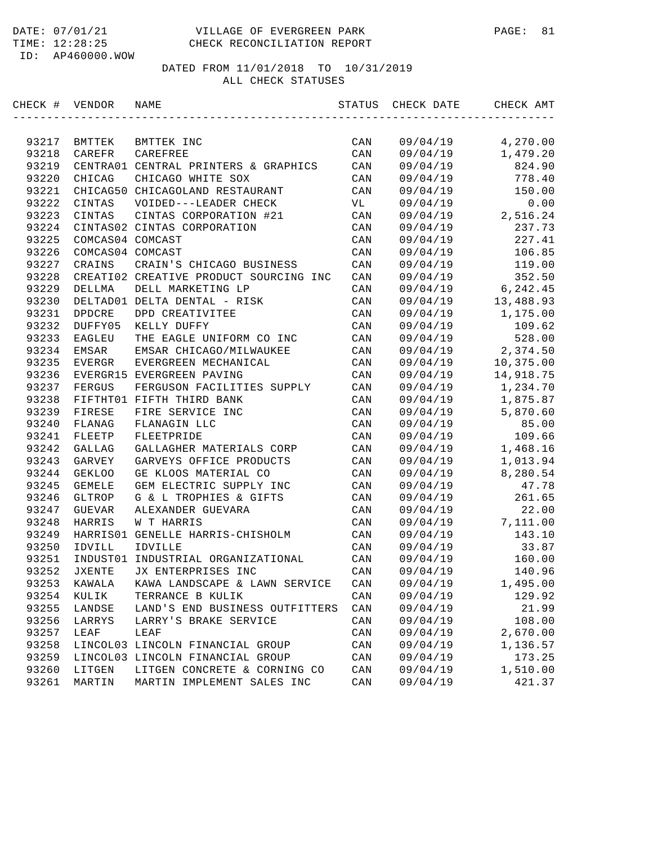#### DATE: 07/01/21 VILLAGE OF EVERGREEN PARK PAGE: 81 TIME: 12:28:25 CHECK RECONCILIATION REPORT

ID: AP460000.WOW

| CHECK # | VENDOR           | NAME                                   | STATUS | CHECK DATE | CHECK AMT |
|---------|------------------|----------------------------------------|--------|------------|-----------|
|         |                  |                                        |        |            |           |
| 93217   | BMTTEK           | BMTTEK INC                             | CAN    | 09/04/19   | 4,270.00  |
| 93218   | CAREFR           | CAREFREE                               | CAN    | 09/04/19   | 1,479.20  |
| 93219   |                  | CENTRA01 CENTRAL PRINTERS & GRAPHICS   | CAN    | 09/04/19   | 824.90    |
| 93220   | CHICAG           | CHICAGO WHITE SOX                      | CAN    | 09/04/19   | 778.40    |
| 93221   |                  | CHICAG50 CHICAGOLAND RESTAURANT        | CAN    | 09/04/19   | 150.00    |
| 93222   | CINTAS           | VOIDED---LEADER CHECK                  | VL     | 09/04/19   | 0.00      |
| 93223   | CINTAS           | CINTAS CORPORATION #21                 | CAN    | 09/04/19   | 2,516.24  |
| 93224   |                  | CINTAS02 CINTAS CORPORATION            | CAN    | 09/04/19   | 237.73    |
| 93225   | COMCAS04 COMCAST |                                        | CAN    | 09/04/19   | 227.41    |
| 93226   | COMCAS04 COMCAST |                                        | CAN    | 09/04/19   | 106.85    |
| 93227   | CRAINS           | CRAIN'S CHICAGO BUSINESS               | CAN    | 09/04/19   | 119.00    |
| 93228   |                  | CREATI02 CREATIVE PRODUCT SOURCING INC | CAN    | 09/04/19   | 352.50    |
| 93229   | DELLMA           | DELL MARKETING LP                      | CAN    | 09/04/19   | 6, 242.45 |
| 93230   |                  | DELTAD01 DELTA DENTAL - RISK           | CAN    | 09/04/19   | 13,488.93 |
| 93231   | <b>DPDCRE</b>    | DPD CREATIVITEE                        | CAN    | 09/04/19   | 1,175.00  |
| 93232   | DUFFY05          | KELLY DUFFY                            | CAN    | 09/04/19   | 109.62    |
| 93233   | EAGLEU           | THE EAGLE UNIFORM CO INC               | CAN    | 09/04/19   | 528.00    |
| 93234   | EMSAR            | EMSAR CHICAGO/MILWAUKEE                | CAN    | 09/04/19   | 2,374.50  |
| 93235   | EVERGR           | EVERGREEN MECHANICAL                   | CAN    | 09/04/19   | 10,375.00 |
| 93236   |                  | EVERGR15 EVERGREEN PAVING              | CAN    | 09/04/19   | 14,918.75 |
| 93237   | FERGUS           | FERGUSON FACILITIES SUPPLY             | CAN    | 09/04/19   | 1,234.70  |
| 93238   |                  | FIFTHT01 FIFTH THIRD BANK              | CAN    | 09/04/19   | 1,875.87  |
| 93239   | FIRESE           | FIRE SERVICE INC                       | CAN    | 09/04/19   | 5,870.60  |
| 93240   | FLANAG           | FLANAGIN LLC                           | CAN    | 09/04/19   | 85.00     |
| 93241   | FLEETP           | FLEETPRIDE                             | CAN    | 09/04/19   | 109.66    |
| 93242   | GALLAG           | GALLAGHER MATERIALS CORP               | CAN    | 09/04/19   | 1,468.16  |
| 93243   | GARVEY           | GARVEYS OFFICE PRODUCTS                | CAN    | 09/04/19   | 1,013.94  |
| 93244   | <b>GEKLOO</b>    | GE KLOOS MATERIAL CO                   | CAN    | 09/04/19   | 8,280.54  |
| 93245   | <b>GEMELE</b>    | GEM ELECTRIC SUPPLY INC                | CAN    | 09/04/19   | 47.78     |
| 93246   | GLTROP           | G & L TROPHIES & GIFTS                 | CAN    | 09/04/19   | 261.65    |
| 93247   | <b>GUEVAR</b>    | ALEXANDER GUEVARA                      | CAN    | 09/04/19   | 22.00     |
| 93248   | HARRIS           | W T HARRIS                             | CAN    | 09/04/19   | 7,111.00  |
| 93249   | HARRIS01         | GENELLE HARRIS-CHISHOLM                | CAN    | 09/04/19   | 143.10    |
| 93250   | IDVILL           | IDVILLE                                | CAN    | 09/04/19   | 33.87     |
| 93251   | INDUST01         | INDUSTRIAL ORGANIZATIONAL              | CAN    | 09/04/19   | 160.00    |
| 93252   | <b>JXENTE</b>    | JX ENTERPRISES INC                     | CAN    | 09/04/19   | 140.96    |
| 93253   | KAWALA           | KAWA LANDSCAPE & LAWN SERVICE          | CAN    | 09/04/19   | 1,495.00  |
| 93254   | KULIK            | TERRANCE B KULIK                       | CAN    | 09/04/19   | 129.92    |
| 93255   | LANDSE           | LAND'S END BUSINESS OUTFITTERS         | CAN    | 09/04/19   | 21.99     |
| 93256   | LARRYS           | LARRY'S BRAKE SERVICE                  | CAN    | 09/04/19   | 108.00    |
| 93257   | LEAF             | LEAF                                   | CAN    | 09/04/19   | 2,670.00  |
| 93258   |                  | LINCOL03 LINCOLN FINANCIAL GROUP       | CAN    | 09/04/19   | 1,136.57  |
| 93259   |                  | LINCOL03 LINCOLN FINANCIAL GROUP       | CAN    | 09/04/19   | 173.25    |
| 93260   | LITGEN           | LITGEN CONCRETE & CORNING CO           | CAN    | 09/04/19   | 1,510.00  |
| 93261   | MARTIN           | MARTIN IMPLEMENT SALES INC             | CAN    | 09/04/19   | 421.37    |
|         |                  |                                        |        |            |           |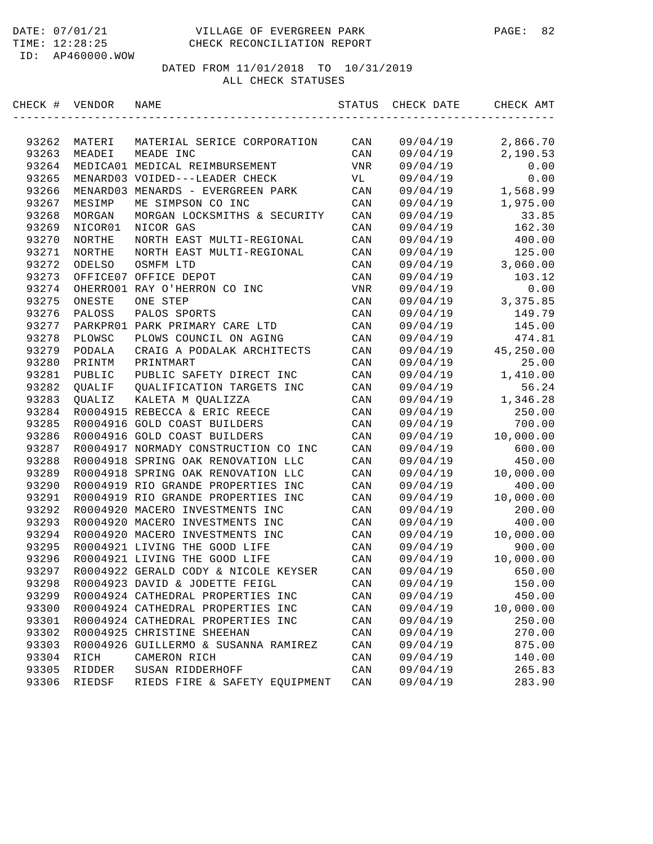#### DATE: 07/01/21 VILLAGE OF EVERGREEN PARK PAGE: 82 TIME: 12:28:25 CHECK RECONCILIATION REPORT

ID: AP460000.WOW

| CHECK # | VENDOR        | NAME                                 | STATUS         | CHECK DATE | CHECK AMT |
|---------|---------------|--------------------------------------|----------------|------------|-----------|
|         |               |                                      |                |            |           |
| 93262   | MATERI        | MATERIAL SERICE CORPORATION          | CAN            | 09/04/19   | 2,866.70  |
| 93263   | MEADEI        | MEADE INC                            | CAN            | 09/04/19   | 2,190.53  |
| 93264   |               | MEDICA01 MEDICAL REIMBURSEMENT       | <b>VNR</b>     | 09/04/19   | 0.00      |
| 93265   |               | MENARD03 VOIDED---LEADER CHECK       | VL             | 09/04/19   | 0.00      |
| 93266   | MENARD03      | MENARDS - EVERGREEN PARK             | CAN            | 09/04/19   | 1,568.99  |
| 93267   | MESIMP        | ME SIMPSON CO INC                    | CAN            | 09/04/19   | 1,975.00  |
| 93268   | MORGAN        | MORGAN LOCKSMITHS & SECURITY         | CAN            | 09/04/19   | 33.85     |
| 93269   | NICOR01       | NICOR GAS                            | CAN            | 09/04/19   | 162.30    |
| 93270   | NORTHE        | NORTH EAST MULTI-REGIONAL            | CAN            | 09/04/19   | 400.00    |
| 93271   | NORTHE        | NORTH EAST MULTI-REGIONAL            | CAN            | 09/04/19   | 125.00    |
| 93272   | ODELSO        | OSMFM LTD                            | CAN            | 09/04/19   | 3,060.00  |
| 93273   |               | OFFICE07 OFFICE DEPOT                | CAN            | 09/04/19   | 103.12    |
| 93274   |               | OHERRO01 RAY O'HERRON CO INC         | <b>VNR</b>     | 09/04/19   | 0.00      |
| 93275   | ONESTE        | ONE STEP                             | CAN            | 09/04/19   | 3,375.85  |
| 93276   | PALOSS        | PALOS SPORTS                         | CAN            | 09/04/19   | 149.79    |
| 93277   |               | PARKPR01 PARK PRIMARY CARE LTD       | CAN            | 09/04/19   | 145.00    |
| 93278   | PLOWSC        | PLOWS COUNCIL ON AGING               | CAN            | 09/04/19   | 474.81    |
| 93279   | PODALA        | CRAIG A PODALAK ARCHITECTS           | CAN            | 09/04/19   | 45,250.00 |
| 93280   | PRINTM        | PRINTMART                            | CAN            | 09/04/19   | 25.00     |
| 93281   | PUBLIC        | PUBLIC SAFETY DIRECT INC             | CAN            | 09/04/19   | 1,410.00  |
| 93282   | QUALIF        | QUALIFICATION TARGETS INC            | CAN            | 09/04/19   | 56.24     |
| 93283   | <b>OUALIZ</b> | KALETA M QUALIZZA                    | CAN            | 09/04/19   | 1,346.28  |
| 93284   |               | R0004915 REBECCA & ERIC REECE        | CAN            | 09/04/19   | 250.00    |
| 93285   |               | R0004916 GOLD COAST BUILDERS         | CAN            | 09/04/19   | 700.00    |
| 93286   |               | R0004916 GOLD COAST BUILDERS         | CAN            | 09/04/19   | 10,000.00 |
| 93287   |               | R0004917 NORMADY CONSTRUCTION CO INC | CAN            | 09/04/19   | 600.00    |
| 93288   |               | R0004918 SPRING OAK RENOVATION LLC   | CAN            | 09/04/19   | 450.00    |
| 93289   |               | R0004918 SPRING OAK RENOVATION LLC   | CAN            | 09/04/19   | 10,000.00 |
| 93290   |               | R0004919 RIO GRANDE PROPERTIES INC   | CAN            | 09/04/19   | 400.00    |
| 93291   |               | R0004919 RIO GRANDE PROPERTIES INC   | CAN            | 09/04/19   | 10,000.00 |
| 93292   |               | R0004920 MACERO INVESTMENTS INC      | CAN            | 09/04/19   | 200.00    |
| 93293   |               | R0004920 MACERO INVESTMENTS INC      | CAN            | 09/04/19   | 400.00    |
| 93294   |               | R0004920 MACERO INVESTMENTS INC      | CAN            | 09/04/19   | 10,000.00 |
| 93295   |               | R0004921 LIVING THE GOOD LIFE        | CAN            | 09/04/19   | 900.00    |
| 93296   |               | R0004921 LIVING THE GOOD LIFE        | CAN            | 09/04/19   | 10,000.00 |
| 93297   |               | R0004922 GERALD CODY & NICOLE KEYSER | CAN            | 09/04/19   | 650.00    |
| 93298   |               | R0004923 DAVID & JODETTE FEIGL       | CAN            | 09/04/19   | 150.00    |
| 93299   |               | R0004924 CATHEDRAL PROPERTIES INC    | CAN            | 09/04/19   | 450.00    |
| 93300   |               | R0004924 CATHEDRAL PROPERTIES INC    | CAN            | 09/04/19   | 10,000.00 |
| 93301   |               | R0004924 CATHEDRAL PROPERTIES INC    | CAN            | 09/04/19   | 250.00    |
| 93302   |               | R0004925 CHRISTINE SHEEHAN           | CAN            | 09/04/19   | 270.00    |
| 93303   |               | R0004926 GUILLERMO & SUSANNA RAMIREZ | CAN            | 09/04/19   | 875.00    |
| 93304   | RICH          | CAMERON RICH                         | $\mathtt{CAN}$ | 09/04/19   | 140.00    |
| 93305   | RIDDER        | SUSAN RIDDERHOFF                     | CAN            | 09/04/19   | 265.83    |
| 93306   | RIEDSF        | RIEDS FIRE & SAFETY EQUIPMENT        | $\mathtt{CAN}$ | 09/04/19   | 283.90    |
|         |               |                                      |                |            |           |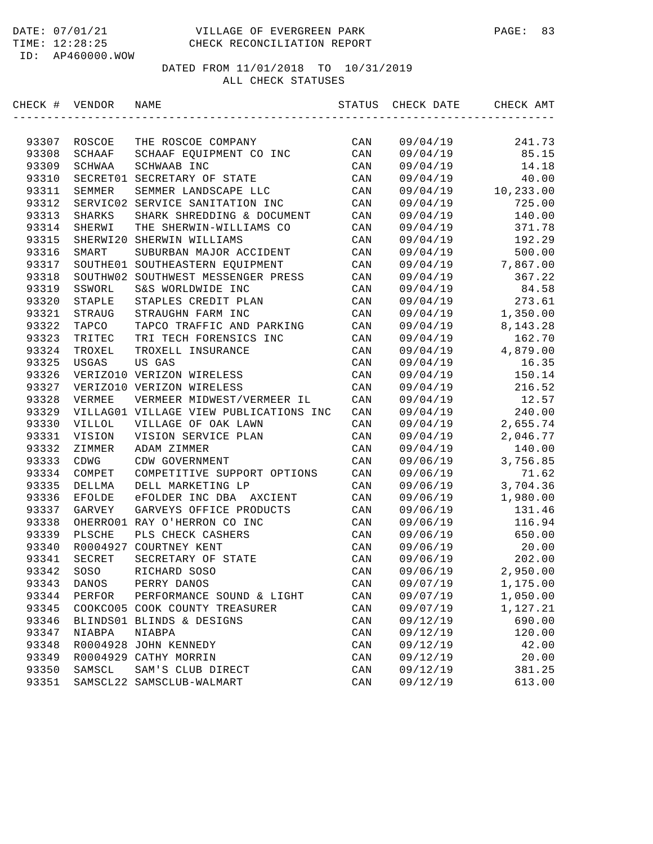| CHECK # VENDOR |               | NAME                                   | STATUS         | CHECK DATE | CHECK AMT  |
|----------------|---------------|----------------------------------------|----------------|------------|------------|
|                |               |                                        |                |            |            |
| 93307          | ROSCOE        | THE ROSCOE COMPANY                     | CAN            | 09/04/19   | 241.73     |
| 93308          | SCHAAF        | SCHAAF EQUIPMENT CO INC                | CAN            | 09/04/19   | 85.15      |
| 93309          | SCHWAA        | SCHWAAB INC                            | CAN            | 09/04/19   | 14.18      |
| 93310          | SECRET01      | SECRETARY OF STATE                     | CAN            | 09/04/19   | 40.00      |
| 93311          | SEMMER        | SEMMER LANDSCAPE LLC                   | CAN            | 09/04/19   | 10,233.00  |
| 93312          |               | SERVIC02 SERVICE SANITATION INC        | CAN            | 09/04/19   | 725.00     |
| 93313          | SHARKS        | SHARK SHREDDING & DOCUMENT             | CAN            | 09/04/19   | 140.00     |
| 93314          | SHERWI        | THE SHERWIN-WILLIAMS CO                | CAN            | 09/04/19   | 371.78     |
| 93315          |               | SHERWI20 SHERWIN WILLIAMS              | CAN            | 09/04/19   | 192.29     |
| 93316          | SMART         | SUBURBAN MAJOR ACCIDENT                | CAN            | 09/04/19   | 500.00     |
| 93317          |               | SOUTHE01 SOUTHEASTERN EQUIPMENT        | CAN            | 09/04/19   | 7,867.00   |
| 93318          |               | SOUTHW02 SOUTHWEST MESSENGER PRESS     | CAN            | 09/04/19   | 367.22     |
| 93319          | SSWORL        | S&S WORLDWIDE INC                      | CAN            | 09/04/19   | 84.58      |
| 93320          | STAPLE        | STAPLES CREDIT PLAN                    | CAN            | 09/04/19   | 273.61     |
| 93321          | STRAUG        | STRAUGHN FARM INC                      | CAN            | 09/04/19   | 1,350.00   |
| 93322          | TAPCO         | TAPCO TRAFFIC AND PARKING              | CAN            | 09/04/19   | 8, 143. 28 |
| 93323          | TRITEC        | TRI TECH FORENSICS INC                 | CAN            | 09/04/19   | 162.70     |
| 93324          | TROXEL        | TROXELL INSURANCE                      | CAN            | 09/04/19   | 4,879.00   |
| 93325          | USGAS         | US GAS                                 | CAN            | 09/04/19   | 16.35      |
| 93326          |               | VERIZO10 VERIZON WIRELESS              | CAN            | 09/04/19   | 150.14     |
| 93327          |               | VERIZO10 VERIZON WIRELESS              | CAN            | 09/04/19   | 216.52     |
| 93328          | VERMEE        | VERMEER MIDWEST/VERMEER IL             | CAN            | 09/04/19   | 12.57      |
| 93329          |               | VILLAG01 VILLAGE VIEW PUBLICATIONS INC | CAN            | 09/04/19   | 240.00     |
| 93330          | VILLOL        | VILLAGE OF OAK LAWN                    | CAN            | 09/04/19   | 2,655.74   |
| 93331          | VISION        | VISION SERVICE PLAN                    | CAN            | 09/04/19   | 2,046.77   |
| 93332          | ZIMMER        | ADAM ZIMMER                            | CAN            | 09/04/19   | 140.00     |
| 93333          | CDWG          | CDW GOVERNMENT                         | CAN            | 09/06/19   | 3,756.85   |
| 93334          | COMPET        | COMPETITIVE SUPPORT OPTIONS            | CAN            | 09/06/19   | 71.62      |
| 93335          | DELLMA        | DELL MARKETING LP                      | CAN            | 09/06/19   | 3,704.36   |
| 93336          | <b>EFOLDE</b> | eFOLDER INC DBA AXCIENT                | CAN            | 09/06/19   | 1,980.00   |
| 93337          | GARVEY        | GARVEYS OFFICE PRODUCTS                | CAN            | 09/06/19   | 131.46     |
| 93338          |               | OHERRO01 RAY O'HERRON CO INC           | CAN            | 09/06/19   | 116.94     |
| 93339          | PLSCHE        | PLS CHECK CASHERS                      | CAN            | 09/06/19   | 650.00     |
| 93340          |               | R0004927 COURTNEY KENT                 | CAN            | 09/06/19   | 20.00      |
| 93341          | SECRET        | SECRETARY OF STATE                     | CAN            | 09/06/19   | 202.00     |
| 93342          | SOSO          | RICHARD SOSO                           | CAN            | 09/06/19   | 2,950.00   |
| 93343          | DANOS         | PERRY DANOS                            | CAN            | 09/07/19   | 1,175.00   |
| 93344          | PERFOR        | PERFORMANCE SOUND & LIGHT              | CAN            | 09/07/19   | 1,050.00   |
| 93345          |               | COOKCO05 COOK COUNTY TREASURER         | CAN            | 09/07/19   | 1,127.21   |
| 93346          |               | BLINDS01 BLINDS & DESIGNS              | CAN            | 09/12/19   | 690.00     |
| 93347          | NIABPA        | NIABPA                                 | $\mathtt{CAN}$ | 09/12/19   | 120.00     |
| 93348          |               | R0004928 JOHN KENNEDY                  | CAN            | 09/12/19   | 42.00      |
| 93349          |               | R0004929 CATHY MORRIN                  | CAN            | 09/12/19   | 20.00      |
| 93350          | SAMSCL        | SAM'S CLUB DIRECT                      | $\mathtt{CAN}$ | 09/12/19   | 381.25     |
| 93351          |               | SAMSCL22 SAMSCLUB-WALMART              | CAN            | 09/12/19   | 613.00     |
|                |               |                                        |                |            |            |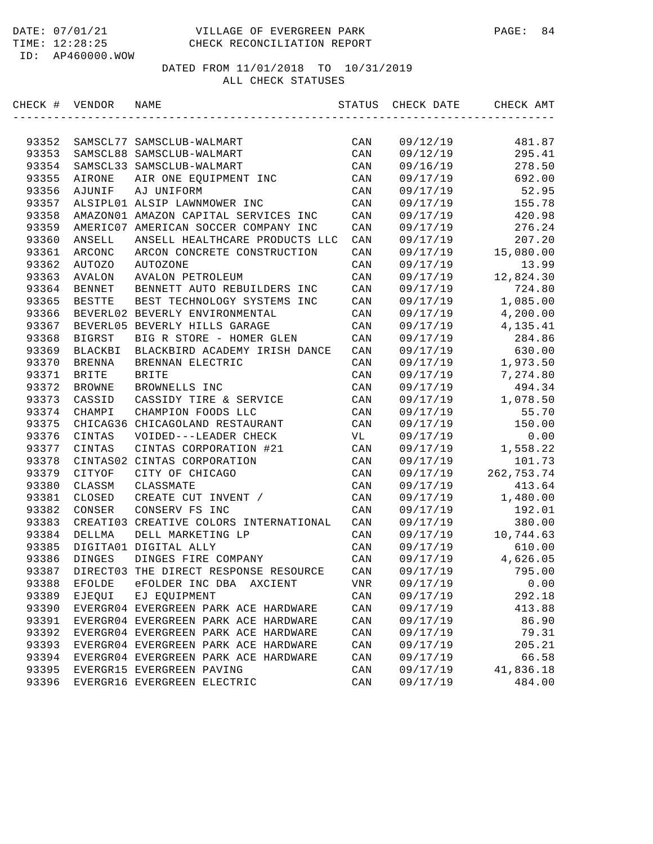| CHECK # | VENDOR         | NAME                                 | STATUS         | CHECK DATE | CHECK AMT                       |
|---------|----------------|--------------------------------------|----------------|------------|---------------------------------|
|         |                |                                      |                |            |                                 |
| 93352   |                | SAMSCL77 SAMSCLUB-WALMART            | CAN            | 09/12/19   | 481.87                          |
| 93353   |                | SAMSCL88 SAMSCLUB-WALMART            | CAN            | 09/12/19   | 295.41                          |
| 93354   |                | SAMSCL33 SAMSCLUB-WALMART            | CAN            | 09/16/19   | 278.50                          |
| 93355   | AIRONE         | AIR ONE EQUIPMENT INC                | CAN            | 09/17/19   | 692.00                          |
| 93356   | AJUNIF         | AJ UNIFORM                           | CAN            | 09/17/19   | 52.95                           |
| 93357   |                | ALSIPL01 ALSIP LAWNMOWER INC         | CAN            | 09/17/19   | 155.78                          |
| 93358   |                | AMAZON01 AMAZON CAPITAL SERVICES INC | CAN            | 09/17/19   | 420.98                          |
| 93359   |                | AMERIC07 AMERICAN SOCCER COMPANY INC | CAN            | 09/17/19   | 276.24                          |
| 93360   | ANSELL         | ANSELL HEALTHCARE PRODUCTS LLC       | CAN            | 09/17/19   | 207.20                          |
| 93361   | ARCONC         | ARCON CONCRETE CONSTRUCTION          | CAN            | 09/17/19   | 15,080.00                       |
| 93362   | AUTOZO         | <b>AUTOZONE</b>                      | CAN            | 09/17/19   | 13.99                           |
| 93363   | AVALON         | <b>AVALON PETROLEUM</b>              | CAN            | 09/17/19   | 12,824.30                       |
| 93364   | <b>BENNET</b>  | BENNETT AUTO REBUILDERS INC          | CAN            | 09/17/19   | 724.80                          |
| 93365   | <b>BESTTE</b>  | BEST TECHNOLOGY SYSTEMS INC          | CAN            | 09/17/19   | 1,085.00                        |
| 93366   |                | BEVERL02 BEVERLY ENVIRONMENTAL       | CAN            | 09/17/19   | 4,200.00                        |
| 93367   |                | BEVERL05 BEVERLY HILLS GARAGE        | CAN            | 09/17/19   | 4,135.41                        |
| 93368   | <b>BIGRST</b>  | BIG R STORE - HOMER GLEN             | CAN            | 09/17/19   | 284.86                          |
| 93369   | <b>BLACKBI</b> | BLACKBIRD ACADEMY IRISH DANCE        | CAN            | 09/17/19   | 630.00                          |
| 93370   | <b>BRENNA</b>  | BRENNAN ELECTRIC                     | CAN            | 09/17/19   | 1,973.50                        |
| 93371   | <b>BRITE</b>   | <b>BRITE</b>                         | CAN            | 09/17/19   | 7,274.80                        |
| 93372   | <b>BROWNE</b>  | BROWNELLS INC                        | CAN            | 09/17/19   | 494.34                          |
| 93373   | CASSID         | CASSIDY TIRE & SERVICE               | CAN            | 09/17/19   | 1,078.50                        |
| 93374   | CHAMPI         | CHAMPION FOODS LLC                   | CAN            | 09/17/19   | 55.70                           |
| 93375   |                | CHICAG36 CHICAGOLAND RESTAURANT      | CAN            | 09/17/19   | 150.00                          |
| 93376   | CINTAS         | VOIDED---LEADER CHECK                | VL             | 09/17/19   | 0.00                            |
| 93377   | CINTAS         | CINTAS CORPORATION #21               | CAN            | 09/17/19   | 1,558.22                        |
| 93378   |                | CINTAS02 CINTAS CORPORATION          | CAN            | 09/17/19   | 101.73                          |
| 93379   | CITYOF         | CITY OF CHICAGO                      | CAN            | 09/17/19   | 262,753.74                      |
| 93380   | CLASSM         | CLASSMATE                            | CAN            | 09/17/19   | 413.64                          |
| 93381   | CLOSED         | CREATE CUT INVENT /                  | CAN            | 09/17/19   | 1,480.00                        |
| 93382   | CONSER         | CONSERV FS INC                       | CAN            | 09/17/19   | 192.01                          |
| 93383   | CREATI03       | CREATIVE COLORS INTERNATIONAL        | CAN            | 09/17/19   | 380.00                          |
| 93384   | DELLMA         | DELL MARKETING LP                    | CAN            | 09/17/19   | 10,744.63                       |
| 93385   |                | DIGITA01 DIGITAL ALLY                | CAN            | 09/17/19   | 610.00                          |
| 93386   | <b>DINGES</b>  | DINGES FIRE COMPANY                  | CAN            | 09/17/19   | 4,626.05                        |
| 93387   | DIRECT03       | THE DIRECT RESPONSE RESOURCE         | CAN            | 09/17/19   | 795.00                          |
| 93388   | EFOLDE         | eFOLDER INC DBA<br>AXCIENT           | VNR            | 09/17/19   | ${\bf 0}$ . ${\bf 0}$ ${\bf 0}$ |
| 93389   | EJEQUI         | EJ EQUIPMENT                         | $\mathtt{CAN}$ | 09/17/19   | 292.18                          |
| 93390   |                | EVERGR04 EVERGREEN PARK ACE HARDWARE | CAN            | 09/17/19   | 413.88                          |
| 93391   |                | EVERGR04 EVERGREEN PARK ACE HARDWARE | CAN            | 09/17/19   | 86.90                           |
| 93392   |                | EVERGR04 EVERGREEN PARK ACE HARDWARE | $\mathtt{CAN}$ | 09/17/19   | 79.31                           |
| 93393   |                | EVERGR04 EVERGREEN PARK ACE HARDWARE | CAN            | 09/17/19   | 205.21                          |
| 93394   |                | EVERGR04 EVERGREEN PARK ACE HARDWARE | CAN            | 09/17/19   | 66.58                           |
| 93395   |                | EVERGR15 EVERGREEN PAVING            | CAN            | 09/17/19   | 41,836.18                       |
| 93396   |                | EVERGR16 EVERGREEN ELECTRIC          | CAN            | 09/17/19   | 484.00                          |
|         |                |                                      |                |            |                                 |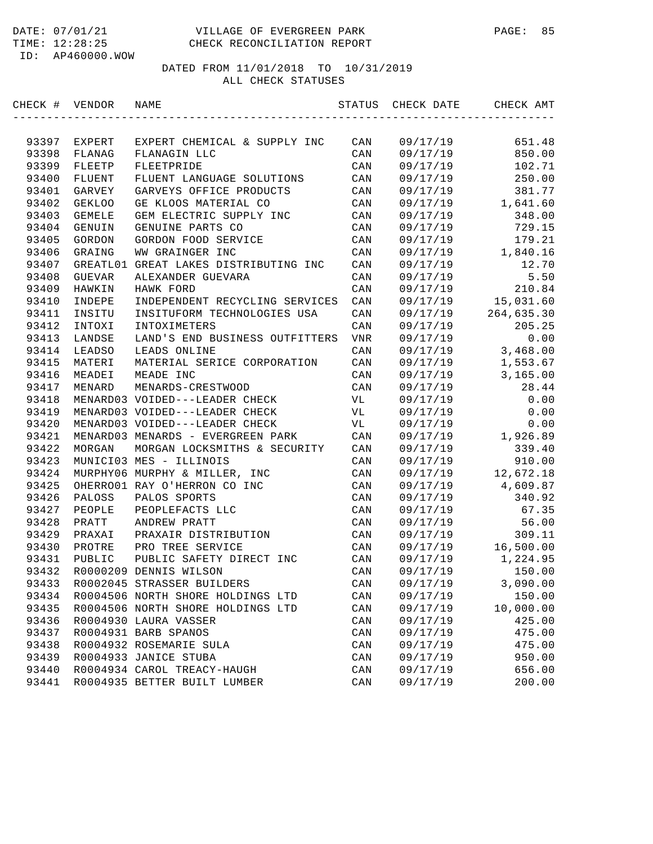#### DATE: 07/01/21 VILLAGE OF EVERGREEN PARK PAGE: 85 TIME: 12:28:25 CHECK RECONCILIATION REPORT

ID: AP460000.WOW

| CHECK # | VENDOR        | NAME                                  | STATUS | CHECK DATE | CHECK AMT  |
|---------|---------------|---------------------------------------|--------|------------|------------|
|         |               |                                       |        |            |            |
| 93397   | EXPERT        | EXPERT CHEMICAL & SUPPLY INC          | CAN    | 09/17/19   | 651.48     |
| 93398   | FLANAG        | FLANAGIN LLC                          | CAN    | 09/17/19   | 850.00     |
| 93399   | FLEETP        | FLEETPRIDE                            | CAN    | 09/17/19   | 102.71     |
| 93400   | <b>FLUENT</b> | FLUENT LANGUAGE SOLUTIONS             | CAN    | 09/17/19   | 250.00     |
| 93401   | GARVEY        | GARVEYS OFFICE PRODUCTS               | CAN    | 09/17/19   | 381.77     |
| 93402   | <b>GEKLOO</b> | GE KLOOS MATERIAL CO                  | CAN    | 09/17/19   | 1,641.60   |
| 93403   | <b>GEMELE</b> | GEM ELECTRIC SUPPLY INC               | CAN    | 09/17/19   | 348.00     |
| 93404   | GENUIN        | GENUINE PARTS CO                      | CAN    | 09/17/19   | 729.15     |
| 93405   | GORDON        | GORDON FOOD SERVICE                   | CAN    | 09/17/19   | 179.21     |
| 93406   | GRAING        | WW GRAINGER INC                       | CAN    | 09/17/19   | 1,840.16   |
| 93407   |               | GREATL01 GREAT LAKES DISTRIBUTING INC | CAN    | 09/17/19   | 12.70      |
| 93408   | GUEVAR        | ALEXANDER GUEVARA                     | CAN    | 09/17/19   | 5.50       |
| 93409   | HAWKIN        | HAWK FORD                             | CAN    | 09/17/19   | 210.84     |
| 93410   | INDEPE        | INDEPENDENT RECYCLING SERVICES        | CAN    | 09/17/19   | 15,031.60  |
| 93411   | INSITU        | INSITUFORM TECHNOLOGIES USA           | CAN    | 09/17/19   | 264,635.30 |
| 93412   | INTOXI        | INTOXIMETERS                          | CAN    | 09/17/19   | 205.25     |
| 93413   | LANDSE        | LAND'S END BUSINESS OUTFITTERS        | VNR    | 09/17/19   | 0.00       |
| 93414   | LEADSO        | LEADS ONLINE                          | CAN    | 09/17/19   | 3,468.00   |
| 93415   | MATERI        | MATERIAL SERICE CORPORATION           | CAN    | 09/17/19   | 1,553.67   |
| 93416   | MEADEI        | MEADE INC                             | CAN    | 09/17/19   | 3,165.00   |
| 93417   | MENARD        | MENARDS-CRESTWOOD                     | CAN    | 09/17/19   | 28.44      |
| 93418   |               | MENARD03 VOIDED---LEADER CHECK        | VL     | 09/17/19   | 0.00       |
| 93419   |               | MENARD03 VOIDED---LEADER CHECK        | VL     | 09/17/19   | 0.00       |
| 93420   |               | MENARD03 VOIDED---LEADER CHECK        | VL     | 09/17/19   | 0.00       |
| 93421   |               | MENARD03 MENARDS - EVERGREEN PARK     | CAN    | 09/17/19   | 1,926.89   |
| 93422   | MORGAN        | MORGAN LOCKSMITHS & SECURITY          | CAN    | 09/17/19   | 339.40     |
| 93423   |               | MUNICI03 MES - ILLINOIS               | CAN    | 09/17/19   | 910.00     |
| 93424   |               | MURPHY06 MURPHY & MILLER, INC         | CAN    | 09/17/19   | 12,672.18  |
| 93425   |               | OHERRO01 RAY O'HERRON CO INC          | CAN    | 09/17/19   | 4,609.87   |
| 93426   | PALOSS        | PALOS SPORTS                          | CAN    | 09/17/19   | 340.92     |
| 93427   | PEOPLE        | PEOPLEFACTS LLC                       | CAN    | 09/17/19   | 67.35      |
| 93428   | PRATT         | ANDREW PRATT                          | CAN    | 09/17/19   | 56.00      |
| 93429   | PRAXAI        | PRAXAIR DISTRIBUTION                  | CAN    | 09/17/19   | 309.11     |
| 93430   | PROTRE        | PRO TREE SERVICE                      | CAN    | 09/17/19   | 16,500.00  |
| 93431   | PUBLIC        | PUBLIC SAFETY DIRECT INC              | CAN    | 09/17/19   | 1,224.95   |
| 93432   |               | R0000209 DENNIS WILSON                | CAN    | 09/17/19   | 150.00     |
| 93433   |               | R0002045 STRASSER BUILDERS            | CAN    | 09/17/19   | 3,090.00   |
| 93434   |               | R0004506 NORTH SHORE HOLDINGS LTD     | CAN    | 09/17/19   | 150.00     |
| 93435   |               | R0004506 NORTH SHORE HOLDINGS LTD     | CAN    | 09/17/19   | 10,000.00  |
| 93436   |               | R0004930 LAURA VASSER                 | CAN    | 09/17/19   | 425.00     |
| 93437   |               | R0004931 BARB SPANOS                  | CAN    | 09/17/19   | 475.00     |
| 93438   |               | R0004932 ROSEMARIE SULA               | CAN    | 09/17/19   | 475.00     |
| 93439   |               | R0004933 JANICE STUBA                 | CAN    | 09/17/19   | 950.00     |
| 93440   |               | R0004934 CAROL TREACY-HAUGH           | CAN    | 09/17/19   | 656.00     |
| 93441   |               | R0004935 BETTER BUILT LUMBER          | CAN    | 09/17/19   | 200.00     |
|         |               |                                       |        |            |            |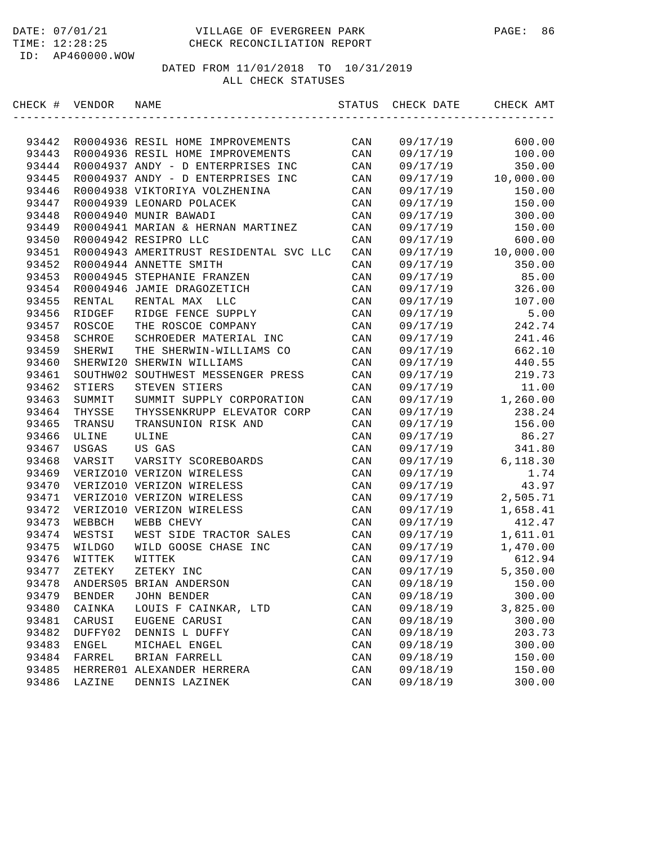| CHECK # VENDOR |          | NAME                                   | STATUS         | CHECK DATE | CHECK AMT |
|----------------|----------|----------------------------------------|----------------|------------|-----------|
|                |          |                                        |                |            |           |
| 93442          |          | R0004936 RESIL HOME IMPROVEMENTS       | CAN            | 09/17/19   | 600.00    |
| 93443          |          | R0004936 RESIL HOME IMPROVEMENTS       | CAN            | 09/17/19   | 100.00    |
| 93444          |          | R0004937 ANDY - D ENTERPRISES INC      | CAN            | 09/17/19   | 350.00    |
| 93445          |          | R0004937 ANDY - D ENTERPRISES INC      | CAN            | 09/17/19   | 10,000.00 |
| 93446          |          | R0004938 VIKTORIYA VOLZHENINA          | CAN            | 09/17/19   | 150.00    |
| 93447          |          | R0004939 LEONARD POLACEK               | CAN            | 09/17/19   | 150.00    |
| 93448          |          | R0004940 MUNIR BAWADI                  | CAN            | 09/17/19   | 300.00    |
| 93449          |          | R0004941 MARIAN & HERNAN MARTINEZ      | CAN            | 09/17/19   | 150.00    |
| 93450          |          | R0004942 RESIPRO LLC                   | CAN            | 09/17/19   | 600.00    |
| 93451          |          | R0004943 AMERITRUST RESIDENTAL SVC LLC | CAN            | 09/17/19   | 10,000.00 |
| 93452          |          | R0004944 ANNETTE SMITH                 | CAN            | 09/17/19   | 350.00    |
| 93453          |          | R0004945 STEPHANIE FRANZEN             | CAN            | 09/17/19   | 85.00     |
| 93454          |          | R0004946 JAMIE DRAGOZETICH             | CAN            | 09/17/19   | 326.00    |
| 93455          | RENTAL   | RENTAL MAX<br>LLC                      | CAN            | 09/17/19   | 107.00    |
| 93456          | RIDGEF   | RIDGE FENCE SUPPLY                     | CAN            | 09/17/19   | 5.00      |
| 93457          | ROSCOE   | THE ROSCOE COMPANY                     | CAN            | 09/17/19   | 242.74    |
| 93458          | SCHROE   | SCHROEDER MATERIAL INC                 | CAN            | 09/17/19   | 241.46    |
| 93459          | SHERWI   | THE SHERWIN-WILLIAMS CO                | CAN            | 09/17/19   | 662.10    |
| 93460          | SHERWI20 | SHERWIN WILLIAMS                       | CAN            | 09/17/19   | 440.55    |
| 93461          |          | SOUTHW02 SOUTHWEST MESSENGER PRESS     | CAN            | 09/17/19   | 219.73    |
| 93462          | STIERS   | STEVEN STIERS                          | CAN            | 09/17/19   | 11.00     |
| 93463          | SUMMIT   | SUMMIT SUPPLY CORPORATION              | CAN            | 09/17/19   | 1,260.00  |
| 93464          | THYSSE   | THYSSENKRUPP ELEVATOR CORP             | CAN            | 09/17/19   | 238.24    |
| 93465          | TRANSU   | TRANSUNION RISK AND                    | CAN            | 09/17/19   | 156.00    |
| 93466          | ULINE    | ULINE                                  | CAN            | 09/17/19   | 86.27     |
| 93467          | USGAS    | US GAS                                 | CAN            | 09/17/19   | 341.80    |
| 93468          | VARSIT   | VARSITY SCOREBOARDS                    | CAN            | 09/17/19   | 6, 118.30 |
| 93469          |          | VERIZO10 VERIZON WIRELESS              | CAN            | 09/17/19   | 1.74      |
| 93470          |          | VERIZO10 VERIZON WIRELESS              | CAN            | 09/17/19   | 43.97     |
| 93471          |          | VERIZO10 VERIZON WIRELESS              | CAN            | 09/17/19   | 2,505.71  |
| 93472          |          | VERIZO10 VERIZON WIRELESS              | CAN            | 09/17/19   | 1,658.41  |
| 93473          | WEBBCH   | WEBB CHEVY                             | CAN            | 09/17/19   | 412.47    |
| 93474          | WESTSI   | WEST SIDE TRACTOR SALES                | CAN            | 09/17/19   | 1,611.01  |
| 93475          | WILDGO   | WILD GOOSE CHASE INC                   | CAN            | 09/17/19   | 1,470.00  |
| 93476          | WITTEK   | WITTEK                                 | CAN            | 09/17/19   | 612.94    |
| 93477          | ZETEKY   | ZETEKY INC                             | CAN            | 09/17/19   | 5,350.00  |
| 93478          |          | ANDERS05 BRIAN ANDERSON                | CAN            | 09/18/19   | 150.00    |
| 93479          | BENDER   | <b>JOHN BENDER</b>                     | CAN            | 09/18/19   | 300.00    |
| 93480          | CAINKA   | LOUIS F CAINKAR, LTD                   |                | 09/18/19   | 3,825.00  |
| 93481          |          |                                        | CAN            |            |           |
|                | CARUSI   | EUGENE CARUSI                          | $\mathtt{CAN}$ | 09/18/19   | 300.00    |
| 93482          | DUFFY02  | DENNIS L DUFFY                         | CAN            | 09/18/19   | 203.73    |
| 93483          | ENGEL    | MICHAEL ENGEL                          | $\mathtt{CAN}$ | 09/18/19   | 300.00    |
| 93484          | FARREL   | BRIAN FARRELL                          | $\mathtt{CAN}$ | 09/18/19   | 150.00    |
| 93485          | HERRER01 | ALEXANDER HERRERA                      | CAN            | 09/18/19   | 150.00    |
| 93486          | LAZINE   | DENNIS LAZINEK                         | CAN            | 09/18/19   | 300.00    |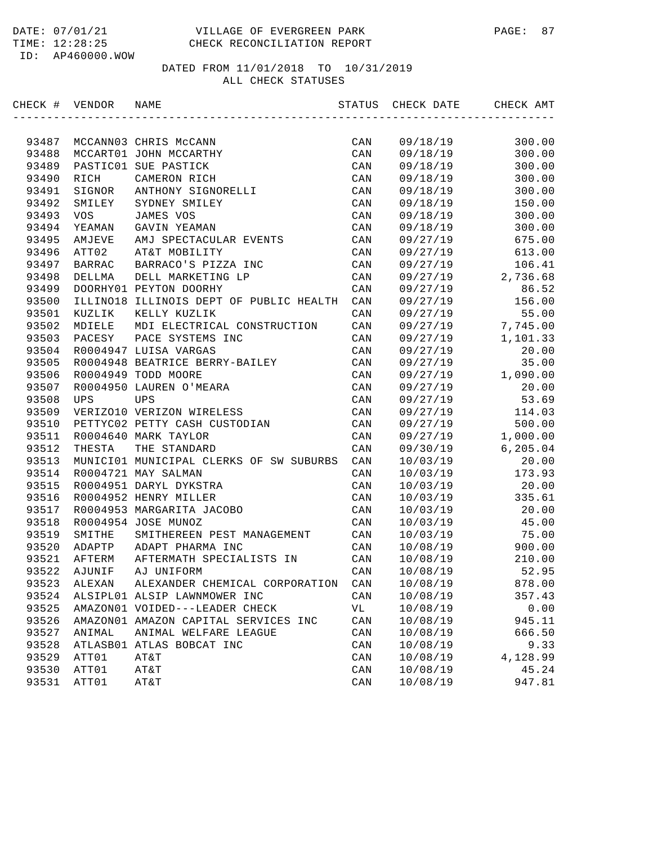| CHECK # VENDOR |               | NAME                                    | STATUS         | CHECK DATE | CHECK AMT |
|----------------|---------------|-----------------------------------------|----------------|------------|-----------|
|                |               |                                         |                |            |           |
| 93487          |               | MCCANN03 CHRIS McCANN                   | CAN            | 09/18/19   | 300.00    |
| 93488          |               | MCCART01 JOHN MCCARTHY                  | CAN            | 09/18/19   | 300.00    |
| 93489          |               | PASTIC01 SUE PASTICK                    | CAN            | 09/18/19   | 300.00    |
| 93490          | RICH          | CAMERON RICH                            | CAN            | 09/18/19   | 300.00    |
| 93491          | SIGNOR        | ANTHONY SIGNORELLI                      | CAN            | 09/18/19   | 300.00    |
| 93492          | SMILEY        | SYDNEY SMILEY                           | CAN            | 09/18/19   | 150.00    |
| 93493          | <b>VOS</b>    | JAMES VOS                               | CAN            | 09/18/19   | 300.00    |
| 93494          | YEAMAN        | GAVIN YEAMAN                            | CAN            | 09/18/19   | 300.00    |
| 93495          | AMJEVE        | AMJ SPECTACULAR EVENTS                  | CAN            | 09/27/19   | 675.00    |
| 93496          | ATT02         | AT&T MOBILITY                           | CAN            | 09/27/19   | 613.00    |
| 93497          | <b>BARRAC</b> | BARRACO'S PIZZA INC                     | CAN            | 09/27/19   | 106.41    |
| 93498          | DELLMA        | DELL MARKETING LP                       | CAN            | 09/27/19   | 2,736.68  |
| 93499          |               | DOORHY01 PEYTON DOORHY                  | CAN            | 09/27/19   | 86.52     |
| 93500          |               | ILLINO18 ILLINOIS DEPT OF PUBLIC HEALTH | CAN            | 09/27/19   | 156.00    |
| 93501          | KUZLIK        | KELLY KUZLIK                            | CAN            | 09/27/19   | 55.00     |
| 93502          | MDIELE        | MDI ELECTRICAL CONSTRUCTION             | CAN            | 09/27/19   | 7,745.00  |
| 93503          | PACESY        | PACE SYSTEMS INC                        | CAN            | 09/27/19   | 1,101.33  |
| 93504          |               | R0004947 LUISA VARGAS                   | CAN            | 09/27/19   | 20.00     |
| 93505          |               | R0004948 BEATRICE BERRY-BAILEY          | CAN            | 09/27/19   | 35.00     |
| 93506          |               | R0004949 TODD MOORE                     | CAN            | 09/27/19   | 1,090.00  |
| 93507          |               | R0004950 LAUREN O'MEARA                 | CAN            | 09/27/19   | 20.00     |
| 93508          | <b>UPS</b>    | <b>UPS</b>                              | CAN            | 09/27/19   | 53.69     |
| 93509          |               | VERIZO10 VERIZON WIRELESS               | CAN            | 09/27/19   | 114.03    |
| 93510          |               | PETTYC02 PETTY CASH CUSTODIAN           | CAN            | 09/27/19   | 500.00    |
| 93511          |               | R0004640 MARK TAYLOR                    | CAN            | 09/27/19   | 1,000.00  |
| 93512          | THESTA        | THE STANDARD                            | CAN            | 09/30/19   | 6,205.04  |
| 93513          |               | MUNICI01 MUNICIPAL CLERKS OF SW SUBURBS | CAN            | 10/03/19   | 20.00     |
| 93514          |               | R0004721 MAY SALMAN                     | CAN            | 10/03/19   | 173.93    |
| 93515          |               | R0004951 DARYL DYKSTRA                  | CAN            | 10/03/19   | 20.00     |
| 93516          |               | R0004952 HENRY MILLER                   | CAN            | 10/03/19   | 335.61    |
| 93517          |               | R0004953 MARGARITA JACOBO               | CAN            | 10/03/19   | 20.00     |
| 93518          |               | R0004954 JOSE MUNOZ                     | CAN            | 10/03/19   | 45.00     |
| 93519          | SMITHE        | SMITHEREEN PEST MANAGEMENT              | CAN            | 10/03/19   | 75.00     |
| 93520          | ADAPTP        | ADAPT PHARMA INC                        | CAN            | 10/08/19   | 900.00    |
| 93521          | AFTERM        | AFTERMATH SPECIALISTS IN                | CAN            | 10/08/19   | 210.00    |
| 93522          | AJUNIF        | AJ UNIFORM                              | CAN            | 10/08/19   | 52.95     |
| 93523          | ALEXAN        | ALEXANDER CHEMICAL CORPORATION          | CAN            | 10/08/19   | 878.00    |
| 93524          |               | ALSIPL01 ALSIP LAWNMOWER INC            | CAN            | 10/08/19   | 357.43    |
| 93525          |               | AMAZON01 VOIDED---LEADER CHECK          | VL             | 10/08/19   | 0.00      |
| 93526          |               | AMAZON01 AMAZON CAPITAL SERVICES INC    | CAN            | 10/08/19   | 945.11    |
| 93527          | ANIMAL        | ANIMAL WELFARE LEAGUE                   | $\mathtt{CAN}$ | 10/08/19   | 666.50    |
| 93528          |               | ATLASB01 ATLAS BOBCAT INC               | CAN            | 10/08/19   | 9.33      |
| 93529          | ATT01         | AT&T                                    | CAN            | 10/08/19   | 4,128.99  |
| 93530          | ATT01         | AT&T                                    | $\mathtt{CAN}$ | 10/08/19   | 45.24     |
| 93531          | ATT01         | AT&T                                    | $\mathtt{CAN}$ | 10/08/19   | 947.81    |
|                |               |                                         |                |            |           |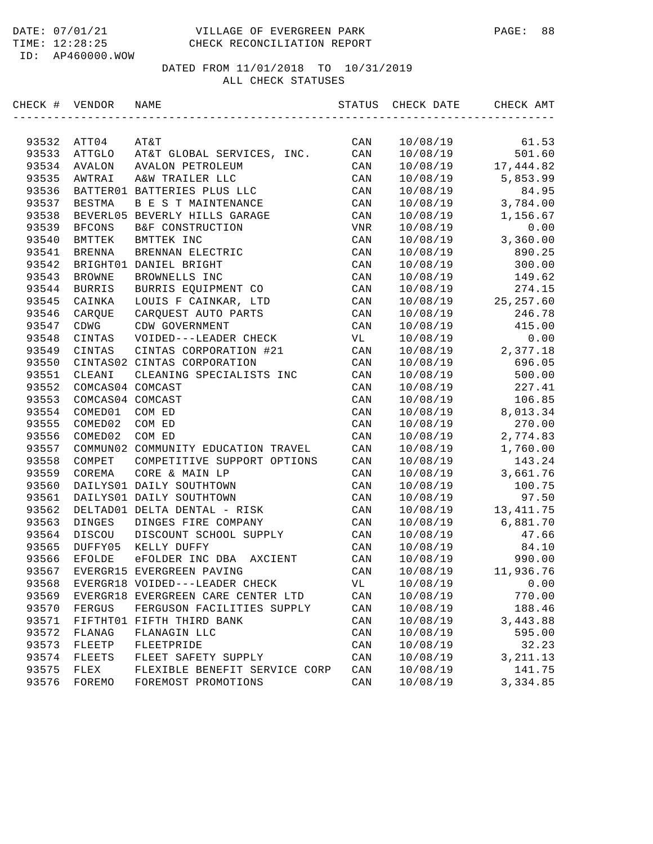#### DATE: 07/01/21 VILLAGE OF EVERGREEN PARK PAGE: 88 TIME: 12:28:25 CHECK RECONCILIATION REPORT

ID: AP460000.WOW

| CHECK # VENDOR |                  | NAME                                | STATUS         | CHECK DATE | CHECK AMT  |
|----------------|------------------|-------------------------------------|----------------|------------|------------|
|                |                  |                                     |                |            |            |
| 93532          | ATT04            | AT&T                                | CAN            | 10/08/19   | 61.53      |
| 93533          | ATTGLO           | AT&T GLOBAL SERVICES, INC.          | CAN            | 10/08/19   | 501.60     |
| 93534          | AVALON           | AVALON PETROLEUM                    | CAN            | 10/08/19   | 17,444.82  |
| 93535          | AWTRAI           | A&W TRAILER LLC                     | CAN            | 10/08/19   | 5,853.99   |
| 93536          |                  | BATTER01 BATTERIES PLUS LLC         | CAN            | 10/08/19   | 84.95      |
| 93537          | BESTMA           | B E S T MAINTENANCE                 | CAN            | 10/08/19   | 3,784.00   |
| 93538          |                  | BEVERL05 BEVERLY HILLS GARAGE       | CAN            | 10/08/19   | 1,156.67   |
| 93539          | <b>BFCONS</b>    | B&F CONSTRUCTION                    | <b>VNR</b>     | 10/08/19   | 0.00       |
| 93540          | <b>BMTTEK</b>    | BMTTEK INC                          | CAN            | 10/08/19   | 3,360.00   |
| 93541          | BRENNA           | BRENNAN ELECTRIC                    | CAN            | 10/08/19   | 890.25     |
| 93542          |                  | BRIGHT01 DANIEL BRIGHT              | CAN            | 10/08/19   | 300.00     |
| 93543          | <b>BROWNE</b>    | BROWNELLS INC                       | CAN            | 10/08/19   | 149.62     |
| 93544          | <b>BURRIS</b>    | BURRIS EQUIPMENT CO                 | CAN            | 10/08/19   | 274.15     |
| 93545          | CAINKA           | LOUIS F CAINKAR, LTD                | CAN            | 10/08/19   | 25, 257.60 |
| 93546          | CARQUE           | CARQUEST AUTO PARTS                 | CAN            | 10/08/19   | 246.78     |
| 93547          | CDWG             | CDW GOVERNMENT                      | CAN            | 10/08/19   | 415.00     |
| 93548          | CINTAS           | VOIDED---LEADER CHECK               | VL             | 10/08/19   | 0.00       |
| 93549          | CINTAS           | CINTAS CORPORATION #21              | CAN            | 10/08/19   | 2,377.18   |
| 93550          |                  | CINTAS02 CINTAS CORPORATION         | CAN            | 10/08/19   | 696.05     |
| 93551          | CLEANI           | CLEANING SPECIALISTS INC            | $\mathtt{CAN}$ | 10/08/19   | 500.00     |
| 93552          | COMCAS04 COMCAST |                                     | CAN            | 10/08/19   | 227.41     |
| 93553          | COMCAS04 COMCAST |                                     | CAN            | 10/08/19   | 106.85     |
| 93554          | COMED01          | COM ED                              | CAN            | 10/08/19   | 8,013.34   |
| 93555          | COMED02          | COM ED                              | CAN            | 10/08/19   | 270.00     |
| 93556          | COMED02          | COM ED                              | CAN            | 10/08/19   | 2,774.83   |
| 93557          |                  | COMMUN02 COMMUNITY EDUCATION TRAVEL | CAN            | 10/08/19   | 1,760.00   |
| 93558          | COMPET           | COMPETITIVE SUPPORT OPTIONS         | CAN            | 10/08/19   | 143.24     |
| 93559          | COREMA           | CORE & MAIN LP                      | CAN            | 10/08/19   | 3,661.76   |
| 93560          |                  | DAILYS01 DAILY SOUTHTOWN            | CAN            | 10/08/19   | 100.75     |
| 93561          |                  | DAILYS01 DAILY SOUTHTOWN            | CAN            | 10/08/19   | 97.50      |
| 93562          |                  | DELTAD01 DELTA DENTAL - RISK        | CAN            | 10/08/19   | 13, 411.75 |
| 93563          | DINGES           | DINGES FIRE COMPANY                 | CAN            | 10/08/19   | 6,881.70   |
| 93564          | DISCOU           | DISCOUNT SCHOOL SUPPLY              | CAN            | 10/08/19   | 47.66      |
| 93565          | DUFFY05          | KELLY DUFFY                         | CAN            | 10/08/19   | 84.10      |
| 93566          | EFOLDE           | eFOLDER INC DBA AXCIENT             | CAN            | 10/08/19   | 990.00     |
| 93567          |                  | EVERGR15 EVERGREEN PAVING           | CAN            | 10/08/19   | 11,936.76  |
| 93568          |                  | EVERGR18 VOIDED---LEADER CHECK      | VL             | 10/08/19   | 0.00       |
| 93569          |                  | EVERGR18 EVERGREEN CARE CENTER LTD  | CAN            | 10/08/19   | 770.00     |
| 93570          | FERGUS           | FERGUSON FACILITIES SUPPLY          | CAN            | 10/08/19   | 188.46     |
| 93571          |                  | FIFTHT01 FIFTH THIRD BANK           | CAN            | 10/08/19   | 3,443.88   |
| 93572          | FLANAG           | FLANAGIN LLC                        | CAN            | 10/08/19   | 595.00     |
| 93573          | FLEETP           | FLEETPRIDE                          | $\mathtt{CAN}$ | 10/08/19   | 32.23      |
| 93574          | FLEETS           | FLEET SAFETY SUPPLY                 | CAN            | 10/08/19   | 3, 211.13  |
| 93575          | FLEX             | FLEXIBLE BENEFIT SERVICE CORP       | CAN            | 10/08/19   | 141.75     |
| 93576          | FOREMO           | FOREMOST PROMOTIONS                 | $\mathtt{CAN}$ | 10/08/19   | 3,334.85   |
|                |                  |                                     |                |            |            |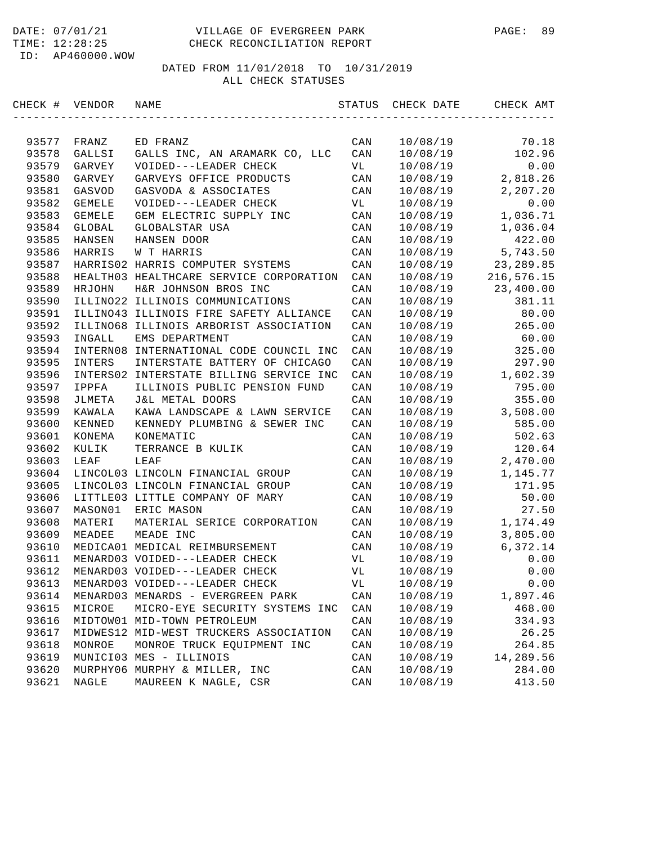#### DATE: 07/01/21 VILLAGE OF EVERGREEN PARK PAGE: 89 TIME: 12:28:25 CHECK RECONCILIATION REPORT

ID: AP460000.WOW

| CHECK # | VENDOR        | NAME                                    | STATUS         | CHECK DATE | CHECK AMT  |
|---------|---------------|-----------------------------------------|----------------|------------|------------|
|         |               |                                         |                |            |            |
| 93577   | FRANZ         | ED FRANZ                                | CAN            | 10/08/19   | 70.18      |
| 93578   | GALLSI        | GALLS INC, AN ARAMARK CO, LLC           | CAN            | 10/08/19   | 102.96     |
| 93579   | GARVEY        | VOIDED---LEADER CHECK                   | VL             | 10/08/19   | 0.00       |
| 93580   | GARVEY        | GARVEYS OFFICE PRODUCTS                 | CAN            | 10/08/19   | 2,818.26   |
| 93581   | GASVOD        | GASVODA & ASSOCIATES                    | CAN            | 10/08/19   | 2,207.20   |
| 93582   | GEMELE        | VOIDED---LEADER CHECK                   | VL             | 10/08/19   | 0.00       |
| 93583   | <b>GEMELE</b> | GEM ELECTRIC SUPPLY INC                 | CAN            | 10/08/19   | 1,036.71   |
| 93584   | GLOBAL        | GLOBALSTAR USA                          | CAN            | 10/08/19   | 1,036.04   |
| 93585   | HANSEN        | HANSEN DOOR                             | CAN            | 10/08/19   | 422.00     |
| 93586   | HARRIS        | W T HARRIS                              | CAN            | 10/08/19   | 5,743.50   |
| 93587   |               | HARRIS02 HARRIS COMPUTER SYSTEMS        | CAN            | 10/08/19   | 23, 289.85 |
| 93588   |               | HEALTH03 HEALTHCARE SERVICE CORPORATION | CAN            | 10/08/19   | 216,576.15 |
| 93589   | HRJOHN        | H&R JOHNSON BROS INC                    | CAN            | 10/08/19   | 23,400.00  |
| 93590   | ILLINO22      | ILLINOIS COMMUNICATIONS                 | CAN            | 10/08/19   | 381.11     |
| 93591   |               | ILLINO43 ILLINOIS FIRE SAFETY ALLIANCE  | CAN            | 10/08/19   | 80.00      |
| 93592   |               | ILLINO68 ILLINOIS ARBORIST ASSOCIATION  | CAN            | 10/08/19   | 265.00     |
| 93593   | INGALL        | EMS DEPARTMENT                          | CAN            | 10/08/19   | 60.00      |
| 93594   |               | INTERN08 INTERNATIONAL CODE COUNCIL INC | CAN            | 10/08/19   | 325.00     |
| 93595   | INTERS        | INTERSTATE BATTERY OF CHICAGO           | CAN            | 10/08/19   | 297.90     |
| 93596   |               | INTERS02 INTERSTATE BILLING SERVICE INC | CAN            | 10/08/19   | 1,602.39   |
| 93597   | IPPFA         | ILLINOIS PUBLIC PENSION FUND            | CAN            | 10/08/19   | 795.00     |
| 93598   | JLMETA        | <b>J&amp;L METAL DOORS</b>              | CAN            | 10/08/19   | 355.00     |
| 93599   | KAWALA        | KAWA LANDSCAPE & LAWN SERVICE           | CAN            | 10/08/19   | 3,508.00   |
| 93600   | KENNED        | KENNEDY PLUMBING & SEWER INC            | CAN            | 10/08/19   | 585.00     |
| 93601   | KONEMA        | KONEMATIC                               | CAN            | 10/08/19   | 502.63     |
| 93602   | KULIK         | TERRANCE B KULIK                        | CAN            | 10/08/19   | 120.64     |
| 93603   | LEAF          | LEAF                                    | CAN            | 10/08/19   | 2,470.00   |
| 93604   |               | LINCOL03 LINCOLN FINANCIAL GROUP        | CAN            | 10/08/19   | 1,145.77   |
| 93605   |               | LINCOL03 LINCOLN FINANCIAL GROUP        | CAN            | 10/08/19   | 171.95     |
| 93606   |               | LITTLE03 LITTLE COMPANY OF MARY         | CAN            | 10/08/19   | 50.00      |
| 93607   | MASON01       | ERIC MASON                              | CAN            | 10/08/19   | 27.50      |
| 93608   | MATERI        | MATERIAL SERICE CORPORATION             | CAN            | 10/08/19   | 1,174.49   |
| 93609   | MEADEE        | MEADE INC                               | CAN            | 10/08/19   | 3,805.00   |
| 93610   |               | MEDICA01 MEDICAL REIMBURSEMENT          | CAN            | 10/08/19   | 6,372.14   |
| 93611   |               | MENARD03 VOIDED---LEADER CHECK          | VL             | 10/08/19   | 0.00       |
| 93612   |               | MENARD03 VOIDED---LEADER CHECK          | VL             | 10/08/19   | 0.00       |
| 93613   |               | MENARD03 VOIDED---LEADER CHECK          | VL             | 10/08/19   | 0.00       |
| 93614   |               | MENARD03 MENARDS - EVERGREEN PARK       | CAN            | 10/08/19   | 1,897.46   |
| 93615   | MICROE        | MICRO-EYE SECURITY SYSTEMS INC          | $\mathtt{CAN}$ | 10/08/19   | 468.00     |
| 93616   |               | MIDTOW01 MID-TOWN PETROLEUM             | CAN            | 10/08/19   | 334.93     |
| 93617   |               | MIDWES12 MID-WEST TRUCKERS ASSOCIATION  | $\mathtt{CAN}$ | 10/08/19   | 26.25      |
| 93618   | MONROE        | MONROE TRUCK EQUIPMENT INC              | $\mathtt{CAN}$ | 10/08/19   | 264.85     |
| 93619   |               | MUNICI03 MES - ILLINOIS                 | CAN            | 10/08/19   | 14,289.56  |
| 93620   |               | MURPHY06 MURPHY & MILLER, INC           | $\mathtt{CAN}$ | 10/08/19   | 284.00     |
| 93621   | NAGLE         | MAUREEN K NAGLE, CSR                    | CAN            | 10/08/19   | 413.50     |
|         |               |                                         |                |            |            |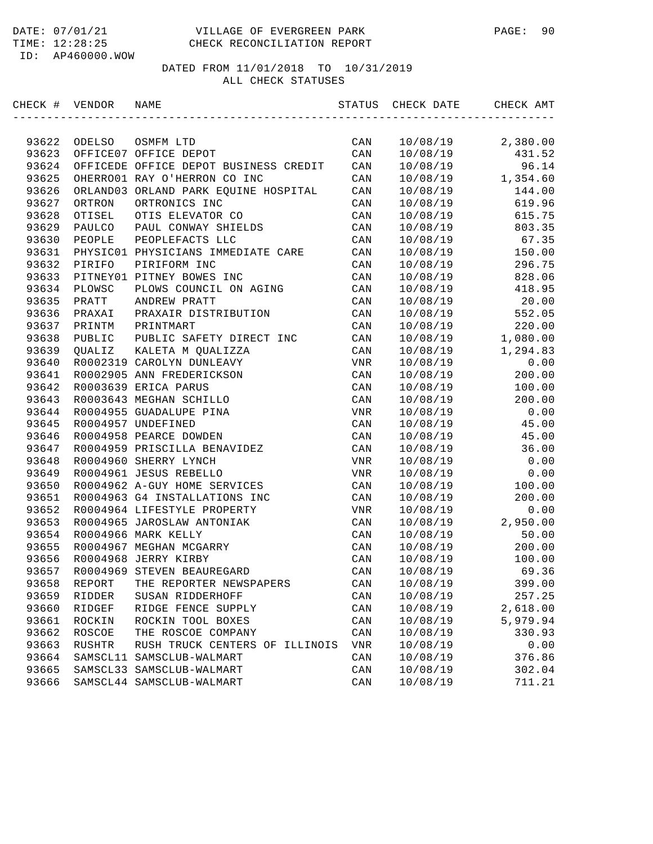| CHECK # VENDOR |          | NAME                                  | STATUS         | CHECK DATE | CHECK AMT |
|----------------|----------|---------------------------------------|----------------|------------|-----------|
|                |          |                                       |                |            |           |
| 93622          | ODELSO   | OSMFM LTD                             | CAN            | 10/08/19   | 2,380.00  |
| 93623          |          | OFFICE07 OFFICE DEPOT                 | CAN            | 10/08/19   | 431.52    |
| 93624          |          | OFFICEDE OFFICE DEPOT BUSINESS CREDIT | CAN            | 10/08/19   | 96.14     |
| 93625          |          | OHERRO01 RAY O'HERRON CO INC          | CAN            | 10/08/19   | 1,354.60  |
| 93626          |          | ORLAND03 ORLAND PARK EQUINE HOSPITAL  | CAN            | 10/08/19   | 144.00    |
| 93627          | ORTRON   | ORTRONICS INC                         | CAN            | 10/08/19   | 619.96    |
| 93628          | OTISEL   | OTIS ELEVATOR CO                      | CAN            | 10/08/19   | 615.75    |
| 93629          | PAULCO   | PAUL CONWAY SHIELDS                   | CAN            | 10/08/19   | 803.35    |
| 93630          | PEOPLE   | PEOPLEFACTS LLC                       | CAN            | 10/08/19   | 67.35     |
| 93631          |          | PHYSIC01 PHYSICIANS IMMEDIATE CARE    | CAN            | 10/08/19   | 150.00    |
| 93632          | PIRIFO   | PIRIFORM INC                          | CAN            | 10/08/19   | 296.75    |
| 93633          |          | PITNEY01 PITNEY BOWES INC             | CAN            | 10/08/19   | 828.06    |
| 93634          | PLOWSC   | PLOWS COUNCIL ON AGING                | CAN            | 10/08/19   | 418.95    |
| 93635          | PRATT    | ANDREW PRATT                          | CAN            | 10/08/19   | 20.00     |
| 93636          | PRAXAI   | PRAXAIR DISTRIBUTION                  | CAN            | 10/08/19   | 552.05    |
| 93637          | PRINTM   | PRINTMART                             | CAN            | 10/08/19   | 220.00    |
| 93638          | PUBLIC   | PUBLIC SAFETY DIRECT INC              | CAN            | 10/08/19   | 1,080.00  |
| 93639          | QUALIZ   | KALETA M QUALIZZA                     | CAN            | 10/08/19   | 1,294.83  |
| 93640          |          | R0002319 CAROLYN DUNLEAVY             | VNR            | 10/08/19   | 0.00      |
| 93641          |          | R0002905 ANN FREDERICKSON             | CAN            | 10/08/19   | 200.00    |
| 93642          |          | R0003639 ERICA PARUS                  | CAN            | 10/08/19   | 100.00    |
| 93643          |          | R0003643 MEGHAN SCHILLO               | CAN            | 10/08/19   | 200.00    |
| 93644          |          | R0004955 GUADALUPE PINA               | VNR            | 10/08/19   | 0.00      |
| 93645          |          | R0004957 UNDEFINED                    | CAN            | 10/08/19   | 45.00     |
| 93646          |          | R0004958 PEARCE DOWDEN                | CAN            | 10/08/19   | 45.00     |
| 93647          |          | R0004959 PRISCILLA BENAVIDEZ          | CAN            | 10/08/19   | 36.00     |
| 93648          |          | R0004960 SHERRY LYNCH                 | VNR            | 10/08/19   | 0.00      |
| 93649          |          | R0004961 JESUS REBELLO                | VNR            | 10/08/19   | 0.00      |
| 93650          |          | R0004962 A-GUY HOME SERVICES          | CAN            | 10/08/19   | 100.00    |
| 93651          |          | R0004963 G4 INSTALLATIONS INC         | CAN            | 10/08/19   | 200.00    |
| 93652          |          | R0004964 LIFESTYLE PROPERTY           | VNR            | 10/08/19   | 0.00      |
| 93653          |          | R0004965 JAROSLAW ANTONIAK            | CAN            | 10/08/19   | 2,950.00  |
| 93654          |          | R0004966 MARK KELLY                   | CAN            | 10/08/19   | 50.00     |
| 93655          |          | R0004967 MEGHAN MCGARRY               | CAN            | 10/08/19   | 200.00    |
| 93656          |          | R0004968 JERRY KIRBY                  | CAN            | 10/08/19   | 100.00    |
| 93657          |          | R0004969 STEVEN BEAUREGARD            | CAN            | 10/08/19   | 69.36     |
| 93658          | REPORT   | THE REPORTER NEWSPAPERS               | CAN            | 10/08/19   | 399.00    |
| 93659          | RIDDER   | SUSAN RIDDERHOFF                      | CAN            | 10/08/19   | 257.25    |
| 93660          | RIDGEF   | RIDGE FENCE SUPPLY                    | $\mathtt{CAN}$ | 10/08/19   | 2,618.00  |
| 93661          | ROCKIN   | ROCKIN TOOL BOXES                     | CAN            | 10/08/19   | 5,979.94  |
| 93662          | ROSCOE   | THE ROSCOE COMPANY                    | CAN            | 10/08/19   | 330.93    |
| 93663          | RUSHTR   | RUSH TRUCK CENTERS OF ILLINOIS        | VNR            | 10/08/19   | 0.00      |
| 93664          | SAMSCL11 | SAMSCLUB-WALMART                      | CAN            | 10/08/19   | 376.86    |
| 93665          |          | SAMSCL33 SAMSCLUB-WALMART             | CAN            | 10/08/19   | 302.04    |
| 93666          |          | SAMSCL44 SAMSCLUB-WALMART             | $\mathtt{CAN}$ | 10/08/19   | 711.21    |
|                |          |                                       |                |            |           |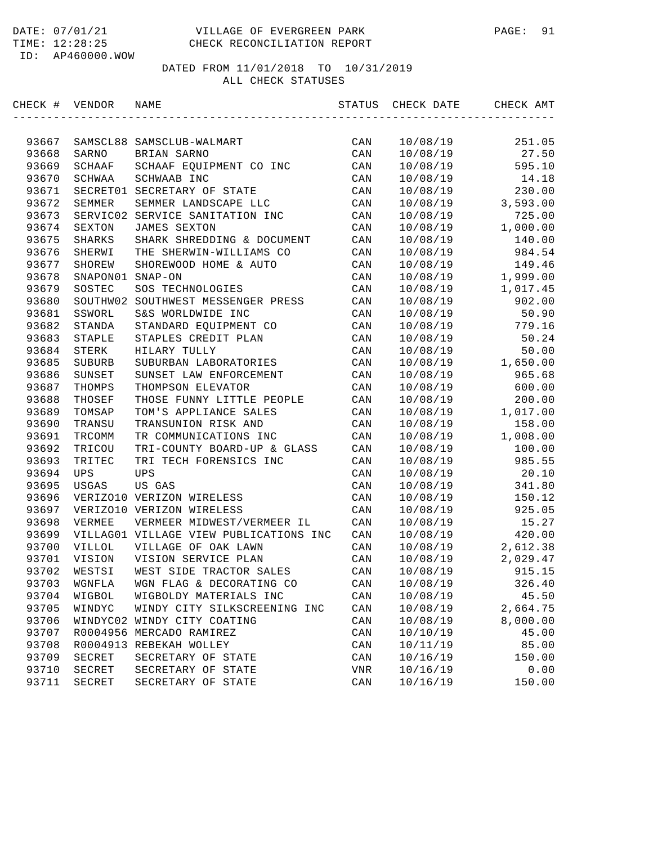| CHECK # VENDOR |               | NAME                                   | STATUS         | CHECK DATE | CHECK AMT |
|----------------|---------------|----------------------------------------|----------------|------------|-----------|
| 93667          |               | SAMSCL88 SAMSCLUB-WALMART              | CAN            | 10/08/19   | 251.05    |
| 93668          | SARNO         | BRIAN SARNO                            | CAN            | 10/08/19   | 27.50     |
| 93669          | SCHAAF        | SCHAAF EQUIPMENT CO INC                | CAN            | 10/08/19   | 595.10    |
| 93670          | SCHWAA        | SCHWAAB INC                            | CAN            | 10/08/19   | 14.18     |
| 93671          | SECRET01      | SECRETARY OF STATE                     | CAN            | 10/08/19   | 230.00    |
| 93672          | SEMMER        | SEMMER LANDSCAPE LLC                   | CAN            | 10/08/19   | 3,593.00  |
| 93673          | SERVIC02      | SERVICE SANITATION INC                 | CAN            | 10/08/19   | 725.00    |
| 93674          | SEXTON        | JAMES SEXTON                           | CAN            | 10/08/19   | 1,000.00  |
| 93675          | SHARKS        | SHARK SHREDDING & DOCUMENT             | CAN            | 10/08/19   | 140.00    |
| 93676          | SHERWI        | THE SHERWIN-WILLIAMS CO                | CAN            | 10/08/19   | 984.54    |
| 93677          | <b>SHOREW</b> | SHOREWOOD HOME & AUTO                  | CAN            | 10/08/19   | 149.46    |
| 93678          | SNAPON01      | $SNAP-ON$                              | CAN            | 10/08/19   | 1,999.00  |
| 93679          | SOSTEC        | SOS TECHNOLOGIES                       | CAN            | 10/08/19   | 1,017.45  |
| 93680          | SOUTHW02      | SOUTHWEST MESSENGER PRESS              | CAN            | 10/08/19   | 902.00    |
| 93681          | SSWORL        | S&S WORLDWIDE INC                      | CAN            | 10/08/19   | 50.90     |
| 93682          | STANDA        | STANDARD EQUIPMENT CO                  | CAN            | 10/08/19   | 779.16    |
| 93683          | STAPLE        | STAPLES CREDIT PLAN                    | CAN            | 10/08/19   | 50.24     |
| 93684          | STERK         | HILARY TULLY                           | CAN            | 10/08/19   | 50.00     |
| 93685          | SUBURB        | SUBURBAN LABORATORIES                  | CAN            | 10/08/19   | 1,650.00  |
| 93686          | SUNSET        | SUNSET LAW ENFORCEMENT                 | CAN            | 10/08/19   | 965.68    |
| 93687          | THOMPS        | THOMPSON ELEVATOR                      | CAN            | 10/08/19   | 600.00    |
| 93688          | THOSEF        | THOSE FUNNY LITTLE PEOPLE              | CAN            | 10/08/19   | 200.00    |
| 93689          | TOMSAP        | TOM'S APPLIANCE SALES                  | CAN            | 10/08/19   | 1,017.00  |
| 93690          | TRANSU        | TRANSUNION RISK AND                    | CAN            | 10/08/19   | 158.00    |
| 93691          | TRCOMM        | TR COMMUNICATIONS INC                  | CAN            | 10/08/19   | 1,008.00  |
| 93692          | TRICOU        | TRI-COUNTY BOARD-UP & GLASS            | CAN            | 10/08/19   | 100.00    |
| 93693          | TRITEC        | TRI TECH FORENSICS INC                 | CAN            | 10/08/19   | 985.55    |
| 93694          | UPS           | <b>UPS</b>                             | CAN            | 10/08/19   | 20.10     |
| 93695          | USGAS         | US GAS                                 | CAN            | 10/08/19   | 341.80    |
| 93696          |               | VERIZO10 VERIZON WIRELESS              | CAN            | 10/08/19   | 150.12    |
| 93697          |               | VERIZO10 VERIZON WIRELESS              | CAN            | 10/08/19   | 925.05    |
| 93698          | VERMEE        | VERMEER MIDWEST/VERMEER IL             | CAN            | 10/08/19   | 15.27     |
| 93699          |               | VILLAG01 VILLAGE VIEW PUBLICATIONS INC | CAN            | 10/08/19   | 420.00    |
| 93700          | VILLOL        | VILLAGE OF OAK LAWN                    | CAN            | 10/08/19   | 2,612.38  |
| 93701          | VISION        | VISION SERVICE PLAN                    | CAN            | 10/08/19   | 2,029.47  |
| 93702          | WESTSI        | WEST SIDE TRACTOR SALES                | CAN            | 10/08/19   | 915.15    |
| 93703          | WGNFLA        | WGN FLAG & DECORATING CO               | CAN            | 10/08/19   | 326.40    |
| 93704          | WIGBOL        | WIGBOLDY MATERIALS INC                 | CAN            | 10/08/19   | 45.50     |
| 93705          | WINDYC        | WINDY CITY SILKSCREENING INC           | CAN            | 10/08/19   | 2,664.75  |
| 93706          | WINDYC02      | WINDY CITY COATING                     | $\mathtt{CAN}$ | 10/08/19   | 8,000.00  |
| 93707          |               | R0004956 MERCADO RAMIREZ               | CAN            | 10/10/19   | 45.00     |
| 93708          | R0004913      | REBEKAH WOLLEY                         | CAN            | 10/11/19   | 85.00     |
| 93709          | SECRET        | SECRETARY OF STATE                     | CAN            | 10/16/19   | 150.00    |
| 93710          | SECRET        | SECRETARY OF STATE                     | VNR            | 10/16/19   | 0.00      |
| 93711          | SECRET        | SECRETARY OF STATE                     | $\mathtt{CAN}$ | 10/16/19   | 150.00    |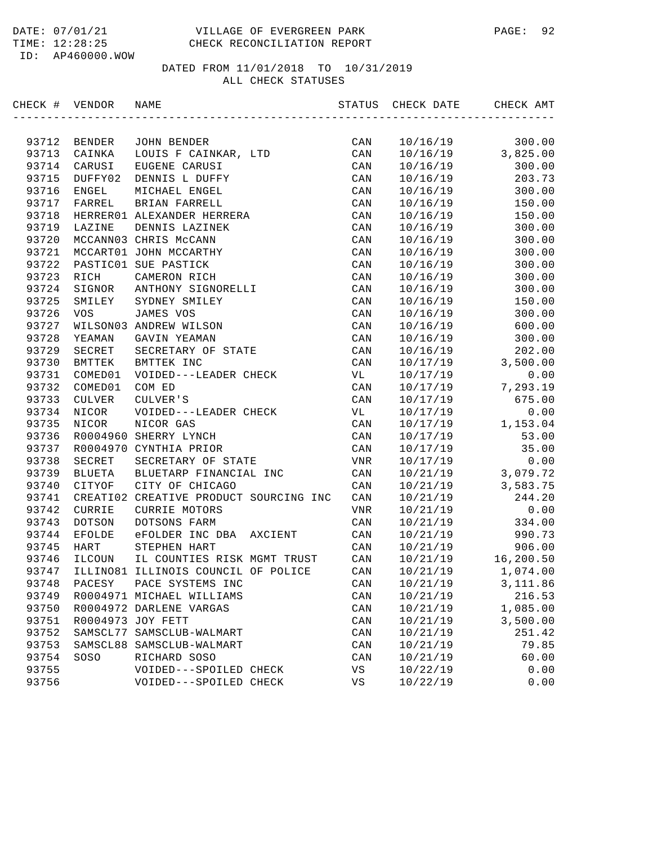| CHECK # VENDOR |               | NAME                                   | STATUS         | CHECK DATE | CHECK AMT |
|----------------|---------------|----------------------------------------|----------------|------------|-----------|
|                |               |                                        |                |            |           |
| 93712          | BENDER        | JOHN BENDER                            | CAN            | 10/16/19   | 300.00    |
| 93713          | CAINKA        | LOUIS F CAINKAR, LTD                   | $\mathtt{CAN}$ | 10/16/19   | 3,825.00  |
| 93714          | CARUSI        | EUGENE CARUSI                          | CAN            | 10/16/19   | 300.00    |
| 93715          | DUFFY02       | DENNIS L DUFFY                         | CAN            | 10/16/19   | 203.73    |
| 93716          | ENGEL         | MICHAEL ENGEL                          | CAN            | 10/16/19   | 300.00    |
| 93717          | FARREL        | BRIAN FARRELL                          | CAN            | 10/16/19   | 150.00    |
| 93718          |               | HERRER01 ALEXANDER HERRERA             | CAN            | 10/16/19   | 150.00    |
| 93719          | LAZINE        | DENNIS LAZINEK                         | CAN            | 10/16/19   | 300.00    |
| 93720          |               | MCCANN03 CHRIS McCANN                  | CAN            | 10/16/19   | 300.00    |
| 93721          |               | MCCART01 JOHN MCCARTHY                 | CAN            | 10/16/19   | 300.00    |
| 93722          |               | PASTIC01 SUE PASTICK                   | CAN            | 10/16/19   | 300.00    |
| 93723          | RICH          | CAMERON RICH                           | CAN            | 10/16/19   | 300.00    |
| 93724          | SIGNOR        | ANTHONY SIGNORELLI                     | CAN            | 10/16/19   | 300.00    |
| 93725          | SMILEY        | SYDNEY SMILEY                          | CAN            | 10/16/19   | 150.00    |
| 93726          | <b>VOS</b>    | JAMES VOS                              | CAN            | 10/16/19   | 300.00    |
| 93727          |               | WILSON03 ANDREW WILSON                 | CAN            | 10/16/19   | 600.00    |
| 93728          | YEAMAN        | GAVIN YEAMAN                           | CAN            | 10/16/19   | 300.00    |
| 93729          | SECRET        | SECRETARY OF STATE                     | CAN            | 10/16/19   | 202.00    |
| 93730          | BMTTEK        | BMTTEK INC                             | CAN            | 10/17/19   | 3,500.00  |
| 93731          | COMED01       | VOIDED---LEADER CHECK                  | VL             | 10/17/19   | 0.00      |
| 93732          | COMED01       | COM ED                                 | CAN            | 10/17/19   | 7,293.19  |
| 93733          | CULVER        | CULVER'S                               | CAN            | 10/17/19   | 675.00    |
| 93734          | NICOR         | VOIDED---LEADER CHECK                  | VL             | 10/17/19   | 0.00      |
| 93735          | NICOR         | NICOR GAS                              | CAN            | 10/17/19   | 1,153.04  |
| 93736          |               | R0004960 SHERRY LYNCH                  | CAN            | 10/17/19   | 53.00     |
| 93737          |               | R0004970 CYNTHIA PRIOR                 | CAN            | 10/17/19   | 35.00     |
| 93738          | SECRET        | SECRETARY OF STATE                     | VNR            | 10/17/19   | 0.00      |
| 93739          | <b>BLUETA</b> | BLUETARP FINANCIAL INC                 | CAN            | 10/21/19   | 3,079.72  |
| 93740          | CITYOF        | CITY OF CHICAGO                        | CAN            | 10/21/19   | 3,583.75  |
| 93741          |               | CREATI02 CREATIVE PRODUCT SOURCING INC | CAN            | 10/21/19   | 244.20    |
| 93742          | CURRIE        | CURRIE MOTORS                          | VNR            | 10/21/19   | 0.00      |
| 93743          | DOTSON        | DOTSONS FARM                           | CAN            | 10/21/19   | 334.00    |
| 93744          | <b>EFOLDE</b> | eFOLDER INC DBA AXCIENT                | CAN            | 10/21/19   | 990.73    |
| 93745          | HART          | STEPHEN HART                           | CAN            | 10/21/19   | 906.00    |
| 93746          | ILCOUN        | IL COUNTIES RISK MGMT TRUST            | CAN            | 10/21/19   | 16,200.50 |
| 93747          |               | ILLINO81 ILLINOIS COUNCIL OF POLICE    | CAN            | 10/21/19   | 1,074.00  |
| 93748          | PACESY        | PACE SYSTEMS INC                       | CAN            | 10/21/19   | 3,111.86  |
| 93749          |               | R0004971 MICHAEL WILLIAMS              | CAN            | 10/21/19   | 216.53    |
| 93750          |               | R0004972 DARLENE VARGAS                | CAN            | 10/21/19   | 1,085.00  |
| 93751          |               | R0004973 JOY FETT                      | CAN            | 10/21/19   | 3,500.00  |
| 93752          | SAMSCL77      | SAMSCLUB-WALMART                       | CAN            | 10/21/19   | 251.42    |
| 93753          | SAMSCL88      | SAMSCLUB-WALMART                       | $\mathtt{CAN}$ | 10/21/19   | 79.85     |
| 93754          | SOSO          | RICHARD SOSO                           | CAN            | 10/21/19   | 60.00     |
| 93755          |               | VOIDED---SPOILED CHECK                 | VS             | 10/22/19   | 0.00      |
| 93756          |               | VOIDED---SPOILED CHECK                 | VS             | 10/22/19   | 0.00      |
|                |               |                                        |                |            |           |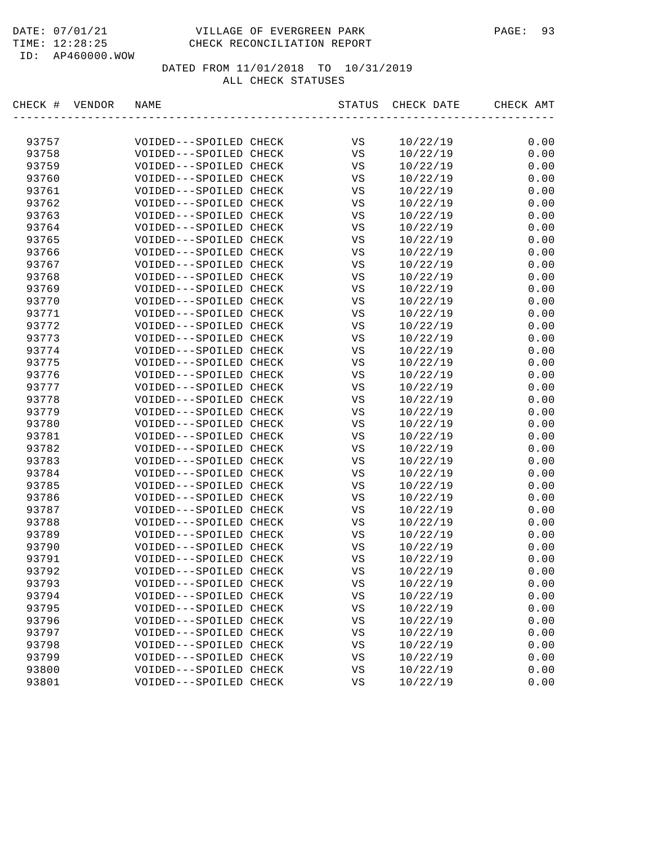# DATE: 07/01/21 VILLAGE OF EVERGREEN PARK PAGE: 93 TIME: 12:28:25 CHECK RECONCILIATION REPORT

ID: AP460000.WOW

| CHECK #<br>VENDOR | NAME                   | STATUS      | CHECK DATE | CHECK AMT                       |
|-------------------|------------------------|-------------|------------|---------------------------------|
|                   |                        |             |            |                                 |
| 93757             | VOIDED---SPOILED CHECK | VS          | 10/22/19   | 0.00                            |
| 93758             | VOIDED---SPOILED CHECK | VS          | 10/22/19   | 0.00                            |
| 93759             | VOIDED---SPOILED CHECK | VS          | 10/22/19   | 0.00                            |
| 93760             | VOIDED---SPOILED CHECK | VS          | 10/22/19   | 0.00                            |
| 93761             | VOIDED---SPOILED CHECK | VS          | 10/22/19   | 0.00                            |
| 93762             | VOIDED---SPOILED CHECK | VS          | 10/22/19   | 0.00                            |
| 93763             | VOIDED---SPOILED CHECK | VS          | 10/22/19   | 0.00                            |
| 93764             | VOIDED---SPOILED CHECK | $_{\rm VS}$ | 10/22/19   | 0.00                            |
| 93765             | VOIDED---SPOILED CHECK | VS          | 10/22/19   | 0.00                            |
| 93766             | VOIDED---SPOILED CHECK | VS          | 10/22/19   | 0.00                            |
| 93767             | VOIDED---SPOILED CHECK | VS          | 10/22/19   | 0.00                            |
| 93768             | VOIDED---SPOILED CHECK | VS          | 10/22/19   | 0.00                            |
| 93769             | VOIDED---SPOILED CHECK | VS          | 10/22/19   | 0.00                            |
| 93770             | VOIDED---SPOILED CHECK | VS          | 10/22/19   | 0.00                            |
| 93771             | VOIDED---SPOILED CHECK | VS          | 10/22/19   | 0.00                            |
| 93772             | VOIDED---SPOILED CHECK | VS          | 10/22/19   | 0.00                            |
| 93773             | VOIDED---SPOILED CHECK | VS          | 10/22/19   | 0.00                            |
| 93774             | VOIDED---SPOILED CHECK | VS          | 10/22/19   | 0.00                            |
| 93775             | VOIDED---SPOILED CHECK | VS          | 10/22/19   | 0.00                            |
| 93776             | VOIDED---SPOILED CHECK | $_{\rm VS}$ | 10/22/19   | 0.00                            |
| 93777             | VOIDED---SPOILED CHECK | VS          | 10/22/19   | 0.00                            |
| 93778             | VOIDED---SPOILED CHECK | VS          | 10/22/19   | 0.00                            |
| 93779             | VOIDED---SPOILED CHECK | VS          | 10/22/19   | 0.00                            |
| 93780             | VOIDED---SPOILED CHECK | VS          | 10/22/19   | 0.00                            |
| 93781             | VOIDED---SPOILED CHECK | VS          | 10/22/19   | 0.00                            |
| 93782             | VOIDED---SPOILED CHECK | VS          | 10/22/19   | 0.00                            |
| 93783             | VOIDED---SPOILED CHECK | VS          | 10/22/19   | 0.00                            |
| 93784             | VOIDED---SPOILED CHECK | VS          | 10/22/19   | 0.00                            |
| 93785             | VOIDED---SPOILED CHECK | VS          | 10/22/19   | 0.00                            |
| 93786             | VOIDED---SPOILED CHECK | VS          | 10/22/19   | 0.00                            |
| 93787             | VOIDED---SPOILED CHECK | VS          | 10/22/19   | 0.00                            |
| 93788             | VOIDED---SPOILED CHECK | VS          | 10/22/19   | 0.00                            |
| 93789             | VOIDED---SPOILED CHECK | VS          | 10/22/19   | 0.00                            |
| 93790             | VOIDED---SPOILED CHECK | VS          | 10/22/19   | 0.00                            |
| 93791             | VOIDED---SPOILED CHECK | VS          | 10/22/19   | 0.00                            |
| 93792             | VOIDED---SPOILED CHECK | VS          | 10/22/19   | 0.00                            |
| 93793             | VOIDED---SPOILED CHECK | VS          | 10/22/19   | ${\bf 0}$ . ${\bf 0}$ ${\bf 0}$ |
| 93794             | VOIDED---SPOILED CHECK | VS          | 10/22/19   | 0.00                            |
| 93795             | VOIDED---SPOILED CHECK | VS          | 10/22/19   | 0.00                            |
| 93796             | VOIDED---SPOILED CHECK | VS          | 10/22/19   | 0.00                            |
| 93797             | VOIDED---SPOILED CHECK | VS          | 10/22/19   | 0.00                            |
| 93798             | VOIDED---SPOILED CHECK | VS          | 10/22/19   | 0.00                            |
| 93799             | VOIDED---SPOILED CHECK | VS          | 10/22/19   | 0.00                            |
| 93800             | VOIDED---SPOILED CHECK | VS          | 10/22/19   | 0.00                            |
| 93801             | VOIDED---SPOILED CHECK | VS          | 10/22/19   | 0.00                            |
|                   |                        |             |            |                                 |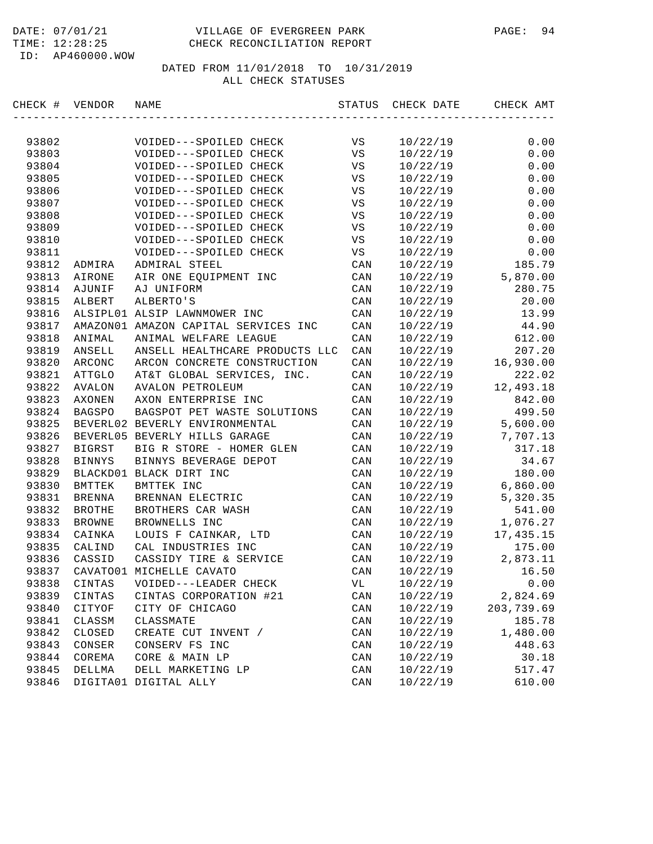#### DATE: 07/01/21 VILLAGE OF EVERGREEN PARK PAGE: 94 TIME: 12:28:25 CHECK RECONCILIATION REPORT

ID: AP460000.WOW

| CHECK # | VENDOR        | NAME                                 | STATUS         | CHECK DATE | CHECK AMT  |
|---------|---------------|--------------------------------------|----------------|------------|------------|
|         |               |                                      |                |            |            |
| 93802   |               | VOIDED---SPOILED CHECK               | VS             | 10/22/19   | 0.00       |
| 93803   |               | VOIDED---SPOILED CHECK               | VS             | 10/22/19   | 0.00       |
| 93804   |               | VOIDED---SPOILED CHECK               | VS             | 10/22/19   | 0.00       |
| 93805   |               | VOIDED---SPOILED CHECK               | VS             | 10/22/19   | 0.00       |
| 93806   |               | VOIDED---SPOILED CHECK               | VS             | 10/22/19   | 0.00       |
| 93807   |               | VOIDED---SPOILED CHECK               | VS             | 10/22/19   | 0.00       |
| 93808   |               | VOIDED---SPOILED CHECK               | $_{\rm VS}$    | 10/22/19   | 0.00       |
| 93809   |               | VOIDED---SPOILED CHECK               | $_{\rm VS}$    | 10/22/19   | 0.00       |
| 93810   |               | VOIDED---SPOILED CHECK               | VS             | 10/22/19   | 0.00       |
| 93811   |               | VOIDED---SPOILED CHECK               | VS             | 10/22/19   | 0.00       |
| 93812   | ADMIRA        | ADMIRAL STEEL                        | CAN            | 10/22/19   | 185.79     |
| 93813   | AIRONE        | AIR ONE EQUIPMENT INC                | CAN            | 10/22/19   | 5,870.00   |
| 93814   | AJUNIF        | AJ UNIFORM                           | CAN            | 10/22/19   | 280.75     |
| 93815   | ALBERT        | ALBERTO'S                            | CAN            | 10/22/19   | 20.00      |
| 93816   |               | ALSIPL01 ALSIP LAWNMOWER INC         | CAN            | 10/22/19   | 13.99      |
| 93817   |               | AMAZON01 AMAZON CAPITAL SERVICES INC | CAN            | 10/22/19   | 44.90      |
| 93818   | ANIMAL        | ANIMAL WELFARE LEAGUE                | CAN            | 10/22/19   | 612.00     |
| 93819   | ANSELL        | ANSELL HEALTHCARE PRODUCTS LLC       | CAN            | 10/22/19   | 207.20     |
| 93820   | ARCONC        | ARCON CONCRETE CONSTRUCTION          | CAN            | 10/22/19   | 16,930.00  |
| 93821   | ATTGLO        | AT&T GLOBAL SERVICES, INC.           | CAN            | 10/22/19   | 222.02     |
| 93822   | AVALON        | <b>AVALON PETROLEUM</b>              | CAN            | 10/22/19   | 12,493.18  |
| 93823   | AXONEN        | AXON ENTERPRISE INC                  | CAN            | 10/22/19   | 842.00     |
| 93824   | <b>BAGSPO</b> | BAGSPOT PET WASTE SOLUTIONS          | CAN            | 10/22/19   | 499.50     |
| 93825   |               | BEVERL02 BEVERLY ENVIRONMENTAL       | CAN            | 10/22/19   | 5,600.00   |
| 93826   |               | BEVERL05 BEVERLY HILLS GARAGE        | CAN            | 10/22/19   | 7,707.13   |
| 93827   | <b>BIGRST</b> | BIG R STORE - HOMER GLEN             | CAN            | 10/22/19   | 317.18     |
| 93828   | <b>BINNYS</b> | BINNYS BEVERAGE DEPOT                | CAN            | 10/22/19   | 34.67      |
| 93829   |               | BLACKD01 BLACK DIRT INC              | CAN            | 10/22/19   | 180.00     |
| 93830   | <b>BMTTEK</b> | BMTTEK INC                           | CAN            | 10/22/19   | 6,860.00   |
| 93831   | BRENNA        | BRENNAN ELECTRIC                     | CAN            | 10/22/19   | 5,320.35   |
| 93832   | <b>BROTHE</b> | BROTHERS CAR WASH                    | CAN            | 10/22/19   | 541.00     |
| 93833   | <b>BROWNE</b> | BROWNELLS INC                        | CAN            | 10/22/19   | 1,076.27   |
| 93834   | CAINKA        | LOUIS F CAINKAR, LTD                 | CAN            | 10/22/19   | 17, 435.15 |
| 93835   | CALIND        | CAL INDUSTRIES INC                   | CAN            | 10/22/19   | 175.00     |
| 93836   | CASSID        | CASSIDY TIRE & SERVICE               | CAN            | 10/22/19   | 2,873.11   |
| 93837   |               | CAVATO01 MICHELLE CAVATO             | CAN            | 10/22/19   | 16.50      |
| 93838   | CINTAS        | VOIDED---LEADER CHECK                | VL             | 10/22/19   | 0.00       |
| 93839   | CINTAS        | CINTAS CORPORATION #21               | CAN            | 10/22/19   | 2,824.69   |
| 93840   | CITYOF        | CITY OF CHICAGO                      | $\mathtt{CAN}$ | 10/22/19   | 203,739.69 |
| 93841   | CLASSM        | CLASSMATE                            | CAN            | 10/22/19   | 185.78     |
| 93842   | CLOSED        | CREATE CUT INVENT /                  | $\mathtt{CAN}$ | 10/22/19   | 1,480.00   |
| 93843   | CONSER        | CONSERV FS INC                       | CAN            | 10/22/19   | 448.63     |
| 93844   | COREMA        | CORE & MAIN LP                       | CAN            | 10/22/19   | 30.18      |
| 93845   | DELLMA        | DELL MARKETING LP                    | CAN            | 10/22/19   | 517.47     |
| 93846   |               | DIGITA01 DIGITAL ALLY                | $\mathtt{CAN}$ | 10/22/19   | 610.00     |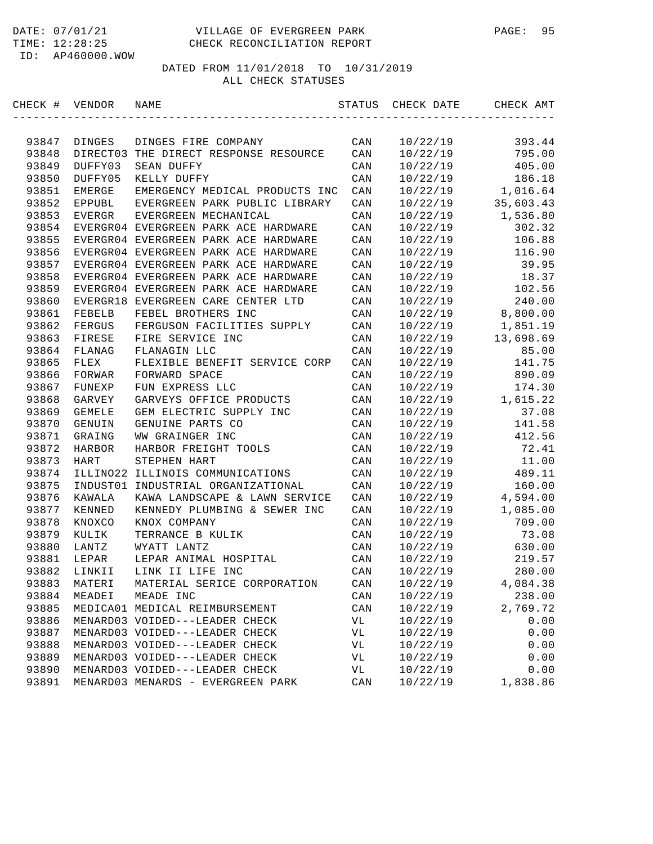#### DATE: 07/01/21 VILLAGE OF EVERGREEN PARK PAGE: 95 TIME: 12:28:25 CHECK RECONCILIATION REPORT

ID: AP460000.WOW

| CHECK # | VENDOR        | NAME                                 | STATUS | CHECK DATE | CHECK AMT |
|---------|---------------|--------------------------------------|--------|------------|-----------|
|         |               |                                      |        |            |           |
| 93847   | DINGES        | DINGES FIRE COMPANY                  | CAN    | 10/22/19   | 393.44    |
| 93848   | DIRECT03      | THE DIRECT RESPONSE RESOURCE         | CAN    | 10/22/19   | 795.00    |
| 93849   | DUFFY03       | SEAN DUFFY                           | CAN    | 10/22/19   | 405.00    |
| 93850   | DUFFY05       | KELLY DUFFY                          | CAN    | 10/22/19   | 186.18    |
| 93851   | EMERGE        | EMERGENCY MEDICAL PRODUCTS INC       | CAN    | 10/22/19   | 1,016.64  |
| 93852   | <b>EPPUBL</b> | EVERGREEN PARK PUBLIC LIBRARY        | CAN    | 10/22/19   | 35,603.43 |
| 93853   | EVERGR        | EVERGREEN MECHANICAL                 | CAN    | 10/22/19   | 1,536.80  |
| 93854   |               | EVERGR04 EVERGREEN PARK ACE HARDWARE | CAN    | 10/22/19   | 302.32    |
| 93855   |               | EVERGR04 EVERGREEN PARK ACE HARDWARE | CAN    | 10/22/19   | 106.88    |
| 93856   |               | EVERGR04 EVERGREEN PARK ACE HARDWARE | CAN    | 10/22/19   | 116.90    |
| 93857   |               | EVERGR04 EVERGREEN PARK ACE HARDWARE | CAN    | 10/22/19   | 39.95     |
| 93858   |               | EVERGR04 EVERGREEN PARK ACE HARDWARE | CAN    | 10/22/19   | 18.37     |
| 93859   |               | EVERGR04 EVERGREEN PARK ACE HARDWARE | CAN    | 10/22/19   | 102.56    |
| 93860   |               | EVERGR18 EVERGREEN CARE CENTER LTD   | CAN    | 10/22/19   | 240.00    |
| 93861   | FEBELB        | FEBEL BROTHERS INC                   | CAN    | 10/22/19   | 8,800.00  |
| 93862   | FERGUS        | FERGUSON FACILITIES SUPPLY           | CAN    | 10/22/19   | 1,851.19  |
| 93863   | FIRESE        | FIRE SERVICE INC                     | CAN    | 10/22/19   | 13,698.69 |
| 93864   | FLANAG        | FLANAGIN LLC                         | CAN    | 10/22/19   | 85.00     |
| 93865   | FLEX          | FLEXIBLE BENEFIT SERVICE CORP        | CAN    | 10/22/19   | 141.75    |
| 93866   | FORWAR        | FORWARD SPACE                        | CAN    | 10/22/19   | 890.09    |
| 93867   | FUNEXP        | FUN EXPRESS LLC                      | CAN    | 10/22/19   | 174.30    |
| 93868   | GARVEY        | GARVEYS OFFICE PRODUCTS              | CAN    | 10/22/19   | 1,615.22  |
| 93869   | GEMELE        | GEM ELECTRIC SUPPLY INC              | CAN    | 10/22/19   | 37.08     |
| 93870   | GENUIN        | GENUINE PARTS CO                     | CAN    | 10/22/19   | 141.58    |
| 93871   | GRAING        | WW GRAINGER INC                      | CAN    | 10/22/19   | 412.56    |
| 93872   | HARBOR        | HARBOR FREIGHT TOOLS                 | CAN    | 10/22/19   | 72.41     |
| 93873   | <b>HART</b>   | STEPHEN HART                         | CAN    | 10/22/19   | 11.00     |
| 93874   | ILLINO22      | ILLINOIS COMMUNICATIONS              | CAN    | 10/22/19   | 489.11    |
| 93875   | INDUST01      | INDUSTRIAL ORGANIZATIONAL            | CAN    | 10/22/19   | 160.00    |
| 93876   | KAWALA        | KAWA LANDSCAPE & LAWN SERVICE        | CAN    | 10/22/19   | 4,594.00  |
| 93877   | KENNED        | KENNEDY PLUMBING & SEWER INC         | CAN    | 10/22/19   | 1,085.00  |
| 93878   | KNOXCO        | KNOX COMPANY                         | CAN    | 10/22/19   | 709.00    |
| 93879   | KULIK         | TERRANCE B KULIK                     | CAN    | 10/22/19   | 73.08     |
| 93880   | LANTZ         | WYATT LANTZ                          | CAN    | 10/22/19   | 630.00    |
| 93881   | LEPAR         | LEPAR ANIMAL HOSPITAL                | CAN    | 10/22/19   | 219.57    |
| 93882   | LINKII        | LINK II LIFE INC                     | CAN    | 10/22/19   | 280.00    |
| 93883   | MATERI        | MATERIAL SERICE CORPORATION          | CAN    | 10/22/19   | 4,084.38  |
| 93884   | MEADEI        | MEADE INC                            | CAN    | 10/22/19   | 238.00    |
| 93885   |               | MEDICA01 MEDICAL REIMBURSEMENT       | CAN    | 10/22/19   | 2,769.72  |
| 93886   |               | MENARD03 VOIDED---LEADER CHECK       | VL     | 10/22/19   | 0.00      |
| 93887   |               | MENARD03 VOIDED---LEADER CHECK       | VL     | 10/22/19   | 0.00      |
| 93888   |               | MENARD03 VOIDED---LEADER CHECK       | VL     | 10/22/19   | 0.00      |
| 93889   |               | MENARD03 VOIDED---LEADER CHECK       | VL     | 10/22/19   | 0.00      |
| 93890   |               | MENARD03 VOIDED---LEADER CHECK       | VL     | 10/22/19   | 0.00      |
| 93891   |               | MENARD03 MENARDS - EVERGREEN PARK    | CAN    | 10/22/19   | 1,838.86  |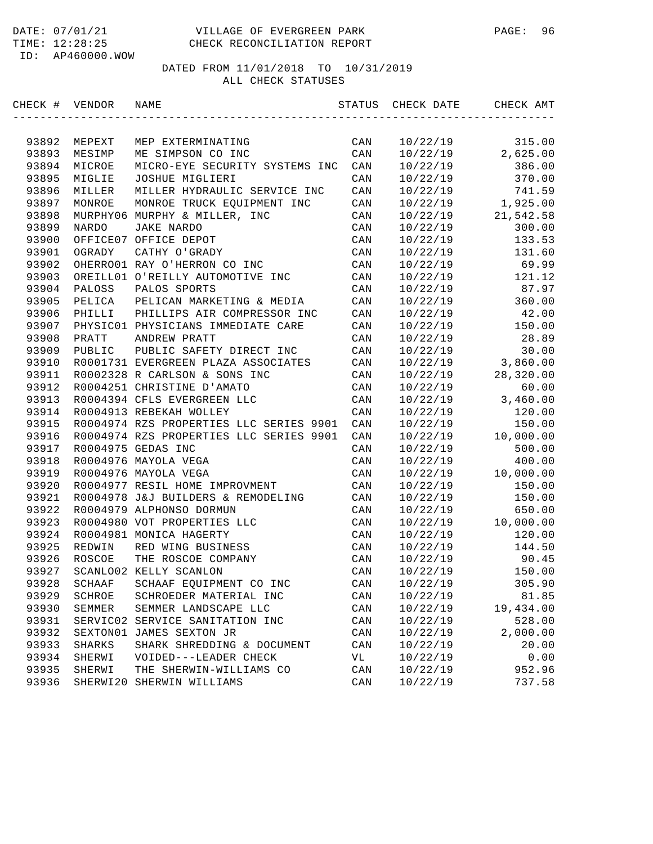| CHECK # | VENDOR        | NAME                                    | STATUS         | CHECK DATE | CHECK AMT |
|---------|---------------|-----------------------------------------|----------------|------------|-----------|
|         |               |                                         |                |            |           |
| 93892   | MEPEXT        | MEP EXTERMINATING                       | CAN            | 10/22/19   | 315.00    |
| 93893   | MESIMP        | ME SIMPSON CO INC                       | CAN            | 10/22/19   | 2,625.00  |
| 93894   | MICROE        | MICRO-EYE SECURITY SYSTEMS INC          | CAN            | 10/22/19   | 386.00    |
| 93895   | MIGLIE        | JOSHUE MIGLIERI                         | CAN            | 10/22/19   | 370.00    |
| 93896   | MILLER        | MILLER HYDRAULIC SERVICE INC            | CAN            | 10/22/19   | 741.59    |
| 93897   | MONROE        | MONROE TRUCK EQUIPMENT INC              | CAN            | 10/22/19   | 1,925.00  |
| 93898   |               | MURPHY06 MURPHY & MILLER, INC           | CAN            | 10/22/19   | 21,542.58 |
| 93899   | NARDO         | JAKE NARDO                              | CAN            | 10/22/19   | 300.00    |
| 93900   |               | OFFICE07 OFFICE DEPOT                   | CAN            | 10/22/19   | 133.53    |
| 93901   | OGRADY        | CATHY O'GRADY                           | CAN            | 10/22/19   | 131.60    |
| 93902   |               | OHERRO01 RAY O'HERRON CO INC            | CAN            | 10/22/19   | 69.99     |
| 93903   |               | OREILL01 O'REILLY AUTOMOTIVE INC        | CAN            | 10/22/19   | 121.12    |
| 93904   | PALOSS        | PALOS SPORTS                            | CAN            | 10/22/19   | 87.97     |
| 93905   | PELICA        | PELICAN MARKETING & MEDIA               | CAN            | 10/22/19   | 360.00    |
| 93906   | PHILLI        | PHILLIPS AIR COMPRESSOR INC             | CAN            | 10/22/19   | 42.00     |
| 93907   |               | PHYSIC01 PHYSICIANS IMMEDIATE CARE      | CAN            | 10/22/19   | 150.00    |
| 93908   | PRATT         | ANDREW PRATT                            | CAN            | 10/22/19   | 28.89     |
| 93909   | PUBLIC        | PUBLIC SAFETY DIRECT INC                | CAN            | 10/22/19   | 30.00     |
| 93910   |               | R0001731 EVERGREEN PLAZA ASSOCIATES     | CAN            | 10/22/19   | 3,860.00  |
| 93911   |               | R0002328 R CARLSON & SONS INC           | CAN            | 10/22/19   | 28,320.00 |
| 93912   |               | R0004251 CHRISTINE D'AMATO              | CAN            | 10/22/19   | 60.00     |
| 93913   |               | R0004394 CFLS EVERGREEN LLC             | CAN            | 10/22/19   | 3,460.00  |
| 93914   |               | R0004913 REBEKAH WOLLEY                 | CAN            | 10/22/19   | 120.00    |
| 93915   |               | R0004974 RZS PROPERTIES LLC SERIES 9901 | CAN            | 10/22/19   | 150.00    |
| 93916   |               | R0004974 RZS PROPERTIES LLC SERIES 9901 | CAN            | 10/22/19   | 10,000.00 |
| 93917   |               | R0004975 GEDAS INC                      | CAN            | 10/22/19   | 500.00    |
| 93918   |               | R0004976 MAYOLA VEGA                    | CAN            | 10/22/19   | 400.00    |
| 93919   |               | R0004976 MAYOLA VEGA                    | CAN            | 10/22/19   | 10,000.00 |
| 93920   |               | R0004977 RESIL HOME IMPROVMENT          | CAN            | 10/22/19   | 150.00    |
| 93921   |               | R0004978 J&J BUILDERS & REMODELING      | CAN            | 10/22/19   | 150.00    |
| 93922   |               | R0004979 ALPHONSO DORMUN                | CAN            | 10/22/19   | 650.00    |
| 93923   |               | R0004980 VOT PROPERTIES LLC             | CAN            | 10/22/19   | 10,000.00 |
| 93924   |               | R0004981 MONICA HAGERTY                 | CAN            | 10/22/19   | 120.00    |
| 93925   | REDWIN        | RED WING BUSINESS                       | CAN            | 10/22/19   | 144.50    |
| 93926   | ROSCOE        | THE ROSCOE COMPANY                      | CAN            | 10/22/19   | 90.45     |
| 93927   |               | SCANLO02 KELLY SCANLON                  | CAN            | 10/22/19   | 150.00    |
| 93928   | SCHAAF        | SCHAAF EQUIPMENT CO INC                 | CAN            | 10/22/19   | 305.90    |
| 93929   | SCHROE        | SCHROEDER MATERIAL INC                  | CAN            | 10/22/19   | 81.85     |
| 93930   | SEMMER        | SEMMER LANDSCAPE LLC                    | $\mathtt{CAN}$ | 10/22/19   | 19,434.00 |
| 93931   | SERVIC02      | SERVICE SANITATION INC                  | CAN            | 10/22/19   | 528.00    |
| 93932   | SEXTON01      | JAMES SEXTON JR                         | CAN            | 10/22/19   | 2,000.00  |
| 93933   | <b>SHARKS</b> | SHARK SHREDDING & DOCUMENT              | CAN            | 10/22/19   | 20.00     |
| 93934   | SHERWI        | VOIDED---LEADER CHECK                   | VL             | 10/22/19   | 0.00      |
| 93935   | SHERWI        | THE SHERWIN-WILLIAMS CO                 | CAN            | 10/22/19   | 952.96    |
| 93936   |               | SHERWI20 SHERWIN WILLIAMS               | CAN            | 10/22/19   | 737.58    |
|         |               |                                         |                |            |           |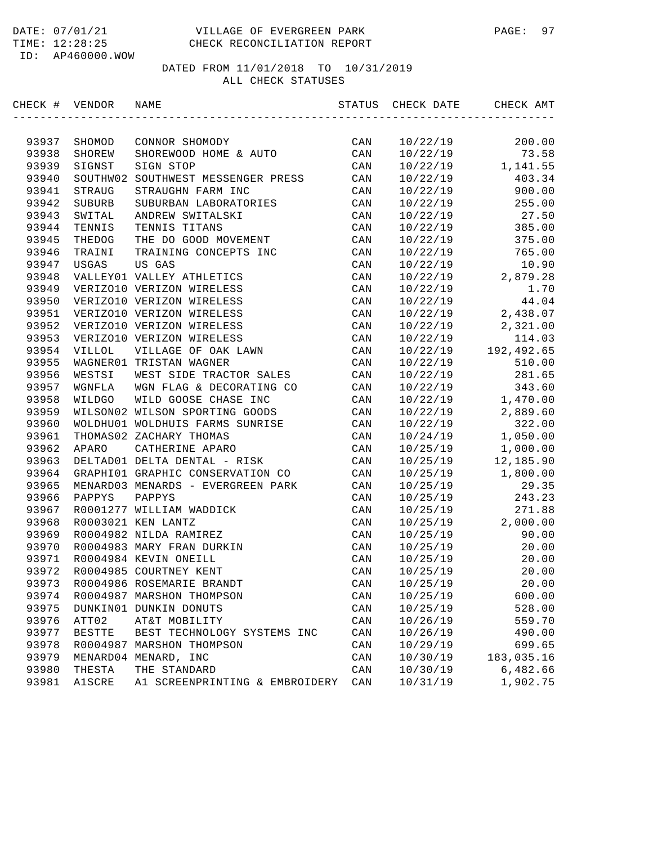#### DATE: 07/01/21 VILLAGE OF EVERGREEN PARK PAGE: 97 TIME: 12:28:25 CHECK RECONCILIATION REPORT

ID: AP460000.WOW

| CHECK # VENDOR |               | NAME                              | STATUS         | CHECK DATE | CHECK AMT  |
|----------------|---------------|-----------------------------------|----------------|------------|------------|
|                |               |                                   |                |            |            |
| 93937          | SHOMOD        | CONNOR SHOMODY                    | CAN            | 10/22/19   | 200.00     |
| 93938          | SHOREW        | SHOREWOOD HOME & AUTO             | CAN            | 10/22/19   | 73.58      |
| 93939          | SIGNST        | SIGN STOP                         | CAN            | 10/22/19   | 1,141.55   |
| 93940          | SOUTHW02      | SOUTHWEST MESSENGER PRESS         | CAN            | 10/22/19   | 403.34     |
| 93941          | STRAUG        | STRAUGHN FARM INC                 | CAN            | 10/22/19   | 900.00     |
| 93942          | SUBURB        | SUBURBAN LABORATORIES             | CAN            | 10/22/19   | 255.00     |
| 93943          | SWITAL        | ANDREW SWITALSKI                  | CAN            | 10/22/19   | 27.50      |
| 93944          | TENNIS        | TENNIS TITANS                     | CAN            | 10/22/19   | 385.00     |
| 93945          | THEDOG        | THE DO GOOD MOVEMENT              | CAN            | 10/22/19   | 375.00     |
| 93946          | TRAINI        | TRAINING CONCEPTS INC             | CAN            | 10/22/19   | 765.00     |
| 93947          | USGAS         | US GAS                            | CAN            | 10/22/19   | 10.90      |
| 93948          |               | VALLEY01 VALLEY ATHLETICS         | CAN            | 10/22/19   | 2,879.28   |
| 93949          |               | VERIZO10 VERIZON WIRELESS         | CAN            | 10/22/19   | 1.70       |
| 93950          |               | VERIZO10 VERIZON WIRELESS         | CAN            | 10/22/19   | 44.04      |
| 93951          |               | VERIZO10 VERIZON WIRELESS         | CAN            | 10/22/19   | 2,438.07   |
| 93952          |               | VERIZO10 VERIZON WIRELESS         | CAN            | 10/22/19   | 2,321.00   |
| 93953          |               | VERIZO10 VERIZON WIRELESS         | CAN            | 10/22/19   | 114.03     |
| 93954          | VILLOL        | VILLAGE OF OAK LAWN               | CAN            | 10/22/19   | 192,492.65 |
| 93955          |               | WAGNER01 TRISTAN WAGNER           | CAN            | 10/22/19   | 510.00     |
| 93956          | WESTSI        | WEST SIDE TRACTOR SALES           | CAN            | 10/22/19   | 281.65     |
| 93957          | WGNFLA        | WGN FLAG & DECORATING CO          | CAN            | 10/22/19   | 343.60     |
| 93958          | WILDGO        | WILD GOOSE CHASE INC              | CAN            | 10/22/19   | 1,470.00   |
| 93959          |               | WILSON02 WILSON SPORTING GOODS    | CAN            | 10/22/19   | 2,889.60   |
| 93960          |               | WOLDHU01 WOLDHUIS FARMS SUNRISE   | CAN            | 10/22/19   | 322.00     |
| 93961          |               | THOMAS02 ZACHARY THOMAS           | CAN            | 10/24/19   | 1,050.00   |
| 93962          | APARO         | CATHERINE APARO                   | CAN            | 10/25/19   | 1,000.00   |
| 93963          |               | DELTAD01 DELTA DENTAL - RISK      | CAN            | 10/25/19   | 12,185.90  |
| 93964          |               | GRAPHI01 GRAPHIC CONSERVATION CO  | CAN            | 10/25/19   | 1,800.00   |
| 93965          |               | MENARD03 MENARDS - EVERGREEN PARK | CAN            | 10/25/19   | 29.35      |
| 93966          | PAPPYS        | PAPPYS                            | CAN            | 10/25/19   | 243.23     |
| 93967          |               | R0001277 WILLIAM WADDICK          | CAN            | 10/25/19   | 271.88     |
| 93968          |               | R0003021 KEN LANTZ                | CAN            | 10/25/19   | 2,000.00   |
| 93969          |               | R0004982 NILDA RAMIREZ            | CAN            | 10/25/19   | 90.00      |
| 93970          |               | R0004983 MARY FRAN DURKIN         | CAN            | 10/25/19   | 20.00      |
| 93971          |               | R0004984 KEVIN ONEILL             | CAN            | 10/25/19   | 20.00      |
| 93972          |               | R0004985 COURTNEY KENT            | CAN            | 10/25/19   | 20.00      |
| 93973          |               | R0004986 ROSEMARIE BRANDT         | CAN            | 10/25/19   | 20.00      |
| 93974          |               | R0004987 MARSHON THOMPSON         | CAN            | 10/25/19   | 600.00     |
| 93975          |               | DUNKIN01 DUNKIN DONUTS            | CAN            | 10/25/19   | 528.00     |
| 93976          | ATT02         | AT&T MOBILITY                     | CAN            | 10/26/19   | 559.70     |
| 93977          | <b>BESTTE</b> | BEST TECHNOLOGY SYSTEMS INC       | CAN            | 10/26/19   | 490.00     |
| 93978          |               | R0004987 MARSHON THOMPSON         | $\mathtt{CAN}$ | 10/29/19   | 699.65     |
| 93979          |               | MENARD04 MENARD, INC              | CAN            | 10/30/19   | 183,035.16 |
| 93980          | THESTA        | THE STANDARD                      | CAN            | 10/30/19   | 6,482.66   |
| 93981          | <b>A1SCRE</b> | A1 SCREENPRINTING & EMBROIDERY    | $\mathtt{CAN}$ | 10/31/19   | 1,902.75   |
|                |               |                                   |                |            |            |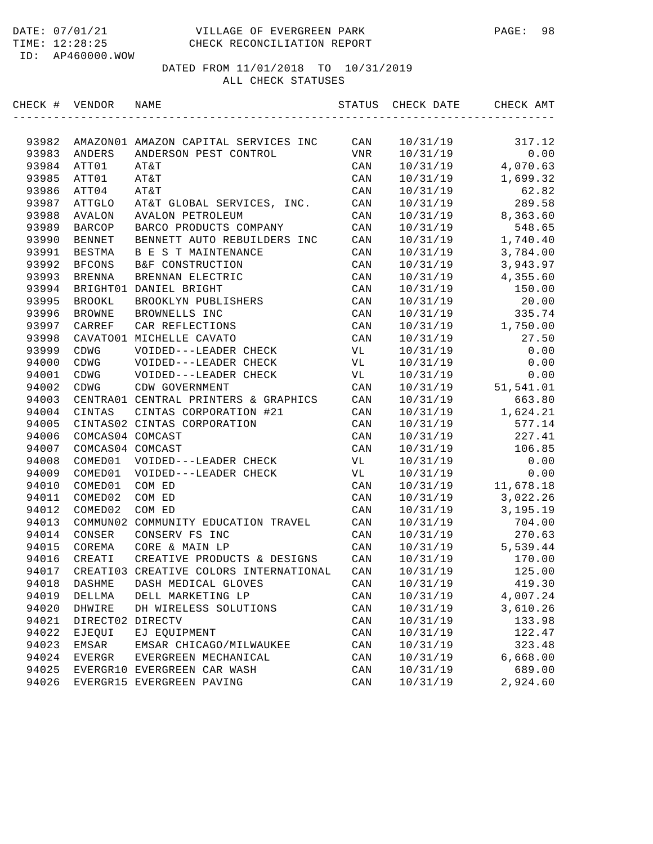#### DATE: 07/01/21 VILLAGE OF EVERGREEN PARK PAGE: 98 TIME: 12:28:25 CHECK RECONCILIATION REPORT

DATED FROM 11/01/2018 TO 10/31/2019

ALL CHECK STATUSES

|       | CHECK # VENDOR   | NAME                                             |                        | STATUS CHECK DATE CHECK AMT |                                         |
|-------|------------------|--------------------------------------------------|------------------------|-----------------------------|-----------------------------------------|
|       |                  |                                                  |                        |                             |                                         |
| 93982 |                  | AMAZON01 AMAZON CAPITAL SERVICES INC CAN         |                        | 10/31/19                    | 317.12                                  |
| 93983 | ANDERS           | ANDERSON PEST CONTROL                            | VNR                    | 10/31/19                    | 0.00                                    |
| 93984 | ATT01            | AT&T                                             | CAN                    | 10/31/19                    | 4,070.63                                |
| 93985 | ATT01            | AT&T                                             | CAN                    | 10/31/19                    | 1,699.32                                |
| 93986 | ATT04            | AT&T                                             | CAN                    | 10/31/19                    | 62.82                                   |
| 93987 |                  | ATTGLO AT&T GLOBAL SERVICES, INC.                | CAN                    | 10/31/19                    | 289.58                                  |
| 93988 | AVALON           | AVALON PETROLEUM                                 | CAN                    |                             | $10/31/19$ 8,363.60                     |
| 93989 | BARCOP           | BARCO PRODUCTS COMPANY                           | CAN                    | 10/31/19                    | 548.65                                  |
| 93990 | BENNET           | BENNETT AUTO REBUILDERS INC                      | CAN                    |                             | $10/31/19$ 1,740.40                     |
| 93991 | BESTMA           | B E S T MAINTENANCE                              | CAN                    |                             | 10/31/19 3,784.00                       |
| 93992 | <b>BFCONS</b>    | B&F CONSTRUCTION                                 | CAN                    | 10/31/19                    | 3,943.97                                |
| 93993 | <b>BRENNA</b>    | BRENNAN ELECTRIC                                 | CAN                    |                             | $10/31/19$ 4,355.60                     |
| 93994 |                  | BRIGHT01 DANIEL BRIGHT                           | CAN                    | 10/31/19                    | 150.00                                  |
| 93995 | <b>BROOKL</b>    | BROOKLYN PUBLISHERS                              | CAN                    | 10/31/19                    | 20.00                                   |
| 93996 | <b>BROWNE</b>    | BROWNELLS INC                                    | CAN                    | 10/31/19                    | 335.74                                  |
| 93997 | CARREF           | CAR REFLECTIONS                                  | CAN                    | 10/31/19                    | 1,750.00                                |
| 93998 |                  | CAVATO01 MICHELLE CAVATO                         | CAN                    | 10/31/19                    | 27.50                                   |
| 93999 | CDWG             | VOIDED---LEADER CHECK                            | VL                     | 10/31/19                    | 0.00                                    |
| 94000 | CDWG             | VOIDED---LEADER CHECK                            | $\mathbf{V}\mathbf{L}$ | 10/31/19                    | 0.00                                    |
| 94001 | CDWG             | VOIDED---LEADER CHECK                            | VL                     |                             | $10/31/19$ 0.00<br>$10/31/19$ 51,541.01 |
| 94002 | $\tt CDWG$       | CDW GOVERNMENT                                   | CAN                    |                             |                                         |
| 94003 |                  | CENTRA01 CENTRAL PRINTERS & GRAPHICS             | CAN                    | 10/31/19                    | 663.80                                  |
| 94004 | CINTAS           | CINTAS CORPORATION #21                           | CAN                    |                             | $10/31/19$ 1,624.21                     |
| 94005 |                  | CINTAS02 CINTAS CORPORATION                      | CAN                    |                             | 10/31/19 577.14                         |
| 94006 | COMCAS04 COMCAST |                                                  | CAN                    |                             | 10/31/19 227.41                         |
| 94007 | COMCAS04 COMCAST |                                                  | CAN                    |                             | 10/31/19 106.85                         |
| 94008 | COMED01          | VOIDED---LEADER CHECK                            | VL                     | 10/31/19                    | 0.00                                    |
| 94009 | COMED01          | VOIDED---LEADER CHECK                            | VL                     | 10/31/19                    | 0.00                                    |
| 94010 | COMED01          | COM ED                                           | CAN                    | 10/31/19                    | 11,678.18                               |
| 94011 | COMED02          | COM ED                                           | CAN                    | 10/31/19                    | 3,022.26                                |
| 94012 | COMED02          | COM ED                                           | CAN                    | 10/31/19                    | 3,195.19                                |
| 94013 |                  | COMMUN02 COMMUNITY EDUCATION TRAVEL              | CAN                    | 10/31/19                    | 704.00                                  |
|       |                  | CONSERV FS INC                                   |                        | 10/31/19                    | 270.63                                  |
| 94014 | CONSER           | CORE & MAIN LP                                   | CAN                    |                             | $10/31/19$ 5,539.44                     |
| 94015 | COREMA           |                                                  | CAN                    |                             |                                         |
| 94016 | CREATI           | CREATIVE PRODUCTS & DESIGNS                      | CAN                    | 10/31/19                    | 170.00                                  |
|       |                  | 94017 CREATI03 CREATIVE COLORS INTERNATIONAL CAN |                        | 10/31/19                    | 125.00                                  |
| 94018 | DASHME           | DASH MEDICAL GLOVES                              | $\mathtt{CAN}$         | 10/31/19                    | 419.30                                  |
| 94019 | DELLMA           | DELL MARKETING LP                                | CAN                    | 10/31/19                    | 4,007.24                                |
| 94020 | DHWIRE           | DH WIRELESS SOLUTIONS                            | CAN                    | 10/31/19                    | 3,610.26                                |
| 94021 | DIRECT02 DIRECTV |                                                  | CAN                    | 10/31/19                    | 133.98                                  |
| 94022 | EJEQUI           | EJ EQUIPMENT                                     | CAN                    | 10/31/19                    | 122.47                                  |
| 94023 | EMSAR            | EMSAR CHICAGO/MILWAUKEE                          | CAN                    | 10/31/19                    | 323.48                                  |
| 94024 | EVERGR           | EVERGREEN MECHANICAL                             | CAN                    | 10/31/19                    | 6,668.00                                |
| 94025 |                  | EVERGR10 EVERGREEN CAR WASH                      | CAN                    | 10/31/19                    | 689.00                                  |
| 94026 |                  | EVERGR15 EVERGREEN PAVING                        | CAN                    | 10/31/19                    | 2,924.60                                |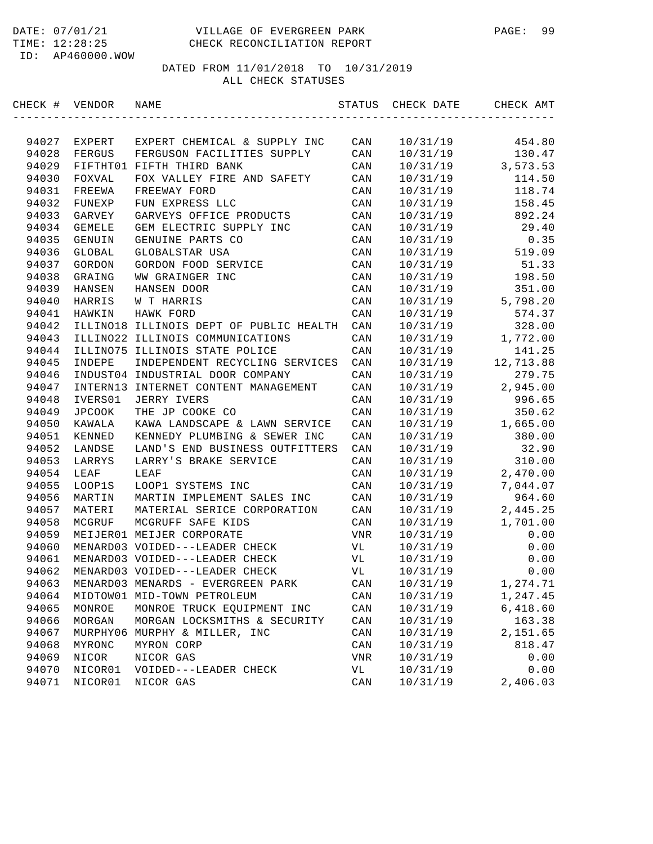| CHECK # VENDOR |         | NAME                                    | STATUS     | CHECK DATE | CHECK AMT |
|----------------|---------|-----------------------------------------|------------|------------|-----------|
|                |         |                                         |            |            |           |
| 94027          | EXPERT  | EXPERT CHEMICAL & SUPPLY INC            | CAN        | 10/31/19   | 454.80    |
| 94028          | FERGUS  | FERGUSON FACILITIES SUPPLY              | CAN        | 10/31/19   | 130.47    |
| 94029          |         | FIFTHT01 FIFTH THIRD BANK               | CAN        | 10/31/19   | 3,573.53  |
| 94030          | FOXVAL  | FOX VALLEY FIRE AND SAFETY              | CAN        | 10/31/19   | 114.50    |
| 94031          | FREEWA  | FREEWAY FORD                            | CAN        | 10/31/19   | 118.74    |
| 94032          | FUNEXP  | FUN EXPRESS LLC                         | CAN        | 10/31/19   | 158.45    |
| 94033          | GARVEY  | GARVEYS OFFICE PRODUCTS                 | CAN        | 10/31/19   | 892.24    |
| 94034          | GEMELE  | GEM ELECTRIC SUPPLY INC                 | CAN        | 10/31/19   | 29.40     |
| 94035          | GENUIN  | GENUINE PARTS CO                        | CAN        | 10/31/19   | 0.35      |
| 94036          | GLOBAL  | GLOBALSTAR USA                          | CAN        | 10/31/19   | 519.09    |
| 94037          | GORDON  | GORDON FOOD SERVICE                     | CAN        | 10/31/19   | 51.33     |
| 94038          | GRAING  | WW GRAINGER INC                         | CAN        | 10/31/19   | 198.50    |
| 94039          | HANSEN  | HANSEN DOOR                             | CAN        | 10/31/19   | 351.00    |
| 94040          | HARRIS  | W T HARRIS                              | CAN        | 10/31/19   | 5,798.20  |
| 94041          | HAWKIN  | HAWK FORD                               | CAN        | 10/31/19   | 574.37    |
| 94042          |         | ILLINO18 ILLINOIS DEPT OF PUBLIC HEALTH | CAN        | 10/31/19   | 328.00    |
| 94043          |         | ILLINO22 ILLINOIS COMMUNICATIONS        | CAN        | 10/31/19   | 1,772.00  |
| 94044          |         | ILLINO75 ILLINOIS STATE POLICE          | CAN        | 10/31/19   | 141.25    |
| 94045          | INDEPE  | INDEPENDENT RECYCLING SERVICES          | CAN        | 10/31/19   | 12,713.88 |
| 94046          |         | INDUST04 INDUSTRIAL DOOR COMPANY        | CAN        | 10/31/19   | 279.75    |
| 94047          |         | INTERN13 INTERNET CONTENT MANAGEMENT    | CAN        | 10/31/19   | 2,945.00  |
| 94048          | IVERS01 | <b>JERRY IVERS</b>                      | CAN        | 10/31/19   | 996.65    |
| 94049          | JPCOOK  | THE JP COOKE CO                         | CAN        | 10/31/19   | 350.62    |
| 94050          | KAWALA  | KAWA LANDSCAPE & LAWN SERVICE           | CAN        | 10/31/19   | 1,665.00  |
| 94051          | KENNED  | KENNEDY PLUMBING & SEWER INC            | CAN        | 10/31/19   | 380.00    |
| 94052          | LANDSE  | LAND'S END BUSINESS OUTFITTERS          | CAN        | 10/31/19   | 32.90     |
| 94053          | LARRYS  | LARRY'S BRAKE SERVICE                   | CAN        | 10/31/19   | 310.00    |
| 94054          | LEAF    | LEAF                                    | CAN        | 10/31/19   | 2,470.00  |
| 94055          | LOOP1S  | LOOP1 SYSTEMS INC                       | CAN        | 10/31/19   | 7,044.07  |
| 94056          | MARTIN  | MARTIN IMPLEMENT SALES INC              | CAN        | 10/31/19   | 964.60    |
| 94057          | MATERI  | MATERIAL SERICE CORPORATION             | CAN        | 10/31/19   | 2,445.25  |
| 94058          | MCGRUF  | MCGRUFF SAFE KIDS                       | CAN        | 10/31/19   | 1,701.00  |
| 94059          |         | MEIJER01 MEIJER CORPORATE               | <b>VNR</b> | 10/31/19   | 0.00      |
| 94060          |         | MENARD03 VOIDED---LEADER CHECK          | VL         | 10/31/19   | 0.00      |
| 94061          |         | MENARD03 VOIDED---LEADER CHECK          | VL         | 10/31/19   | 0.00      |
| 94062          |         | MENARD03 VOIDED---LEADER CHECK          | VL         | 10/31/19   | 0.00      |
| 94063          |         | MENARD03 MENARDS - EVERGREEN PARK       | CAN        | 10/31/19   | 1,274.71  |
| 94064          |         | MIDTOW01 MID-TOWN PETROLEUM             | CAN        | 10/31/19   | 1,247.45  |
| 94065          | MONROE  | MONROE TRUCK EQUIPMENT INC              | CAN        | 10/31/19   | 6,418.60  |
| 94066          | MORGAN  | MORGAN LOCKSMITHS & SECURITY            | CAN        | 10/31/19   | 163.38    |
| 94067          |         | MURPHY06 MURPHY & MILLER, INC           | CAN        | 10/31/19   | 2,151.65  |
| 94068          | MYRONC  | MYRON CORP                              | CAN        | 10/31/19   | 818.47    |
| 94069          | NICOR   | NICOR GAS                               | VNR        | 10/31/19   | 0.00      |
| 94070          | NICOR01 | VOIDED---LEADER CHECK                   | VL         | 10/31/19   | 0.00      |
| 94071          | NICOR01 | NICOR GAS                               | CAN        | 10/31/19   | 2,406.03  |
|                |         |                                         |            |            |           |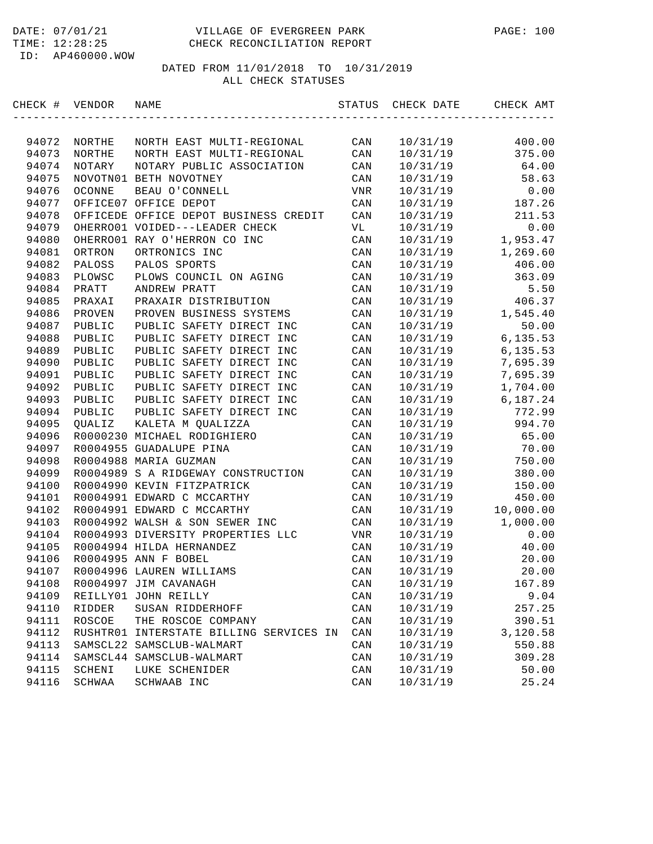| CHECK # | VENDOR   | NAME                                  | STATUS | CHECK DATE | CHECK AMT |
|---------|----------|---------------------------------------|--------|------------|-----------|
|         |          |                                       |        |            |           |
| 94072   | NORTHE   | NORTH EAST MULTI-REGIONAL             | CAN    | 10/31/19   | 400.00    |
| 94073   | NORTHE   | NORTH EAST MULTI-REGIONAL             | CAN    | 10/31/19   | 375.00    |
| 94074   | NOTARY   | NOTARY PUBLIC ASSOCIATION             | CAN    | 10/31/19   | 64.00     |
| 94075   |          | NOVOTN01 BETH NOVOTNEY                | CAN    | 10/31/19   | 58.63     |
| 94076   | OCONNE   | BEAU O'CONNELL                        | VNR    | 10/31/19   | 0.00      |
| 94077   |          | OFFICE07 OFFICE DEPOT                 | CAN    | 10/31/19   | 187.26    |
| 94078   |          | OFFICEDE OFFICE DEPOT BUSINESS CREDIT | CAN    | 10/31/19   | 211.53    |
| 94079   |          | OHERRO01 VOIDED---LEADER CHECK        | VL     | 10/31/19   | 0.00      |
| 94080   |          | OHERRO01 RAY O'HERRON CO INC          | CAN    | 10/31/19   | 1,953.47  |
| 94081   | ORTRON   | ORTRONICS INC                         | CAN    | 10/31/19   | 1,269.60  |
| 94082   | PALOSS   | PALOS SPORTS                          | CAN    | 10/31/19   | 406.00    |
| 94083   | PLOWSC   | PLOWS COUNCIL ON AGING                | CAN    | 10/31/19   | 363.09    |
| 94084   | PRATT    | ANDREW PRATT                          | CAN    | 10/31/19   | 5.50      |
| 94085   | PRAXAI   | PRAXAIR DISTRIBUTION                  | CAN    | 10/31/19   | 406.37    |
| 94086   | PROVEN   | PROVEN BUSINESS SYSTEMS               | CAN    | 10/31/19   | 1,545.40  |
| 94087   | PUBLIC   | PUBLIC SAFETY DIRECT INC              | CAN    | 10/31/19   | 50.00     |
| 94088   | PUBLIC   | PUBLIC SAFETY DIRECT INC              | CAN    | 10/31/19   | 6,135.53  |
| 94089   | PUBLIC   | PUBLIC SAFETY DIRECT INC              | CAN    | 10/31/19   | 6,135.53  |
| 94090   | PUBLIC   | PUBLIC SAFETY DIRECT INC              | CAN    | 10/31/19   | 7,695.39  |
| 94091   | PUBLIC   | PUBLIC SAFETY DIRECT INC              | CAN    | 10/31/19   | 7,695.39  |
| 94092   | PUBLIC   | PUBLIC SAFETY DIRECT<br>INC           | CAN    | 10/31/19   | 1,704.00  |
| 94093   | PUBLIC   | PUBLIC SAFETY DIRECT INC              | CAN    | 10/31/19   | 6,187.24  |
| 94094   | PUBLIC   | PUBLIC SAFETY DIRECT INC              | CAN    | 10/31/19   | 772.99    |
| 94095   | QUALIZ   | KALETA M QUALIZZA                     | CAN    | 10/31/19   | 994.70    |
| 94096   |          | R0000230 MICHAEL RODIGHIERO           | CAN    | 10/31/19   | 65.00     |
| 94097   |          | R0004955 GUADALUPE PINA               | CAN    | 10/31/19   | 70.00     |
| 94098   |          | R0004988 MARIA GUZMAN                 | CAN    | 10/31/19   | 750.00    |
| 94099   |          | R0004989 S A RIDGEWAY CONSTRUCTION    | CAN    | 10/31/19   | 380.00    |
| 94100   |          | R0004990 KEVIN FITZPATRICK            | CAN    | 10/31/19   | 150.00    |
| 94101   |          | R0004991 EDWARD C MCCARTHY            | CAN    | 10/31/19   | 450.00    |
| 94102   |          | R0004991 EDWARD C MCCARTHY            | CAN    | 10/31/19   | 10,000.00 |
| 94103   |          | R0004992 WALSH & SON SEWER INC        | CAN    | 10/31/19   | 1,000.00  |
| 94104   |          | R0004993 DIVERSITY PROPERTIES LLC     | VNR    | 10/31/19   | 0.00      |
| 94105   |          | R0004994 HILDA HERNANDEZ              | CAN    | 10/31/19   | 40.00     |
| 94106   |          | R0004995 ANN F BOBEL                  | CAN    | 10/31/19   | 20.00     |
| 94107   |          | R0004996 LAUREN WILLIAMS              | CAN    | 10/31/19   | 20.00     |
| 94108   |          | R0004997 JIM CAVANAGH                 | CAN    | 10/31/19   | 167.89    |
| 94109   |          | REILLY01 JOHN REILLY                  | CAN    | 10/31/19   | 9.04      |
| 94110   | RIDDER   | SUSAN RIDDERHOFF                      | CAN    | 10/31/19   | 257.25    |
| 94111   | ROSCOE   | THE ROSCOE COMPANY                    | CAN    | 10/31/19   | 390.51    |
| 94112   | RUSHTR01 | INTERSTATE BILLING SERVICES IN        | CAN    | 10/31/19   | 3,120.58  |
| 94113   |          | SAMSCL22 SAMSCLUB-WALMART             | CAN    | 10/31/19   | 550.88    |
| 94114   |          | SAMSCL44 SAMSCLUB-WALMART             | CAN    | 10/31/19   | 309.28    |
| 94115   | SCHENI   | LUKE SCHENIDER                        | CAN    | 10/31/19   | 50.00     |
| 94116   | SCHWAA   | SCHWAAB INC                           | CAN    | 10/31/19   | 25.24     |